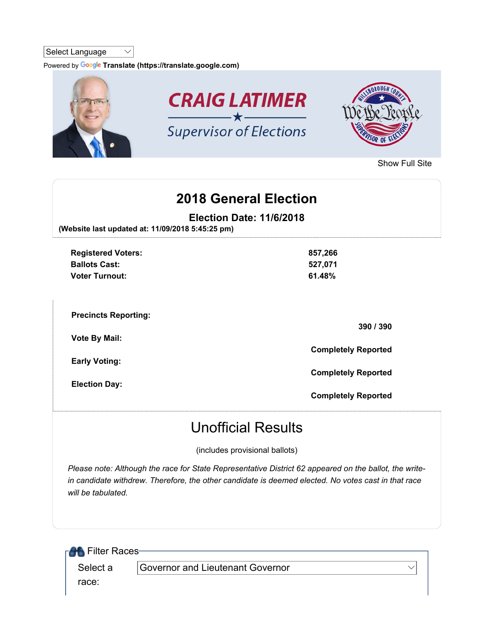#### Select Language  $\vee$

Powered by Google Translate (https://translate.google.com)



Show Full Site

# 2018 General Election

Election Date: 11/6/2018

(Website last updated at: 11/09/2018 5:45:25 pm)

| <b>Registered Voters:</b><br><b>Ballots Cast:</b><br><b>Voter Turnout:</b> | 857,266<br>527,071<br>61.48% |
|----------------------------------------------------------------------------|------------------------------|
| <b>Precincts Reporting:</b>                                                | 390 / 390                    |
| <b>Vote By Mail:</b>                                                       | <b>Completely Reported</b>   |
| <b>Early Voting:</b><br><b>Election Day:</b>                               | <b>Completely Reported</b>   |
|                                                                            | <b>Completely Reported</b>   |

# Unofficial Results

(includes provisional ballots)

Please note: Although the race for State Representative District 62 appeared on the ballot, the writein candidate withdrew. Therefore, the other candidate is deemed elected. No votes cast in that race will be tabulated.

| <b>RAS</b> Filter Races- |                                  |  |
|--------------------------|----------------------------------|--|
| Select a                 | Governor and Lieutenant Governor |  |
| race:                    |                                  |  |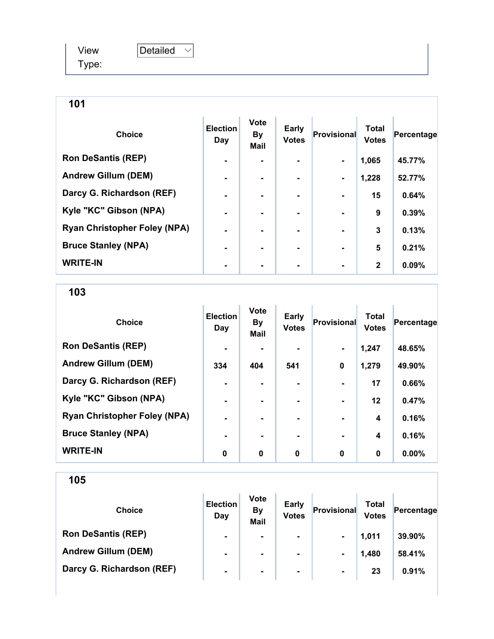| View  | Detailed |  |
|-------|----------|--|
| Type: |          |  |

| <b>Choice</b>                       | <b>Election</b><br>Day | <b>Vote</b><br><b>By</b><br><b>Mail</b> | Early<br><b>Votes</b> | Provisional    | <b>Total</b><br><b>Votes</b> | Percentage |
|-------------------------------------|------------------------|-----------------------------------------|-----------------------|----------------|------------------------------|------------|
| <b>Ron DeSantis (REP)</b>           |                        |                                         |                       |                | 1,065                        | 45.77%     |
| <b>Andrew Gillum (DEM)</b>          |                        |                                         |                       | $\blacksquare$ | 1,228                        | 52.77%     |
| Darcy G. Richardson (REF)           |                        |                                         | ۰.                    |                | 15                           | 0.64%      |
| Kyle "KC" Gibson (NPA)              |                        |                                         |                       |                | 9                            | 0.39%      |
| <b>Ryan Christopher Foley (NPA)</b> |                        |                                         |                       |                | 3                            | 0.13%      |
| <b>Bruce Stanley (NPA)</b>          |                        |                                         |                       |                | 5                            | 0.21%      |
| <b>WRITE-IN</b>                     |                        |                                         |                       |                | $\mathbf{2}$                 | 0.09%      |

### 103

| <b>Choice</b>                       | <b>Election</b><br>Day | <b>Vote</b><br><b>By</b><br><b>Mail</b> | Early<br><b>Votes</b> | Provisional    | <b>Total</b><br><b>Votes</b> | Percentage |
|-------------------------------------|------------------------|-----------------------------------------|-----------------------|----------------|------------------------------|------------|
| <b>Ron DeSantis (REP)</b>           | $\blacksquare$         |                                         | $\blacksquare$        | $\blacksquare$ | 1,247                        | 48.65%     |
| <b>Andrew Gillum (DEM)</b>          | 334                    | 404                                     | 541                   | $\mathbf 0$    | 1,279                        | 49.90%     |
| Darcy G. Richardson (REF)           | $\blacksquare$         |                                         |                       |                | 17                           | 0.66%      |
| Kyle "KC" Gibson (NPA)              | $\blacksquare$         |                                         |                       | $\blacksquare$ | $12 \,$                      | 0.47%      |
| <b>Ryan Christopher Foley (NPA)</b> | $\blacksquare$         |                                         | $\blacksquare$        | $\blacksquare$ | $\overline{\mathbf{4}}$      | 0.16%      |
| <b>Bruce Stanley (NPA)</b>          | $\blacksquare$         |                                         |                       |                | 4                            | 0.16%      |
| <b>WRITE-IN</b>                     | $\mathbf 0$            | $\mathbf 0$                             | $\mathbf 0$           | $\bf{0}$       | $\bf{0}$                     | $0.00\%$   |

| <b>Choice</b>              | <b>Election</b><br>Day | <b>Vote</b><br><b>By</b><br><b>Mail</b> | <b>Early</b><br><b>Votes</b> | Provisional    | <b>Total</b><br><b>Votes</b> | Percentage |
|----------------------------|------------------------|-----------------------------------------|------------------------------|----------------|------------------------------|------------|
| <b>Ron DeSantis (REP)</b>  | $\blacksquare$         | $\blacksquare$                          | ۰.                           | $\blacksquare$ | 1.011                        | 39.90%     |
| <b>Andrew Gillum (DEM)</b> | $\blacksquare$         | $\blacksquare$                          | ۰.                           | $\blacksquare$ | 1,480                        | 58.41%     |
| Darcy G. Richardson (REF)  | $\blacksquare$         | $\blacksquare$                          | ۰                            | $\blacksquare$ | 23                           | 0.91%      |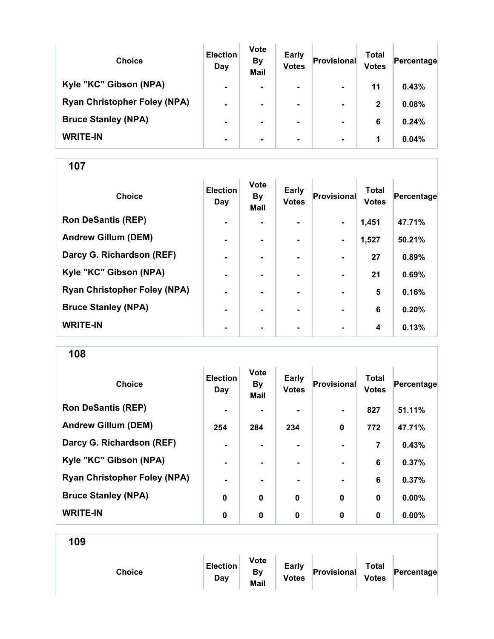| <b>Choice</b>                       | <b>Election</b><br>Day | <b>Vote</b><br><b>By</b><br><b>Mail</b> | <b>Early</b><br><b>Votes</b> | Provisional    | Total<br><b>Votes</b> | Percentage |
|-------------------------------------|------------------------|-----------------------------------------|------------------------------|----------------|-----------------------|------------|
| Kyle "KC" Gibson (NPA)              | $\blacksquare$         | $\blacksquare$                          | $\blacksquare$               | $\blacksquare$ | 11                    | 0.43%      |
| <b>Ryan Christopher Foley (NPA)</b> | $\blacksquare$         |                                         | $\blacksquare$               | $\blacksquare$ | $\mathbf{2}$          | 0.08%      |
| <b>Bruce Stanley (NPA)</b>          | $\blacksquare$         |                                         |                              | $\blacksquare$ | 6                     | 0.24%      |
| <b>WRITE-IN</b>                     | $\blacksquare$         | $\blacksquare$                          | $\blacksquare$               | $\blacksquare$ | 1                     | 0.04%      |

| <b>Choice</b>                       | <b>Election</b><br>Day | <b>Vote</b><br>By<br><b>Mail</b> | <b>Early</b><br><b>Votes</b> | <b>Provisional</b> | <b>Total</b><br><b>Votes</b> | Percentage |
|-------------------------------------|------------------------|----------------------------------|------------------------------|--------------------|------------------------------|------------|
| <b>Ron DeSantis (REP)</b>           | ۰                      |                                  |                              | $\blacksquare$     | 1,451                        | 47.71%     |
| <b>Andrew Gillum (DEM)</b>          | $\blacksquare$         | $\blacksquare$                   | $\blacksquare$               | $\blacksquare$     | 1,527                        | 50.21%     |
| Darcy G. Richardson (REF)           | $\blacksquare$         | ۰.                               |                              | $\blacksquare$     | 27                           | 0.89%      |
| Kyle "KC" Gibson (NPA)              | ٠                      | $\blacksquare$                   |                              | $\blacksquare$     | 21                           | 0.69%      |
| <b>Ryan Christopher Foley (NPA)</b> | ٠                      |                                  |                              |                    | 5                            | 0.16%      |
| <b>Bruce Stanley (NPA)</b>          | $\blacksquare$         |                                  |                              | $\blacksquare$     | 6                            | 0.20%      |
| <b>WRITE-IN</b>                     | $\blacksquare$         | ۰                                | ۰                            | $\blacksquare$     | 4                            | 0.13%      |

108

| <b>Choice</b>                       | <b>Election</b><br>Day | <b>Vote</b><br><b>By</b><br>Mail | <b>Early</b><br><b>Votes</b> | <b>Provisional</b> | <b>Total</b><br><b>Votes</b> | Percentage |
|-------------------------------------|------------------------|----------------------------------|------------------------------|--------------------|------------------------------|------------|
| <b>Ron DeSantis (REP)</b>           | $\blacksquare$         |                                  |                              | $\blacksquare$     | 827                          | 51.11%     |
| <b>Andrew Gillum (DEM)</b>          | 254                    | 284                              | 234                          | $\bf{0}$           | 772                          | 47.71%     |
| Darcy G. Richardson (REF)           | $\blacksquare$         | $\blacksquare$                   | ۰.                           | $\blacksquare$     | 7                            | 0.43%      |
| Kyle "KC" Gibson (NPA)              | $\blacksquare$         |                                  |                              |                    | 6                            | 0.37%      |
| <b>Ryan Christopher Foley (NPA)</b> | $\blacksquare$         |                                  |                              |                    | 6                            | 0.37%      |
| <b>Bruce Stanley (NPA)</b>          | $\bf{0}$               | $\bf{0}$                         | $\bf{0}$                     | $\bf{0}$           | 0                            | $0.00\%$   |
| <b>WRITE-IN</b>                     | 0                      | $\bf{0}$                         | 0                            | $\bf{0}$           | $\bf{0}$                     | $0.00\%$   |

|--|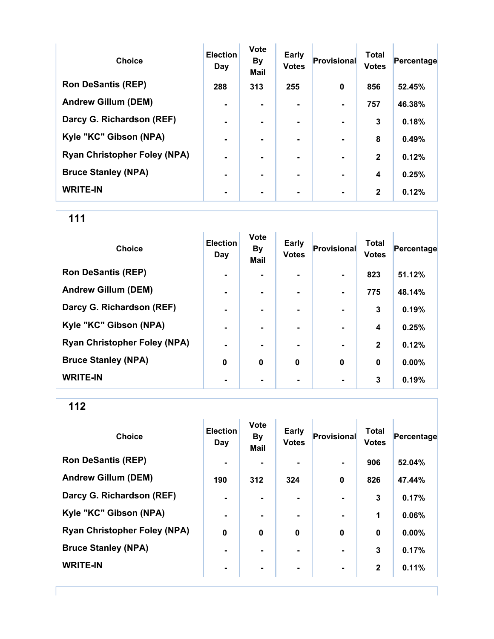| <b>Choice</b>                       | <b>Election</b><br>Day | <b>Vote</b><br><b>By</b><br><b>Mail</b> | <b>Early</b><br><b>Votes</b> | Provisional    | <b>Total</b><br><b>Votes</b> | Percentage |
|-------------------------------------|------------------------|-----------------------------------------|------------------------------|----------------|------------------------------|------------|
| <b>Ron DeSantis (REP)</b>           | 288                    | 313                                     | 255                          | $\bf{0}$       | 856                          | 52.45%     |
| <b>Andrew Gillum (DEM)</b>          |                        |                                         |                              |                | 757                          | 46.38%     |
| Darcy G. Richardson (REF)           | $\blacksquare$         |                                         | $\blacksquare$               | $\blacksquare$ | 3                            | 0.18%      |
| Kyle "KC" Gibson (NPA)              | $\blacksquare$         |                                         | ۰.                           | $\blacksquare$ | 8                            | 0.49%      |
| <b>Ryan Christopher Foley (NPA)</b> | $\blacksquare$         |                                         | ۰.                           |                | $\mathbf{2}$                 | 0.12%      |
| <b>Bruce Stanley (NPA)</b>          | $\blacksquare$         |                                         | ۰.                           | $\blacksquare$ | 4                            | 0.25%      |
| <b>WRITE-IN</b>                     |                        |                                         |                              |                | $\mathbf{2}$                 | 0.12%      |

| <b>Choice</b>                       | <b>Election</b><br>Day | <b>Vote</b><br><b>By</b><br><b>Mail</b> | Early<br><b>Votes</b> | <b>Provisional</b> | <b>Total</b><br><b>Votes</b> | Percentage |
|-------------------------------------|------------------------|-----------------------------------------|-----------------------|--------------------|------------------------------|------------|
| <b>Ron DeSantis (REP)</b>           | $\blacksquare$         |                                         |                       |                    | 823                          | 51.12%     |
| <b>Andrew Gillum (DEM)</b>          | $\blacksquare$         |                                         | $\blacksquare$        |                    | 775                          | 48.14%     |
| Darcy G. Richardson (REF)           | $\blacksquare$         |                                         | ۰                     |                    | 3                            | 0.19%      |
| Kyle "KC" Gibson (NPA)              | $\blacksquare$         |                                         | ۰.                    |                    | 4                            | 0.25%      |
| <b>Ryan Christopher Foley (NPA)</b> | $\blacksquare$         |                                         | ۰.                    | $\blacksquare$     | $\mathbf{2}$                 | 0.12%      |
| <b>Bruce Stanley (NPA)</b>          | 0                      | $\bf{0}$                                | $\bf{0}$              | $\mathbf 0$        | $\bf{0}$                     | 0.00%      |
| <b>WRITE-IN</b>                     | ٠                      |                                         |                       |                    | 3                            | 0.19%      |

| <b>Choice</b>                       | <b>Election</b><br>Day | Vote<br>By<br>Mail | <b>Early</b><br><b>Votes</b> | Provisional    | <b>Total</b><br><b>Votes</b> | Percentage |
|-------------------------------------|------------------------|--------------------|------------------------------|----------------|------------------------------|------------|
| <b>Ron DeSantis (REP)</b>           | $\blacksquare$         |                    |                              | $\blacksquare$ | 906                          | 52.04%     |
| <b>Andrew Gillum (DEM)</b>          | 190                    | 312                | 324                          | $\mathbf 0$    | 826                          | 47.44%     |
| Darcy G. Richardson (REF)           | $\blacksquare$         |                    |                              |                | 3                            | 0.17%      |
| Kyle "KC" Gibson (NPA)              | $\blacksquare$         |                    |                              |                | 1                            | 0.06%      |
| <b>Ryan Christopher Foley (NPA)</b> | $\mathbf 0$            | $\bf{0}$           | $\bf{0}$                     | $\bf{0}$       | 0                            | $0.00\%$   |
| <b>Bruce Stanley (NPA)</b>          | ٠                      |                    |                              |                | 3                            | 0.17%      |
| <b>WRITE-IN</b>                     | ٠                      |                    |                              | $\blacksquare$ | $\mathbf{2}$                 | 0.11%      |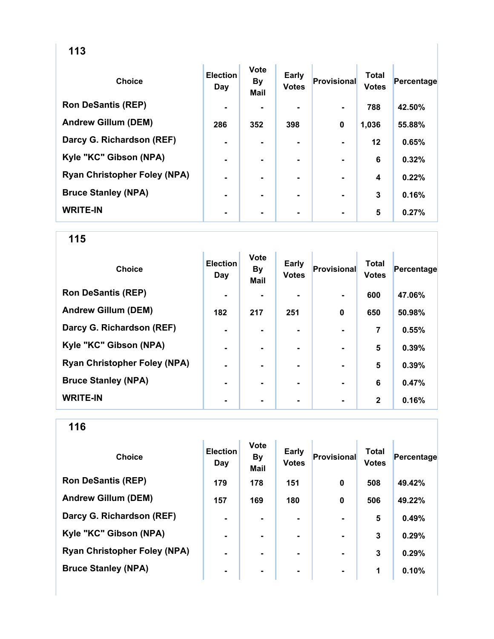| ×<br>۰,<br>۰,<br>۰.<br>v<br>w |
|-------------------------------|
|-------------------------------|

| <b>Choice</b>                       | <b>Election</b><br>Day | <b>Vote</b><br><b>By</b><br><b>Mail</b> | Early<br><b>Votes</b> | <b>Provisional</b> | <b>Total</b><br><b>Votes</b> | Percentage |
|-------------------------------------|------------------------|-----------------------------------------|-----------------------|--------------------|------------------------------|------------|
| <b>Ron DeSantis (REP)</b>           | $\blacksquare$         |                                         |                       |                    | 788                          | 42.50%     |
| <b>Andrew Gillum (DEM)</b>          | 286                    | 352                                     | 398                   | $\mathbf 0$        | 1,036                        | 55.88%     |
| Darcy G. Richardson (REF)           | $\blacksquare$         |                                         |                       |                    | $12 \,$                      | 0.65%      |
| Kyle "KC" Gibson (NPA)              | $\blacksquare$         |                                         |                       |                    | 6                            | 0.32%      |
| <b>Ryan Christopher Foley (NPA)</b> | $\blacksquare$         |                                         | ۰                     |                    | 4                            | 0.22%      |
| <b>Bruce Stanley (NPA)</b>          | $\blacksquare$         |                                         | ۰                     |                    | 3                            | 0.16%      |
| <b>WRITE-IN</b>                     | $\blacksquare$         |                                         | ۰                     |                    | 5                            | 0.27%      |

| <b>Choice</b>                       | <b>Election</b><br>Day | <b>Vote</b><br><b>By</b><br><b>Mail</b> | Early<br><b>Votes</b> | Provisional    | <b>Total</b><br><b>Votes</b> | Percentage |
|-------------------------------------|------------------------|-----------------------------------------|-----------------------|----------------|------------------------------|------------|
| <b>Ron DeSantis (REP)</b>           | $\blacksquare$         |                                         |                       | $\blacksquare$ | 600                          | 47.06%     |
| <b>Andrew Gillum (DEM)</b>          | 182                    | 217                                     | 251                   | 0              | 650                          | 50.98%     |
| Darcy G. Richardson (REF)           | ۰                      |                                         |                       |                | 7                            | 0.55%      |
| Kyle "KC" Gibson (NPA)              | $\blacksquare$         |                                         | $\blacksquare$        | $\blacksquare$ | 5                            | 0.39%      |
| <b>Ryan Christopher Foley (NPA)</b> | $\blacksquare$         |                                         | ۰.                    | $\blacksquare$ | 5                            | 0.39%      |
| <b>Bruce Stanley (NPA)</b>          | $\blacksquare$         | ۰.                                      | -                     | $\blacksquare$ | 6                            | 0.47%      |
| <b>WRITE-IN</b>                     | ٠                      |                                         |                       |                | $\mathbf{2}$                 | 0.16%      |

| <b>Choice</b>                       | <b>Election</b><br>Day | <b>Vote</b><br><b>By</b><br><b>Mail</b> | <b>Early</b><br><b>Votes</b> | Provisional | <b>Total</b><br><b>Votes</b> | Percentage |
|-------------------------------------|------------------------|-----------------------------------------|------------------------------|-------------|------------------------------|------------|
| <b>Ron DeSantis (REP)</b>           | 179                    | 178                                     | 151                          | 0           | 508                          | 49.42%     |
| <b>Andrew Gillum (DEM)</b>          | 157                    | 169                                     | 180                          | $\mathbf 0$ | 506                          | 49.22%     |
| Darcy G. Richardson (REF)           | ۰                      |                                         |                              |             | 5                            | 0.49%      |
| Kyle "KC" Gibson (NPA)              | $\blacksquare$         | $\blacksquare$                          |                              |             | 3                            | 0.29%      |
| <b>Ryan Christopher Foley (NPA)</b> | ۰                      |                                         | ۰.                           |             | 3                            | 0.29%      |
| <b>Bruce Stanley (NPA)</b>          | $\blacksquare$         |                                         | ۰.                           |             | 1                            | 0.10%      |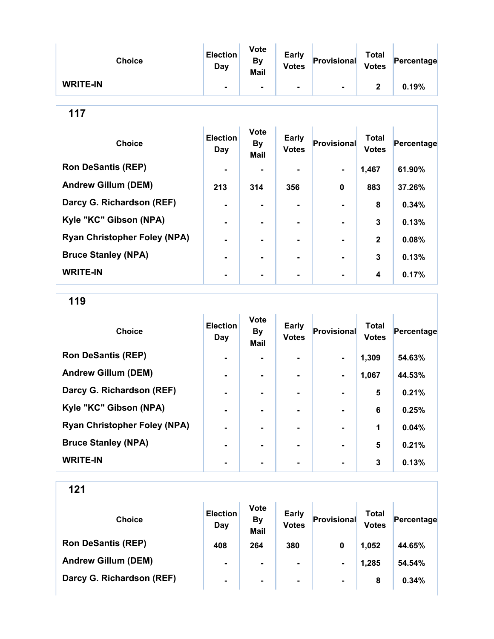| <b>Choice</b>   | <b>Election</b><br>Day | <b>Vote</b><br><b>By</b><br><b>Mail</b> | <b>Early</b><br><b>Votes</b> | Provisional    | <b>Total</b><br><b>Votes</b> | Percentage |
|-----------------|------------------------|-----------------------------------------|------------------------------|----------------|------------------------------|------------|
| <b>WRITE-IN</b> |                        | $\blacksquare$                          | $\blacksquare$               | $\blacksquare$ | າ                            | 0.19%      |

| <b>Choice</b>                       | <b>Election</b><br>Day | <b>Vote</b><br><b>By</b><br><b>Mail</b> | <b>Early</b><br><b>Votes</b> | <b>Provisional</b> | <b>Total</b><br><b>Votes</b> | Percentage |
|-------------------------------------|------------------------|-----------------------------------------|------------------------------|--------------------|------------------------------|------------|
| <b>Ron DeSantis (REP)</b>           | $\blacksquare$         |                                         |                              | ۰.                 | 1,467                        | 61.90%     |
| <b>Andrew Gillum (DEM)</b>          | 213                    | 314                                     | 356                          | $\bf{0}$           | 883                          | 37.26%     |
| Darcy G. Richardson (REF)           |                        |                                         |                              |                    | 8                            | 0.34%      |
| Kyle "KC" Gibson (NPA)              |                        |                                         |                              |                    | 3                            | 0.13%      |
| <b>Ryan Christopher Foley (NPA)</b> |                        |                                         |                              |                    | $\overline{2}$               | 0.08%      |
| <b>Bruce Stanley (NPA)</b>          |                        |                                         |                              |                    | 3                            | 0.13%      |
| <b>WRITE-IN</b>                     |                        |                                         | ۰                            |                    | 4                            | 0.17%      |

119

| <b>Choice</b>                       | <b>Election</b><br>Day | <b>Vote</b><br><b>By</b><br><b>Mail</b> | <b>Early</b><br><b>Votes</b> | Provisional    | <b>Total</b><br><b>Votes</b> | Percentage |
|-------------------------------------|------------------------|-----------------------------------------|------------------------------|----------------|------------------------------|------------|
| <b>Ron DeSantis (REP)</b>           | $\blacksquare$         |                                         |                              | $\blacksquare$ | 1,309                        | 54.63%     |
| <b>Andrew Gillum (DEM)</b>          | $\blacksquare$         | -                                       |                              | $\blacksquare$ | 1,067                        | 44.53%     |
| Darcy G. Richardson (REF)           | -                      |                                         |                              |                | 5                            | 0.21%      |
| Kyle "KC" Gibson (NPA)              | $\blacksquare$         |                                         | ۰                            |                | 6                            | 0.25%      |
| <b>Ryan Christopher Foley (NPA)</b> | $\blacksquare$         |                                         |                              |                | 1                            | 0.04%      |
| <b>Bruce Stanley (NPA)</b>          | $\blacksquare$         |                                         |                              |                | 5                            | 0.21%      |
| <b>WRITE-IN</b>                     |                        |                                         |                              |                | 3                            | 0.13%      |

| <b>Choice</b>              | <b>Election</b><br>Day | <b>Vote</b><br><b>By</b><br><b>Mail</b> | <b>Early</b><br><b>Votes</b> | Provisional    | Total<br><b>Votes</b> | Percentage |
|----------------------------|------------------------|-----------------------------------------|------------------------------|----------------|-----------------------|------------|
| <b>Ron DeSantis (REP)</b>  | 408                    | 264                                     | 380                          | $\bf{0}$       | 1,052                 | 44.65%     |
| <b>Andrew Gillum (DEM)</b> | $\blacksquare$         | $\blacksquare$                          | $\blacksquare$               | $\blacksquare$ | 1,285                 | 54.54%     |
| Darcy G. Richardson (REF)  | $\blacksquare$         | ۰                                       | $\blacksquare$               | $\blacksquare$ | 8                     | 0.34%      |
|                            |                        |                                         |                              |                |                       |            |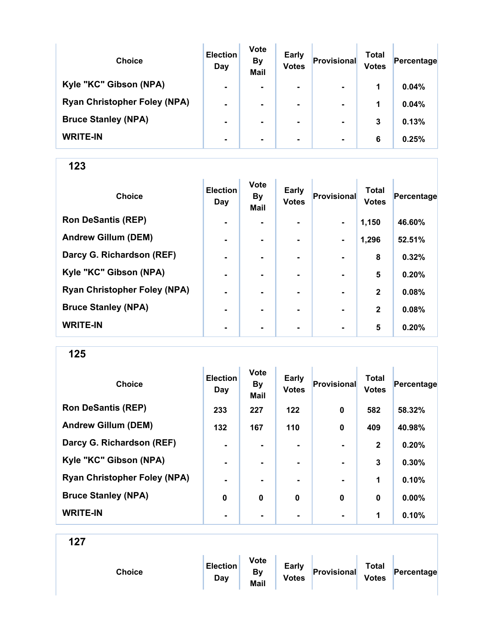| <b>Choice</b>                       | <b>Election</b><br>Day | <b>Vote</b><br><b>By</b><br><b>Mail</b> | <b>Early</b><br><b>Votes</b> | Provisional    | Total<br><b>Votes</b> | Percentage |
|-------------------------------------|------------------------|-----------------------------------------|------------------------------|----------------|-----------------------|------------|
| Kyle "KC" Gibson (NPA)              | $\blacksquare$         | $\blacksquare$                          | $\blacksquare$               | $\blacksquare$ | 1                     | 0.04%      |
| <b>Ryan Christopher Foley (NPA)</b> | $\blacksquare$         |                                         | $\blacksquare$               | $\blacksquare$ | 1                     | 0.04%      |
| <b>Bruce Stanley (NPA)</b>          | $\blacksquare$         |                                         |                              | $\blacksquare$ | 3                     | 0.13%      |
| <b>WRITE-IN</b>                     | $\blacksquare$         |                                         | $\blacksquare$               | $\blacksquare$ | 6                     | 0.25%      |

| <b>Choice</b>                       | <b>Election</b><br>Day | <b>Vote</b><br><b>By</b><br>Mail | <b>Early</b><br><b>Votes</b> | Provisional    | <b>Total</b><br><b>Votes</b> | Percentage |
|-------------------------------------|------------------------|----------------------------------|------------------------------|----------------|------------------------------|------------|
| <b>Ron DeSantis (REP)</b>           | $\blacksquare$         | $\overline{\phantom{0}}$         |                              | $\blacksquare$ | 1,150                        | 46.60%     |
| <b>Andrew Gillum (DEM)</b>          | $\blacksquare$         |                                  | -                            | $\blacksquare$ | 1,296                        | 52.51%     |
| Darcy G. Richardson (REF)           | $\blacksquare$         | $\blacksquare$                   | ۰.                           | $\blacksquare$ | 8                            | 0.32%      |
| Kyle "KC" Gibson (NPA)              | $\blacksquare$         |                                  |                              |                | 5                            | 0.20%      |
| <b>Ryan Christopher Foley (NPA)</b> |                        |                                  |                              |                | $\overline{2}$               | 0.08%      |
| <b>Bruce Stanley (NPA)</b>          | -                      |                                  |                              |                | $\overline{2}$               | 0.08%      |
| <b>WRITE-IN</b>                     | ٠                      | ۰                                | $\blacksquare$               | $\blacksquare$ | 5                            | 0.20%      |

125

| <b>Choice</b>                       | <b>Election</b><br>Day | Vote<br><b>By</b><br>Mail | <b>Early</b><br><b>Votes</b> | Provisional    | <b>Total</b><br><b>Votes</b> | Percentage |
|-------------------------------------|------------------------|---------------------------|------------------------------|----------------|------------------------------|------------|
| <b>Ron DeSantis (REP)</b>           | 233                    | 227                       | $122$                        | $\mathbf 0$    | 582                          | 58.32%     |
| <b>Andrew Gillum (DEM)</b>          | 132                    | 167                       | 110                          | $\mathbf 0$    | 409                          | 40.98%     |
| Darcy G. Richardson (REF)           | $\blacksquare$         | $\blacksquare$            |                              | $\blacksquare$ | $\mathbf{2}$                 | 0.20%      |
| Kyle "KC" Gibson (NPA)              | $\blacksquare$         | $\blacksquare$            |                              |                | $\mathbf{3}$                 | 0.30%      |
| <b>Ryan Christopher Foley (NPA)</b> | ٠                      |                           |                              |                | 1                            | 0.10%      |
| <b>Bruce Stanley (NPA)</b>          | 0                      | 0                         | 0                            | $\mathbf 0$    | $\bf{0}$                     | $0.00\%$   |
| <b>WRITE-IN</b>                     | $\blacksquare$         |                           | ۰                            | $\blacksquare$ | 1                            | 0.10%      |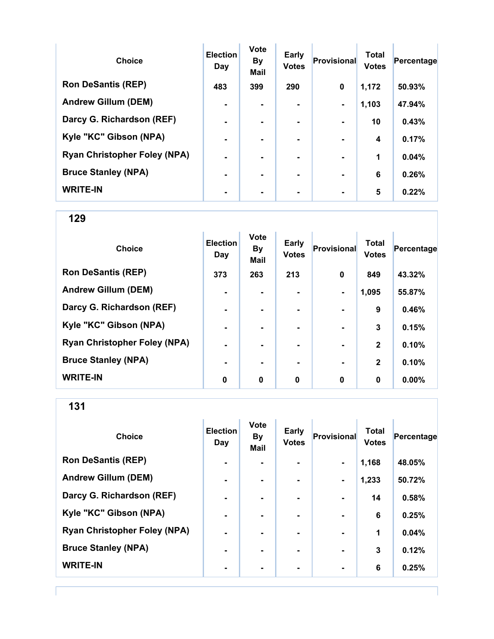| <b>Choice</b>                       | <b>Election</b><br>Day | <b>Vote</b><br><b>By</b><br><b>Mail</b> | Early<br><b>Votes</b> | Provisional    | <b>Total</b><br><b>Votes</b> | Percentage |
|-------------------------------------|------------------------|-----------------------------------------|-----------------------|----------------|------------------------------|------------|
| <b>Ron DeSantis (REP)</b>           | 483                    | 399                                     | 290                   | $\mathbf 0$    | 1,172                        | 50.93%     |
| <b>Andrew Gillum (DEM)</b>          | $\blacksquare$         |                                         | $\blacksquare$        | $\blacksquare$ | 1,103                        | 47.94%     |
| Darcy G. Richardson (REF)           | $\blacksquare$         | -                                       | ۰.                    | $\blacksquare$ | 10                           | 0.43%      |
| Kyle "KC" Gibson (NPA)              | $\blacksquare$         |                                         |                       |                | 4                            | 0.17%      |
| <b>Ryan Christopher Foley (NPA)</b> | $\blacksquare$         |                                         |                       |                | 1                            | 0.04%      |
| <b>Bruce Stanley (NPA)</b>          | $\blacksquare$         | -                                       | -                     | $\blacksquare$ | 6                            | 0.26%      |
| <b>WRITE-IN</b>                     |                        |                                         |                       |                | 5                            | 0.22%      |

| <b>Choice</b>                       | <b>Election</b><br>Day | <b>Vote</b><br><b>By</b><br>Mail | <b>Early</b><br><b>Votes</b> | <b>Provisional</b> | <b>Total</b><br><b>Votes</b> | Percentage |
|-------------------------------------|------------------------|----------------------------------|------------------------------|--------------------|------------------------------|------------|
| <b>Ron DeSantis (REP)</b>           | 373                    | 263                              | 213                          | 0                  | 849                          | 43.32%     |
| <b>Andrew Gillum (DEM)</b>          | ۰                      |                                  |                              | $\blacksquare$     | 1,095                        | 55.87%     |
| Darcy G. Richardson (REF)           | $\blacksquare$         |                                  |                              |                    | 9                            | 0.46%      |
| Kyle "KC" Gibson (NPA)              | ۰                      | $\blacksquare$                   |                              | $\blacksquare$     | 3                            | 0.15%      |
| <b>Ryan Christopher Foley (NPA)</b> | $\blacksquare$         | ۰.                               |                              | $\blacksquare$     | $\mathbf{2}$                 | 0.10%      |
| <b>Bruce Stanley (NPA)</b>          | $\blacksquare$         | $\overline{\phantom{0}}$         |                              | $\blacksquare$     | $\mathbf{2}$                 | 0.10%      |
| <b>WRITE-IN</b>                     | 0                      | $\mathbf 0$                      | 0                            | $\mathbf 0$        | 0                            | $0.00\%$   |

131

| <b>Choice</b>                       | <b>Election</b><br>Day | <b>Vote</b><br><b>By</b><br><b>Mail</b> | <b>Early</b><br><b>Votes</b> | Provisional              | <b>Total</b><br><b>Votes</b> | Percentage |
|-------------------------------------|------------------------|-----------------------------------------|------------------------------|--------------------------|------------------------------|------------|
| <b>Ron DeSantis (REP)</b>           | $\blacksquare$         |                                         | ۰.                           | $\blacksquare$           | 1,168                        | 48.05%     |
| <b>Andrew Gillum (DEM)</b>          | $\blacksquare$         |                                         | ۰                            | $\blacksquare$           | 1,233                        | 50.72%     |
| Darcy G. Richardson (REF)           | $\blacksquare$         | ۰.                                      | ۰                            |                          | 14                           | 0.58%      |
| Kyle "KC" Gibson (NPA)              | $\blacksquare$         |                                         | ۰                            |                          | 6                            | 0.25%      |
| <b>Ryan Christopher Foley (NPA)</b> | $\blacksquare$         |                                         | $\blacksquare$               | $\overline{\phantom{a}}$ | 1                            | 0.04%      |
| <b>Bruce Stanley (NPA)</b>          | $\blacksquare$         |                                         |                              |                          | 3                            | 0.12%      |
| <b>WRITE-IN</b>                     | $\blacksquare$         |                                         |                              | $\blacksquare$           | 6                            | 0.25%      |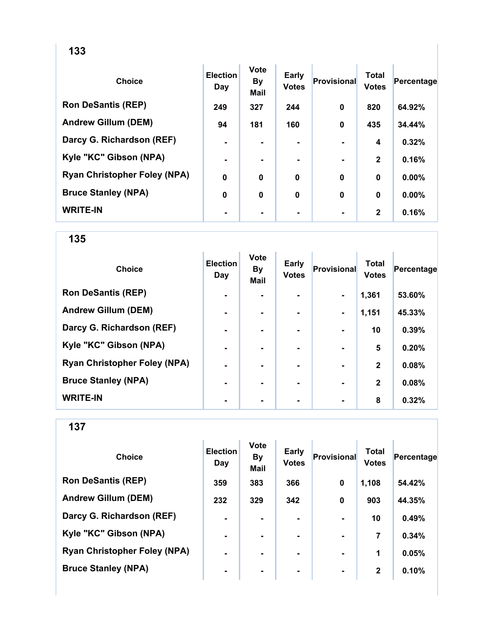| <b>Choice</b>                       | <b>Election</b><br>Day | <b>Vote</b><br><b>By</b><br>Mail | <b>Early</b><br><b>Votes</b> | <b>Provisional</b> | <b>Total</b><br><b>Votes</b> | Percentage |
|-------------------------------------|------------------------|----------------------------------|------------------------------|--------------------|------------------------------|------------|
| <b>Ron DeSantis (REP)</b>           | 249                    | 327                              | 244                          | $\mathbf 0$        | 820                          | 64.92%     |
| <b>Andrew Gillum (DEM)</b>          | 94                     | 181                              | 160                          | $\mathbf 0$        | 435                          | 34.44%     |
| Darcy G. Richardson (REF)           | $\blacksquare$         |                                  |                              |                    | 4                            | 0.32%      |
| Kyle "KC" Gibson (NPA)              | $\blacksquare$         |                                  | ۰                            |                    | $\mathbf{2}$                 | 0.16%      |
| <b>Ryan Christopher Foley (NPA)</b> | $\mathbf 0$            | $\mathbf 0$                      | $\mathbf 0$                  | $\mathbf{0}$       | $\bf{0}$                     | $0.00\%$   |
| <b>Bruce Stanley (NPA)</b>          | 0                      | $\mathbf 0$                      | $\mathbf 0$                  | $\mathbf 0$        | $\mathbf 0$                  | $0.00\%$   |
| <b>WRITE-IN</b>                     | $\blacksquare$         |                                  |                              |                    | $\mathbf{2}$                 | 0.16%      |

| <b>Choice</b>                       | <b>Election</b><br>Day | <b>Vote</b><br><b>By</b><br><b>Mail</b> | <b>Early</b><br><b>Votes</b> | Provisional    | <b>Total</b><br><b>Votes</b> | Percentage |
|-------------------------------------|------------------------|-----------------------------------------|------------------------------|----------------|------------------------------|------------|
| <b>Ron DeSantis (REP)</b>           | $\blacksquare$         |                                         |                              | $\blacksquare$ | 1,361                        | 53.60%     |
| <b>Andrew Gillum (DEM)</b>          | -                      |                                         |                              | $\blacksquare$ | 1,151                        | 45.33%     |
| Darcy G. Richardson (REF)           | $\blacksquare$         |                                         | ۰.                           |                | 10                           | 0.39%      |
| Kyle "KC" Gibson (NPA)              | $\blacksquare$         |                                         | ۰.                           |                | 5                            | 0.20%      |
| <b>Ryan Christopher Foley (NPA)</b> | $\blacksquare$         |                                         | ۰.                           |                | $\mathbf{2}$                 | 0.08%      |
| <b>Bruce Stanley (NPA)</b>          | -                      |                                         |                              |                | $\mathbf{2}$                 | 0.08%      |
| <b>WRITE-IN</b>                     |                        |                                         |                              |                | 8                            | 0.32%      |

137

| <b>Choice</b>                       | <b>Election</b><br>Day | <b>Vote</b><br><b>By</b><br><b>Mail</b> | <b>Early</b><br><b>Votes</b> | Provisional    | <b>Total</b><br><b>Votes</b> | Percentage |
|-------------------------------------|------------------------|-----------------------------------------|------------------------------|----------------|------------------------------|------------|
| <b>Ron DeSantis (REP)</b>           | 359                    | 383                                     | 366                          | $\mathbf 0$    | 1,108                        | 54.42%     |
| <b>Andrew Gillum (DEM)</b>          | 232                    | 329                                     | 342                          | $\mathbf 0$    | 903                          | 44.35%     |
| Darcy G. Richardson (REF)           | ۰                      | $\overline{\phantom{0}}$                |                              |                | 10                           | 0.49%      |
| Kyle "KC" Gibson (NPA)              | $\blacksquare$         | $\blacksquare$                          | ۰.                           | $\blacksquare$ | 7                            | 0.34%      |
| <b>Ryan Christopher Foley (NPA)</b> | ۰                      | -                                       |                              |                | 1                            | 0.05%      |
| <b>Bruce Stanley (NPA)</b>          | $\blacksquare$         | $\blacksquare$                          | ۰                            | $\blacksquare$ | $\mathbf{2}$                 | 0.10%      |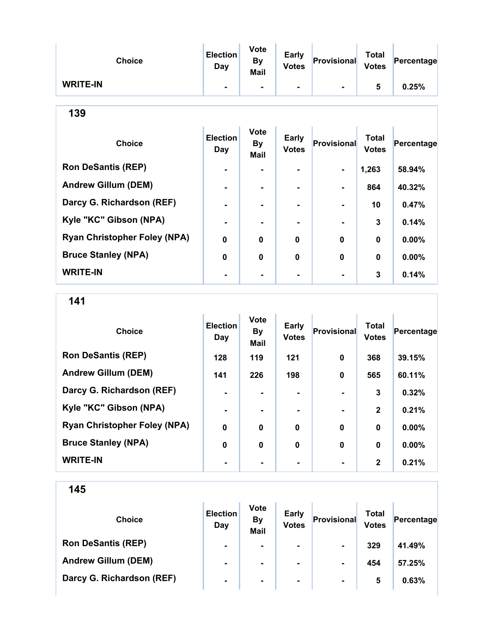| <b>Choice</b>   | Election<br>Day | <b>Vote</b><br>By<br>Mail | <b>Early</b><br><b>Votes</b> | Provisional    | <b>Total</b><br><b>Votes</b> | Percentage |
|-----------------|-----------------|---------------------------|------------------------------|----------------|------------------------------|------------|
| <b>WRITE-IN</b> |                 |                           | $\blacksquare$               | $\blacksquare$ | a                            | 0.25%      |

| <b>Choice</b>                       | <b>Election</b><br>Day | <b>Vote</b><br><b>By</b><br><b>Mail</b> | Early<br><b>Votes</b> | Provisional | <b>Total</b><br><b>Votes</b> | Percentage |
|-------------------------------------|------------------------|-----------------------------------------|-----------------------|-------------|------------------------------|------------|
| <b>Ron DeSantis (REP)</b>           | $\blacksquare$         |                                         |                       | ۰.          | 1,263                        | 58.94%     |
| <b>Andrew Gillum (DEM)</b>          | $\blacksquare$         |                                         | $\blacksquare$        |             | 864                          | 40.32%     |
| Darcy G. Richardson (REF)           | $\blacksquare$         |                                         |                       |             | 10                           | 0.47%      |
| Kyle "KC" Gibson (NPA)              | $\blacksquare$         |                                         |                       |             | 3                            | 0.14%      |
| <b>Ryan Christopher Foley (NPA)</b> | $\mathbf 0$            | $\mathbf 0$                             | 0                     | $\bf{0}$    | $\mathbf 0$                  | $0.00\%$   |
| <b>Bruce Stanley (NPA)</b>          | $\bf{0}$               | $\bf{0}$                                | $\mathbf 0$           | $\bf{0}$    | $\mathbf 0$                  | 0.00%      |
| <b>WRITE-IN</b>                     | $\blacksquare$         |                                         |                       |             | 3                            | 0.14%      |

141

| <b>Choice</b>                       | <b>Election</b><br>Day | <b>Vote</b><br><b>By</b><br><b>Mail</b> | <b>Early</b><br><b>Votes</b> | <b>Provisional</b> | <b>Total</b><br><b>Votes</b> | Percentage |
|-------------------------------------|------------------------|-----------------------------------------|------------------------------|--------------------|------------------------------|------------|
| <b>Ron DeSantis (REP)</b>           | 128                    | 119                                     | 121                          | 0                  | 368                          | 39.15%     |
| <b>Andrew Gillum (DEM)</b>          | 141                    | 226                                     | 198                          | $\bf{0}$           | 565                          | 60.11%     |
| Darcy G. Richardson (REF)           |                        |                                         |                              |                    | 3                            | 0.32%      |
| Kyle "KC" Gibson (NPA)              |                        |                                         | ۰                            |                    | $\mathbf{2}$                 | 0.21%      |
| <b>Ryan Christopher Foley (NPA)</b> | $\mathbf 0$            | 0                                       | 0                            | $\bf{0}$           | $\mathbf 0$                  | $0.00\%$   |
| <b>Bruce Stanley (NPA)</b>          | $\mathbf 0$            | 0                                       | $\bf{0}$                     | $\bf{0}$           | $\mathbf 0$                  | $0.00\%$   |
| <b>WRITE-IN</b>                     |                        |                                         |                              |                    | $\mathbf{2}$                 | 0.21%      |

| <b>Choice</b>              | <b>Election</b><br>Day | <b>Vote</b><br><b>By</b><br><b>Mail</b> | <b>Early</b><br><b>Votes</b> | Provisional    | <b>Total</b><br><b>Votes</b> | Percentage |
|----------------------------|------------------------|-----------------------------------------|------------------------------|----------------|------------------------------|------------|
| <b>Ron DeSantis (REP)</b>  | $\blacksquare$         | ٠                                       | $\blacksquare$               | $\blacksquare$ | 329                          | 41.49%     |
| <b>Andrew Gillum (DEM)</b> | ۰                      | $\blacksquare$                          | $\blacksquare$               | $\blacksquare$ | 454                          | 57.25%     |
| Darcy G. Richardson (REF)  | $\blacksquare$         | $\blacksquare$                          | $\blacksquare$               | $\blacksquare$ | 5                            | 0.63%      |
|                            |                        |                                         |                              |                |                              |            |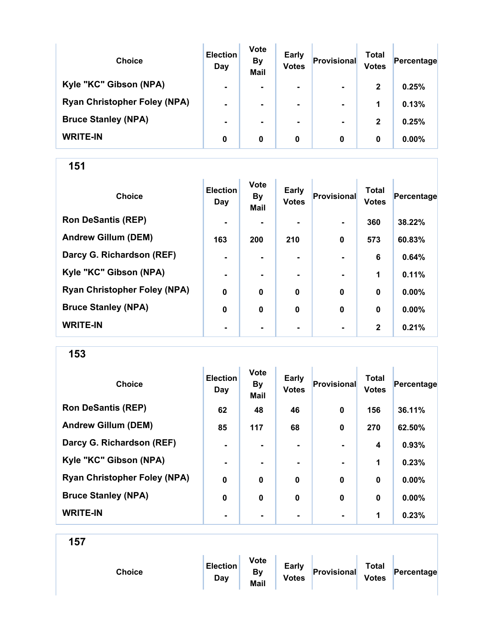| <b>Choice</b>                       | <b>Election</b><br>Day | <b>Vote</b><br><b>By</b><br><b>Mail</b> | <b>Early</b><br><b>Votes</b> | Provisional    | Total<br><b>Votes</b> | Percentage |
|-------------------------------------|------------------------|-----------------------------------------|------------------------------|----------------|-----------------------|------------|
| Kyle "KC" Gibson (NPA)              | $\blacksquare$         |                                         | $\blacksquare$               | $\blacksquare$ | $\mathbf{2}$          | 0.25%      |
| <b>Ryan Christopher Foley (NPA)</b> | $\blacksquare$         |                                         | $\blacksquare$               | $\blacksquare$ | 1                     | 0.13%      |
| <b>Bruce Stanley (NPA)</b>          |                        |                                         | ۰.                           | $\blacksquare$ | $\mathbf{2}$          | 0.25%      |
| <b>WRITE-IN</b>                     | 0                      | 0                                       | 0                            | 0              | 0                     | $0.00\%$   |

| <b>Choice</b>                       | <b>Election</b><br>Day | <b>Vote</b><br><b>By</b><br><b>Mail</b> | <b>Early</b><br><b>Votes</b> | <b>Provisional</b> | <b>Total</b><br><b>Votes</b> | Percentage |
|-------------------------------------|------------------------|-----------------------------------------|------------------------------|--------------------|------------------------------|------------|
| <b>Ron DeSantis (REP)</b>           | $\blacksquare$         |                                         |                              | $\blacksquare$     | 360                          | 38.22%     |
| <b>Andrew Gillum (DEM)</b>          | 163                    | 200                                     | 210                          | 0                  | 573                          | 60.83%     |
| Darcy G. Richardson (REF)           | $\blacksquare$         |                                         |                              |                    | 6                            | 0.64%      |
| Kyle "KC" Gibson (NPA)              | $\blacksquare$         |                                         |                              |                    | 1                            | 0.11%      |
| <b>Ryan Christopher Foley (NPA)</b> | $\bf{0}$               | $\mathbf 0$                             | $\mathbf 0$                  | $\mathbf 0$        | $\bf{0}$                     | $0.00\%$   |
| <b>Bruce Stanley (NPA)</b>          | $\bf{0}$               | $\bf{0}$                                | $\mathbf 0$                  | $\mathbf 0$        | 0                            | 0.00%      |
| <b>WRITE-IN</b>                     | ۰                      |                                         |                              | $\blacksquare$     | $\mathbf{2}$                 | 0.21%      |

153

| <b>Choice</b>                       | <b>Election</b><br>Day | <b>Vote</b><br><b>By</b><br><b>Mail</b> | <b>Early</b><br><b>Votes</b> | Provisional    | <b>Total</b><br><b>Votes</b> | Percentage |
|-------------------------------------|------------------------|-----------------------------------------|------------------------------|----------------|------------------------------|------------|
| <b>Ron DeSantis (REP)</b>           | 62                     | 48                                      | 46                           | $\bf{0}$       | 156                          | 36.11%     |
| <b>Andrew Gillum (DEM)</b>          | 85                     | 117                                     | 68                           | $\bf{0}$       | 270                          | 62.50%     |
| Darcy G. Richardson (REF)           | $\blacksquare$         | -                                       | $\blacksquare$               |                | 4                            | 0.93%      |
| Kyle "KC" Gibson (NPA)              | $\blacksquare$         | $\blacksquare$                          |                              | $\blacksquare$ | 1                            | 0.23%      |
| <b>Ryan Christopher Foley (NPA)</b> | $\bf{0}$               | $\bf{0}$                                | $\bf{0}$                     | $\bf{0}$       | 0                            | $0.00\%$   |
| <b>Bruce Stanley (NPA)</b>          | $\bf{0}$               | $\bf{0}$                                | $\bf{0}$                     | $\bf{0}$       | 0                            | 0.00%      |
| <b>WRITE-IN</b>                     | ٠                      |                                         | ۰                            | $\blacksquare$ | 1                            | 0.23%      |

| Choice | <b>Election</b><br>Day | <b>Vote</b><br><b>By</b><br>Mail | <b>Early</b><br><b>Votes</b> | Provisional | <b>Total</b><br><b>Votes</b> | Percentage |  |
|--------|------------------------|----------------------------------|------------------------------|-------------|------------------------------|------------|--|
|        |                        |                                  |                              |             |                              |            |  |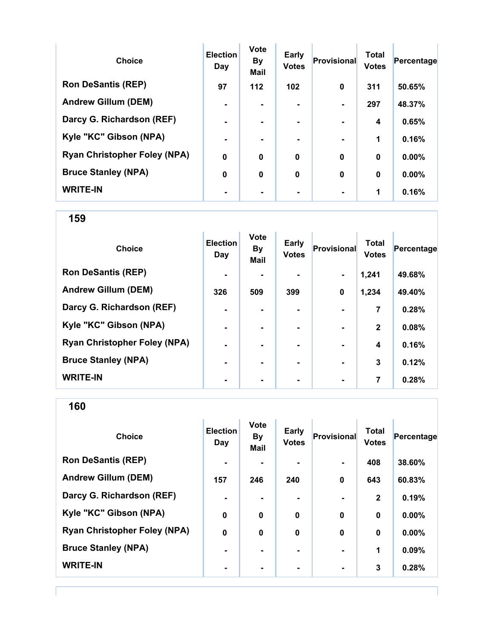| <b>Choice</b>                       | <b>Election</b><br>Day | <b>Vote</b><br><b>By</b><br><b>Mail</b> | <b>Early</b><br><b>Votes</b> | Provisional    | <b>Total</b><br><b>Votes</b> | Percentage |
|-------------------------------------|------------------------|-----------------------------------------|------------------------------|----------------|------------------------------|------------|
| <b>Ron DeSantis (REP)</b>           | 97                     | 112                                     | 102                          | $\bf{0}$       | 311                          | 50.65%     |
| <b>Andrew Gillum (DEM)</b>          |                        |                                         |                              |                | 297                          | 48.37%     |
| Darcy G. Richardson (REF)           |                        |                                         |                              |                | 4                            | 0.65%      |
| Kyle "KC" Gibson (NPA)              | $\blacksquare$         |                                         | $\blacksquare$               | $\blacksquare$ | 1                            | 0.16%      |
| <b>Ryan Christopher Foley (NPA)</b> | $\mathbf 0$            | 0                                       | $\mathbf 0$                  | $\bf{0}$       | $\bf{0}$                     | $0.00\%$   |
| <b>Bruce Stanley (NPA)</b>          | 0                      | $\bf{0}$                                | $\bf{0}$                     | $\bf{0}$       | $\bf{0}$                     | 0.00%      |
| <b>WRITE-IN</b>                     |                        |                                         |                              | $\blacksquare$ | 1                            | 0.16%      |

| <b>Choice</b>                       | <b>Election</b><br>Day | <b>Vote</b><br><b>By</b><br><b>Mail</b> | Early<br><b>Votes</b> | Provisional | <b>Total</b><br><b>Votes</b> | Percentage |
|-------------------------------------|------------------------|-----------------------------------------|-----------------------|-------------|------------------------------|------------|
| <b>Ron DeSantis (REP)</b>           | $\blacksquare$         |                                         |                       |             | 1,241                        | 49.68%     |
| <b>Andrew Gillum (DEM)</b>          | 326                    | 509                                     | 399                   | $\mathbf 0$ | 1,234                        | 49.40%     |
| Darcy G. Richardson (REF)           | ٠                      |                                         |                       |             | 7                            | 0.28%      |
| Kyle "KC" Gibson (NPA)              | $\blacksquare$         |                                         | ۰.                    |             | $\mathbf{2}$                 | 0.08%      |
| <b>Ryan Christopher Foley (NPA)</b> | $\blacksquare$         |                                         | ۰.                    |             | 4                            | 0.16%      |
| <b>Bruce Stanley (NPA)</b>          | ۰                      |                                         | ۰.                    |             | 3                            | 0.12%      |
| <b>WRITE-IN</b>                     | $\blacksquare$         |                                         |                       |             | 7                            | 0.28%      |

160

| <b>Choice</b>                       | <b>Election</b><br>Day | <b>Vote</b><br><b>By</b><br><b>Mail</b> | <b>Early</b><br><b>Votes</b> | Provisional      | <b>Total</b><br><b>Votes</b> | Percentage |
|-------------------------------------|------------------------|-----------------------------------------|------------------------------|------------------|------------------------------|------------|
| <b>Ron DeSantis (REP)</b>           | $\blacksquare$         |                                         | ۰                            |                  | 408                          | 38.60%     |
| <b>Andrew Gillum (DEM)</b>          | 157                    | 246                                     | 240                          | $\mathbf 0$      | 643                          | 60.83%     |
| Darcy G. Richardson (REF)           |                        |                                         |                              |                  | $\overline{2}$               | 0.19%      |
| Kyle "KC" Gibson (NPA)              | $\boldsymbol{0}$       | $\mathbf 0$                             | $\mathbf 0$                  | $\boldsymbol{0}$ | $\bf{0}$                     | 0.00%      |
| <b>Ryan Christopher Foley (NPA)</b> | $\mathbf 0$            | $\bf{0}$                                | $\mathbf 0$                  | 0                | $\bf{0}$                     | $0.00\%$   |
| <b>Bruce Stanley (NPA)</b>          | $\blacksquare$         |                                         | ۰.                           |                  | 1                            | 0.09%      |
| <b>WRITE-IN</b>                     |                        |                                         |                              |                  | 3                            | 0.28%      |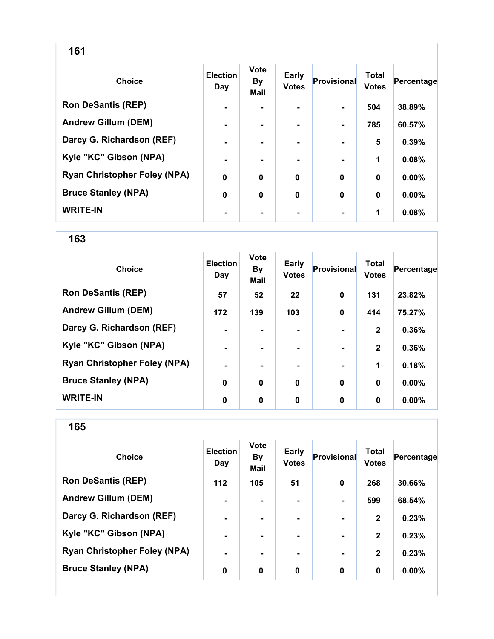| <b>Choice</b>                       | <b>Election</b><br>Day | <b>Vote</b><br><b>By</b><br><b>Mail</b> | <b>Early</b><br><b>Votes</b> | <b>Provisional</b> | <b>Total</b><br><b>Votes</b> | Percentage |
|-------------------------------------|------------------------|-----------------------------------------|------------------------------|--------------------|------------------------------|------------|
| <b>Ron DeSantis (REP)</b>           | $\blacksquare$         |                                         |                              | $\blacksquare$     | 504                          | 38.89%     |
| <b>Andrew Gillum (DEM)</b>          | $\blacksquare$         | ۰.                                      |                              | $\blacksquare$     | 785                          | 60.57%     |
| Darcy G. Richardson (REF)           | $\blacksquare$         | $\overline{\phantom{0}}$                |                              |                    | 5                            | 0.39%      |
| Kyle "KC" Gibson (NPA)              | ۰                      |                                         |                              |                    | 1                            | 0.08%      |
| <b>Ryan Christopher Foley (NPA)</b> | $\mathbf 0$            | 0                                       | $\mathbf 0$                  | 0                  | $\bf{0}$                     | $0.00\%$   |
| <b>Bruce Stanley (NPA)</b>          | 0                      | 0                                       | $\mathbf 0$                  | 0                  | 0                            | $0.00\%$   |
| <b>WRITE-IN</b>                     | $\blacksquare$         |                                         |                              |                    | 1                            | 0.08%      |

| <b>Choice</b>                       | <b>Election</b><br>Day | <b>Vote</b><br><b>By</b><br>Mail | Early<br><b>Votes</b> | Provisional | <b>Total</b><br><b>Votes</b> | Percentage |
|-------------------------------------|------------------------|----------------------------------|-----------------------|-------------|------------------------------|------------|
| <b>Ron DeSantis (REP)</b>           | 57                     | 52                               | 22                    | $\mathbf 0$ | 131                          | 23.82%     |
| <b>Andrew Gillum (DEM)</b>          | 172                    | 139                              | 103                   | $\mathbf 0$ | 414                          | 75.27%     |
| Darcy G. Richardson (REF)           | ۰                      |                                  |                       |             | $\mathbf{2}$                 | 0.36%      |
| Kyle "KC" Gibson (NPA)              | $\blacksquare$         |                                  | $\blacksquare$        |             | $\mathbf{2}$                 | 0.36%      |
| <b>Ryan Christopher Foley (NPA)</b> | $\blacksquare$         |                                  | ۰.                    |             | 1                            | 0.18%      |
| <b>Bruce Stanley (NPA)</b>          | $\bf{0}$               | $\mathbf 0$                      | $\mathbf 0$           | $\bf{0}$    | $\bf{0}$                     | $0.00\%$   |
| <b>WRITE-IN</b>                     | 0                      | 0                                | 0                     | 0           | $\bf{0}$                     | $0.00\%$   |

| <b>Choice</b>                       | <b>Election</b><br>Day | <b>Vote</b><br><b>By</b><br><b>Mail</b> | <b>Early</b><br><b>Votes</b> | <b>Provisional</b> | <b>Total</b><br><b>Votes</b> | Percentage |
|-------------------------------------|------------------------|-----------------------------------------|------------------------------|--------------------|------------------------------|------------|
| <b>Ron DeSantis (REP)</b>           | 112                    | 105                                     | 51                           | $\mathbf 0$        | 268                          | 30.66%     |
| <b>Andrew Gillum (DEM)</b>          | $\blacksquare$         | ۰.                                      |                              |                    | 599                          | 68.54%     |
| Darcy G. Richardson (REF)           | $\blacksquare$         |                                         |                              |                    | $\mathbf{2}$                 | 0.23%      |
| Kyle "KC" Gibson (NPA)              | $\blacksquare$         | $\blacksquare$                          | ۰                            | $\blacksquare$     | $\mathbf{2}$                 | 0.23%      |
| <b>Ryan Christopher Foley (NPA)</b> | $\blacksquare$         |                                         |                              | $\blacksquare$     | $\mathbf{2}$                 | 0.23%      |
| <b>Bruce Stanley (NPA)</b>          | 0                      | 0                                       | 0                            | 0                  | 0                            | $0.00\%$   |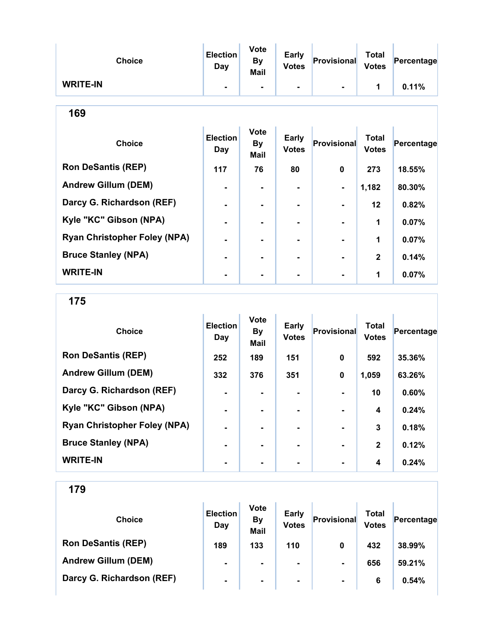| <b>Choice</b>   | <b>Election</b><br>Day | <b>Vote</b><br><b>By</b><br><b>Mail</b> | <b>Early</b><br><b>Votes</b> | Provisional | <b>Total</b><br><b>Votes</b> | Percentage |
|-----------------|------------------------|-----------------------------------------|------------------------------|-------------|------------------------------|------------|
| <b>WRITE-IN</b> | $\blacksquare$         |                                         |                              |             |                              | 0.11%      |

| <b>Choice</b>                       | <b>Election</b><br>Day | <b>Vote</b><br><b>By</b><br><b>Mail</b> | Early<br><b>Votes</b> | <b>Provisional</b> | <b>Total</b><br><b>Votes</b> | Percentage |
|-------------------------------------|------------------------|-----------------------------------------|-----------------------|--------------------|------------------------------|------------|
| <b>Ron DeSantis (REP)</b>           | 117                    | 76                                      | 80                    | 0                  | 273                          | 18.55%     |
| <b>Andrew Gillum (DEM)</b>          | $\blacksquare$         |                                         | $\blacksquare$        | $\blacksquare$     | 1,182                        | 80.30%     |
| Darcy G. Richardson (REF)           | $\blacksquare$         |                                         | -                     |                    | $12 \,$                      | 0.82%      |
| Kyle "KC" Gibson (NPA)              |                        |                                         |                       |                    | 1                            | 0.07%      |
| <b>Ryan Christopher Foley (NPA)</b> |                        |                                         |                       |                    | 1                            | 0.07%      |
| <b>Bruce Stanley (NPA)</b>          |                        |                                         | -                     |                    | $\mathbf{2}$                 | 0.14%      |
| <b>WRITE-IN</b>                     |                        |                                         |                       |                    | 1                            | 0.07%      |

175

| <b>Choice</b>                       | <b>Election</b><br>Day | <b>Vote</b><br><b>By</b><br>Mail | Early<br><b>Votes</b> | Provisional | <b>Total</b><br><b>Votes</b> | Percentage |
|-------------------------------------|------------------------|----------------------------------|-----------------------|-------------|------------------------------|------------|
| <b>Ron DeSantis (REP)</b>           | 252                    | 189                              | 151                   | $\mathbf 0$ | 592                          | 35.36%     |
| <b>Andrew Gillum (DEM)</b>          | 332                    | 376                              | 351                   | $\mathbf 0$ | 1,059                        | 63.26%     |
| Darcy G. Richardson (REF)           | $\blacksquare$         |                                  |                       |             | 10                           | 0.60%      |
| Kyle "KC" Gibson (NPA)              | $\blacksquare$         | ۰                                | ۰                     |             | 4                            | 0.24%      |
| <b>Ryan Christopher Foley (NPA)</b> | $\blacksquare$         | -                                | ۰                     |             | 3                            | 0.18%      |
| <b>Bruce Stanley (NPA)</b>          | ۰.                     |                                  | ۰.                    |             | $\mathbf{2}$                 | 0.12%      |
| <b>WRITE-IN</b>                     | $\blacksquare$         |                                  |                       |             | 4                            | 0.24%      |

| <b>Choice</b>              | <b>Election</b><br>Day | <b>Vote</b><br><b>By</b><br><b>Mail</b> | <b>Early</b><br><b>Votes</b> | Provisional    | Total<br><b>Votes</b> | Percentage |
|----------------------------|------------------------|-----------------------------------------|------------------------------|----------------|-----------------------|------------|
| <b>Ron DeSantis (REP)</b>  | 189                    | 133                                     | 110                          | 0              | 432                   | 38.99%     |
| <b>Andrew Gillum (DEM)</b> | $\blacksquare$         | $\blacksquare$                          | ۰.                           | $\blacksquare$ | 656                   | 59.21%     |
| Darcy G. Richardson (REF)  | $\blacksquare$         | $\blacksquare$                          | ۰.                           | $\blacksquare$ | 6                     | 0.54%      |
|                            |                        |                                         |                              |                |                       |            |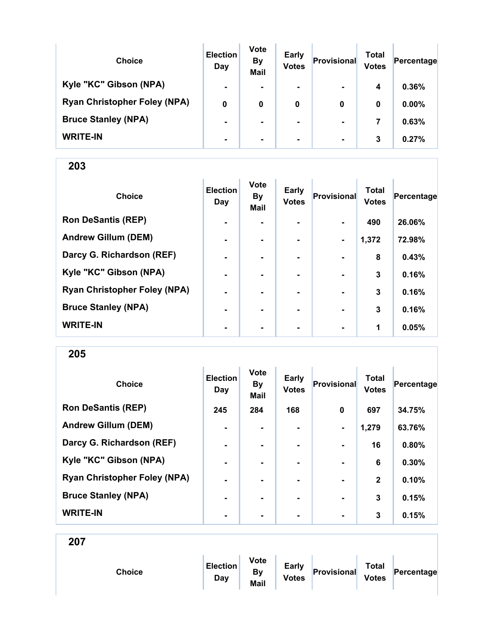| <b>Choice</b>                       | <b>Election</b><br>Day | <b>Vote</b><br><b>By</b><br><b>Mail</b> | <b>Early</b><br><b>Votes</b> | Provisional    | Total<br><b>Votes</b> | Percentage |
|-------------------------------------|------------------------|-----------------------------------------|------------------------------|----------------|-----------------------|------------|
| Kyle "KC" Gibson (NPA)              | $\blacksquare$         | $\blacksquare$                          | $\blacksquare$               | $\blacksquare$ | 4                     | 0.36%      |
| <b>Ryan Christopher Foley (NPA)</b> | 0                      | 0                                       | 0                            | 0              | 0                     | $0.00\%$   |
| <b>Bruce Stanley (NPA)</b>          | $\blacksquare$         | ۰.                                      | $\blacksquare$               | $\blacksquare$ | 7                     | 0.63%      |
| <b>WRITE-IN</b>                     | $\blacksquare$         | $\blacksquare$                          | $\blacksquare$               | $\blacksquare$ | 3                     | 0.27%      |

| <b>Choice</b>                       | <b>Election</b><br>Day | <b>Vote</b><br><b>By</b><br>Mail | <b>Early</b><br><b>Votes</b> | Provisional    | <b>Total</b><br><b>Votes</b> | Percentage |
|-------------------------------------|------------------------|----------------------------------|------------------------------|----------------|------------------------------|------------|
| <b>Ron DeSantis (REP)</b>           | $\blacksquare$         | -                                |                              |                | 490                          | 26.06%     |
| <b>Andrew Gillum (DEM)</b>          | $\blacksquare$         |                                  | -                            | $\blacksquare$ | 1,372                        | 72.98%     |
| Darcy G. Richardson (REF)           | $\blacksquare$         | $\blacksquare$                   | ۰.                           | $\blacksquare$ | 8                            | 0.43%      |
| Kyle "KC" Gibson (NPA)              | $\blacksquare$         |                                  |                              |                | 3                            | 0.16%      |
| <b>Ryan Christopher Foley (NPA)</b> |                        |                                  |                              |                | 3                            | 0.16%      |
| <b>Bruce Stanley (NPA)</b>          | -                      |                                  |                              |                | 3                            | 0.16%      |
| <b>WRITE-IN</b>                     | ٠                      | ۰                                | $\blacksquare$               | $\blacksquare$ | 1                            | 0.05%      |

205

| <b>Choice</b>                       | <b>Election</b><br>Day | <b>Vote</b><br><b>By</b><br><b>Mail</b> | <b>Early</b><br><b>Votes</b> | <b>Provisional</b> | <b>Total</b><br><b>Votes</b> | Percentage |
|-------------------------------------|------------------------|-----------------------------------------|------------------------------|--------------------|------------------------------|------------|
| <b>Ron DeSantis (REP)</b>           | 245                    | 284                                     | 168                          | $\bf{0}$           | 697                          | 34.75%     |
| <b>Andrew Gillum (DEM)</b>          | $\blacksquare$         | $\blacksquare$                          |                              | $\blacksquare$     | 1,279                        | 63.76%     |
| Darcy G. Richardson (REF)           | $\blacksquare$         | $\blacksquare$                          | ۰.                           | $\blacksquare$     | 16                           | 0.80%      |
| Kyle "KC" Gibson (NPA)              | $\blacksquare$         |                                         |                              |                    | 6                            | 0.30%      |
| <b>Ryan Christopher Foley (NPA)</b> | $\blacksquare$         |                                         |                              | $\blacksquare$     | $\mathbf{2}$                 | 0.10%      |
| <b>Bruce Stanley (NPA)</b>          | $\blacksquare$         |                                         |                              | $\blacksquare$     | 3                            | 0.15%      |
| <b>WRITE-IN</b>                     | -                      |                                         |                              |                    | 3                            | 0.15%      |

| Choice | <b>Election</b><br>Day | <b>Vote</b><br><b>By</b><br>Mail | <b>Early</b><br><b>Votes</b> | Provisional | <b>Total</b><br><b>Votes</b> | Percentage |
|--------|------------------------|----------------------------------|------------------------------|-------------|------------------------------|------------|
|        |                        |                                  |                              |             |                              |            |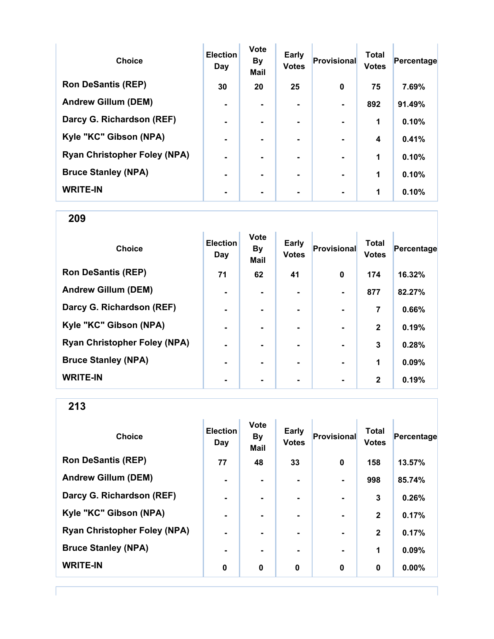| <b>Choice</b>                       | <b>Election</b><br>Day | <b>Vote</b><br><b>By</b><br><b>Mail</b> | Early<br><b>Votes</b> | Provisional    | <b>Total</b><br><b>Votes</b> | Percentage |
|-------------------------------------|------------------------|-----------------------------------------|-----------------------|----------------|------------------------------|------------|
| <b>Ron DeSantis (REP)</b>           | 30                     | 20                                      | 25                    | $\bf{0}$       | 75                           | 7.69%      |
| <b>Andrew Gillum (DEM)</b>          | $\blacksquare$         |                                         |                       |                | 892                          | 91.49%     |
| Darcy G. Richardson (REF)           | $\blacksquare$         | -                                       | $\blacksquare$        | $\blacksquare$ | 1                            | 0.10%      |
| Kyle "KC" Gibson (NPA)              | $\blacksquare$         |                                         | ۰.                    |                | 4                            | 0.41%      |
| <b>Ryan Christopher Foley (NPA)</b> | $\blacksquare$         |                                         | ۰.                    | $\blacksquare$ | 1                            | 0.10%      |
| <b>Bruce Stanley (NPA)</b>          | $\blacksquare$         |                                         |                       |                | 1                            | 0.10%      |
| <b>WRITE-IN</b>                     |                        |                                         |                       |                | 1                            | 0.10%      |

| <b>Choice</b>                       | <b>Election</b><br>Day | <b>Vote</b><br><b>By</b><br><b>Mail</b> | Early<br><b>Votes</b> | Provisional | <b>Total</b><br><b>Votes</b> | Percentage |
|-------------------------------------|------------------------|-----------------------------------------|-----------------------|-------------|------------------------------|------------|
| <b>Ron DeSantis (REP)</b>           | 71                     | 62                                      | 41                    | $\mathbf 0$ | 174                          | 16.32%     |
| <b>Andrew Gillum (DEM)</b>          | $\blacksquare$         |                                         |                       |             | 877                          | 82.27%     |
| Darcy G. Richardson (REF)           | ٠                      |                                         |                       |             | 7                            | 0.66%      |
| Kyle "KC" Gibson (NPA)              | $\blacksquare$         |                                         | $\blacksquare$        |             | $\mathbf{2}$                 | 0.19%      |
| <b>Ryan Christopher Foley (NPA)</b> | $\blacksquare$         |                                         | ۰.                    |             | 3                            | 0.28%      |
| <b>Bruce Stanley (NPA)</b>          | $\blacksquare$         |                                         | ۰.                    |             | 1                            | 0.09%      |
| <b>WRITE-IN</b>                     | ٠                      |                                         |                       |             | $\mathbf{2}$                 | 0.19%      |

| <b>Choice</b>                       | <b>Election</b><br>Day | <b>Vote</b><br><b>By</b><br><b>Mail</b> | <b>Early</b><br><b>Votes</b> | Provisional    | <b>Total</b><br><b>Votes</b> | Percentage |
|-------------------------------------|------------------------|-----------------------------------------|------------------------------|----------------|------------------------------|------------|
| <b>Ron DeSantis (REP)</b>           | 77                     | 48                                      | 33                           | $\mathbf 0$    | 158                          | 13.57%     |
| <b>Andrew Gillum (DEM)</b>          | $\blacksquare$         |                                         |                              |                | 998                          | 85.74%     |
| Darcy G. Richardson (REF)           | $\blacksquare$         |                                         |                              |                | 3                            | 0.26%      |
| Kyle "KC" Gibson (NPA)              | $\blacksquare$         |                                         |                              |                | $\mathbf{2}$                 | 0.17%      |
| <b>Ryan Christopher Foley (NPA)</b> | $\blacksquare$         |                                         |                              | $\blacksquare$ | $\mathbf{2}$                 | 0.17%      |
| <b>Bruce Stanley (NPA)</b>          | $\blacksquare$         | $\blacksquare$                          |                              | $\blacksquare$ | 1                            | 0.09%      |
| <b>WRITE-IN</b>                     | 0                      | 0                                       | 0                            | 0              | $\bf{0}$                     | 0.00%      |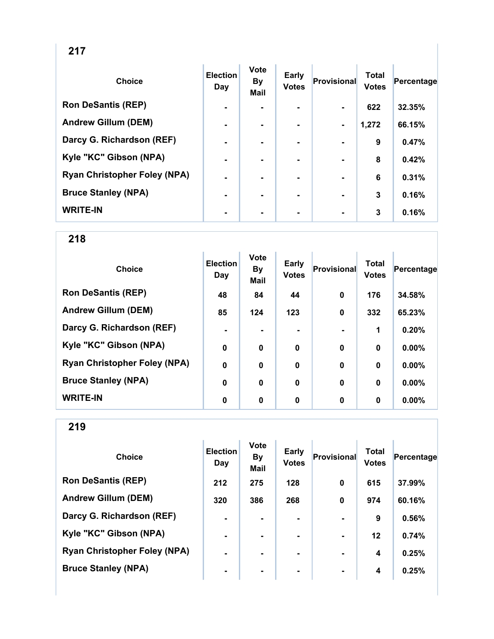| <b>Choice</b>                       | <b>Election</b><br>Day | <b>Vote</b><br><b>By</b><br><b>Mail</b> | <b>Early</b><br><b>Votes</b> | <b>Provisional</b> | <b>Total</b><br><b>Votes</b> | Percentage |
|-------------------------------------|------------------------|-----------------------------------------|------------------------------|--------------------|------------------------------|------------|
| <b>Ron DeSantis (REP)</b>           | $\blacksquare$         |                                         |                              | $\blacksquare$     | 622                          | 32.35%     |
| <b>Andrew Gillum (DEM)</b>          | $\blacksquare$         | $\blacksquare$                          | $\blacksquare$               | $\blacksquare$     | 1,272                        | 66.15%     |
| Darcy G. Richardson (REF)           | $\blacksquare$         | ۰.                                      |                              | $\blacksquare$     | $\boldsymbol{9}$             | 0.47%      |
| Kyle "KC" Gibson (NPA)              | $\blacksquare$         |                                         |                              |                    | 8                            | 0.42%      |
| <b>Ryan Christopher Foley (NPA)</b> | $\blacksquare$         |                                         |                              |                    | 6                            | 0.31%      |
| <b>Bruce Stanley (NPA)</b>          | $\blacksquare$         | ۰.                                      |                              | $\blacksquare$     | 3                            | 0.16%      |
| <b>WRITE-IN</b>                     |                        | ۰                                       |                              | $\blacksquare$     | 3                            | 0.16%      |

| <b>Choice</b>                       | <b>Election</b><br>Day | <b>Vote</b><br>By<br><b>Mail</b> | <b>Early</b><br><b>Votes</b> | <b>Provisional</b> | <b>Total</b><br><b>Votes</b> | Percentage |
|-------------------------------------|------------------------|----------------------------------|------------------------------|--------------------|------------------------------|------------|
| <b>Ron DeSantis (REP)</b>           | 48                     | 84                               | 44                           | 0                  | 176                          | 34.58%     |
| <b>Andrew Gillum (DEM)</b>          | 85                     | 124                              | 123                          | 0                  | 332                          | 65.23%     |
| Darcy G. Richardson (REF)           | $\blacksquare$         |                                  |                              |                    | 1                            | 0.20%      |
| Kyle "KC" Gibson (NPA)              | $\mathbf 0$            | 0                                | $\boldsymbol{0}$             | 0                  | $\bf{0}$                     | 0.00%      |
| <b>Ryan Christopher Foley (NPA)</b> | $\mathbf 0$            | $\bf{0}$                         | $\mathbf 0$                  | $\mathbf 0$        | $\bf{0}$                     | 0.00%      |
| <b>Bruce Stanley (NPA)</b>          | $\mathbf 0$            | 0                                | $\mathbf 0$                  | 0                  | $\bf{0}$                     | 0.00%      |
| <b>WRITE-IN</b>                     | $\bf{0}$               | 0                                | 0                            | 0                  | $\bf{0}$                     | $0.00\%$   |

| <b>Choice</b>                       | <b>Election</b><br>Day | <b>Vote</b><br><b>By</b><br><b>Mail</b> | <b>Early</b><br><b>Votes</b> | Provisional    | <b>Total</b><br><b>Votes</b> | Percentage |
|-------------------------------------|------------------------|-----------------------------------------|------------------------------|----------------|------------------------------|------------|
| <b>Ron DeSantis (REP)</b>           | 212                    | 275                                     | 128                          | $\bf{0}$       | 615                          | 37.99%     |
| <b>Andrew Gillum (DEM)</b>          | 320                    | 386                                     | 268                          | $\bf{0}$       | 974                          | 60.16%     |
| Darcy G. Richardson (REF)           | $\blacksquare$         |                                         |                              |                | 9                            | 0.56%      |
| Kyle "KC" Gibson (NPA)              | $\blacksquare$         | $\blacksquare$                          |                              | $\blacksquare$ | $12 \,$                      | 0.74%      |
| <b>Ryan Christopher Foley (NPA)</b> | $\blacksquare$         |                                         | ۰.                           | $\blacksquare$ | 4                            | 0.25%      |
| <b>Bruce Stanley (NPA)</b>          | $\blacksquare$         |                                         | ۰.                           | $\blacksquare$ | 4                            | 0.25%      |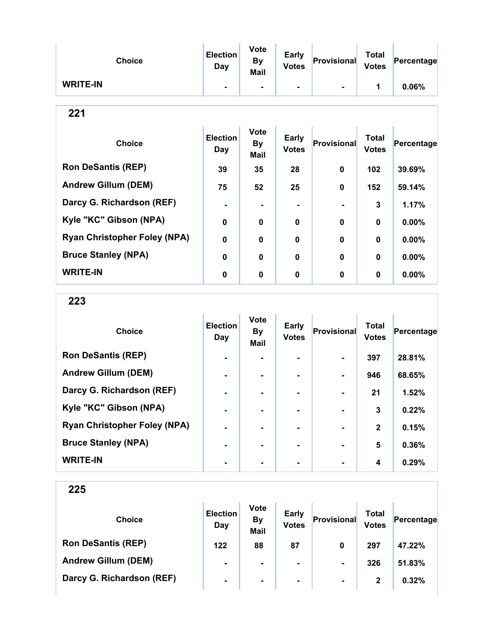| <b>Choice</b>              | <b>Election</b><br>Day | <b>Vote</b><br><b>By</b><br><b>Mail</b> | <b>Early</b><br><b>Votes</b> | Provisional    | <b>Total</b><br><b>Votes</b> | Percentage |
|----------------------------|------------------------|-----------------------------------------|------------------------------|----------------|------------------------------|------------|
| <b>WRITE-IN</b>            | $\blacksquare$         | ۰                                       | ۰                            |                | 1                            | 0.06%      |
| 221                        |                        |                                         |                              |                |                              |            |
| <b>Choice</b>              | <b>Election</b><br>Day | <b>Vote</b><br><b>By</b><br><b>Mail</b> | <b>Early</b><br><b>Votes</b> | Provisional    | <b>Total</b><br><b>Votes</b> | Percentage |
| <b>Ron DeSantis (REP)</b>  | 39                     | 35                                      | 28                           | $\mathbf 0$    | 102                          | 39.69%     |
| <b>Andrew Gillum (DEM)</b> | 75                     | 52                                      | 25                           | $\mathbf 0$    | 152                          | 59.14%     |
| Darcy G. Richardson (REF)  | ۰                      | $\blacksquare$                          | ۰                            | $\blacksquare$ | 3                            | 1.17%      |

Kyle "KC" Gibson (NPA) 0 0 0 0 0 0.00%

Ryan Christopher Foley (NPA) 0 0 0 0 0 0 0.00%

Bruce Stanley (NPA) 0 0 0 0 0 0 0.00%

WRITE-IN 0 0 0 0 0 0.00%

| . .<br>۰,<br>w |
|----------------|
|----------------|

| <b>Choice</b>                       | <b>Election</b><br>Day | <b>Vote</b><br><b>By</b><br>Mail | Early<br><b>Votes</b> | <b>Provisional</b> | <b>Total</b><br><b>Votes</b> | Percentage |
|-------------------------------------|------------------------|----------------------------------|-----------------------|--------------------|------------------------------|------------|
| <b>Ron DeSantis (REP)</b>           | ٠                      |                                  |                       |                    | 397                          | 28.81%     |
| <b>Andrew Gillum (DEM)</b>          | $\blacksquare$         |                                  | ۰.                    |                    | 946                          | 68.65%     |
| Darcy G. Richardson (REF)           | $\blacksquare$         |                                  | ۰.                    |                    | 21                           | 1.52%      |
| Kyle "KC" Gibson (NPA)              | $\blacksquare$         | -                                |                       |                    | 3                            | 0.22%      |
| <b>Ryan Christopher Foley (NPA)</b> | $\blacksquare$         |                                  |                       |                    | $\mathbf{2}$                 | 0.15%      |
| <b>Bruce Stanley (NPA)</b>          | $\blacksquare$         |                                  | $\blacksquare$        |                    | 5                            | 0.36%      |
| <b>WRITE-IN</b>                     | ٠                      |                                  |                       |                    | $\boldsymbol{4}$             | 0.29%      |

| <b>Choice</b>              | <b>Election</b><br>Day | <b>Vote</b><br><b>By</b><br><b>Mail</b> | <b>Early</b><br><b>Votes</b> | Provisional    | Total<br><b>Votes</b> | Percentage |
|----------------------------|------------------------|-----------------------------------------|------------------------------|----------------|-----------------------|------------|
| <b>Ron DeSantis (REP)</b>  | 122                    | 88                                      | 87                           | 0              | 297                   | 47.22%     |
| <b>Andrew Gillum (DEM)</b> | $\blacksquare$         | $\blacksquare$                          | ۰                            | $\blacksquare$ | 326                   | 51.83%     |
| Darcy G. Richardson (REF)  | $\blacksquare$         | $\blacksquare$                          | $\blacksquare$               | $\blacksquare$ | 2                     | 0.32%      |
|                            |                        |                                         |                              |                |                       |            |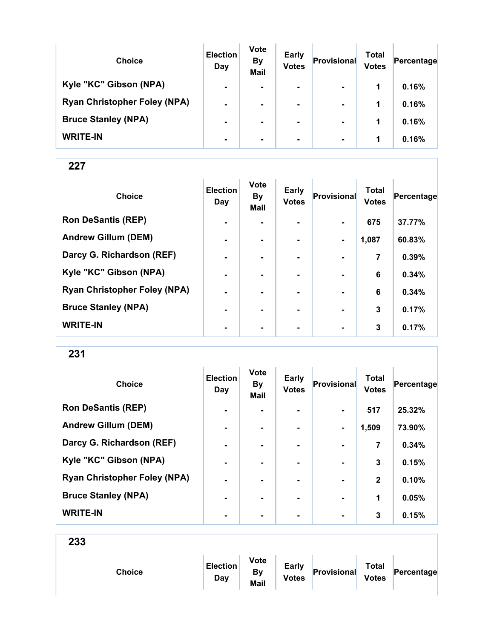| <b>Choice</b>                       | <b>Election</b><br>Day | <b>Vote</b><br><b>By</b><br><b>Mail</b> | <b>Early</b><br><b>Votes</b> | Provisional    | Total<br><b>Votes</b> | Percentage |
|-------------------------------------|------------------------|-----------------------------------------|------------------------------|----------------|-----------------------|------------|
| Kyle "KC" Gibson (NPA)              | $\blacksquare$         | $\blacksquare$                          | $\blacksquare$               | $\blacksquare$ | 1                     | 0.16%      |
| <b>Ryan Christopher Foley (NPA)</b> | $\blacksquare$         |                                         | $\blacksquare$               | $\blacksquare$ | 1                     | 0.16%      |
| <b>Bruce Stanley (NPA)</b>          | $\blacksquare$         |                                         | ۰.                           | $\blacksquare$ | 1                     | 0.16%      |
| <b>WRITE-IN</b>                     | $\blacksquare$         |                                         | $\blacksquare$               | $\blacksquare$ | 1                     | 0.16%      |

| <b>Choice</b>                       | <b>Election</b><br>Day | <b>Vote</b><br><b>By</b><br><b>Mail</b> | <b>Early</b><br><b>Votes</b> | Provisional    | <b>Total</b><br><b>Votes</b> | Percentage |
|-------------------------------------|------------------------|-----------------------------------------|------------------------------|----------------|------------------------------|------------|
| <b>Ron DeSantis (REP)</b>           | $\blacksquare$         |                                         |                              |                | 675                          | 37.77%     |
| <b>Andrew Gillum (DEM)</b>          | $\blacksquare$         |                                         |                              |                | 1,087                        | 60.83%     |
| Darcy G. Richardson (REF)           | $\blacksquare$         | $\blacksquare$                          |                              | $\blacksquare$ | 7                            | 0.39%      |
| Kyle "KC" Gibson (NPA)              | $\blacksquare$         |                                         |                              |                | 6                            | 0.34%      |
| <b>Ryan Christopher Foley (NPA)</b> | ۰                      |                                         |                              |                | 6                            | 0.34%      |
| <b>Bruce Stanley (NPA)</b>          | ۰                      |                                         |                              |                | 3                            | 0.17%      |
| <b>WRITE-IN</b>                     | $\blacksquare$         | $\blacksquare$                          | ٠                            | $\blacksquare$ | 3                            | 0.17%      |

231

| <b>Choice</b>                       | <b>Election</b><br>Day | <b>Vote</b><br><b>By</b><br>Mail | Early<br><b>Votes</b> | Provisional    | <b>Total</b><br><b>Votes</b> | Percentage |
|-------------------------------------|------------------------|----------------------------------|-----------------------|----------------|------------------------------|------------|
| <b>Ron DeSantis (REP)</b>           | $\blacksquare$         |                                  |                       |                | 517                          | 25.32%     |
| <b>Andrew Gillum (DEM)</b>          | $\blacksquare$         | ۰                                | ۰                     |                | 1,509                        | 73.90%     |
| Darcy G. Richardson (REF)           | $\blacksquare$         | $\blacksquare$                   | ۰.                    | $\blacksquare$ | 7                            | 0.34%      |
| Kyle "KC" Gibson (NPA)              | $\blacksquare$         |                                  |                       |                | 3                            | 0.15%      |
| <b>Ryan Christopher Foley (NPA)</b> | $\blacksquare$         |                                  |                       | $\blacksquare$ | $\mathbf{2}$                 | 0.10%      |
| <b>Bruce Stanley (NPA)</b>          | $\blacksquare$         | -                                | ۰.                    | $\blacksquare$ | 1                            | 0.05%      |
| <b>WRITE-IN</b>                     | $\blacksquare$         |                                  |                       | $\blacksquare$ | 3                            | 0.15%      |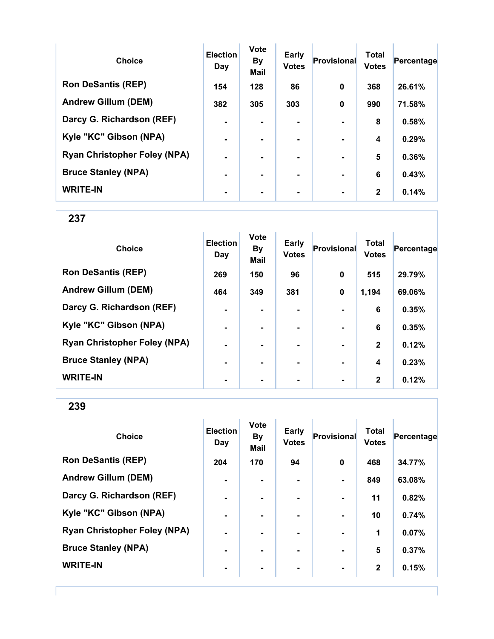| <b>Choice</b>                       | <b>Election</b><br>Day | <b>Vote</b><br><b>By</b><br><b>Mail</b> | Early<br><b>Votes</b> | Provisional    | <b>Total</b><br><b>Votes</b> | Percentage |
|-------------------------------------|------------------------|-----------------------------------------|-----------------------|----------------|------------------------------|------------|
| <b>Ron DeSantis (REP)</b>           | 154                    | 128                                     | 86                    | $\bf{0}$       | 368                          | 26.61%     |
| <b>Andrew Gillum (DEM)</b>          | 382                    | 305                                     | 303                   | $\bf{0}$       | 990                          | 71.58%     |
| Darcy G. Richardson (REF)           | $\blacksquare$         |                                         | ۰.                    |                | 8                            | 0.58%      |
| Kyle "KC" Gibson (NPA)              | $\blacksquare$         |                                         |                       |                | 4                            | 0.29%      |
| <b>Ryan Christopher Foley (NPA)</b> | $\blacksquare$         |                                         |                       |                | 5                            | 0.36%      |
| <b>Bruce Stanley (NPA)</b>          | $\blacksquare$         | -                                       | -                     | $\blacksquare$ | 6                            | 0.43%      |
| <b>WRITE-IN</b>                     |                        |                                         |                       |                | $\mathbf{2}$                 | 0.14%      |

| <b>Choice</b>                       | <b>Election</b><br>Day | <b>Vote</b><br><b>By</b><br>Mail | <b>Early</b><br><b>Votes</b> | <b>Provisional</b> | <b>Total</b><br><b>Votes</b> | Percentage |
|-------------------------------------|------------------------|----------------------------------|------------------------------|--------------------|------------------------------|------------|
| <b>Ron DeSantis (REP)</b>           | 269                    | 150                              | 96                           | $\mathbf 0$        | 515                          | 29.79%     |
| <b>Andrew Gillum (DEM)</b>          | 464                    | 349                              | 381                          | 0                  | 1,194                        | 69.06%     |
| Darcy G. Richardson (REF)           | $\blacksquare$         |                                  |                              |                    | 6                            | 0.35%      |
| Kyle "KC" Gibson (NPA)              | $\blacksquare$         |                                  | ۰                            | $\blacksquare$     | 6                            | 0.35%      |
| <b>Ryan Christopher Foley (NPA)</b> | $\blacksquare$         | ۰.                               |                              | $\blacksquare$     | $\mathbf{2}$                 | 0.12%      |
| <b>Bruce Stanley (NPA)</b>          | $\blacksquare$         | ۰.                               |                              | $\blacksquare$     | 4                            | 0.23%      |
| <b>WRITE-IN</b>                     | ٠                      |                                  |                              | $\blacksquare$     | $\mathbf{2}$                 | 0.12%      |

| <b>Choice</b>                       | <b>Election</b><br>Day | <b>Vote</b><br><b>By</b><br><b>Mail</b> | <b>Early</b><br><b>Votes</b> | <b>Provisional</b> | <b>Total</b><br><b>Votes</b> | Percentage |
|-------------------------------------|------------------------|-----------------------------------------|------------------------------|--------------------|------------------------------|------------|
| <b>Ron DeSantis (REP)</b>           | 204                    | 170                                     | 94                           | $\bf{0}$           | 468                          | 34.77%     |
| <b>Andrew Gillum (DEM)</b>          | $\blacksquare$         | $\blacksquare$                          |                              | $\blacksquare$     | 849                          | 63.08%     |
| Darcy G. Richardson (REF)           | $\blacksquare$         | ۰.                                      |                              | $\blacksquare$     | 11                           | 0.82%      |
| Kyle "KC" Gibson (NPA)              | $\blacksquare$         | $\blacksquare$                          | $\blacksquare$               | $\blacksquare$     | 10                           | 0.74%      |
| <b>Ryan Christopher Foley (NPA)</b> | $\blacksquare$         |                                         |                              | $\blacksquare$     | 1                            | 0.07%      |
| <b>Bruce Stanley (NPA)</b>          | $\blacksquare$         | $\blacksquare$                          |                              | $\blacksquare$     | 5                            | 0.37%      |
| <b>WRITE-IN</b>                     | $\blacksquare$         |                                         |                              | ٠                  | $\mathbf{2}$                 | 0.15%      |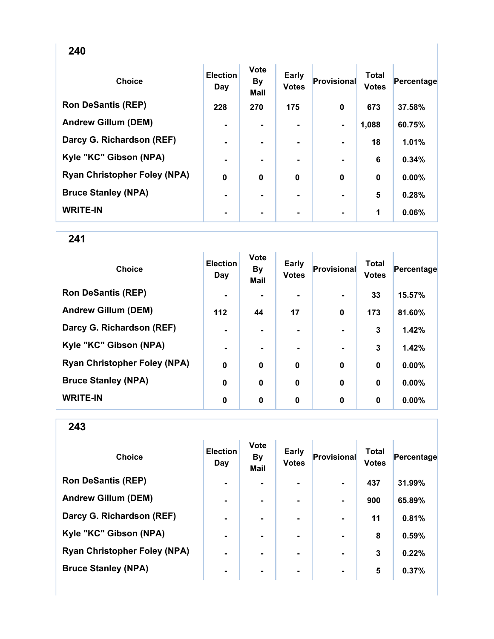| <b>Choice</b>                       | <b>Election</b><br>Day | <b>Vote</b><br>By<br><b>Mail</b> | Early<br><b>Votes</b> | <b>Provisional</b> | <b>Total</b><br><b>Votes</b> | Percentage |
|-------------------------------------|------------------------|----------------------------------|-----------------------|--------------------|------------------------------|------------|
| <b>Ron DeSantis (REP)</b>           | 228                    | 270                              | 175                   | 0                  | 673                          | 37.58%     |
| <b>Andrew Gillum (DEM)</b>          | $\blacksquare$         | $\blacksquare$                   | $\blacksquare$        | $\blacksquare$     | 1,088                        | 60.75%     |
| Darcy G. Richardson (REF)           | $\blacksquare$         |                                  | ۰.                    |                    | 18                           | 1.01%      |
| Kyle "KC" Gibson (NPA)              |                        |                                  |                       |                    | 6                            | 0.34%      |
| <b>Ryan Christopher Foley (NPA)</b> | $\bf{0}$               | 0                                | $\bf{0}$              | 0                  | $\bf{0}$                     | 0.00%      |
| <b>Bruce Stanley (NPA)</b>          | ۰                      |                                  | ۰                     |                    | 5                            | 0.28%      |
| <b>WRITE-IN</b>                     | ۰                      |                                  |                       |                    | 1                            | 0.06%      |

| <b>Choice</b>                       | <b>Election</b><br>Day | <b>Vote</b><br><b>By</b><br><b>Mail</b> | <b>Early</b><br><b>Votes</b> | Provisional  | <b>Total</b><br><b>Votes</b> | Percentage |
|-------------------------------------|------------------------|-----------------------------------------|------------------------------|--------------|------------------------------|------------|
| <b>Ron DeSantis (REP)</b>           | $\blacksquare$         |                                         |                              |              | 33                           | 15.57%     |
| <b>Andrew Gillum (DEM)</b>          | 112                    | 44                                      | 17                           | $\mathbf 0$  | 173                          | 81.60%     |
| Darcy G. Richardson (REF)           | $\blacksquare$         |                                         |                              |              | 3                            | 1.42%      |
| Kyle "KC" Gibson (NPA)              | $\blacksquare$         | ۰                                       | ۰                            |              | 3                            | 1.42%      |
| <b>Ryan Christopher Foley (NPA)</b> | $\mathbf 0$            | $\bf{0}$                                | $\boldsymbol{0}$             | $\mathbf{0}$ | $\bf{0}$                     | 0.00%      |
| <b>Bruce Stanley (NPA)</b>          | $\mathbf 0$            | $\bf{0}$                                | $\mathbf 0$                  | $\mathbf 0$  | $\mathbf 0$                  | 0.00%      |
| <b>WRITE-IN</b>                     | 0                      | 0                                       | 0                            | 0            | 0                            | $0.00\%$   |

| <b>Choice</b>                       | <b>Election</b><br>Day | <b>Vote</b><br><b>By</b><br><b>Mail</b> | <b>Early</b><br><b>Votes</b> | <b>Provisional</b> | <b>Total</b><br><b>Votes</b> | Percentage |
|-------------------------------------|------------------------|-----------------------------------------|------------------------------|--------------------|------------------------------|------------|
| <b>Ron DeSantis (REP)</b>           | $\blacksquare$         |                                         |                              |                    | 437                          | 31.99%     |
| <b>Andrew Gillum (DEM)</b>          | $\blacksquare$         |                                         | ۰                            | $\blacksquare$     | 900                          | 65.89%     |
| Darcy G. Richardson (REF)           | $\blacksquare$         | $\blacksquare$                          | ۰.                           | $\blacksquare$     | 11                           | 0.81%      |
| Kyle "KC" Gibson (NPA)              | $\blacksquare$         |                                         | ۰.                           | $\blacksquare$     | 8                            | 0.59%      |
| <b>Ryan Christopher Foley (NPA)</b> | $\blacksquare$         |                                         |                              |                    | 3                            | 0.22%      |
| <b>Bruce Stanley (NPA)</b>          | ۰                      | $\blacksquare$                          | ۰                            | $\blacksquare$     | 5                            | 0.37%      |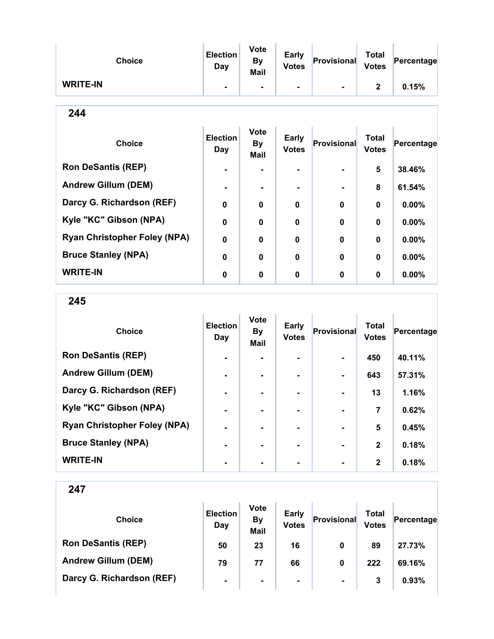| <b>Choice</b>   | <b>Election</b><br>Day | <b>Vote</b><br>By<br><b>Mail</b> | <b>Early</b><br><b>Votes</b> | Provisional | <b>Total</b><br><b>Votes</b> | Percentage |
|-----------------|------------------------|----------------------------------|------------------------------|-------------|------------------------------|------------|
| <b>WRITE-IN</b> |                        |                                  | $\blacksquare$               |             | າ                            | 0.15%      |

| <b>Choice</b>                       | <b>Election</b><br>Day | <b>Vote</b><br><b>By</b><br><b>Mail</b> | <b>Early</b><br><b>Votes</b> | <b>Provisional</b> | <b>Total</b><br><b>Votes</b> | Percentage |
|-------------------------------------|------------------------|-----------------------------------------|------------------------------|--------------------|------------------------------|------------|
| <b>Ron DeSantis (REP)</b>           | $\blacksquare$         |                                         | ۰.                           |                    | 5                            | 38.46%     |
| <b>Andrew Gillum (DEM)</b>          |                        |                                         | ۰.                           |                    | 8                            | 61.54%     |
| Darcy G. Richardson (REF)           | $\mathbf 0$            | $\bf{0}$                                | $\mathbf 0$                  | $\bf{0}$           | $\mathbf 0$                  | $0.00\%$   |
| Kyle "KC" Gibson (NPA)              | $\mathbf 0$            | $\bf{0}$                                | $\mathbf 0$                  | $\bf{0}$           | $\mathbf 0$                  | $0.00\%$   |
| <b>Ryan Christopher Foley (NPA)</b> | $\mathbf 0$            | $\bf{0}$                                | $\mathbf 0$                  | $\bf{0}$           | 0                            | $0.00\%$   |
| <b>Bruce Stanley (NPA)</b>          | 0                      | 0                                       | 0                            | $\bf{0}$           | $\mathbf 0$                  | $0.00\%$   |
| <b>WRITE-IN</b>                     | 0                      | 0                                       | 0                            | $\bf{0}$           | $\mathbf 0$                  | 0.00%      |

245

| <b>Choice</b>                       | <b>Election</b><br>Day | <b>Vote</b><br><b>By</b><br><b>Mail</b> | Early<br><b>Votes</b> | <b>Provisional</b> | <b>Total</b><br><b>Votes</b> | Percentage |
|-------------------------------------|------------------------|-----------------------------------------|-----------------------|--------------------|------------------------------|------------|
| <b>Ron DeSantis (REP)</b>           | $\blacksquare$         |                                         |                       | $\blacksquare$     | 450                          | 40.11%     |
| <b>Andrew Gillum (DEM)</b>          | $\blacksquare$         |                                         |                       |                    | 643                          | 57.31%     |
| Darcy G. Richardson (REF)           |                        |                                         |                       |                    | 13                           | 1.16%      |
| Kyle "KC" Gibson (NPA)              | $\blacksquare$         | -                                       | $\blacksquare$        | $\blacksquare$     | 7                            | 0.62%      |
| <b>Ryan Christopher Foley (NPA)</b> | $\blacksquare$         |                                         |                       |                    | 5                            | 0.45%      |
| <b>Bruce Stanley (NPA)</b>          |                        |                                         |                       |                    | $\mathbf{2}$                 | 0.18%      |
| <b>WRITE-IN</b>                     |                        |                                         |                       |                    | $\mathbf{2}$                 | 0.18%      |

| <b>Choice</b>              | <b>Election</b><br>Day | <b>Vote</b><br><b>By</b><br><b>Mail</b> | <b>Early</b><br><b>Votes</b> | Provisional    | <b>Total</b><br><b>Votes</b> | Percentage |  |
|----------------------------|------------------------|-----------------------------------------|------------------------------|----------------|------------------------------|------------|--|
| <b>Ron DeSantis (REP)</b>  | 50                     | 23                                      | 16                           | 0              | 89                           | 27.73%     |  |
| <b>Andrew Gillum (DEM)</b> | 79                     | 77                                      | 66                           | 0              | 222                          | 69.16%     |  |
| Darcy G. Richardson (REF)  | $\blacksquare$         | $\blacksquare$                          | $\blacksquare$               | $\blacksquare$ | 3                            | 0.93%      |  |
|                            |                        |                                         |                              |                |                              |            |  |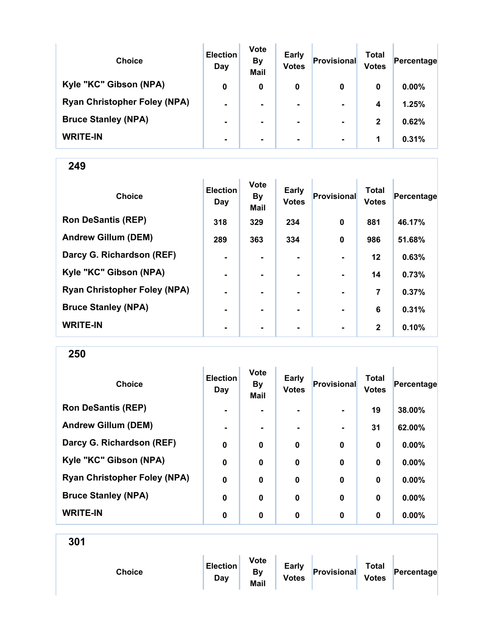| <b>Choice</b>                       | <b>Election</b><br>Day | <b>Vote</b><br><b>By</b><br><b>Mail</b> | <b>Early</b><br><b>Votes</b> | Provisional    | Total<br><b>Votes</b> | Percentage |
|-------------------------------------|------------------------|-----------------------------------------|------------------------------|----------------|-----------------------|------------|
| Kyle "KC" Gibson (NPA)              | 0                      | 0                                       | 0                            | 0              | 0                     | $0.00\%$   |
| <b>Ryan Christopher Foley (NPA)</b> | $\blacksquare$         |                                         | $\blacksquare$               | $\blacksquare$ | 4                     | 1.25%      |
| <b>Bruce Stanley (NPA)</b>          | $\blacksquare$         | ۰.                                      | $\blacksquare$               | $\blacksquare$ | $\mathbf{2}$          | 0.62%      |
| <b>WRITE-IN</b>                     | $\blacksquare$         |                                         |                              | $\blacksquare$ | 1                     | 0.31%      |

| <b>Choice</b>                       | <b>Election</b><br>Day | <b>Vote</b><br><b>By</b><br>Mail | <b>Early</b><br><b>Votes</b> | Provisional    | <b>Total</b><br><b>Votes</b> | Percentage |
|-------------------------------------|------------------------|----------------------------------|------------------------------|----------------|------------------------------|------------|
| <b>Ron DeSantis (REP)</b>           | 318                    | 329                              | 234                          | $\mathbf 0$    | 881                          | 46.17%     |
| <b>Andrew Gillum (DEM)</b>          | 289                    | 363                              | 334                          | $\mathbf 0$    | 986                          | 51.68%     |
| Darcy G. Richardson (REF)           | $\blacksquare$         | ۰.                               | ۰                            |                | $12 \,$                      | 0.63%      |
| Kyle "KC" Gibson (NPA)              | $\blacksquare$         | ۰.                               |                              |                | 14                           | 0.73%      |
| <b>Ryan Christopher Foley (NPA)</b> | ٠                      |                                  |                              |                | 7                            | 0.37%      |
| <b>Bruce Stanley (NPA)</b>          |                        |                                  |                              |                | 6                            | 0.31%      |
| <b>WRITE-IN</b>                     | $\blacksquare$         | ۰                                | ۰                            | $\blacksquare$ | $\mathbf{2}$                 | 0.10%      |

250

| <b>Choice</b>                       | <b>Election</b><br>Day | <b>Vote</b><br><b>By</b><br><b>Mail</b> | <b>Early</b><br><b>Votes</b> | Provisional    | <b>Total</b><br><b>Votes</b> | Percentage |
|-------------------------------------|------------------------|-----------------------------------------|------------------------------|----------------|------------------------------|------------|
| <b>Ron DeSantis (REP)</b>           | $\blacksquare$         |                                         |                              | $\blacksquare$ | 19                           | 38.00%     |
| <b>Andrew Gillum (DEM)</b>          | $\blacksquare$         | $\blacksquare$                          |                              | $\blacksquare$ | 31                           | 62.00%     |
| Darcy G. Richardson (REF)           | $\mathbf 0$            | 0                                       | $\mathbf 0$                  | $\mathbf 0$    | 0                            | 0.00%      |
| Kyle "KC" Gibson (NPA)              | $\mathbf 0$            | $\mathbf 0$                             | $\mathbf 0$                  | $\mathbf 0$    | $\bf{0}$                     | $0.00\%$   |
| <b>Ryan Christopher Foley (NPA)</b> | $\mathbf 0$            | 0                                       | $\mathbf 0$                  | $\bf{0}$       | $\bf{0}$                     | 0.00%      |
| <b>Bruce Stanley (NPA)</b>          | $\mathbf 0$            | $\mathbf 0$                             | $\mathbf 0$                  | $\mathbf 0$    | $\bf{0}$                     | $0.00\%$   |
| <b>WRITE-IN</b>                     | 0                      | 0                                       | 0                            | $\mathbf 0$    | 0                            | $0.00\%$   |

| <b>Choice</b> | <b>Election</b><br>Day | <b>Vote</b><br><b>By</b><br>Mail | <b>Early</b><br><b>Votes</b> | Provisional | <b>Total</b><br><b>Votes</b> | Percentage |  |
|---------------|------------------------|----------------------------------|------------------------------|-------------|------------------------------|------------|--|
|               |                        |                                  |                              |             |                              |            |  |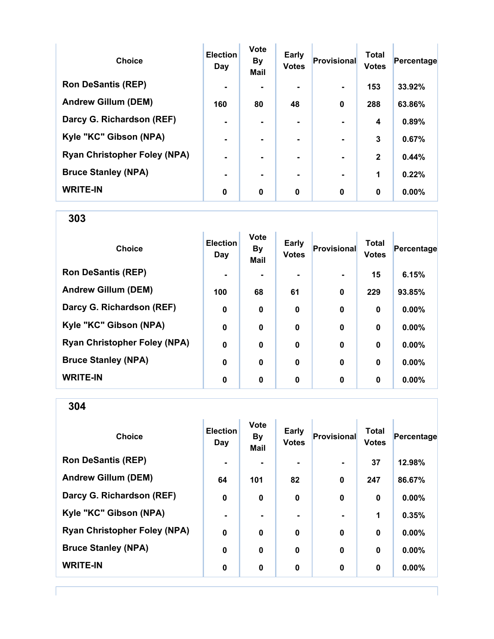| <b>Choice</b>                       | <b>Election</b><br>Day | <b>Vote</b><br><b>By</b><br><b>Mail</b> | <b>Early</b><br><b>Votes</b> | Provisional    | <b>Total</b><br><b>Votes</b> | Percentage |
|-------------------------------------|------------------------|-----------------------------------------|------------------------------|----------------|------------------------------|------------|
| <b>Ron DeSantis (REP)</b>           |                        |                                         |                              |                | 153                          | 33.92%     |
| <b>Andrew Gillum (DEM)</b>          | 160                    | 80                                      | 48                           | $\bf{0}$       | 288                          | 63.86%     |
| Darcy G. Richardson (REF)           |                        |                                         | ۰.                           |                | 4                            | 0.89%      |
| Kyle "KC" Gibson (NPA)              |                        |                                         |                              |                | 3                            | 0.67%      |
| <b>Ryan Christopher Foley (NPA)</b> | $\blacksquare$         |                                         | ۰.                           | $\blacksquare$ | $\mathbf{2}$                 | 0.44%      |
| <b>Bruce Stanley (NPA)</b>          | $\blacksquare$         |                                         | ۰.                           | $\blacksquare$ | 1                            | 0.22%      |
| <b>WRITE-IN</b>                     | 0                      | $\mathbf 0$                             | 0                            | $\bf{0}$       | 0                            | $0.00\%$   |

303

| <b>Choice</b>                       | <b>Election</b><br>Day | <b>Vote</b><br><b>By</b><br>Mail | Early<br><b>Votes</b> | Provisional | <b>Total</b><br><b>Votes</b> | Percentage |
|-------------------------------------|------------------------|----------------------------------|-----------------------|-------------|------------------------------|------------|
| <b>Ron DeSantis (REP)</b>           | $\blacksquare$         |                                  |                       |             | 15                           | 6.15%      |
| <b>Andrew Gillum (DEM)</b>          | 100                    | 68                               | 61                    | $\mathbf 0$ | 229                          | 93.85%     |
| Darcy G. Richardson (REF)           | 0                      | $\bf{0}$                         | 0                     | $\mathbf 0$ | $\mathbf 0$                  | $0.00\%$   |
| Kyle "KC" Gibson (NPA)              | $\mathbf 0$            | 0                                | $\bf{0}$              | $\bf{0}$    | $\bf{0}$                     | $0.00\%$   |
| <b>Ryan Christopher Foley (NPA)</b> | $\mathbf 0$            | $\bf{0}$                         | $\boldsymbol{0}$      | $\mathbf 0$ | $\bf{0}$                     | 0.00%      |
| <b>Bruce Stanley (NPA)</b>          | $\mathbf 0$            | $\mathbf 0$                      | $\boldsymbol{0}$      | $\mathbf 0$ | $\bf{0}$                     | 0.00%      |
| <b>WRITE-IN</b>                     | 0                      | 0                                | 0                     | 0           | 0                            | $0.00\%$   |

| <b>Choice</b>                       | <b>Election</b><br>Day | Vote<br><b>By</b><br><b>Mail</b> | <b>Early</b><br><b>Votes</b> | <b>Provisional</b> | <b>Total</b><br><b>Votes</b> | Percentage |
|-------------------------------------|------------------------|----------------------------------|------------------------------|--------------------|------------------------------|------------|
| <b>Ron DeSantis (REP)</b>           | $\blacksquare$         |                                  | $\blacksquare$               | $\blacksquare$     | 37                           | 12.98%     |
| <b>Andrew Gillum (DEM)</b>          | 64                     | 101                              | 82                           | $\boldsymbol{0}$   | 247                          | 86.67%     |
| Darcy G. Richardson (REF)           | 0                      | $\mathbf 0$                      | $\mathbf 0$                  | $\mathbf 0$        | $\bf{0}$                     | $0.00\%$   |
| Kyle "KC" Gibson (NPA)              | $\blacksquare$         |                                  |                              |                    | 1                            | 0.35%      |
| <b>Ryan Christopher Foley (NPA)</b> | $\boldsymbol{0}$       | $\bf{0}$                         | 0                            | $\bf{0}$           | 0                            | 0.00%      |
| <b>Bruce Stanley (NPA)</b>          | $\mathbf 0$            | $\bf{0}$                         | 0                            | $\bf{0}$           | $\bf{0}$                     | 0.00%      |
| <b>WRITE-IN</b>                     | 0                      | 0                                | 0                            | $\mathbf 0$        | $\bf{0}$                     | $0.00\%$   |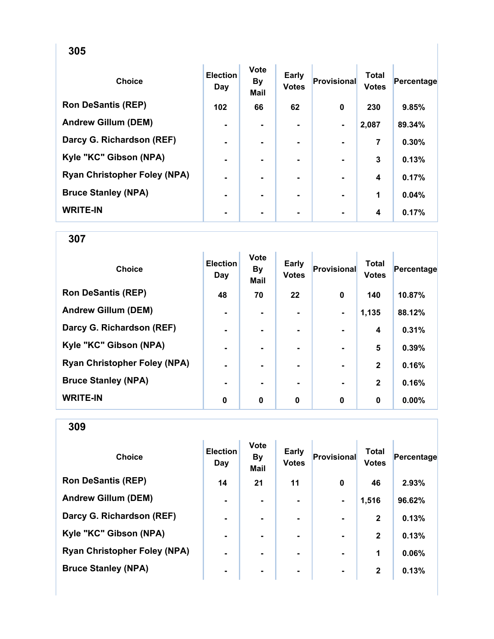| <b>Choice</b>                       | <b>Election</b><br>Day | <b>Vote</b><br><b>By</b><br><b>Mail</b> | Early<br><b>Votes</b> | <b>Provisional</b> | <b>Total</b><br><b>Votes</b> | Percentage |
|-------------------------------------|------------------------|-----------------------------------------|-----------------------|--------------------|------------------------------|------------|
| <b>Ron DeSantis (REP)</b>           | 102                    | 66                                      | 62                    | $\bf{0}$           | 230                          | 9.85%      |
| <b>Andrew Gillum (DEM)</b>          | $\blacksquare$         | ۰.                                      | $\blacksquare$        | $\blacksquare$     | 2,087                        | 89.34%     |
| Darcy G. Richardson (REF)           | $\blacksquare$         | ۰.                                      |                       |                    | 7                            | 0.30%      |
| Kyle "KC" Gibson (NPA)              |                        |                                         |                       |                    | 3                            | 0.13%      |
| <b>Ryan Christopher Foley (NPA)</b> |                        |                                         |                       |                    | 4                            | 0.17%      |
| <b>Bruce Stanley (NPA)</b>          | ۰                      |                                         | ۰.                    |                    | 1                            | 0.04%      |
| <b>WRITE-IN</b>                     | ۰                      |                                         | ۰                     |                    | 4                            | 0.17%      |

307

| <b>Choice</b>                       | <b>Election</b><br>Day | <b>Vote</b><br><b>By</b><br><b>Mail</b> | Early<br><b>Votes</b> | Provisional    | <b>Total</b><br><b>Votes</b> | Percentage |
|-------------------------------------|------------------------|-----------------------------------------|-----------------------|----------------|------------------------------|------------|
| <b>Ron DeSantis (REP)</b>           | 48                     | 70                                      | 22                    | $\mathbf 0$    | 140                          | 10.87%     |
| <b>Andrew Gillum (DEM)</b>          | $\blacksquare$         |                                         |                       | $\blacksquare$ | 1,135                        | 88.12%     |
| Darcy G. Richardson (REF)           | ۰                      |                                         |                       |                | $\boldsymbol{4}$             | 0.31%      |
| Kyle "KC" Gibson (NPA)              | $\blacksquare$         |                                         |                       |                | 5                            | 0.39%      |
| <b>Ryan Christopher Foley (NPA)</b> | $\blacksquare$         |                                         | ۰.                    |                | $\mathbf{2}$                 | 0.16%      |
| <b>Bruce Stanley (NPA)</b>          | ۰.                     |                                         | ۰.                    |                | $\mathbf{2}$                 | 0.16%      |
| <b>WRITE-IN</b>                     | 0                      | 0                                       | 0                     | $\mathbf 0$    | 0                            | 0.00%      |

| <b>Choice</b>                       | <b>Election</b><br>Day | <b>Vote</b><br><b>By</b><br><b>Mail</b> | <b>Early</b><br><b>Votes</b> | Provisional    | Total<br><b>Votes</b> | Percentage |
|-------------------------------------|------------------------|-----------------------------------------|------------------------------|----------------|-----------------------|------------|
| <b>Ron DeSantis (REP)</b>           | 14                     | 21                                      | 11                           | 0              | 46                    | 2.93%      |
| <b>Andrew Gillum (DEM)</b>          | $\blacksquare$         |                                         | ۰.                           | $\blacksquare$ | 1,516                 | 96.62%     |
| Darcy G. Richardson (REF)           | $\blacksquare$         | $\blacksquare$                          | ۰                            |                | $\mathbf{2}$          | 0.13%      |
| Kyle "KC" Gibson (NPA)              | $\blacksquare$         |                                         | ۰.                           | $\blacksquare$ | $\mathbf{2}$          | 0.13%      |
| <b>Ryan Christopher Foley (NPA)</b> | $\blacksquare$         |                                         | ۰.                           | $\blacksquare$ | 1                     | 0.06%      |
| <b>Bruce Stanley (NPA)</b>          | ۰                      | ۰                                       | ۰                            | $\blacksquare$ | $\mathbf{2}$          | 0.13%      |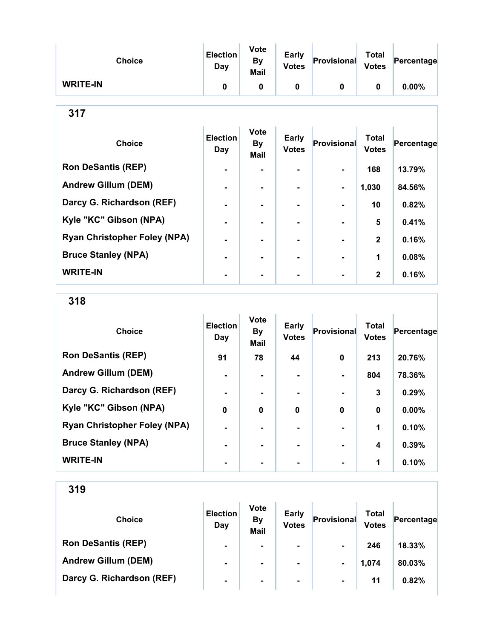| <b>Choice</b>                       | <b>Election</b><br>Day        | <b>Vote</b><br><b>By</b><br><b>Mail</b> | Early<br><b>Votes</b>        | Provisional        | <b>Total</b><br><b>Votes</b> | Percentage |  |  |  |
|-------------------------------------|-------------------------------|-----------------------------------------|------------------------------|--------------------|------------------------------|------------|--|--|--|
| <b>WRITE-IN</b>                     | $\mathbf 0$                   | $\mathbf 0$                             | $\mathbf 0$                  | $\mathbf 0$        | $\mathbf 0$                  | 0.00%      |  |  |  |
| 317                                 |                               |                                         |                              |                    |                              |            |  |  |  |
| <b>Choice</b>                       | <b>Election</b><br><b>Day</b> | <b>Vote</b><br><b>By</b><br><b>Mail</b> | <b>Early</b><br><b>Votes</b> | <b>Provisional</b> | <b>Total</b><br><b>Votes</b> | Percentage |  |  |  |
| <b>Ron DeSantis (REP)</b>           |                               |                                         |                              |                    | 168                          | 13.79%     |  |  |  |
| <b>Andrew Gillum (DEM)</b>          |                               |                                         |                              | -                  | 1,030                        | 84.56%     |  |  |  |
| Darcy G. Richardson (REF)           |                               | ۰                                       | -                            |                    | 10                           | 0.82%      |  |  |  |
| Kyle "KC" Gibson (NPA)              |                               |                                         |                              |                    | 5                            | 0.41%      |  |  |  |
| <b>Ryan Christopher Foley (NPA)</b> | $\blacksquare$                | ۰                                       | $\blacksquare$               |                    | $\mathbf{2}$                 | 0.16%      |  |  |  |
| <b>Bruce Stanley (NPA)</b>          |                               |                                         |                              |                    | 1                            | 0.08%      |  |  |  |
| <b>WRITE-IN</b>                     |                               |                                         |                              |                    | $\mathbf{2}$                 | 0.16%      |  |  |  |

318

| <b>Choice</b>                       | <b>Election</b><br>Day | <b>Vote</b><br>By<br><b>Mail</b> | Early<br><b>Votes</b> | <b>Provisional</b> | <b>Total</b><br><b>Votes</b> | Percentage |
|-------------------------------------|------------------------|----------------------------------|-----------------------|--------------------|------------------------------|------------|
| <b>Ron DeSantis (REP)</b>           | 91                     | 78                               | 44                    | $\mathbf 0$        | 213                          | 20.76%     |
| <b>Andrew Gillum (DEM)</b>          | $\blacksquare$         |                                  |                       |                    | 804                          | 78.36%     |
| Darcy G. Richardson (REF)           | $\blacksquare$         |                                  | $\blacksquare$        |                    | 3                            | 0.29%      |
| Kyle "KC" Gibson (NPA)              | $\bf{0}$               | $\bf{0}$                         | $\bf{0}$              | $\mathbf 0$        | 0                            | 0.00%      |
| <b>Ryan Christopher Foley (NPA)</b> |                        |                                  |                       |                    | 1                            | 0.10%      |
| <b>Bruce Stanley (NPA)</b>          | $\blacksquare$         |                                  |                       |                    | 4                            | 0.39%      |
| <b>WRITE-IN</b>                     | $\blacksquare$         |                                  |                       | $\blacksquare$     | 1                            | 0.10%      |

| <b>Choice</b>              | <b>Election</b><br>Day | <b>Vote</b><br><b>By</b><br><b>Mail</b> | <b>Early</b><br><b>Votes</b> | Provisional    | Total<br><b>Votes</b> | Percentage |
|----------------------------|------------------------|-----------------------------------------|------------------------------|----------------|-----------------------|------------|
| <b>Ron DeSantis (REP)</b>  | $\blacksquare$         | $\blacksquare$                          | ۰.                           | $\blacksquare$ | 246                   | 18.33%     |
| <b>Andrew Gillum (DEM)</b> | $\blacksquare$         | $\blacksquare$                          | ۰.                           | $\blacksquare$ | 1,074                 | 80.03%     |
| Darcy G. Richardson (REF)  | $\blacksquare$         | ۰                                       | $\blacksquare$               | $\blacksquare$ | 11                    | 0.82%      |
|                            |                        |                                         |                              |                |                       |            |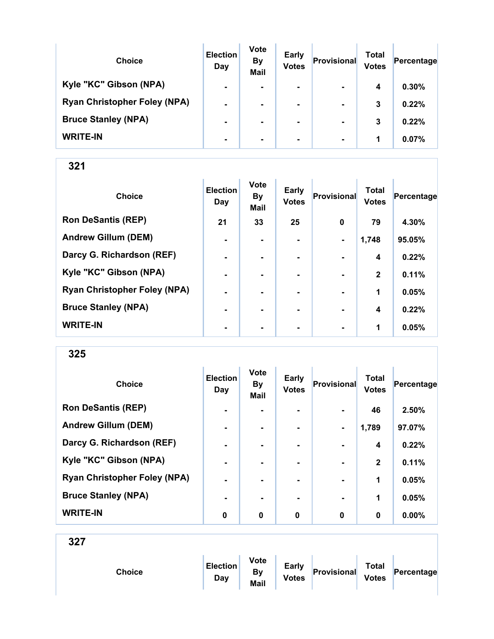| <b>Choice</b>                       | <b>Election</b><br>Day | <b>Vote</b><br><b>By</b><br><b>Mail</b> | <b>Early</b><br><b>Votes</b> | Provisional    | Total<br><b>Votes</b> | Percentage |
|-------------------------------------|------------------------|-----------------------------------------|------------------------------|----------------|-----------------------|------------|
| Kyle "KC" Gibson (NPA)              | $\blacksquare$         | $\blacksquare$                          | $\blacksquare$               | $\blacksquare$ | 4                     | 0.30%      |
| <b>Ryan Christopher Foley (NPA)</b> | $\blacksquare$         |                                         | $\blacksquare$               | $\blacksquare$ | 3                     | 0.22%      |
| <b>Bruce Stanley (NPA)</b>          | $\blacksquare$         |                                         | ۰.                           | $\blacksquare$ | 3                     | 0.22%      |
| <b>WRITE-IN</b>                     | $\blacksquare$         |                                         | $\blacksquare$               | $\blacksquare$ | 1                     | 0.07%      |

| <b>Choice</b>                       | <b>Election</b><br>Day | Vote<br><b>By</b><br>Mail | <b>Early</b><br><b>Votes</b> | Provisional    | <b>Total</b><br><b>Votes</b> | Percentage |
|-------------------------------------|------------------------|---------------------------|------------------------------|----------------|------------------------------|------------|
| <b>Ron DeSantis (REP)</b>           | 21                     | 33                        | 25                           | $\mathbf 0$    | 79                           | 4.30%      |
| <b>Andrew Gillum (DEM)</b>          | $\blacksquare$         |                           |                              | $\blacksquare$ | 1,748                        | 95.05%     |
| Darcy G. Richardson (REF)           | $\blacksquare$         | ۰.                        | ۰.                           |                | $\boldsymbol{4}$             | 0.22%      |
| Kyle "KC" Gibson (NPA)              | $\blacksquare$         |                           |                              |                | $\mathbf{2}$                 | 0.11%      |
| <b>Ryan Christopher Foley (NPA)</b> |                        |                           |                              |                | 1                            | 0.05%      |
| <b>Bruce Stanley (NPA)</b>          |                        |                           |                              |                | 4                            | 0.22%      |
| <b>WRITE-IN</b>                     | $\blacksquare$         | ۰                         | ۰                            | $\blacksquare$ | 1                            | 0.05%      |

325

| <b>Choice</b>                       | <b>Election</b><br>Day | <b>Vote</b><br><b>By</b><br>Mail | <b>Early</b><br><b>Votes</b> | Provisional    | <b>Total</b><br><b>Votes</b> | Percentage |
|-------------------------------------|------------------------|----------------------------------|------------------------------|----------------|------------------------------|------------|
| <b>Ron DeSantis (REP)</b>           | $\blacksquare$         |                                  |                              |                | 46                           | 2.50%      |
| <b>Andrew Gillum (DEM)</b>          | $\blacksquare$         |                                  | ۰                            | $\blacksquare$ | 1,789                        | 97.07%     |
| Darcy G. Richardson (REF)           | $\blacksquare$         | $\blacksquare$                   | $\blacksquare$               | $\blacksquare$ | 4                            | 0.22%      |
| Kyle "KC" Gibson (NPA)              |                        |                                  |                              |                | $\mathbf 2$                  | 0.11%      |
| <b>Ryan Christopher Foley (NPA)</b> | $\blacksquare$         |                                  | ۰.                           | $\blacksquare$ | 1                            | 0.05%      |
| <b>Bruce Stanley (NPA)</b>          |                        |                                  |                              | $\blacksquare$ | 1                            | 0.05%      |
| <b>WRITE-IN</b>                     | 0                      | $\bf{0}$                         | 0                            | $\bf{0}$       | $\bf{0}$                     | 0.00%      |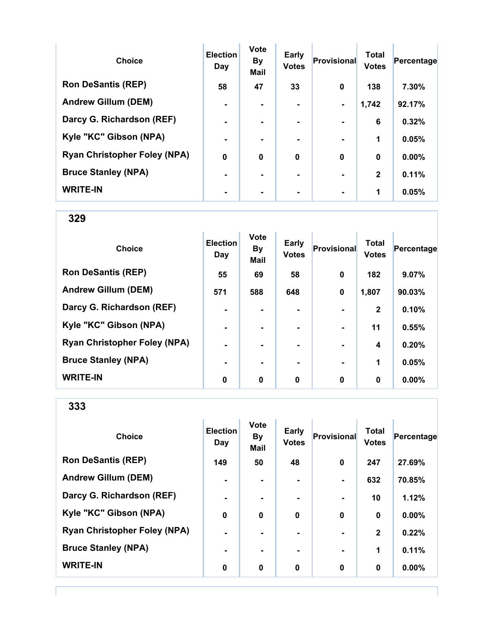| <b>Choice</b>                       | <b>Election</b><br>Day | <b>Vote</b><br><b>By</b><br><b>Mail</b> | <b>Early</b><br><b>Votes</b> | <b>Provisional</b> | <b>Total</b><br><b>Votes</b> | Percentage |
|-------------------------------------|------------------------|-----------------------------------------|------------------------------|--------------------|------------------------------|------------|
| <b>Ron DeSantis (REP)</b>           | 58                     | 47                                      | 33                           | 0                  | 138                          | 7.30%      |
| <b>Andrew Gillum (DEM)</b>          |                        |                                         |                              | ۰.                 | 1,742                        | 92.17%     |
| Darcy G. Richardson (REF)           | $\blacksquare$         |                                         | $\blacksquare$               | ۰.                 | 6                            | 0.32%      |
| Kyle "KC" Gibson (NPA)              | $\blacksquare$         |                                         |                              |                    | 1                            | 0.05%      |
| <b>Ryan Christopher Foley (NPA)</b> | $\mathbf 0$            | $\bf{0}$                                | $\bf{0}$                     | $\bf{0}$           | $\boldsymbol{0}$             | $0.00\%$   |
| <b>Bruce Stanley (NPA)</b>          |                        |                                         | -                            |                    | $\mathbf{2}$                 | 0.11%      |
| <b>WRITE-IN</b>                     |                        |                                         |                              |                    | 1                            | 0.05%      |

| <b>Choice</b>                       | <b>Election</b><br>Day | <b>Vote</b><br><b>By</b><br><b>Mail</b> | Early<br><b>Votes</b> | Provisional    | <b>Total</b><br><b>Votes</b> | Percentage |
|-------------------------------------|------------------------|-----------------------------------------|-----------------------|----------------|------------------------------|------------|
| <b>Ron DeSantis (REP)</b>           | 55                     | 69                                      | 58                    | $\mathbf 0$    | 182                          | 9.07%      |
| <b>Andrew Gillum (DEM)</b>          | 571                    | 588                                     | 648                   | 0              | 1,807                        | 90.03%     |
| Darcy G. Richardson (REF)           | ۰                      |                                         |                       |                | $\mathbf{2}$                 | 0.10%      |
| Kyle "KC" Gibson (NPA)              | $\blacksquare$         | $\blacksquare$                          | ۰                     | $\blacksquare$ | 11                           | 0.55%      |
| <b>Ryan Christopher Foley (NPA)</b> | $\blacksquare$         | ۰.                                      |                       | $\blacksquare$ | 4                            | 0.20%      |
| <b>Bruce Stanley (NPA)</b>          |                        |                                         |                       | $\blacksquare$ | 1                            | 0.05%      |
| <b>WRITE-IN</b>                     | 0                      | 0                                       | 0                     | 0              | 0                            | $0.00\%$   |

| <b>Choice</b>                       | <b>Election</b><br>Day | <b>Vote</b><br><b>By</b><br><b>Mail</b> | <b>Early</b><br><b>Votes</b> | <b>Provisional</b> | <b>Total</b><br><b>Votes</b> | Percentage |
|-------------------------------------|------------------------|-----------------------------------------|------------------------------|--------------------|------------------------------|------------|
| <b>Ron DeSantis (REP)</b>           | 149                    | 50                                      | 48                           | $\bf{0}$           | 247                          | 27.69%     |
| <b>Andrew Gillum (DEM)</b>          | ۰                      | $\blacksquare$                          | ۰                            | $\blacksquare$     | 632                          | 70.85%     |
| Darcy G. Richardson (REF)           | ۰                      | $\blacksquare$                          | ۰                            | $\blacksquare$     | 10                           | 1.12%      |
| Kyle "KC" Gibson (NPA)              | $\bf{0}$               | $\bf{0}$                                | $\bf{0}$                     | $\mathbf 0$        | $\mathbf 0$                  | $0.00\%$   |
| <b>Ryan Christopher Foley (NPA)</b> | $\blacksquare$         | $\blacksquare$                          | ۰.                           | $\blacksquare$     | $\mathbf{2}$                 | 0.22%      |
| <b>Bruce Stanley (NPA)</b>          | $\blacksquare$         | $\blacksquare$                          |                              | $\blacksquare$     | 1                            | 0.11%      |
| <b>WRITE-IN</b>                     | $\bf{0}$               | 0                                       | $\bf{0}$                     | $\mathbf 0$        | 0                            | 0.00%      |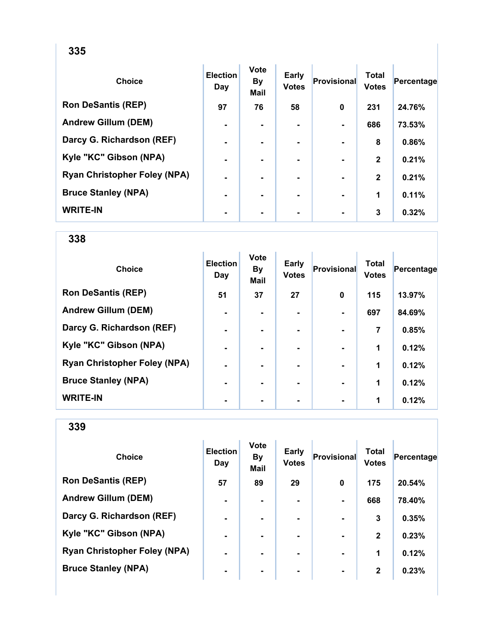| <b>Choice</b>                       | <b>Election</b><br>Day | <b>Vote</b><br><b>By</b><br><b>Mail</b> | <b>Early</b><br><b>Votes</b> | <b>Provisional</b> | <b>Total</b><br><b>Votes</b> | Percentage |
|-------------------------------------|------------------------|-----------------------------------------|------------------------------|--------------------|------------------------------|------------|
| <b>Ron DeSantis (REP)</b>           | 97                     | 76                                      | 58                           | 0                  | 231                          | 24.76%     |
| <b>Andrew Gillum (DEM)</b>          | $\blacksquare$         | $\blacksquare$                          |                              |                    | 686                          | 73.53%     |
| Darcy G. Richardson (REF)           | $\blacksquare$         | ۰.                                      |                              |                    | 8                            | 0.86%      |
| Kyle "KC" Gibson (NPA)              |                        |                                         |                              |                    | $\mathbf{2}$                 | 0.21%      |
| <b>Ryan Christopher Foley (NPA)</b> | $\blacksquare$         |                                         |                              |                    | $\mathbf{2}$                 | 0.21%      |
| <b>Bruce Stanley (NPA)</b>          | $\blacksquare$         | $\blacksquare$                          |                              | $\blacksquare$     | 1                            | 0.11%      |
| <b>WRITE-IN</b>                     | $\blacksquare$         |                                         | ۰                            |                    | 3                            | 0.32%      |

| <b>Choice</b>                       | <b>Election</b><br>Day | <b>Vote</b><br><b>By</b><br><b>Mail</b> | <b>Early</b><br><b>Votes</b> | Provisional | <b>Total</b><br><b>Votes</b> | Percentage |
|-------------------------------------|------------------------|-----------------------------------------|------------------------------|-------------|------------------------------|------------|
| <b>Ron DeSantis (REP)</b>           | 51                     | 37                                      | 27                           | 0           | 115                          | 13.97%     |
| <b>Andrew Gillum (DEM)</b>          | -                      |                                         |                              |             | 697                          | 84.69%     |
| Darcy G. Richardson (REF)           | $\blacksquare$         |                                         | ۰.                           |             | 7                            | 0.85%      |
| Kyle "KC" Gibson (NPA)              | $\blacksquare$         |                                         | ۰.                           |             | 1                            | 0.12%      |
| <b>Ryan Christopher Foley (NPA)</b> | $\blacksquare$         |                                         | ۰.                           |             | 1                            | 0.12%      |
| <b>Bruce Stanley (NPA)</b>          |                        |                                         |                              |             | 1                            | 0.12%      |
| <b>WRITE-IN</b>                     |                        |                                         |                              |             | 1                            | 0.12%      |

| <b>Choice</b>                       | <b>Election</b><br>Day | <b>Vote</b><br><b>By</b><br><b>Mail</b> | <b>Early</b><br><b>Votes</b> | Provisional    | Total<br><b>Votes</b> | Percentage |
|-------------------------------------|------------------------|-----------------------------------------|------------------------------|----------------|-----------------------|------------|
| <b>Ron DeSantis (REP)</b>           | 57                     | 89                                      | 29                           | 0              | 175                   | 20.54%     |
| <b>Andrew Gillum (DEM)</b>          | $\blacksquare$         |                                         | ۰.                           |                | 668                   | 78.40%     |
| Darcy G. Richardson (REF)           | $\blacksquare$         | $\blacksquare$                          | $\blacksquare$               |                | 3                     | 0.35%      |
| Kyle "KC" Gibson (NPA)              | $\blacksquare$         |                                         | ۰.                           | $\blacksquare$ | $\mathbf{2}$          | 0.23%      |
| <b>Ryan Christopher Foley (NPA)</b> | $\blacksquare$         |                                         | ۰.                           |                | 1                     | 0.12%      |
| <b>Bruce Stanley (NPA)</b>          | ۰                      | ۰                                       | ۰                            | $\blacksquare$ | $\mathbf{2}$          | 0.23%      |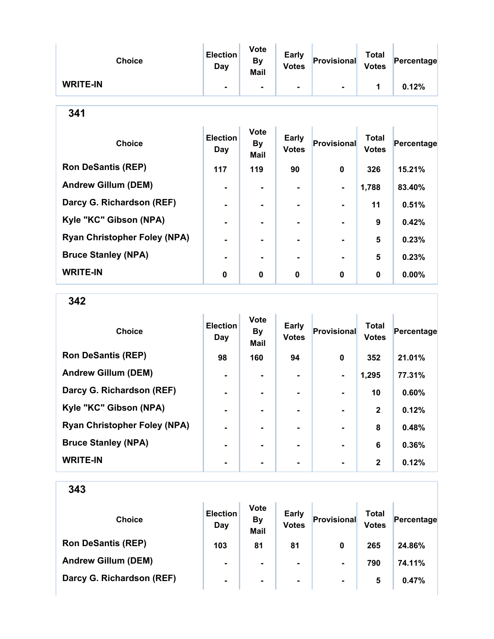| <b>Choice</b>   | <b>Election</b><br>Day | <b>Vote</b><br><b>By</b><br><b>Mail</b> | <b>Early</b><br><b>Votes</b> | Provisional    | <b>Total</b><br><b>Votes</b> | Percentage |
|-----------------|------------------------|-----------------------------------------|------------------------------|----------------|------------------------------|------------|
| <b>WRITE-IN</b> |                        | $\blacksquare$                          | ۰                            | $\blacksquare$ |                              | 0.12%      |

| <b>Choice</b>                       | <b>Election</b><br>Day | <b>Vote</b><br><b>By</b><br><b>Mail</b> | Early<br><b>Votes</b> | <b>Provisional</b> | <b>Total</b><br><b>Votes</b> | Percentage |
|-------------------------------------|------------------------|-----------------------------------------|-----------------------|--------------------|------------------------------|------------|
| <b>Ron DeSantis (REP)</b>           | 117                    | 119                                     | 90                    | 0                  | 326                          | 15.21%     |
| <b>Andrew Gillum (DEM)</b>          | $\blacksquare$         |                                         | $\blacksquare$        | ۰.                 | 1,788                        | 83.40%     |
| Darcy G. Richardson (REF)           | $\blacksquare$         |                                         |                       | $\blacksquare$     | 11                           | 0.51%      |
| Kyle "KC" Gibson (NPA)              | $\blacksquare$         |                                         |                       |                    | 9                            | 0.42%      |
| <b>Ryan Christopher Foley (NPA)</b> |                        |                                         |                       |                    | 5                            | 0.23%      |
| <b>Bruce Stanley (NPA)</b>          |                        |                                         |                       |                    | 5                            | 0.23%      |
| <b>WRITE-IN</b>                     | 0                      | $\bf{0}$                                | 0                     | $\bf{0}$           | $\bf{0}$                     | $0.00\%$   |

342

| <b>Choice</b>                       | <b>Election</b><br>Day | <b>Vote</b><br><b>By</b><br><b>Mail</b> | Early<br><b>Votes</b> | <b>Provisional</b> | <b>Total</b><br><b>Votes</b> | Percentage |
|-------------------------------------|------------------------|-----------------------------------------|-----------------------|--------------------|------------------------------|------------|
| <b>Ron DeSantis (REP)</b>           | 98                     | 160                                     | 94                    | $\bf{0}$           | 352                          | 21.01%     |
| <b>Andrew Gillum (DEM)</b>          | $\blacksquare$         |                                         |                       | $\blacksquare$     | 1,295                        | 77.31%     |
| Darcy G. Richardson (REF)           | -                      |                                         |                       |                    | 10                           | 0.60%      |
| Kyle "KC" Gibson (NPA)              | $\blacksquare$         | -                                       | ۰.                    | $\blacksquare$     | $\mathbf{2}$                 | 0.12%      |
| <b>Ryan Christopher Foley (NPA)</b> | $\blacksquare$         |                                         |                       |                    | 8                            | 0.48%      |
| <b>Bruce Stanley (NPA)</b>          | $\blacksquare$         |                                         |                       |                    | 6                            | 0.36%      |
| <b>WRITE-IN</b>                     |                        |                                         |                       | $\blacksquare$     | $\mathbf{2}$                 | 0.12%      |

| <b>Choice</b>              | <b>Election</b><br>Day | <b>Vote</b><br><b>By</b><br><b>Mail</b> | <b>Early</b><br><b>Votes</b> | Provisional    | Total<br><b>Votes</b> | Percentage |
|----------------------------|------------------------|-----------------------------------------|------------------------------|----------------|-----------------------|------------|
| <b>Ron DeSantis (REP)</b>  | 103                    | 81                                      | 81                           | 0              | 265                   | 24.86%     |
| <b>Andrew Gillum (DEM)</b> | $\blacksquare$         | $\blacksquare$                          | $\blacksquare$               | $\blacksquare$ | 790                   | 74.11%     |
| Darcy G. Richardson (REF)  | $\blacksquare$         | ۰                                       | $\blacksquare$               | $\blacksquare$ | 5                     | 0.47%      |
|                            |                        |                                         |                              |                |                       |            |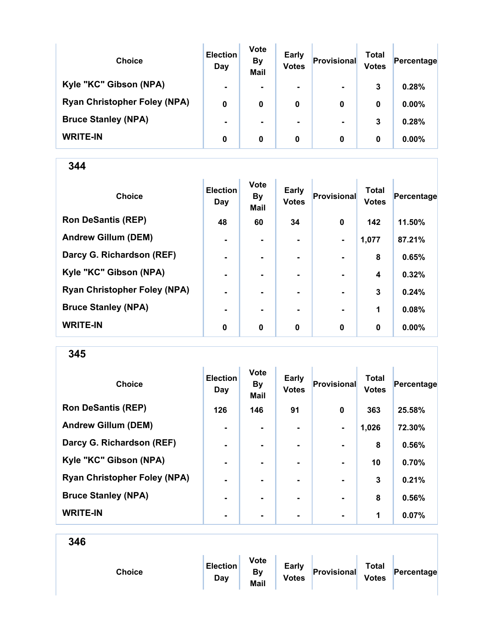| <b>Choice</b>                       | <b>Election</b><br>Day | <b>Vote</b><br><b>By</b><br><b>Mail</b> | <b>Early</b><br><b>Votes</b> | Provisional    | Total<br><b>Votes</b> | Percentage |
|-------------------------------------|------------------------|-----------------------------------------|------------------------------|----------------|-----------------------|------------|
| Kyle "KC" Gibson (NPA)              | $\blacksquare$         |                                         | $\blacksquare$               | $\blacksquare$ | 3                     | 0.28%      |
| <b>Ryan Christopher Foley (NPA)</b> | 0                      | 0                                       | 0                            | 0              | 0                     | $0.00\%$   |
| <b>Bruce Stanley (NPA)</b>          | $\blacksquare$         |                                         |                              | $\blacksquare$ | 3                     | 0.28%      |
| <b>WRITE-IN</b>                     | 0                      | 0                                       | 0                            | 0              | 0                     | $0.00\%$   |

| <b>Choice</b>                       | <b>Election</b><br>Day | <b>Vote</b><br><b>By</b><br>Mail | <b>Early</b><br><b>Votes</b> | Provisional    | <b>Total</b><br><b>Votes</b> | Percentage |
|-------------------------------------|------------------------|----------------------------------|------------------------------|----------------|------------------------------|------------|
| <b>Ron DeSantis (REP)</b>           | 48                     | 60                               | 34                           | $\mathbf 0$    | 142                          | 11.50%     |
| <b>Andrew Gillum (DEM)</b>          | $\blacksquare$         |                                  |                              | $\blacksquare$ | 1,077                        | 87.21%     |
| Darcy G. Richardson (REF)           | $\blacksquare$         | $\blacksquare$                   | ۰.                           | $\blacksquare$ | 8                            | 0.65%      |
| Kyle "KC" Gibson (NPA)              | $\blacksquare$         | $\blacksquare$                   |                              | $\blacksquare$ | 4                            | 0.32%      |
| <b>Ryan Christopher Foley (NPA)</b> | ۰                      |                                  |                              |                | 3                            | 0.24%      |
| <b>Bruce Stanley (NPA)</b>          | $\blacksquare$         |                                  |                              |                | 1                            | 0.08%      |
| <b>WRITE-IN</b>                     | 0                      | $\bf{0}$                         | $\bf{0}$                     | $\mathbf 0$    | $\bf{0}$                     | $0.00\%$   |

345

| <b>Choice</b>                       | <b>Election</b><br>Day | <b>Vote</b><br><b>By</b><br><b>Mail</b> | <b>Early</b><br><b>Votes</b> | Provisional    | <b>Total</b><br><b>Votes</b> | Percentage |
|-------------------------------------|------------------------|-----------------------------------------|------------------------------|----------------|------------------------------|------------|
| <b>Ron DeSantis (REP)</b>           | 126                    | 146                                     | 91                           | $\mathbf{0}$   | 363                          | 25.58%     |
| <b>Andrew Gillum (DEM)</b>          | $\blacksquare$         | ۰                                       | ۰                            | $\blacksquare$ | 1,026                        | 72.30%     |
| Darcy G. Richardson (REF)           | $\blacksquare$         | ۰.                                      | ۰.                           |                | 8                            | 0.56%      |
| Kyle "KC" Gibson (NPA)              | $\blacksquare$         |                                         | ۰.                           |                | 10                           | 0.70%      |
| <b>Ryan Christopher Foley (NPA)</b> | $\blacksquare$         |                                         | ۰.                           | $\blacksquare$ | 3                            | 0.21%      |
| <b>Bruce Stanley (NPA)</b>          | $\blacksquare$         |                                         |                              | $\blacksquare$ | 8                            | 0.56%      |
| <b>WRITE-IN</b>                     | $\blacksquare$         |                                         |                              | $\blacksquare$ | 1                            | 0.07%      |

346

Choice

|  | <b>Election</b><br>Dav | <b>Vote</b><br>B٧<br>Mail | <b>Early</b><br><b>Votes</b> | Provisional | Total<br><b>Votes</b> | Percentage |
|--|------------------------|---------------------------|------------------------------|-------------|-----------------------|------------|
|--|------------------------|---------------------------|------------------------------|-------------|-----------------------|------------|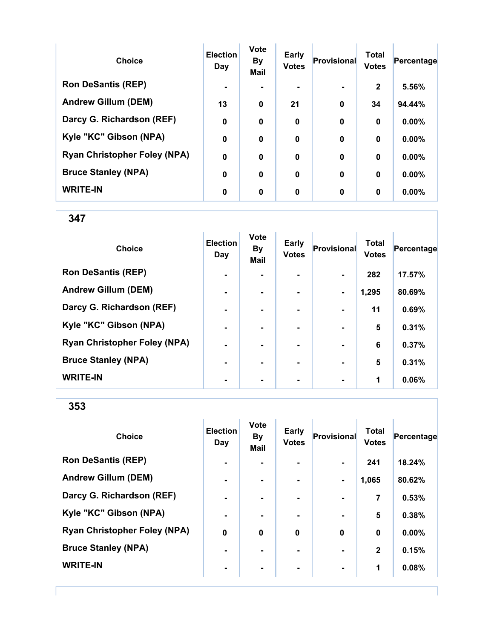| <b>Choice</b>                       | <b>Election</b><br>Day | <b>Vote</b><br><b>By</b><br><b>Mail</b> | <b>Early</b><br><b>Votes</b> | <b>Provisional</b> | <b>Total</b><br><b>Votes</b> | Percentage |
|-------------------------------------|------------------------|-----------------------------------------|------------------------------|--------------------|------------------------------|------------|
| <b>Ron DeSantis (REP)</b>           |                        |                                         | ۰.                           | $\blacksquare$     | $\mathbf{2}$                 | 5.56%      |
| <b>Andrew Gillum (DEM)</b>          | 13                     | $\bf{0}$                                | 21                           | $\bf{0}$           | 34                           | 94.44%     |
| Darcy G. Richardson (REF)           | $\mathbf 0$            | 0                                       | $\mathbf 0$                  | $\bf{0}$           | $\mathbf 0$                  | 0.00%      |
| Kyle "KC" Gibson (NPA)              | $\mathbf 0$            | 0                                       | $\mathbf 0$                  | 0                  | 0                            | 0.00%      |
| <b>Ryan Christopher Foley (NPA)</b> | $\mathbf 0$            | $\mathbf 0$                             | $\mathbf 0$                  | $\bf{0}$           | $\mathbf 0$                  | 0.00%      |
| <b>Bruce Stanley (NPA)</b>          | 0                      | 0                                       | 0                            | $\bf{0}$           | $\bf{0}$                     | $0.00\%$   |
| <b>WRITE-IN</b>                     | 0                      | 0                                       | 0                            | $\bf{0}$           | $\bf{0}$                     | $0.00\%$   |

| <b>Choice</b>                       | <b>Election</b><br>Day | <b>Vote</b><br><b>By</b><br><b>Mail</b> | <b>Early</b><br><b>Votes</b> | Provisional    | <b>Total</b><br><b>Votes</b> | Percentage |
|-------------------------------------|------------------------|-----------------------------------------|------------------------------|----------------|------------------------------|------------|
| <b>Ron DeSantis (REP)</b>           | $\blacksquare$         |                                         |                              |                | 282                          | 17.57%     |
| <b>Andrew Gillum (DEM)</b>          | $\blacksquare$         |                                         |                              | $\blacksquare$ | 1,295                        | 80.69%     |
| Darcy G. Richardson (REF)           | $\blacksquare$         |                                         |                              |                | 11                           | 0.69%      |
| Kyle "KC" Gibson (NPA)              | ٠                      |                                         |                              |                | 5                            | 0.31%      |
| <b>Ryan Christopher Foley (NPA)</b> | $\blacksquare$         |                                         | ۰                            |                | 6                            | 0.37%      |
| <b>Bruce Stanley (NPA)</b>          | $\blacksquare$         |                                         | ۰.                           |                | $5\phantom{1}$               | 0.31%      |
| <b>WRITE-IN</b>                     | ٠                      |                                         |                              |                | 1                            | 0.06%      |

| <b>Choice</b>                       | <b>Election</b><br>Day | <b>Vote</b><br><b>By</b><br><b>Mail</b> | Early<br><b>Votes</b> | <b>Provisional</b> | <b>Total</b><br><b>Votes</b> | Percentage |
|-------------------------------------|------------------------|-----------------------------------------|-----------------------|--------------------|------------------------------|------------|
| <b>Ron DeSantis (REP)</b>           | $\blacksquare$         |                                         | $\blacksquare$        | $\blacksquare$     | 241                          | 18.24%     |
| <b>Andrew Gillum (DEM)</b>          | $\blacksquare$         | ۰                                       | $\blacksquare$        | $\blacksquare$     | 1,065                        | 80.62%     |
| Darcy G. Richardson (REF)           | $\blacksquare$         | ۰.                                      | ۰.                    | $\blacksquare$     | 7                            | 0.53%      |
| Kyle "KC" Gibson (NPA)              | $\blacksquare$         |                                         |                       |                    | 5                            | 0.38%      |
| <b>Ryan Christopher Foley (NPA)</b> | 0                      | $\bf{0}$                                | 0                     | 0                  | 0                            | 0.00%      |
| <b>Bruce Stanley (NPA)</b>          | $\blacksquare$         |                                         | $\blacksquare$        |                    | $\mathbf{2}$                 | 0.15%      |
| <b>WRITE-IN</b>                     | $\blacksquare$         |                                         |                       | $\blacksquare$     | 1                            | 0.08%      |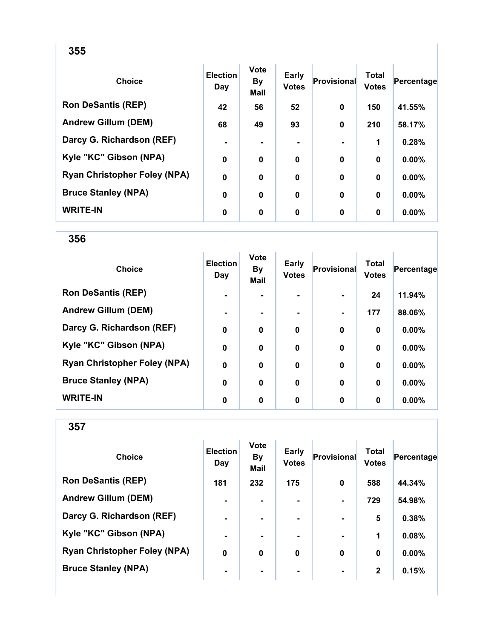| <b>Choice</b>                       | <b>Election</b><br>Day | <b>Vote</b><br><b>By</b><br>Mail | <b>Early</b><br><b>Votes</b> | <b>Provisional</b> | Total<br><b>Votes</b> | Percentage |
|-------------------------------------|------------------------|----------------------------------|------------------------------|--------------------|-----------------------|------------|
| <b>Ron DeSantis (REP)</b>           | 42                     | 56                               | 52                           | 0                  | 150                   | 41.55%     |
| <b>Andrew Gillum (DEM)</b>          | 68                     | 49                               | 93                           | $\mathbf 0$        | 210                   | 58.17%     |
| Darcy G. Richardson (REF)           | $\blacksquare$         |                                  |                              |                    | 1                     | 0.28%      |
| Kyle "KC" Gibson (NPA)              | $\mathbf 0$            | 0                                | 0                            | 0                  | $\bf{0}$              | 0.00%      |
| <b>Ryan Christopher Foley (NPA)</b> | $\mathbf 0$            | 0                                | $\mathbf 0$                  | 0                  | $\bf{0}$              | 0.00%      |
| <b>Bruce Stanley (NPA)</b>          | $\mathbf 0$            | 0                                | $\mathbf 0$                  | 0                  | $\bf{0}$              | 0.00%      |
| <b>WRITE-IN</b>                     | 0                      | $\mathbf 0$                      | $\mathbf 0$                  | 0                  | 0                     | $0.00\%$   |

| <b>Choice</b>                       | <b>Election</b><br>Day | <b>Vote</b><br><b>By</b><br><b>Mail</b> | <b>Early</b><br><b>Votes</b> | Provisional | <b>Total</b><br><b>Votes</b> | Percentage |
|-------------------------------------|------------------------|-----------------------------------------|------------------------------|-------------|------------------------------|------------|
| <b>Ron DeSantis (REP)</b>           | $\blacksquare$         |                                         |                              |             | 24                           | 11.94%     |
| <b>Andrew Gillum (DEM)</b>          | $\blacksquare$         |                                         |                              |             | 177                          | 88.06%     |
| Darcy G. Richardson (REF)           | $\mathbf 0$            | 0                                       | 0                            | $\bf{0}$    | $\bf{0}$                     | 0.00%      |
| Kyle "KC" Gibson (NPA)              | $\bf{0}$               | 0                                       | $\bf{0}$                     | $\bf{0}$    | $\bf{0}$                     | 0.00%      |
| <b>Ryan Christopher Foley (NPA)</b> | $\bf{0}$               | $\bf{0}$                                | $\boldsymbol{0}$             | $\bf{0}$    | $\bf{0}$                     | 0.00%      |
| <b>Bruce Stanley (NPA)</b>          | $\mathbf 0$            | $\bf{0}$                                | $\mathbf 0$                  | $\bf{0}$    | $\bf{0}$                     | 0.00%      |
| <b>WRITE-IN</b>                     | 0                      | 0                                       | 0                            | 0           | 0                            | $0.00\%$   |

| <b>Choice</b>                       | <b>Election</b><br>Day | <b>Vote</b><br><b>By</b><br><b>Mail</b> | Early<br><b>Votes</b> | <b>Provisional</b> | <b>Total</b><br><b>Votes</b> | Percentage |
|-------------------------------------|------------------------|-----------------------------------------|-----------------------|--------------------|------------------------------|------------|
| <b>Ron DeSantis (REP)</b>           | 181                    | 232                                     | 175                   | $\mathbf 0$        | 588                          | 44.34%     |
| <b>Andrew Gillum (DEM)</b>          | $\blacksquare$         |                                         |                       |                    | 729                          | 54.98%     |
| Darcy G. Richardson (REF)           | $\blacksquare$         | ۰.                                      | ۰                     | $\blacksquare$     | 5                            | 0.38%      |
| Kyle "KC" Gibson (NPA)              | $\blacksquare$         | ۰.                                      |                       |                    | 1                            | 0.08%      |
| <b>Ryan Christopher Foley (NPA)</b> | 0                      | $\mathbf 0$                             | 0                     | $\bf{0}$           | $\bf{0}$                     | $0.00\%$   |
| <b>Bruce Stanley (NPA)</b>          | $\blacksquare$         | ۰                                       | ۰                     | $\blacksquare$     | $\mathbf{2}$                 | 0.15%      |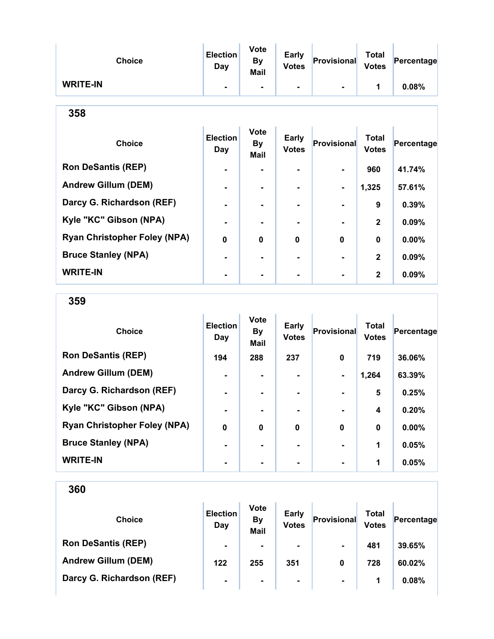| <b>Choice</b>   | <b>Election</b><br>Day   | <b>Vote</b><br>By<br><b>Mail</b> | <b>Early</b><br><b>Votes</b> | Provisional | <b>Total</b><br><b>Votes</b> | Percentage |
|-----------------|--------------------------|----------------------------------|------------------------------|-------------|------------------------------|------------|
| <b>WRITE-IN</b> | $\overline{\phantom{a}}$ | $\blacksquare$                   | ۰                            |             |                              | 0.08%      |

| <b>Choice</b>                       | <b>Election</b><br>Day | <b>Vote</b><br><b>By</b><br><b>Mail</b> | Early<br><b>Votes</b> | <b>Provisional</b> | <b>Total</b><br><b>Votes</b> | Percentage |
|-------------------------------------|------------------------|-----------------------------------------|-----------------------|--------------------|------------------------------|------------|
| <b>Ron DeSantis (REP)</b>           | $\blacksquare$         | ۰                                       | $\blacksquare$        | ۰.                 | 960                          | 41.74%     |
| <b>Andrew Gillum (DEM)</b>          | $\blacksquare$         | $\blacksquare$                          | $\blacksquare$        | ۰                  | 1,325                        | 57.61%     |
| Darcy G. Richardson (REF)           | $\blacksquare$         | ۰.                                      | $\blacksquare$        |                    | 9                            | 0.39%      |
| Kyle "KC" Gibson (NPA)              |                        |                                         |                       |                    | $\mathbf{2}$                 | 0.09%      |
| <b>Ryan Christopher Foley (NPA)</b> | 0                      | $\bf{0}$                                | $\mathbf 0$           | $\bf{0}$           | $\bf{0}$                     | 0.00%      |
| <b>Bruce Stanley (NPA)</b>          |                        |                                         | -                     |                    | $\mathbf{2}$                 | 0.09%      |
| <b>WRITE-IN</b>                     |                        |                                         |                       |                    | $\mathbf{2}$                 | 0.09%      |

359

| <b>Choice</b>                       | <b>Election</b><br>Day | <b>Vote</b><br><b>By</b><br><b>Mail</b> | <b>Early</b><br><b>Votes</b> | <b>Provisional</b> | <b>Total</b><br><b>Votes</b> | Percentage |
|-------------------------------------|------------------------|-----------------------------------------|------------------------------|--------------------|------------------------------|------------|
| <b>Ron DeSantis (REP)</b>           | 194                    | 288                                     | 237                          | $\bf{0}$           | 719                          | 36.06%     |
| <b>Andrew Gillum (DEM)</b>          |                        |                                         |                              | $\blacksquare$     | 1,264                        | 63.39%     |
| Darcy G. Richardson (REF)           | $\blacksquare$         |                                         | ۰.                           |                    | 5                            | 0.25%      |
| Kyle "KC" Gibson (NPA)              | $\blacksquare$         |                                         |                              |                    | 4                            | 0.20%      |
| <b>Ryan Christopher Foley (NPA)</b> | $\mathbf 0$            | 0                                       | $\bf{0}$                     | $\bf{0}$           | $\bf{0}$                     | 0.00%      |
| <b>Bruce Stanley (NPA)</b>          |                        |                                         |                              |                    | 1                            | 0.05%      |
| <b>WRITE-IN</b>                     |                        |                                         | ۰.                           |                    | 1                            | 0.05%      |

| <b>Choice</b>              | <b>Election</b><br>Day | <b>Vote</b><br><b>By</b><br><b>Mail</b> | <b>Early</b><br><b>Votes</b> | Provisional    | Total<br><b>Votes</b> | Percentage |
|----------------------------|------------------------|-----------------------------------------|------------------------------|----------------|-----------------------|------------|
| <b>Ron DeSantis (REP)</b>  | $\blacksquare$         | $\blacksquare$                          | $\blacksquare$               | $\blacksquare$ | 481                   | 39.65%     |
| <b>Andrew Gillum (DEM)</b> | 122                    | 255                                     | 351                          | 0              | 728                   | 60.02%     |
| Darcy G. Richardson (REF)  | $\blacksquare$         | $\blacksquare$                          | $\blacksquare$               | $\blacksquare$ | 1                     | 0.08%      |
|                            |                        |                                         |                              |                |                       |            |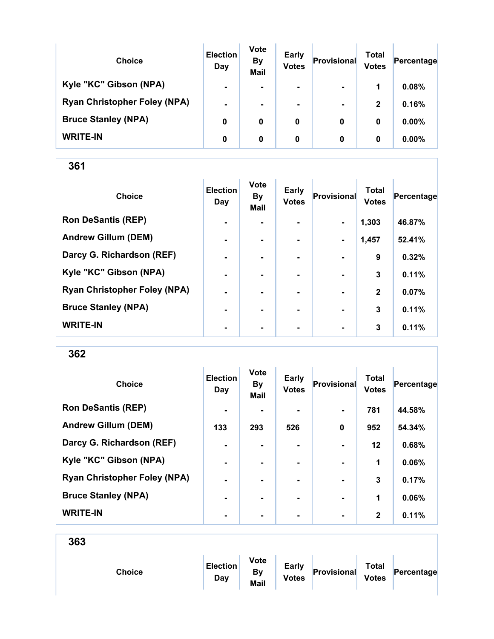| <b>Choice</b>                       | <b>Election</b><br>Day | <b>Vote</b><br><b>By</b><br><b>Mail</b> | <b>Early</b><br><b>Votes</b> | Provisional    | Total<br><b>Votes</b> | Percentage |
|-------------------------------------|------------------------|-----------------------------------------|------------------------------|----------------|-----------------------|------------|
| Kyle "KC" Gibson (NPA)              | $\blacksquare$         | ۰                                       | $\blacksquare$               | $\blacksquare$ | 1                     | 0.08%      |
| <b>Ryan Christopher Foley (NPA)</b> | $\blacksquare$         | ۰                                       | ۰.                           | $\blacksquare$ | $\mathbf{2}$          | 0.16%      |
| <b>Bruce Stanley (NPA)</b>          | 0                      | 0                                       | 0                            | 0              | 0                     | $0.00\%$   |
| <b>WRITE-IN</b>                     | 0                      | 0                                       | 0                            | 0              | 0                     | 0.00%      |

| <b>Choice</b>                       | <b>Election</b><br>Day | <b>Vote</b><br><b>By</b><br><b>Mail</b> | <b>Early</b><br><b>Votes</b> | Provisional    | <b>Total</b><br><b>Votes</b> | Percentage |
|-------------------------------------|------------------------|-----------------------------------------|------------------------------|----------------|------------------------------|------------|
| <b>Ron DeSantis (REP)</b>           | $\blacksquare$         |                                         |                              | $\blacksquare$ | 1,303                        | 46.87%     |
| <b>Andrew Gillum (DEM)</b>          | $\blacksquare$         |                                         |                              |                | 1,457                        | 52.41%     |
| Darcy G. Richardson (REF)           | $\blacksquare$         | $\blacksquare$                          |                              | $\blacksquare$ | 9                            | 0.32%      |
| Kyle "KC" Gibson (NPA)              | $\blacksquare$         |                                         |                              |                | 3                            | 0.11%      |
| <b>Ryan Christopher Foley (NPA)</b> | ۰                      |                                         |                              |                | $\mathbf 2$                  | 0.07%      |
| <b>Bruce Stanley (NPA)</b>          | ۰                      |                                         |                              |                | 3                            | 0.11%      |
| <b>WRITE-IN</b>                     | $\blacksquare$         | $\blacksquare$                          | ۰                            | $\blacksquare$ | 3                            | 0.11%      |

362

| <b>Choice</b>                       | <b>Election</b><br>Day | <b>Vote</b><br><b>By</b><br>Mail | <b>Early</b><br><b>Votes</b> | Provisional    | <b>Total</b><br><b>Votes</b> | Percentage |
|-------------------------------------|------------------------|----------------------------------|------------------------------|----------------|------------------------------|------------|
| <b>Ron DeSantis (REP)</b>           | $\blacksquare$         |                                  |                              | $\blacksquare$ | 781                          | 44.58%     |
| <b>Andrew Gillum (DEM)</b>          | 133                    | 293                              | 526                          | 0              | 952                          | 54.34%     |
| Darcy G. Richardson (REF)           | $\blacksquare$         |                                  |                              | $\blacksquare$ | $12 \,$                      | 0.68%      |
| Kyle "KC" Gibson (NPA)              | $\blacksquare$         |                                  |                              |                | 1                            | 0.06%      |
| <b>Ryan Christopher Foley (NPA)</b> | $\blacksquare$         |                                  | ۰.                           | $\blacksquare$ | 3                            | 0.17%      |
| <b>Bruce Stanley (NPA)</b>          | $\blacksquare$         | -                                | ۰.                           | $\blacksquare$ | 1                            | 0.06%      |
| <b>WRITE-IN</b>                     | $\blacksquare$         |                                  | ۰                            | $\blacksquare$ | $\mathbf{2}$                 | 0.11%      |

| Choice | <b>Election</b><br>Day | <b>Vote</b><br>By<br>Mail | <b>Early</b><br><b>Votes</b> | Provisional | <b>Total</b><br><b>Votes</b> | Percentage |  |
|--------|------------------------|---------------------------|------------------------------|-------------|------------------------------|------------|--|
|        |                        |                           |                              |             |                              |            |  |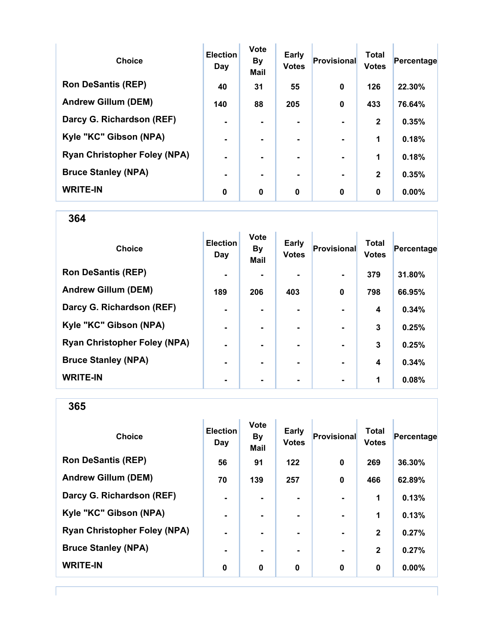| <b>Choice</b>                       | <b>Election</b><br>Day | <b>Vote</b><br><b>By</b><br><b>Mail</b> | <b>Early</b><br><b>Votes</b> | <b>Provisional</b> | <b>Total</b><br><b>Votes</b> | Percentage |
|-------------------------------------|------------------------|-----------------------------------------|------------------------------|--------------------|------------------------------|------------|
| <b>Ron DeSantis (REP)</b>           | 40                     | 31                                      | 55                           | $\bf{0}$           | 126                          | 22.30%     |
| <b>Andrew Gillum (DEM)</b>          | 140                    | 88                                      | 205                          | $\bf{0}$           | 433                          | 76.64%     |
| Darcy G. Richardson (REF)           |                        |                                         |                              |                    | $\mathbf{2}$                 | 0.35%      |
| Kyle "KC" Gibson (NPA)              | $\blacksquare$         | ۰                                       | $\blacksquare$               | $\blacksquare$     | 1                            | 0.18%      |
| <b>Ryan Christopher Foley (NPA)</b> | $\blacksquare$         |                                         | ۰.                           | $\blacksquare$     | 1                            | 0.18%      |
| <b>Bruce Stanley (NPA)</b>          | $\blacksquare$         |                                         | ۰.                           |                    | $\mathbf{2}$                 | 0.35%      |
| <b>WRITE-IN</b>                     | 0                      | $\mathbf 0$                             | 0                            | $\bf{0}$           | 0                            | $0.00\%$   |

| <b>Choice</b>                       | <b>Election</b><br>Day | <b>Vote</b><br><b>By</b><br>Mail | <b>Early</b><br><b>Votes</b> | <b>Provisional</b> | <b>Total</b><br><b>Votes</b> | Percentage |
|-------------------------------------|------------------------|----------------------------------|------------------------------|--------------------|------------------------------|------------|
| <b>Ron DeSantis (REP)</b>           | $\blacksquare$         |                                  |                              | $\blacksquare$     | 379                          | 31.80%     |
| <b>Andrew Gillum (DEM)</b>          | 189                    | 206                              | 403                          | 0                  | 798                          | 66.95%     |
| Darcy G. Richardson (REF)           | $\blacksquare$         |                                  |                              |                    | 4                            | 0.34%      |
| Kyle "KC" Gibson (NPA)              | $\blacksquare$         |                                  |                              | $\blacksquare$     | 3                            | 0.25%      |
| <b>Ryan Christopher Foley (NPA)</b> | $\blacksquare$         | $\blacksquare$                   |                              | $\blacksquare$     | 3                            | 0.25%      |
| <b>Bruce Stanley (NPA)</b>          | $\blacksquare$         |                                  |                              | $\blacksquare$     | 4                            | 0.34%      |
| <b>WRITE-IN</b>                     |                        |                                  |                              | $\blacksquare$     | 1                            | 0.08%      |

365

| <b>Choice</b>                       | <b>Election</b><br>Day | <b>Vote</b><br><b>By</b><br><b>Mail</b> | <b>Early</b><br><b>Votes</b> | <b>Provisional</b> | <b>Total</b><br><b>Votes</b> | Percentage |
|-------------------------------------|------------------------|-----------------------------------------|------------------------------|--------------------|------------------------------|------------|
| <b>Ron DeSantis (REP)</b>           | 56                     | 91                                      | $122$                        | $\bf{0}$           | 269                          | 36.30%     |
| <b>Andrew Gillum (DEM)</b>          | 70                     | 139                                     | 257                          | $\bf{0}$           | 466                          | 62.89%     |
| Darcy G. Richardson (REF)           | $\blacksquare$         | $\blacksquare$                          |                              |                    | 1                            | 0.13%      |
| Kyle "KC" Gibson (NPA)              | $\blacksquare$         |                                         |                              | $\blacksquare$     | 1                            | 0.13%      |
| <b>Ryan Christopher Foley (NPA)</b> | $\blacksquare$         | $\blacksquare$                          |                              | $\blacksquare$     | $\overline{2}$               | 0.27%      |
| <b>Bruce Stanley (NPA)</b>          | $\blacksquare$         |                                         | ۰                            | $\blacksquare$     | $\overline{2}$               | 0.27%      |
| <b>WRITE-IN</b>                     | 0                      | $\mathbf 0$                             | $\mathbf 0$                  | $\bf{0}$           | 0                            | 0.00%      |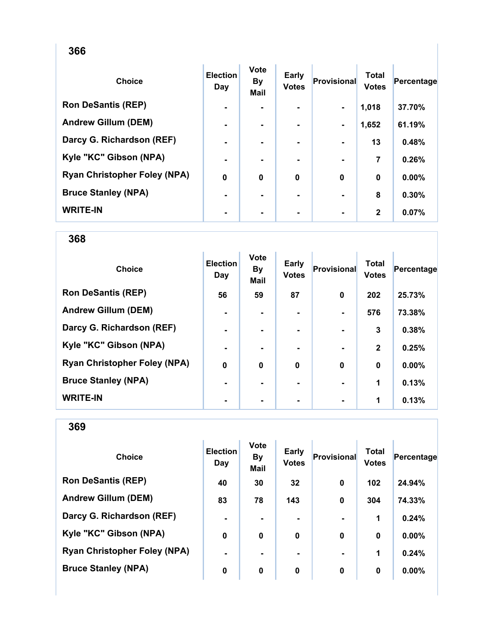| <b>Choice</b>                       | <b>Election</b><br>Day | <b>Vote</b><br><b>By</b><br>Mail | <b>Early</b><br><b>Votes</b> | <b>Provisional</b> | <b>Total</b><br><b>Votes</b> | Percentage |
|-------------------------------------|------------------------|----------------------------------|------------------------------|--------------------|------------------------------|------------|
| <b>Ron DeSantis (REP)</b>           | $\blacksquare$         |                                  |                              | $\blacksquare$     | 1,018                        | 37.70%     |
| <b>Andrew Gillum (DEM)</b>          | $\blacksquare$         | $\blacksquare$                   |                              | $\blacksquare$     | 1,652                        | 61.19%     |
| Darcy G. Richardson (REF)           | $\blacksquare$         |                                  |                              |                    | 13                           | 0.48%      |
| Kyle "KC" Gibson (NPA)              | $\blacksquare$         |                                  |                              |                    | 7                            | 0.26%      |
| <b>Ryan Christopher Foley (NPA)</b> | $\mathbf 0$            | $\bf{0}$                         | 0                            | $\bf{0}$           | $\bf{0}$                     | 0.00%      |
| <b>Bruce Stanley (NPA)</b>          | $\blacksquare$         |                                  |                              |                    | 8                            | 0.30%      |
| <b>WRITE-IN</b>                     | $\blacksquare$         |                                  |                              |                    | $\mathbf{2}$                 | 0.07%      |

368

| <b>Choice</b>                       | <b>Election</b><br>Day | <b>Vote</b><br>By<br><b>Mail</b> | Early<br><b>Votes</b> | Provisional | <b>Total</b><br><b>Votes</b> | Percentage |
|-------------------------------------|------------------------|----------------------------------|-----------------------|-------------|------------------------------|------------|
| <b>Ron DeSantis (REP)</b>           | 56                     | 59                               | 87                    | 0           | 202                          | 25.73%     |
| <b>Andrew Gillum (DEM)</b>          | $\blacksquare$         |                                  |                       |             | 576                          | 73.38%     |
| Darcy G. Richardson (REF)           | $\blacksquare$         |                                  | ۰.                    |             | 3                            | 0.38%      |
| Kyle "KC" Gibson (NPA)              | $\blacksquare$         |                                  | ۰.                    |             | $\mathbf{2}$                 | 0.25%      |
| <b>Ryan Christopher Foley (NPA)</b> | $\mathbf 0$            | $\mathbf 0$                      | $\mathbf 0$           | $\bf{0}$    | $\bf{0}$                     | 0.00%      |
| <b>Bruce Stanley (NPA)</b>          | $\blacksquare$         |                                  |                       |             | 1                            | 0.13%      |
| <b>WRITE-IN</b>                     |                        |                                  |                       |             | 1                            | 0.13%      |

| <b>Choice</b>                       | <b>Election</b><br>Day | <b>Vote</b><br><b>By</b><br>Mail | <b>Early</b><br><b>Votes</b> | Provisional | <b>Total</b><br><b>Votes</b> | Percentage |
|-------------------------------------|------------------------|----------------------------------|------------------------------|-------------|------------------------------|------------|
| <b>Ron DeSantis (REP)</b>           | 40                     | 30                               | 32                           | $\bf{0}$    | 102                          | 24.94%     |
| <b>Andrew Gillum (DEM)</b>          | 83                     | 78                               | 143                          | $\mathbf 0$ | 304                          | 74.33%     |
| Darcy G. Richardson (REF)           | $\blacksquare$         |                                  |                              |             | 1                            | 0.24%      |
| Kyle "KC" Gibson (NPA)              | 0                      | 0                                | 0                            | $\bf{0}$    | $\bf{0}$                     | $0.00\%$   |
| <b>Ryan Christopher Foley (NPA)</b> | $\blacksquare$         |                                  |                              |             | 1                            | 0.24%      |
| <b>Bruce Stanley (NPA)</b>          | 0                      | 0                                | 0                            | 0           | 0                            | $0.00\%$   |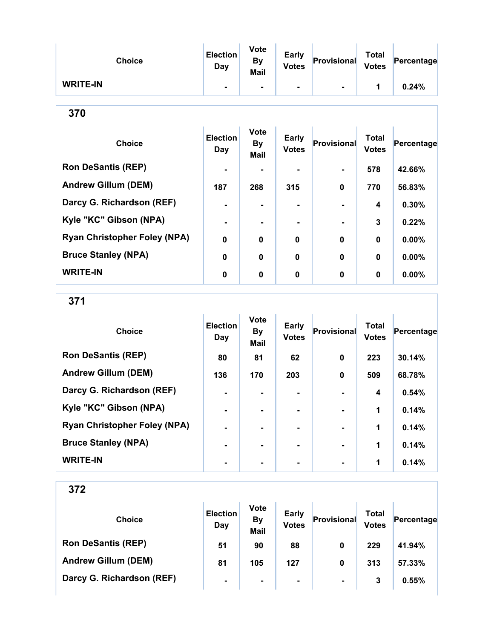| <b>Choice</b>   | <b>Election</b><br>Day | <b>Vote</b><br><b>By</b><br>Mail | <b>Early</b><br><b>Votes</b> | Provisional | <b>Total</b><br><b>Votes</b> | Percentage |
|-----------------|------------------------|----------------------------------|------------------------------|-------------|------------------------------|------------|
| <b>WRITE-IN</b> | ٠                      | ۰.                               | ۰.                           | ۰           |                              | 0.24%      |

| ×<br>I<br>×<br>v |
|------------------|
|------------------|

| <b>Choice</b>                       | <b>Election</b><br>Day | <b>Vote</b><br><b>By</b><br><b>Mail</b> | <b>Early</b><br><b>Votes</b> | <b>Provisional</b> | <b>Total</b><br><b>Votes</b> | Percentage |
|-------------------------------------|------------------------|-----------------------------------------|------------------------------|--------------------|------------------------------|------------|
| <b>Ron DeSantis (REP)</b>           | $\blacksquare$         |                                         | ۰.                           |                    | 578                          | 42.66%     |
| <b>Andrew Gillum (DEM)</b>          | 187                    | 268                                     | 315                          | $\bf{0}$           | 770                          | 56.83%     |
| Darcy G. Richardson (REF)           | $\blacksquare$         |                                         |                              |                    | $\overline{\mathbf{4}}$      | 0.30%      |
| Kyle "KC" Gibson (NPA)              | $\blacksquare$         |                                         |                              |                    | 3                            | 0.22%      |
| <b>Ryan Christopher Foley (NPA)</b> | $\mathbf 0$            | $\mathbf 0$                             | 0                            | $\bf{0}$           | $\bf{0}$                     | 0.00%      |
| <b>Bruce Stanley (NPA)</b>          | $\mathbf 0$            | 0                                       | 0                            | 0                  | $\bf{0}$                     | 0.00%      |
| <b>WRITE-IN</b>                     | 0                      | 0                                       | 0                            | $\bf{0}$           | $\bf{0}$                     | 0.00%      |

371

| <b>Choice</b>                       | <b>Election</b><br>Day | <b>Vote</b><br><b>By</b><br><b>Mail</b> | <b>Early</b><br><b>Votes</b> | <b>Provisional</b> | <b>Total</b><br><b>Votes</b> | Percentage |
|-------------------------------------|------------------------|-----------------------------------------|------------------------------|--------------------|------------------------------|------------|
| <b>Ron DeSantis (REP)</b>           | 80                     | 81                                      | 62                           | 0                  | 223                          | 30.14%     |
| <b>Andrew Gillum (DEM)</b>          | 136                    | 170                                     | 203                          | $\bf{0}$           | 509                          | 68.78%     |
| Darcy G. Richardson (REF)           |                        |                                         | ۰.                           |                    | 4                            | 0.54%      |
| Kyle "KC" Gibson (NPA)              | $\blacksquare$         |                                         | ۰.                           |                    | 1                            | 0.14%      |
| <b>Ryan Christopher Foley (NPA)</b> |                        |                                         | ۰.                           |                    | 1                            | 0.14%      |
| <b>Bruce Stanley (NPA)</b>          |                        |                                         |                              |                    | 1                            | 0.14%      |
| <b>WRITE-IN</b>                     |                        |                                         |                              |                    | 1                            | 0.14%      |

| <b>Choice</b>              | <b>Election</b><br>Day | <b>Vote</b><br><b>By</b><br><b>Mail</b> | <b>Early</b><br><b>Votes</b> | Provisional    | Total<br><b>Votes</b> | Percentage |
|----------------------------|------------------------|-----------------------------------------|------------------------------|----------------|-----------------------|------------|
| <b>Ron DeSantis (REP)</b>  | 51                     | 90                                      | 88                           | 0              | 229                   | 41.94%     |
| <b>Andrew Gillum (DEM)</b> | 81                     | 105                                     | 127                          | 0              | 313                   | 57.33%     |
| Darcy G. Richardson (REF)  | $\blacksquare$         | $\blacksquare$                          | $\blacksquare$               | $\blacksquare$ | 3                     | 0.55%      |
|                            |                        |                                         |                              |                |                       |            |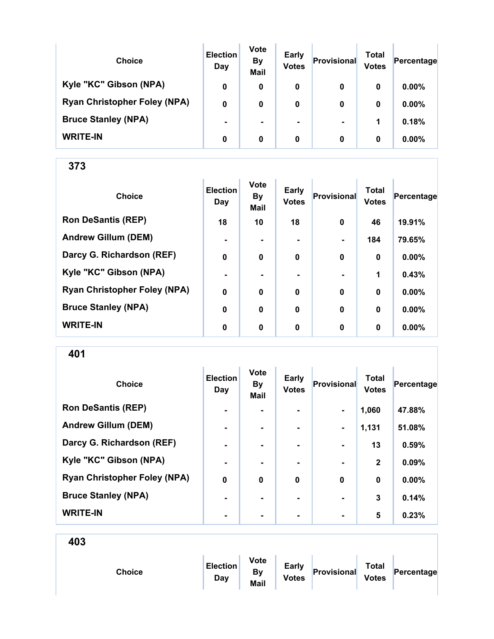| <b>Choice</b>                       | <b>Election</b><br>Day | <b>Vote</b><br><b>By</b><br><b>Mail</b> | Early<br><b>Votes</b> | Provisional    | Total<br><b>Votes</b> | Percentage |
|-------------------------------------|------------------------|-----------------------------------------|-----------------------|----------------|-----------------------|------------|
| Kyle "KC" Gibson (NPA)              | 0                      | 0                                       | 0                     | 0              | 0                     | 0.00%      |
| <b>Ryan Christopher Foley (NPA)</b> | 0                      | 0                                       | 0                     | 0              | 0                     | $0.00\%$   |
| <b>Bruce Stanley (NPA)</b>          |                        | ۰.                                      |                       | $\blacksquare$ | 1                     | 0.18%      |
| <b>WRITE-IN</b>                     | 0                      | 0                                       | 0                     | 0              | 0                     | $0.00\%$   |

| <b>Choice</b>                       | <b>Election</b><br>Day | <b>Vote</b><br><b>By</b><br>Mail | <b>Early</b><br><b>Votes</b> | Provisional    | <b>Total</b><br><b>Votes</b> | Percentage |
|-------------------------------------|------------------------|----------------------------------|------------------------------|----------------|------------------------------|------------|
| <b>Ron DeSantis (REP)</b>           | 18                     | 10                               | 18                           | $\mathbf 0$    | 46                           | 19.91%     |
| <b>Andrew Gillum (DEM)</b>          | $\blacksquare$         |                                  |                              | $\blacksquare$ | 184                          | 79.65%     |
| Darcy G. Richardson (REF)           | $\mathbf 0$            | $\mathbf 0$                      | 0                            | $\bf{0}$       | 0                            | 0.00%      |
| Kyle "KC" Gibson (NPA)              | $\blacksquare$         |                                  |                              |                | 1                            | 0.43%      |
| <b>Ryan Christopher Foley (NPA)</b> | $\mathbf 0$            | $\boldsymbol{0}$                 | $\mathbf 0$                  | $\bf{0}$       | 0                            | 0.00%      |
| <b>Bruce Stanley (NPA)</b>          | $\mathbf 0$            | $\mathbf 0$                      | $\mathbf 0$                  | $\bf{0}$       | 0                            | 0.00%      |
| <b>WRITE-IN</b>                     | 0                      | 0                                | 0                            | 0              | $\bf{0}$                     | 0.00%      |

401

| <b>Choice</b>                       | <b>Election</b><br>Day | <b>Vote</b><br><b>By</b><br>Mail | <b>Early</b><br><b>Votes</b> | Provisional    | <b>Total</b><br><b>Votes</b> | Percentage |
|-------------------------------------|------------------------|----------------------------------|------------------------------|----------------|------------------------------|------------|
| <b>Ron DeSantis (REP)</b>           | $\blacksquare$         |                                  |                              | $\blacksquare$ | 1,060                        | 47.88%     |
| <b>Andrew Gillum (DEM)</b>          | $\blacksquare$         | ۰                                | ۰                            | $\blacksquare$ | 1,131                        | 51.08%     |
| Darcy G. Richardson (REF)           | $\blacksquare$         | $\blacksquare$                   | $\blacksquare$               | $\blacksquare$ | 13                           | 0.59%      |
| Kyle "KC" Gibson (NPA)              |                        |                                  |                              |                | $\mathbf{2}$                 | 0.09%      |
| <b>Ryan Christopher Foley (NPA)</b> | $\bf{0}$               | $\bf{0}$                         | $\bf{0}$                     | $\bf{0}$       | 0                            | 0.00%      |
| <b>Bruce Stanley (NPA)</b>          |                        | -                                | -                            | $\blacksquare$ | 3                            | 0.14%      |
| <b>WRITE-IN</b>                     | $\blacksquare$         |                                  |                              | $\blacksquare$ | 5                            | 0.23%      |

| Provisional<br>Percentage<br><b>By</b><br>Choice<br><b>Votes</b><br><b>Votes</b><br>Day<br>Mail |
|-------------------------------------------------------------------------------------------------|
|-------------------------------------------------------------------------------------------------|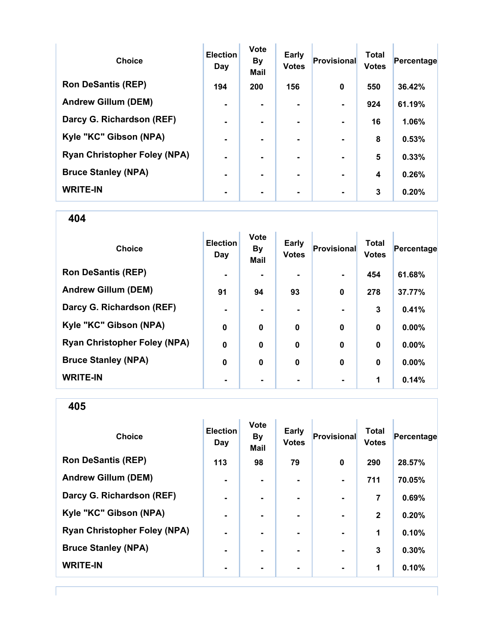| <b>Choice</b>                       | <b>Election</b><br>Day | Vote<br><b>By</b><br><b>Mail</b> | Early<br><b>Votes</b> | Provisional    | <b>Total</b><br><b>Votes</b> | Percentage |
|-------------------------------------|------------------------|----------------------------------|-----------------------|----------------|------------------------------|------------|
| <b>Ron DeSantis (REP)</b>           | 194                    | 200                              | 156                   | 0              | 550                          | 36.42%     |
| <b>Andrew Gillum (DEM)</b>          | $\blacksquare$         |                                  |                       |                | 924                          | 61.19%     |
| Darcy G. Richardson (REF)           | $\blacksquare$         |                                  |                       |                | 16                           | 1.06%      |
| Kyle "KC" Gibson (NPA)              | ٠                      |                                  |                       | $\blacksquare$ | 8                            | 0.53%      |
| <b>Ryan Christopher Foley (NPA)</b> | $\blacksquare$         |                                  | -                     |                | 5                            | 0.33%      |
| <b>Bruce Stanley (NPA)</b>          | $\blacksquare$         |                                  | -                     | -              | 4                            | 0.26%      |
| <b>WRITE-IN</b>                     | ٠                      |                                  |                       |                | 3                            | 0.20%      |

| <b>Choice</b>                       | <b>Election</b><br>Day | <b>Vote</b><br><b>By</b><br>Mail | Early<br><b>Votes</b> | Provisional | <b>Total</b><br><b>Votes</b> | Percentage |
|-------------------------------------|------------------------|----------------------------------|-----------------------|-------------|------------------------------|------------|
| <b>Ron DeSantis (REP)</b>           | $\blacksquare$         |                                  |                       |             | 454                          | 61.68%     |
| <b>Andrew Gillum (DEM)</b>          | 91                     | 94                               | 93                    | $\mathbf 0$ | 278                          | 37.77%     |
| Darcy G. Richardson (REF)           | $\blacksquare$         |                                  |                       |             | 3                            | 0.41%      |
| Kyle "KC" Gibson (NPA)              | $\mathbf 0$            | 0                                | $\bf{0}$              | $\mathbf 0$ | $\bf{0}$                     | 0.00%      |
| <b>Ryan Christopher Foley (NPA)</b> | $\boldsymbol{0}$       | $\bf{0}$                         | $\boldsymbol{0}$      | $\mathbf 0$ | $\bf{0}$                     | 0.00%      |
| <b>Bruce Stanley (NPA)</b>          | $\bf{0}$               | $\bf{0}$                         | $\mathbf 0$           | $\mathbf 0$ | $\bf{0}$                     | 0.00%      |
| <b>WRITE-IN</b>                     | ٠                      |                                  |                       |             | 1                            | 0.14%      |

405

| <b>Choice</b>                       | <b>Election</b><br>Day | <b>Vote</b><br><b>By</b><br><b>Mail</b> | <b>Early</b><br><b>Votes</b> | Provisional    | <b>Total</b><br><b>Votes</b> | Percentage |
|-------------------------------------|------------------------|-----------------------------------------|------------------------------|----------------|------------------------------|------------|
| <b>Ron DeSantis (REP)</b>           | 113                    | 98                                      | 79                           | $\mathbf 0$    | 290                          | 28.57%     |
| <b>Andrew Gillum (DEM)</b>          | $\blacksquare$         |                                         | ۰.                           |                | 711                          | 70.05%     |
| Darcy G. Richardson (REF)           | $\blacksquare$         |                                         | ۰.                           |                | 7                            | 0.69%      |
| Kyle "KC" Gibson (NPA)              | $\blacksquare$         | -                                       | ۰                            |                | $\mathbf{2}$                 | 0.20%      |
| <b>Ryan Christopher Foley (NPA)</b> | $\blacksquare$         | ۰                                       | ۰                            | $\blacksquare$ | 1                            | 0.10%      |
| <b>Bruce Stanley (NPA)</b>          | $\blacksquare$         |                                         | ۰.                           |                | 3                            | 0.30%      |
| <b>WRITE-IN</b>                     |                        |                                         |                              |                | 1                            | 0.10%      |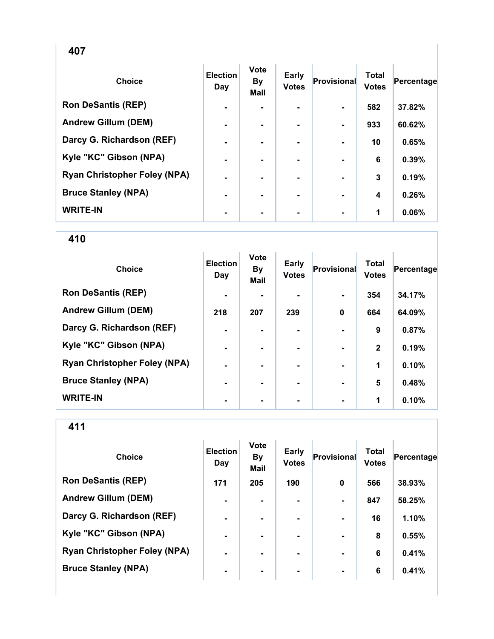| <b>Choice</b>                       | <b>Election</b><br>Day | <b>Vote</b><br><b>By</b><br><b>Mail</b> | <b>Early</b><br><b>Votes</b> | <b>Provisional</b> | <b>Total</b><br><b>Votes</b> | Percentage |
|-------------------------------------|------------------------|-----------------------------------------|------------------------------|--------------------|------------------------------|------------|
| <b>Ron DeSantis (REP)</b>           | $\blacksquare$         |                                         |                              |                    | 582                          | 37.82%     |
| <b>Andrew Gillum (DEM)</b>          | $\blacksquare$         | ۰.                                      |                              | $\blacksquare$     | 933                          | 60.62%     |
| Darcy G. Richardson (REF)           | $\blacksquare$         |                                         |                              |                    | 10                           | 0.65%      |
| Kyle "KC" Gibson (NPA)              | $\blacksquare$         |                                         |                              |                    | 6                            | 0.39%      |
| <b>Ryan Christopher Foley (NPA)</b> | $\blacksquare$         | $\blacksquare$                          |                              | $\blacksquare$     | 3                            | 0.19%      |
| <b>Bruce Stanley (NPA)</b>          | $\blacksquare$         | ۰.                                      |                              | $\blacksquare$     | 4                            | 0.26%      |
| <b>WRITE-IN</b>                     | $\blacksquare$         |                                         |                              |                    | 1                            | 0.06%      |

| <b>Choice</b>                       | <b>Election</b><br>Day | <b>Vote</b><br><b>By</b><br><b>Mail</b> | Early<br><b>Votes</b> | Provisional | <b>Total</b><br><b>Votes</b> | Percentage |
|-------------------------------------|------------------------|-----------------------------------------|-----------------------|-------------|------------------------------|------------|
| <b>Ron DeSantis (REP)</b>           | $\blacksquare$         |                                         |                       |             | 354                          | 34.17%     |
| <b>Andrew Gillum (DEM)</b>          | 218                    | 207                                     | 239                   | $\mathbf 0$ | 664                          | 64.09%     |
| Darcy G. Richardson (REF)           | $\blacksquare$         |                                         | ۰.                    |             | 9                            | 0.87%      |
| Kyle "KC" Gibson (NPA)              | $\blacksquare$         |                                         | ۰.                    |             | $\mathbf{2}$                 | 0.19%      |
| <b>Ryan Christopher Foley (NPA)</b> | $\blacksquare$         |                                         | ۰.                    |             | 1                            | 0.10%      |
| <b>Bruce Stanley (NPA)</b>          | $\blacksquare$         |                                         |                       |             | 5                            | 0.48%      |
| <b>WRITE-IN</b>                     | ٠                      |                                         |                       |             | 1                            | 0.10%      |

| <b>Choice</b>                       | <b>Election</b><br>Day | <b>Vote</b><br><b>By</b><br><b>Mail</b> | <b>Early</b><br><b>Votes</b> | Provisional    | <b>Total</b><br><b>Votes</b> | Percentage |
|-------------------------------------|------------------------|-----------------------------------------|------------------------------|----------------|------------------------------|------------|
| <b>Ron DeSantis (REP)</b>           | 171                    | 205                                     | 190                          | 0              | 566                          | 38.93%     |
| <b>Andrew Gillum (DEM)</b>          | $\blacksquare$         | ۰.                                      |                              | $\blacksquare$ | 847                          | 58.25%     |
| Darcy G. Richardson (REF)           | $\blacksquare$         |                                         |                              |                | 16                           | 1.10%      |
| Kyle "KC" Gibson (NPA)              | $\blacksquare$         | ۰.                                      |                              | $\blacksquare$ | 8                            | 0.55%      |
| <b>Ryan Christopher Foley (NPA)</b> | $\blacksquare$         |                                         | ۰.                           | $\blacksquare$ | 6                            | 0.41%      |
| <b>Bruce Stanley (NPA)</b>          | $\blacksquare$         |                                         | ۰.                           | $\blacksquare$ | 6                            | 0.41%      |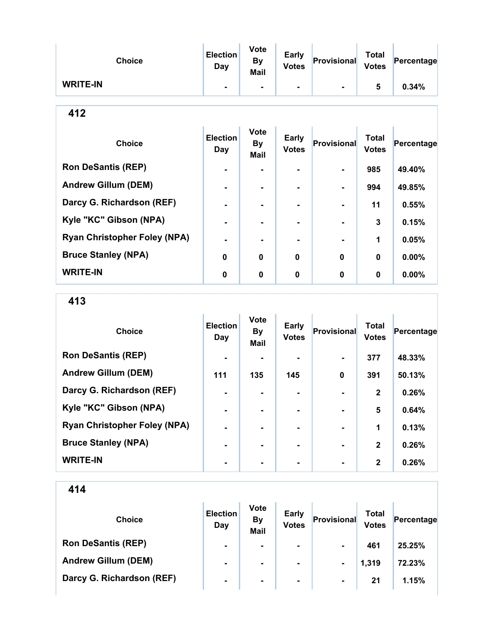| <b>Choice</b>   | <b>Election</b><br>Day | <b>Vote</b><br><b>By</b><br>Mail | <b>Early</b><br><b>Votes</b> | Provisional | <b>Total</b><br><b>Votes</b> | Percentage |
|-----------------|------------------------|----------------------------------|------------------------------|-------------|------------------------------|------------|
| <b>WRITE-IN</b> |                        |                                  | ۰                            |             | 5                            | 0.34%      |

| <b>Choice</b>                       | <b>Election</b><br>Day | <b>Vote</b><br><b>By</b><br><b>Mail</b> | <b>Early</b><br><b>Votes</b> | Provisional    | <b>Total</b><br><b>Votes</b> | Percentage |
|-------------------------------------|------------------------|-----------------------------------------|------------------------------|----------------|------------------------------|------------|
| <b>Ron DeSantis (REP)</b>           |                        |                                         |                              |                | 985                          | 49.40%     |
| <b>Andrew Gillum (DEM)</b>          | $\blacksquare$         | $\blacksquare$                          | -                            | ۰.             | 994                          | 49.85%     |
| Darcy G. Richardson (REF)           |                        |                                         | -                            | $\blacksquare$ | 11                           | 0.55%      |
| Kyle "KC" Gibson (NPA)              | $\blacksquare$         |                                         | -                            |                | 3                            | 0.15%      |
| <b>Ryan Christopher Foley (NPA)</b> |                        |                                         |                              |                | 1                            | 0.05%      |
| <b>Bruce Stanley (NPA)</b>          | $\bf{0}$               | 0                                       | 0                            | $\bf{0}$       | $\mathbf 0$                  | 0.00%      |
| <b>WRITE-IN</b>                     | 0                      | 0                                       | 0                            | $\bf{0}$       | $\mathbf 0$                  | $0.00\%$   |

413

| <b>Choice</b>                       | <b>Election</b><br>Day | <b>Vote</b><br><b>By</b><br><b>Mail</b> | <b>Early</b><br><b>Votes</b> | Provisional | <b>Total</b><br><b>Votes</b> | Percentage |
|-------------------------------------|------------------------|-----------------------------------------|------------------------------|-------------|------------------------------|------------|
| <b>Ron DeSantis (REP)</b>           | $\blacksquare$         |                                         |                              | ۰.          | 377                          | 48.33%     |
| <b>Andrew Gillum (DEM)</b>          | 111                    | 135                                     | 145                          | $\bf{0}$    | 391                          | 50.13%     |
| Darcy G. Richardson (REF)           |                        |                                         |                              |             | $\mathbf{2}$                 | 0.26%      |
| Kyle "KC" Gibson (NPA)              |                        |                                         | ۰                            |             | 5                            | 0.64%      |
| <b>Ryan Christopher Foley (NPA)</b> |                        |                                         | -                            |             | 1                            | 0.13%      |
| <b>Bruce Stanley (NPA)</b>          |                        |                                         |                              |             | $\mathbf{2}$                 | 0.26%      |
| <b>WRITE-IN</b>                     |                        |                                         |                              |             | $\mathbf{2}$                 | 0.26%      |

| <b>Choice</b>              | <b>Election</b><br>Day | <b>Vote</b><br><b>By</b><br><b>Mail</b> | <b>Early</b><br><b>Votes</b> | Provisional    | <b>Total</b><br><b>Votes</b> | Percentage |
|----------------------------|------------------------|-----------------------------------------|------------------------------|----------------|------------------------------|------------|
| <b>Ron DeSantis (REP)</b>  | $\blacksquare$         | $\blacksquare$                          | $\blacksquare$               | $\blacksquare$ | 461                          | 25.25%     |
| <b>Andrew Gillum (DEM)</b> | ۰                      |                                         | $\blacksquare$               | $\blacksquare$ | 1,319                        | 72.23%     |
| Darcy G. Richardson (REF)  | ۰.                     |                                         | $\blacksquare$               | $\blacksquare$ | 21                           | 1.15%      |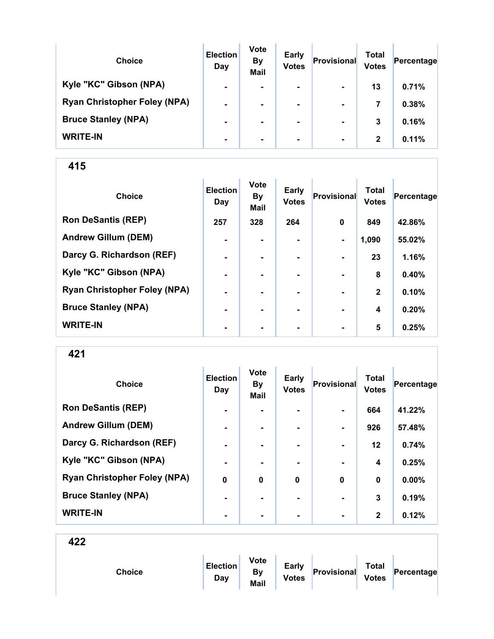| <b>Choice</b>                       | <b>Election</b><br>Day | <b>Vote</b><br><b>By</b><br><b>Mail</b> | <b>Early</b><br><b>Votes</b> | Provisional    | Total<br><b>Votes</b> | Percentage |
|-------------------------------------|------------------------|-----------------------------------------|------------------------------|----------------|-----------------------|------------|
| Kyle "KC" Gibson (NPA)              | $\blacksquare$         | $\blacksquare$                          | $\blacksquare$               | $\blacksquare$ | 13                    | 0.71%      |
| <b>Ryan Christopher Foley (NPA)</b> | $\blacksquare$         | $\blacksquare$                          | $\blacksquare$               | $\blacksquare$ | 7                     | 0.38%      |
| <b>Bruce Stanley (NPA)</b>          | $\blacksquare$         | ۰.                                      | ۰.                           | $\blacksquare$ | 3                     | 0.16%      |
| <b>WRITE-IN</b>                     | $\blacksquare$         | ۰.                                      | ۰.                           | $\blacksquare$ | $\mathbf{2}$          | 0.11%      |

| <b>Choice</b>                       | <b>Election</b><br>Day | <b>Vote</b><br><b>By</b><br>Mail | Early<br><b>Votes</b> | Provisional    | <b>Total</b><br><b>Votes</b> | Percentage |
|-------------------------------------|------------------------|----------------------------------|-----------------------|----------------|------------------------------|------------|
| <b>Ron DeSantis (REP)</b>           | 257                    | 328                              | 264                   | $\mathbf 0$    | 849                          | 42.86%     |
| <b>Andrew Gillum (DEM)</b>          | $\blacksquare$         |                                  |                       | $\blacksquare$ | 1,090                        | 55.02%     |
| Darcy G. Richardson (REF)           | $\blacksquare$         | ۰.                               | ۰.                    | $\blacksquare$ | 23                           | 1.16%      |
| Kyle "KC" Gibson (NPA)              | $\blacksquare$         | ۰.                               | ۰                     | $\blacksquare$ | 8                            | 0.40%      |
| <b>Ryan Christopher Foley (NPA)</b> | $\blacksquare$         |                                  |                       |                | $\mathbf{2}$                 | 0.10%      |
| <b>Bruce Stanley (NPA)</b>          | -                      |                                  |                       |                | 4                            | 0.20%      |
| <b>WRITE-IN</b>                     | ۰                      | ٠                                | $\blacksquare$        | $\blacksquare$ | 5                            | 0.25%      |

421

| <b>Choice</b>                       | <b>Election</b><br>Day | <b>Vote</b><br><b>By</b><br>Mail | <b>Early</b><br><b>Votes</b> | Provisional    | <b>Total</b><br><b>Votes</b> | Percentage |
|-------------------------------------|------------------------|----------------------------------|------------------------------|----------------|------------------------------|------------|
| <b>Ron DeSantis (REP)</b>           | $\blacksquare$         |                                  |                              |                | 664                          | 41.22%     |
| <b>Andrew Gillum (DEM)</b>          | $\blacksquare$         | ۰                                | ۰                            | $\blacksquare$ | 926                          | 57.48%     |
| Darcy G. Richardson (REF)           | $\blacksquare$         | $\blacksquare$                   | $\blacksquare$               | $\blacksquare$ | $12 \,$                      | 0.74%      |
| Kyle "KC" Gibson (NPA)              |                        |                                  |                              |                | 4                            | 0.25%      |
| <b>Ryan Christopher Foley (NPA)</b> | $\bf{0}$               | $\bf{0}$                         | $\bf{0}$                     | $\bf{0}$       | 0                            | 0.00%      |
| <b>Bruce Stanley (NPA)</b>          | $\blacksquare$         | -                                | -                            | $\blacksquare$ | 3                            | 0.19%      |
| <b>WRITE-IN</b>                     | $\blacksquare$         |                                  |                              | $\blacksquare$ | $\mathbf{2}$                 | 0.12%      |

|--|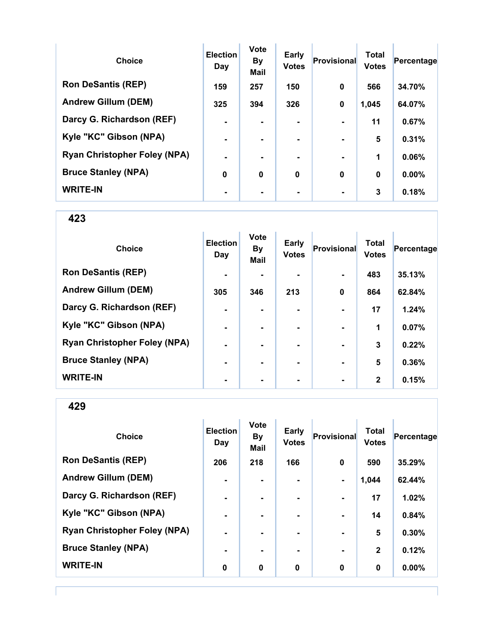| <b>Choice</b>                       | <b>Election</b><br>Day | <b>Vote</b><br><b>By</b><br><b>Mail</b> | <b>Early</b><br><b>Votes</b> | <b>Provisional</b> | <b>Total</b><br><b>Votes</b> | Percentage |
|-------------------------------------|------------------------|-----------------------------------------|------------------------------|--------------------|------------------------------|------------|
| <b>Ron DeSantis (REP)</b>           | 159                    | 257                                     | 150                          | $\bf{0}$           | 566                          | 34.70%     |
| <b>Andrew Gillum (DEM)</b>          | 325                    | 394                                     | 326                          | $\mathbf 0$        | 1,045                        | 64.07%     |
| Darcy G. Richardson (REF)           | $\blacksquare$         |                                         | ۰.                           | $\blacksquare$     | 11                           | 0.67%      |
| Kyle "KC" Gibson (NPA)              | $\blacksquare$         |                                         | ۰.                           | $\blacksquare$     | 5                            | 0.31%      |
| <b>Ryan Christopher Foley (NPA)</b> | $\blacksquare$         |                                         | -                            |                    | 1                            | 0.06%      |
| <b>Bruce Stanley (NPA)</b>          | $\mathbf 0$            | 0                                       | $\mathbf 0$                  | $\bf{0}$           | $\bf{0}$                     | $0.00\%$   |
| <b>WRITE-IN</b>                     |                        |                                         |                              | $\blacksquare$     | 3                            | 0.18%      |

| <b>Choice</b>                       | <b>Election</b><br>Day | <b>Vote</b><br><b>By</b><br>Mail | <b>Early</b><br><b>Votes</b> | <b>Provisional</b> | <b>Total</b><br><b>Votes</b> | Percentage |
|-------------------------------------|------------------------|----------------------------------|------------------------------|--------------------|------------------------------|------------|
| <b>Ron DeSantis (REP)</b>           | $\blacksquare$         |                                  |                              | $\blacksquare$     | 483                          | 35.13%     |
| <b>Andrew Gillum (DEM)</b>          | 305                    | 346                              | 213                          | $\mathbf 0$        | 864                          | 62.84%     |
| Darcy G. Richardson (REF)           | $\blacksquare$         |                                  |                              |                    | 17                           | 1.24%      |
| Kyle "KC" Gibson (NPA)              | ۰                      | $\blacksquare$                   |                              | $\blacksquare$     | 1                            | 0.07%      |
| <b>Ryan Christopher Foley (NPA)</b> | $\blacksquare$         | ۰.                               |                              | $\blacksquare$     | 3                            | 0.22%      |
| <b>Bruce Stanley (NPA)</b>          | $\blacksquare$         | $\overline{\phantom{0}}$         |                              | $\blacksquare$     | 5                            | 0.36%      |
| <b>WRITE-IN</b>                     | ۰                      |                                  |                              | $\blacksquare$     | $\mathbf{2}$                 | 0.15%      |

429

| <b>Choice</b>                       | <b>Election</b><br>Day | <b>Vote</b><br><b>By</b><br><b>Mail</b> | Early<br><b>Votes</b> | <b>Provisional</b> | <b>Total</b><br><b>Votes</b> | Percentage |
|-------------------------------------|------------------------|-----------------------------------------|-----------------------|--------------------|------------------------------|------------|
| <b>Ron DeSantis (REP)</b>           | 206                    | 218                                     | 166                   | $\mathbf 0$        | 590                          | 35.29%     |
| <b>Andrew Gillum (DEM)</b>          | $\blacksquare$         | $\blacksquare$                          | $\blacksquare$        | $\blacksquare$     | 1,044                        | 62.44%     |
| Darcy G. Richardson (REF)           | $\blacksquare$         | ٠                                       | ۰                     | $\blacksquare$     | 17                           | 1.02%      |
| Kyle "KC" Gibson (NPA)              | $\blacksquare$         |                                         | $\blacksquare$        |                    | 14                           | 0.84%      |
| <b>Ryan Christopher Foley (NPA)</b> |                        |                                         |                       |                    | 5                            | 0.30%      |
| <b>Bruce Stanley (NPA)</b>          | $\blacksquare$         |                                         | -                     | $\blacksquare$     | $\mathbf 2$                  | 0.12%      |
| <b>WRITE-IN</b>                     | 0                      | $\mathbf 0$                             | $\mathbf 0$           | $\mathbf 0$        | 0                            | $0.00\%$   |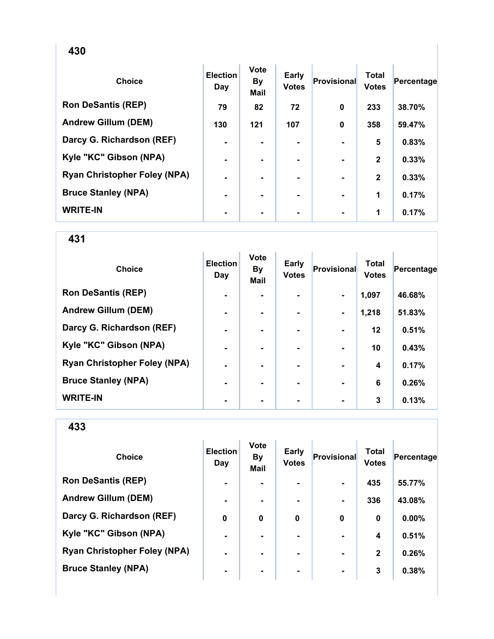| <b>Choice</b>                       | <b>Election</b><br>Day | <b>Vote</b><br><b>By</b><br><b>Mail</b> | Early<br><b>Votes</b> | Provisional | <b>Total</b><br><b>Votes</b> | Percentage |
|-------------------------------------|------------------------|-----------------------------------------|-----------------------|-------------|------------------------------|------------|
| <b>Ron DeSantis (REP)</b>           | 79                     | 82                                      | 72                    | 0           | 233                          | 38.70%     |
| <b>Andrew Gillum (DEM)</b>          | 130                    | 121                                     | 107                   | $\bf{0}$    | 358                          | 59.47%     |
| Darcy G. Richardson (REF)           | $\blacksquare$         |                                         |                       |             | 5                            | 0.83%      |
| Kyle "KC" Gibson (NPA)              | ۰                      |                                         |                       |             | $\mathbf{2}$                 | 0.33%      |
| <b>Ryan Christopher Foley (NPA)</b> | ۰                      |                                         | ۰                     |             | $\mathbf{2}$                 | 0.33%      |
| <b>Bruce Stanley (NPA)</b>          | $\blacksquare$         |                                         | ۰.                    |             | 1                            | 0.17%      |
| <b>WRITE-IN</b>                     | ۰                      |                                         | ۰.                    |             | 1                            | 0.17%      |

| <b>Choice</b>                       | <b>Election</b><br>Day | <b>Vote</b><br><b>By</b><br><b>Mail</b> | Early<br><b>Votes</b> | Provisional    | <b>Total</b><br><b>Votes</b> | Percentage |
|-------------------------------------|------------------------|-----------------------------------------|-----------------------|----------------|------------------------------|------------|
| <b>Ron DeSantis (REP)</b>           | $\blacksquare$         |                                         | ۰.                    | $\blacksquare$ | 1,097                        | 46.68%     |
| <b>Andrew Gillum (DEM)</b>          | $\blacksquare$         |                                         |                       | $\blacksquare$ | 1,218                        | 51.83%     |
| Darcy G. Richardson (REF)           | $\blacksquare$         |                                         |                       |                | $12 \,$                      | 0.51%      |
| Kyle "KC" Gibson (NPA)              | $\blacksquare$         |                                         | ۰.                    |                | 10                           | 0.43%      |
| <b>Ryan Christopher Foley (NPA)</b> | $\blacksquare$         |                                         | ۰.                    |                | $\boldsymbol{4}$             | 0.17%      |
| <b>Bruce Stanley (NPA)</b>          | $\blacksquare$         |                                         |                       |                | 6                            | 0.26%      |
| <b>WRITE-IN</b>                     |                        |                                         |                       |                | 3                            | 0.13%      |

| <b>Choice</b>                       | <b>Election</b><br>Day | <b>Vote</b><br><b>By</b><br><b>Mail</b> | <b>Early</b><br><b>Votes</b> | Provisional    | <b>Total</b><br><b>Votes</b> | Percentage |
|-------------------------------------|------------------------|-----------------------------------------|------------------------------|----------------|------------------------------|------------|
| <b>Ron DeSantis (REP)</b>           | $\blacksquare$         |                                         |                              |                | 435                          | 55.77%     |
| <b>Andrew Gillum (DEM)</b>          | ۰                      |                                         | ۰                            |                | 336                          | 43.08%     |
| Darcy G. Richardson (REF)           | 0                      | 0                                       | $\bf{0}$                     | 0              | 0                            | $0.00\%$   |
| Kyle "KC" Gibson (NPA)              | $\blacksquare$         |                                         | ۰.                           |                | 4                            | 0.51%      |
| <b>Ryan Christopher Foley (NPA)</b> | ۰                      |                                         |                              |                | $\mathbf{2}$                 | 0.26%      |
| <b>Bruce Stanley (NPA)</b>          | $\blacksquare$         | ٠                                       | ۰                            | $\blacksquare$ | 3                            | 0.38%      |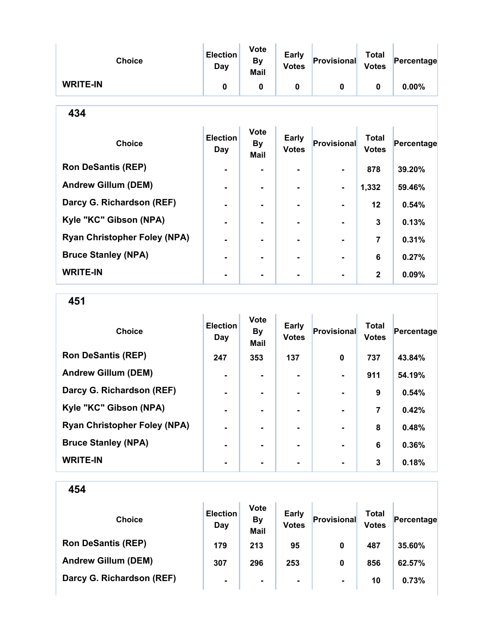| <b>Choice</b>                       | <b>Election</b><br>Day | <b>Vote</b><br><b>By</b><br>Mail        | Early<br><b>Votes</b>        | Provisional  | <b>Total</b><br><b>Votes</b> | Percentage |
|-------------------------------------|------------------------|-----------------------------------------|------------------------------|--------------|------------------------------|------------|
| <b>WRITE-IN</b>                     | $\mathbf 0$            | 0                                       | 0                            | $\mathbf{0}$ | $\mathbf 0$                  | $0.00\%$   |
| 434                                 |                        |                                         |                              |              |                              |            |
| <b>Choice</b>                       | <b>Election</b><br>Day | <b>Vote</b><br><b>By</b><br><b>Mail</b> | <b>Early</b><br><b>Votes</b> | Provisional  | <b>Total</b><br><b>Votes</b> | Percentage |
| <b>Ron DeSantis (REP)</b>           |                        |                                         |                              |              | 878                          | 39.20%     |
| <b>Andrew Gillum (DEM)</b>          |                        |                                         |                              |              | 1,332                        | 59.46%     |
| Darcy G. Richardson (REF)           |                        | $\blacksquare$                          | ۰                            |              | 12                           | 0.54%      |
| Kyle "KC" Gibson (NPA)              |                        |                                         | ۰                            |              | 3                            | 0.13%      |
| <b>Ryan Christopher Foley (NPA)</b> | ۰                      |                                         | Ξ.                           |              | 7                            | 0.31%      |
| <b>Bruce Stanley (NPA)</b>          |                        |                                         |                              |              | 6                            | 0.27%      |
| <b>WRITE-IN</b>                     |                        |                                         |                              |              | $\mathbf{2}$                 | 0.09%      |

451

| <b>Choice</b>                       | <b>Election</b><br>Day | <b>Vote</b><br><b>By</b><br><b>Mail</b> | Early<br><b>Votes</b> | Provisional    | <b>Total</b><br><b>Votes</b> | Percentage |
|-------------------------------------|------------------------|-----------------------------------------|-----------------------|----------------|------------------------------|------------|
| <b>Ron DeSantis (REP)</b>           | 247                    | 353                                     | 137                   | $\bf{0}$       | 737                          | 43.84%     |
| <b>Andrew Gillum (DEM)</b>          | -                      |                                         |                       |                | 911                          | 54.19%     |
| Darcy G. Richardson (REF)           | $\blacksquare$         | -                                       | ۰.                    | $\blacksquare$ | 9                            | 0.54%      |
| Kyle "KC" Gibson (NPA)              | $\blacksquare$         |                                         |                       |                | 7                            | 0.42%      |
| <b>Ryan Christopher Foley (NPA)</b> | $\blacksquare$         |                                         |                       |                | 8                            | 0.48%      |
| <b>Bruce Stanley (NPA)</b>          | $\blacksquare$         |                                         | -                     | $\blacksquare$ | 6                            | 0.36%      |
| <b>WRITE-IN</b>                     |                        |                                         |                       |                | 3                            | 0.18%      |

| <b>Choice</b>              | <b>Election</b><br>Day | <b>Vote</b><br><b>By</b><br><b>Mail</b> | <b>Early</b><br><b>Votes</b> | Provisional    | <b>Total</b><br><b>Votes</b> | Percentage |
|----------------------------|------------------------|-----------------------------------------|------------------------------|----------------|------------------------------|------------|
| <b>Ron DeSantis (REP)</b>  | 179                    | 213                                     | 95                           | 0              | 487                          | 35.60%     |
| <b>Andrew Gillum (DEM)</b> | 307                    | 296                                     | 253                          | 0              | 856                          | 62.57%     |
| Darcy G. Richardson (REF)  | $\blacksquare$         | $\blacksquare$                          | $\blacksquare$               | $\blacksquare$ | 10                           | 0.73%      |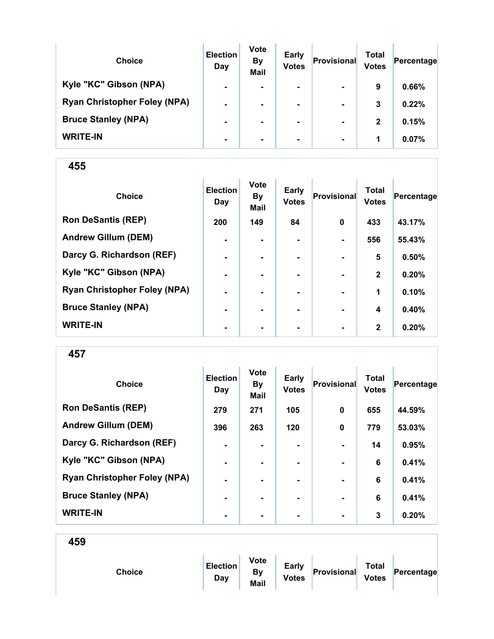| <b>Choice</b>                       | <b>Election</b><br>Day | <b>Vote</b><br><b>By</b><br><b>Mail</b> | <b>Early</b><br><b>Votes</b> | Provisional    | Total<br><b>Votes</b> | Percentage |
|-------------------------------------|------------------------|-----------------------------------------|------------------------------|----------------|-----------------------|------------|
| Kyle "KC" Gibson (NPA)              | $\blacksquare$         | ۰                                       | $\blacksquare$               | $\blacksquare$ | 9                     | 0.66%      |
| <b>Ryan Christopher Foley (NPA)</b> | $\blacksquare$         |                                         | $\blacksquare$               | $\blacksquare$ | 3                     | 0.22%      |
| <b>Bruce Stanley (NPA)</b>          |                        |                                         |                              | $\blacksquare$ | $\mathbf{2}$          | 0.15%      |
| <b>WRITE-IN</b>                     | ۰                      | ۰                                       |                              | $\blacksquare$ | 1                     | 0.07%      |

| <b>Choice</b>                       | <b>Election</b><br>Day | <b>Vote</b><br><b>By</b><br><b>Mail</b> | Early<br><b>Votes</b> | Provisional    | <b>Total</b><br><b>Votes</b> | Percentage |
|-------------------------------------|------------------------|-----------------------------------------|-----------------------|----------------|------------------------------|------------|
| <b>Ron DeSantis (REP)</b>           | 200                    | 149                                     | 84                    | $\mathbf 0$    | 433                          | 43.17%     |
| <b>Andrew Gillum (DEM)</b>          | $\blacksquare$         |                                         |                       |                | 556                          | 55.43%     |
| Darcy G. Richardson (REF)           | $\blacksquare$         | ۰.                                      | ۰.                    | $\blacksquare$ | 5                            | 0.50%      |
| Kyle "KC" Gibson (NPA)              | $\blacksquare$         |                                         |                       |                | $\mathbf{2}$                 | 0.20%      |
| <b>Ryan Christopher Foley (NPA)</b> | $\blacksquare$         |                                         |                       |                | 1                            | 0.10%      |
| <b>Bruce Stanley (NPA)</b>          | ۰                      |                                         |                       |                | 4                            | 0.40%      |
| <b>WRITE-IN</b>                     | ٠                      |                                         | ۰                     |                | $\mathbf{2}$                 | 0.20%      |

457

| <b>Choice</b>                       | <b>Election</b><br>Day | <b>Vote</b><br><b>By</b><br><b>Mail</b> | <b>Early</b><br><b>Votes</b> | Provisional | <b>Total</b><br><b>Votes</b> | Percentage |
|-------------------------------------|------------------------|-----------------------------------------|------------------------------|-------------|------------------------------|------------|
| <b>Ron DeSantis (REP)</b>           | 279                    | 271                                     | 105                          | $\mathbf 0$ | 655                          | 44.59%     |
| <b>Andrew Gillum (DEM)</b>          | 396                    | 263                                     | 120                          | $\mathbf 0$ | 779                          | 53.03%     |
| Darcy G. Richardson (REF)           | $\blacksquare$         | -                                       | ۰.                           |             | 14                           | 0.95%      |
| Kyle "KC" Gibson (NPA)              |                        |                                         |                              |             | 6                            | 0.41%      |
| <b>Ryan Christopher Foley (NPA)</b> | $\blacksquare$         |                                         | ۰.                           |             | 6                            | 0.41%      |
| <b>Bruce Stanley (NPA)</b>          |                        | -                                       | ۰.                           |             | 6                            | 0.41%      |
| <b>WRITE-IN</b>                     |                        |                                         |                              |             | 3                            | 0.20%      |

|--|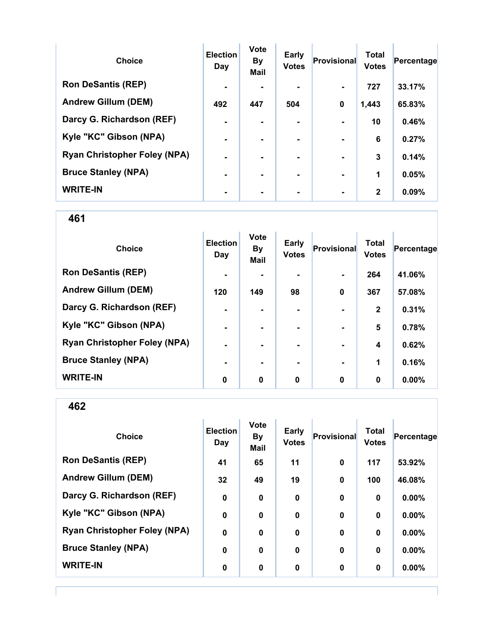| <b>Choice</b>                       | <b>Election</b><br>Day | <b>Vote</b><br><b>By</b><br><b>Mail</b> | Early<br><b>Votes</b> | Provisional    | <b>Total</b><br><b>Votes</b> | Percentage |
|-------------------------------------|------------------------|-----------------------------------------|-----------------------|----------------|------------------------------|------------|
| <b>Ron DeSantis (REP)</b>           | $\blacksquare$         |                                         |                       |                | 727                          | 33.17%     |
| <b>Andrew Gillum (DEM)</b>          | 492                    | 447                                     | 504                   | $\bf{0}$       | 1,443                        | 65.83%     |
| Darcy G. Richardson (REF)           | $\blacksquare$         |                                         | $\blacksquare$        |                | 10                           | 0.46%      |
| Kyle "KC" Gibson (NPA)              | $\blacksquare$         |                                         | ۰.                    | $\blacksquare$ | 6                            | 0.27%      |
| <b>Ryan Christopher Foley (NPA)</b> | $\blacksquare$         |                                         | -                     |                | 3                            | 0.14%      |
| <b>Bruce Stanley (NPA)</b>          |                        |                                         | -                     | $\blacksquare$ | 1                            | 0.05%      |
| <b>WRITE-IN</b>                     |                        |                                         |                       |                | $\mathbf{2}$                 | 0.09%      |

461

| <b>Choice</b>                       | <b>Election</b><br>Day | <b>Vote</b><br><b>By</b><br>Mail | <b>Early</b><br><b>Votes</b> | <b>Provisional</b> | <b>Total</b><br><b>Votes</b> | Percentage |
|-------------------------------------|------------------------|----------------------------------|------------------------------|--------------------|------------------------------|------------|
| <b>Ron DeSantis (REP)</b>           | $\blacksquare$         |                                  |                              | $\blacksquare$     | 264                          | 41.06%     |
| <b>Andrew Gillum (DEM)</b>          | 120                    | 149                              | 98                           | $\mathbf 0$        | 367                          | 57.08%     |
| Darcy G. Richardson (REF)           | ۰                      |                                  |                              |                    | $\mathbf{2}$                 | 0.31%      |
| Kyle "KC" Gibson (NPA)              | $\blacksquare$         |                                  |                              | $\blacksquare$     | 5                            | 0.78%      |
| <b>Ryan Christopher Foley (NPA)</b> | $\blacksquare$         | $\blacksquare$                   |                              | $\blacksquare$     | 4                            | 0.62%      |
| <b>Bruce Stanley (NPA)</b>          | $\blacksquare$         |                                  |                              | $\blacksquare$     | 1                            | 0.16%      |
| <b>WRITE-IN</b>                     | 0                      | 0                                | 0                            | $\mathbf 0$        | 0                            | $0.00\%$   |

| <b>Choice</b>                       | <b>Election</b><br>Day | <b>Vote</b><br><b>By</b><br>Mail | <b>Early</b><br><b>Votes</b> | Provisional      | <b>Total</b><br><b>Votes</b> | Percentage |
|-------------------------------------|------------------------|----------------------------------|------------------------------|------------------|------------------------------|------------|
| <b>Ron DeSantis (REP)</b>           | 41                     | 65                               | 11                           | $\bf{0}$         | 117                          | 53.92%     |
| <b>Andrew Gillum (DEM)</b>          | 32                     | 49                               | 19                           | 0                | 100                          | 46.08%     |
| Darcy G. Richardson (REF)           | $\mathbf 0$            | $\mathbf 0$                      | $\mathbf 0$                  | $\boldsymbol{0}$ | $\bf{0}$                     | 0.00%      |
| Kyle "KC" Gibson (NPA)              | $\boldsymbol{0}$       | $\mathbf 0$                      | $\mathbf 0$                  | $\bf{0}$         | $\bf{0}$                     | $0.00\%$   |
| <b>Ryan Christopher Foley (NPA)</b> | $\boldsymbol{0}$       | $\mathbf 0$                      | $\boldsymbol{0}$             | $\boldsymbol{0}$ | $\mathbf 0$                  | $0.00\%$   |
| <b>Bruce Stanley (NPA)</b>          | 0                      | $\bf{0}$                         | 0                            | 0                | 0                            | 0.00%      |
| <b>WRITE-IN</b>                     | $\boldsymbol{0}$       | 0                                | 0                            | 0                | 0                            | $0.00\%$   |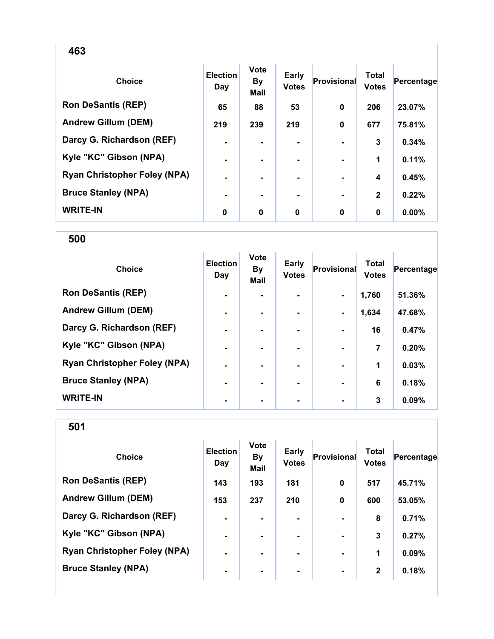| <b>Choice</b>                       | <b>Election</b><br>Day | <b>Vote</b><br><b>By</b><br><b>Mail</b> | <b>Early</b><br><b>Votes</b> | Provisional | <b>Total</b><br><b>Votes</b> | Percentage |
|-------------------------------------|------------------------|-----------------------------------------|------------------------------|-------------|------------------------------|------------|
| <b>Ron DeSantis (REP)</b>           | 65                     | 88                                      | 53                           | 0           | 206                          | 23.07%     |
| <b>Andrew Gillum (DEM)</b>          | 219                    | 239                                     | 219                          | 0           | 677                          | 75.81%     |
| Darcy G. Richardson (REF)           | $\blacksquare$         | ۰.                                      | ۰                            |             | 3                            | 0.34%      |
| Kyle "KC" Gibson (NPA)              | $\blacksquare$         |                                         |                              |             | 1                            | 0.11%      |
| <b>Ryan Christopher Foley (NPA)</b> | $\blacksquare$         |                                         |                              |             | 4                            | 0.45%      |
| <b>Bruce Stanley (NPA)</b>          | ۰                      |                                         | ۰.                           |             | $\mathbf{2}$                 | 0.22%      |
| <b>WRITE-IN</b>                     | 0                      | 0                                       | 0                            | $\bf{0}$    | $\bf{0}$                     | 0.00%      |

| <b>Choice</b>                       | <b>Election</b><br>Day | <b>Vote</b><br><b>By</b><br><b>Mail</b> | <b>Early</b><br><b>Votes</b> | Provisional    | <b>Total</b><br><b>Votes</b> | Percentage |
|-------------------------------------|------------------------|-----------------------------------------|------------------------------|----------------|------------------------------|------------|
| <b>Ron DeSantis (REP)</b>           | $\blacksquare$         |                                         |                              | $\blacksquare$ | 1,760                        | 51.36%     |
| <b>Andrew Gillum (DEM)</b>          | -                      |                                         |                              | $\blacksquare$ | 1,634                        | 47.68%     |
| Darcy G. Richardson (REF)           | $\blacksquare$         |                                         |                              |                | 16                           | 0.47%      |
| Kyle "KC" Gibson (NPA)              | $\blacksquare$         |                                         | ۰                            |                | 7                            | 0.20%      |
| <b>Ryan Christopher Foley (NPA)</b> | $\blacksquare$         |                                         |                              |                | 1                            | 0.03%      |
| <b>Bruce Stanley (NPA)</b>          |                        |                                         |                              |                | 6                            | 0.18%      |
| <b>WRITE-IN</b>                     |                        |                                         |                              |                | 3                            | 0.09%      |

| <b>Choice</b>                       | <b>Election</b><br>Day | <b>Vote</b><br><b>By</b><br><b>Mail</b> | <b>Early</b><br><b>Votes</b> | Provisional | <b>Total</b><br><b>Votes</b> | Percentage |
|-------------------------------------|------------------------|-----------------------------------------|------------------------------|-------------|------------------------------|------------|
| <b>Ron DeSantis (REP)</b>           | 143                    | 193                                     | 181                          | 0           | 517                          | 45.71%     |
| <b>Andrew Gillum (DEM)</b>          | 153                    | 237                                     | 210                          | $\mathbf 0$ | 600                          | 53.05%     |
| Darcy G. Richardson (REF)           | $\blacksquare$         |                                         |                              |             | 8                            | 0.71%      |
| Kyle "KC" Gibson (NPA)              | $\blacksquare$         | $\blacksquare$                          | ۰                            |             | 3                            | 0.27%      |
| <b>Ryan Christopher Foley (NPA)</b> | $\blacksquare$         |                                         | ۰.                           |             | 1                            | 0.09%      |
| <b>Bruce Stanley (NPA)</b>          | $\blacksquare$         | $\blacksquare$                          | ۰.                           |             | $\mathbf{2}$                 | 0.18%      |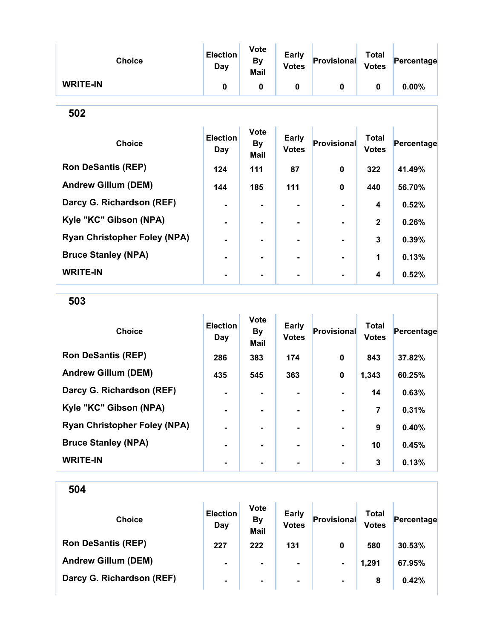| <b>Choice</b>                       | <b>Election</b><br>Day | <b>Vote</b><br><b>By</b><br><b>Mail</b> | Early<br><b>Votes</b>        | Provisional  | <b>Total</b><br><b>Votes</b> | Percentage |
|-------------------------------------|------------------------|-----------------------------------------|------------------------------|--------------|------------------------------|------------|
| <b>WRITE-IN</b>                     | $\mathbf 0$            | 0                                       | $\bf{0}$                     | 0            | $\mathbf 0$                  | 0.00%      |
| 502                                 |                        |                                         |                              |              |                              |            |
| <b>Choice</b>                       | <b>Election</b><br>Day | <b>Vote</b><br><b>By</b><br><b>Mail</b> | <b>Early</b><br><b>Votes</b> | Provisional  | <b>Total</b><br><b>Votes</b> | Percentage |
| <b>Ron DeSantis (REP)</b>           | 124                    | 111                                     | 87                           | $\bf{0}$     | 322                          | 41.49%     |
| <b>Andrew Gillum (DEM)</b>          | 144                    | 185                                     | 111                          | $\mathbf{0}$ | 440                          | 56.70%     |
| Darcy G. Richardson (REF)           |                        |                                         |                              |              | 4                            | 0.52%      |
| Kyle "KC" Gibson (NPA)              |                        |                                         |                              |              | $\overline{2}$               | 0.26%      |
| <b>Ryan Christopher Foley (NPA)</b> |                        | -                                       |                              |              | 3                            | 0.39%      |
| <b>Bruce Stanley (NPA)</b>          |                        |                                         |                              |              | 1                            | 0.13%      |
| <b>WRITE-IN</b>                     |                        |                                         |                              |              | 4                            | 0.52%      |

503

| <b>Choice</b>                       | <b>Election</b><br>Day | <b>Vote</b><br><b>By</b><br><b>Mail</b> | <b>Early</b><br><b>Votes</b> | Provisional    | <b>Total</b><br><b>Votes</b> | Percentage |
|-------------------------------------|------------------------|-----------------------------------------|------------------------------|----------------|------------------------------|------------|
| <b>Ron DeSantis (REP)</b>           | 286                    | 383                                     | 174                          | $\bf{0}$       | 843                          | 37.82%     |
| <b>Andrew Gillum (DEM)</b>          | 435                    | 545                                     | 363                          | 0              | 1,343                        | 60.25%     |
| Darcy G. Richardson (REF)           |                        |                                         |                              |                | 14                           | 0.63%      |
| Kyle "KC" Gibson (NPA)              | $\blacksquare$         |                                         | ۰.                           | $\blacksquare$ | 7                            | 0.31%      |
| <b>Ryan Christopher Foley (NPA)</b> | $\blacksquare$         |                                         | -                            | $\blacksquare$ | 9                            | 0.40%      |
| <b>Bruce Stanley (NPA)</b>          |                        |                                         |                              | $\blacksquare$ | 10                           | 0.45%      |
| <b>WRITE-IN</b>                     |                        |                                         |                              |                | 3                            | 0.13%      |

| <b>Choice</b>              | <b>Election</b><br>Day | <b>Vote</b><br><b>By</b><br><b>Mail</b> | <b>Early</b><br><b>Votes</b> | Provisional    | Total<br><b>Votes</b> | Percentage |
|----------------------------|------------------------|-----------------------------------------|------------------------------|----------------|-----------------------|------------|
| <b>Ron DeSantis (REP)</b>  | 227                    | 222                                     | 131                          | 0              | 580                   | 30.53%     |
| <b>Andrew Gillum (DEM)</b> | ۰                      | $\blacksquare$                          | ۰                            | $\blacksquare$ | 1,291                 | 67.95%     |
| Darcy G. Richardson (REF)  | $\blacksquare$         | $\blacksquare$                          | ۰.                           | $\blacksquare$ | 8                     | 0.42%      |
|                            |                        |                                         |                              |                |                       |            |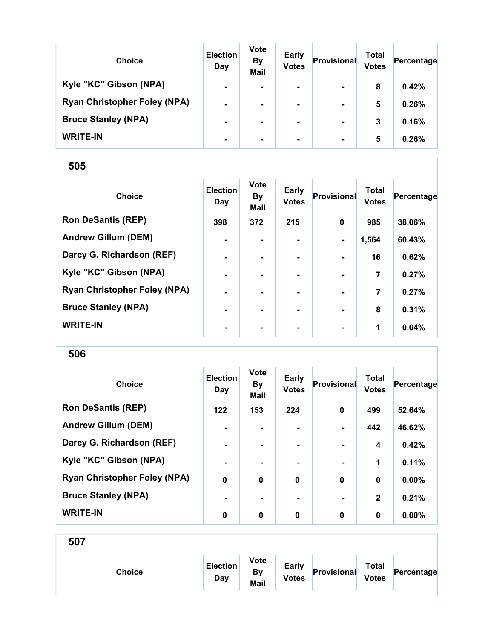| <b>Choice</b>                       | <b>Election</b><br>Day | <b>Vote</b><br><b>By</b><br><b>Mail</b> | <b>Early</b><br><b>Votes</b> | Provisional    | Total<br><b>Votes</b> | Percentage |
|-------------------------------------|------------------------|-----------------------------------------|------------------------------|----------------|-----------------------|------------|
| Kyle "KC" Gibson (NPA)              | $\blacksquare$         | $\blacksquare$                          | $\blacksquare$               | $\blacksquare$ | 8                     | 0.42%      |
| <b>Ryan Christopher Foley (NPA)</b> | $\blacksquare$         |                                         | $\blacksquare$               | $\blacksquare$ | 5                     | 0.26%      |
| <b>Bruce Stanley (NPA)</b>          | $\blacksquare$         |                                         | ۰.                           | $\blacksquare$ | 3                     | 0.16%      |
| <b>WRITE-IN</b>                     | $\blacksquare$         | ۰.                                      | $\blacksquare$               | $\blacksquare$ | 5                     | 0.26%      |

| <b>Choice</b>                       | <b>Election</b><br>Day | <b>Vote</b><br><b>By</b><br>Mail | Early<br><b>Votes</b> | Provisional    | <b>Total</b><br><b>Votes</b> | Percentage |
|-------------------------------------|------------------------|----------------------------------|-----------------------|----------------|------------------------------|------------|
| <b>Ron DeSantis (REP)</b>           | 398                    | 372                              | 215                   | $\mathbf 0$    | 985                          | 38.06%     |
| <b>Andrew Gillum (DEM)</b>          | $\blacksquare$         |                                  |                       | $\blacksquare$ | 1,564                        | 60.43%     |
| Darcy G. Richardson (REF)           | $\blacksquare$         | ۰.                               | ۰.                    | $\blacksquare$ | 16                           | 0.62%      |
| Kyle "KC" Gibson (NPA)              | $\blacksquare$         | ۰.                               | ۰                     | $\blacksquare$ | 7                            | 0.27%      |
| <b>Ryan Christopher Foley (NPA)</b> | $\blacksquare$         |                                  |                       |                | 7                            | 0.27%      |
| <b>Bruce Stanley (NPA)</b>          | -                      |                                  |                       |                | 8                            | 0.31%      |
| <b>WRITE-IN</b>                     | ٠                      | ۰                                | $\blacksquare$        | $\blacksquare$ | 1                            | 0.04%      |

506

| <b>Choice</b>                       | <b>Election</b><br>Day | <b>Vote</b><br><b>By</b><br><b>Mail</b> | <b>Early</b><br><b>Votes</b> | <b>Provisional</b> | <b>Total</b><br><b>Votes</b> | Percentage |
|-------------------------------------|------------------------|-----------------------------------------|------------------------------|--------------------|------------------------------|------------|
| <b>Ron DeSantis (REP)</b>           | 122                    | 153                                     | 224                          | 0                  | 499                          | 52.64%     |
| <b>Andrew Gillum (DEM)</b>          | $\blacksquare$         | $\blacksquare$                          |                              | $\blacksquare$     | 442                          | 46.62%     |
| Darcy G. Richardson (REF)           | $\blacksquare$         | $\blacksquare$                          | ۰.                           |                    | 4                            | 0.42%      |
| Kyle "KC" Gibson (NPA)              | ٠                      |                                         |                              | $\blacksquare$     | 1                            | 0.11%      |
| <b>Ryan Christopher Foley (NPA)</b> | $\mathbf 0$            | $\mathbf 0$                             | $\mathbf 0$                  | $\bf{0}$           | $\bf{0}$                     | 0.00%      |
| <b>Bruce Stanley (NPA)</b>          |                        |                                         |                              | $\blacksquare$     | $\mathbf{2}$                 | 0.21%      |
| <b>WRITE-IN</b>                     | 0                      | 0                                       | 0                            | $\bf{0}$           | 0                            | $0.00\%$   |

| <b>Choice</b> | <b>Election</b><br>Day | <b>Vote</b><br>By<br>Mail | <b>Early</b><br><b>Votes</b> | Provisional | <b>Total</b><br><b>Votes</b> | Percentage |
|---------------|------------------------|---------------------------|------------------------------|-------------|------------------------------|------------|
|               |                        |                           |                              |             |                              |            |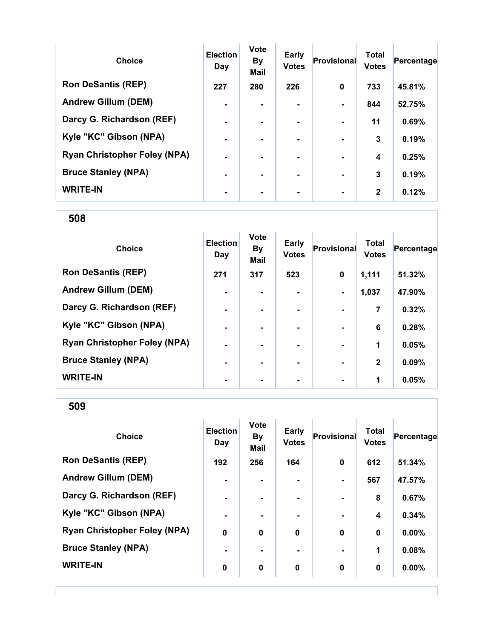| <b>Choice</b>                       | <b>Election</b><br>Day | <b>Vote</b><br><b>By</b><br><b>Mail</b> | Early<br><b>Votes</b> | Provisional    | <b>Total</b><br><b>Votes</b> | Percentage |
|-------------------------------------|------------------------|-----------------------------------------|-----------------------|----------------|------------------------------|------------|
| <b>Ron DeSantis (REP)</b>           | 227                    | 280                                     | 226                   | $\bf{0}$       | 733                          | 45.81%     |
| <b>Andrew Gillum (DEM)</b>          | $\blacksquare$         |                                         |                       |                | 844                          | 52.75%     |
| Darcy G. Richardson (REF)           | $\blacksquare$         | -                                       | $\blacksquare$        | $\blacksquare$ | 11                           | 0.69%      |
| Kyle "KC" Gibson (NPA)              | $\blacksquare$         |                                         | -                     |                | 3                            | 0.19%      |
| <b>Ryan Christopher Foley (NPA)</b> | $\blacksquare$         |                                         | -                     | $\blacksquare$ | 4                            | 0.25%      |
| <b>Bruce Stanley (NPA)</b>          | $\blacksquare$         |                                         |                       |                | 3                            | 0.19%      |
| <b>WRITE-IN</b>                     |                        |                                         |                       |                | $\mathbf{2}$                 | 0.12%      |

| <b>Choice</b>                       | <b>Election</b><br>Day | <b>Vote</b><br><b>By</b><br>Mail | Early<br><b>Votes</b> | Provisional              | <b>Total</b><br><b>Votes</b> | Percentage |
|-------------------------------------|------------------------|----------------------------------|-----------------------|--------------------------|------------------------------|------------|
| <b>Ron DeSantis (REP)</b>           | 271                    | 317                              | 523                   | $\mathbf 0$              | 1,111                        | 51.32%     |
| <b>Andrew Gillum (DEM)</b>          | ٠                      |                                  |                       | $\blacksquare$           | 1,037                        | 47.90%     |
| Darcy G. Richardson (REF)           | ۰                      |                                  |                       | $\overline{\phantom{a}}$ | $\overline{7}$               | 0.32%      |
| Kyle "KC" Gibson (NPA)              | $\blacksquare$         |                                  | ۰                     | $\blacksquare$           | 6                            | 0.28%      |
| <b>Ryan Christopher Foley (NPA)</b> | $\blacksquare$         |                                  |                       | $\blacksquare$           | 1                            | 0.05%      |
| <b>Bruce Stanley (NPA)</b>          | $\blacksquare$         | ۰.                               |                       | $\blacksquare$           | $\mathbf{2}$                 | 0.09%      |
| <b>WRITE-IN</b>                     | ۰                      |                                  |                       | $\blacksquare$           | 1                            | 0.05%      |

509

| <b>Choice</b>                       | <b>Election</b><br>Day | <b>Vote</b><br><b>By</b><br><b>Mail</b> | Early<br><b>Votes</b> | Provisional    | <b>Total</b><br><b>Votes</b> | Percentage |
|-------------------------------------|------------------------|-----------------------------------------|-----------------------|----------------|------------------------------|------------|
| <b>Ron DeSantis (REP)</b>           | 192                    | 256                                     | 164                   | $\mathbf 0$    | 612                          | 51.34%     |
| <b>Andrew Gillum (DEM)</b>          | $\blacksquare$         | $\blacksquare$                          |                       | $\blacksquare$ | 567                          | 47.57%     |
| Darcy G. Richardson (REF)           | $\blacksquare$         | $\blacksquare$                          |                       | $\blacksquare$ | 8                            | 0.67%      |
| Kyle "KC" Gibson (NPA)              | $\blacksquare$         | $\blacksquare$                          |                       | $\blacksquare$ | 4                            | 0.34%      |
| <b>Ryan Christopher Foley (NPA)</b> | $\mathbf 0$            | 0                                       | $\mathbf 0$           | $\mathbf 0$    | 0                            | 0.00%      |
| <b>Bruce Stanley (NPA)</b>          | $\blacksquare$         |                                         |                       | $\blacksquare$ | 1                            | 0.08%      |
| <b>WRITE-IN</b>                     | 0                      | 0                                       | $\mathbf 0$           | $\mathbf 0$    | 0                            | 0.00%      |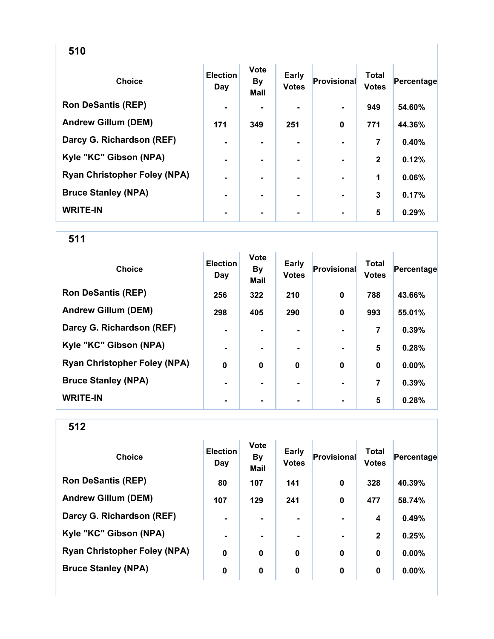| <b>Choice</b>                       | <b>Election</b><br>Day | <b>Vote</b><br>By<br><b>Mail</b> | Early<br><b>Votes</b> | Provisional | <b>Total</b><br><b>Votes</b> | Percentage |
|-------------------------------------|------------------------|----------------------------------|-----------------------|-------------|------------------------------|------------|
| <b>Ron DeSantis (REP)</b>           | $\blacksquare$         |                                  |                       |             | 949                          | 54.60%     |
| <b>Andrew Gillum (DEM)</b>          | 171                    | 349                              | 251                   | $\bf{0}$    | 771                          | 44.36%     |
| Darcy G. Richardson (REF)           | $\blacksquare$         |                                  |                       |             | 7                            | 0.40%      |
| Kyle "KC" Gibson (NPA)              | ۰                      |                                  |                       |             | $\mathbf{2}$                 | 0.12%      |
| <b>Ryan Christopher Foley (NPA)</b> |                        |                                  |                       |             | 1                            | 0.06%      |
| <b>Bruce Stanley (NPA)</b>          | ۰                      |                                  | ۰                     |             | 3                            | 0.17%      |
| <b>WRITE-IN</b>                     | ۰                      |                                  |                       |             | 5                            | 0.29%      |

| <b>Choice</b>                       | <b>Election</b><br>Day | <b>Vote</b><br><b>By</b><br>Mail | Early<br><b>Votes</b> | Provisional | <b>Total</b><br><b>Votes</b> | Percentage |
|-------------------------------------|------------------------|----------------------------------|-----------------------|-------------|------------------------------|------------|
| <b>Ron DeSantis (REP)</b>           | 256                    | 322                              | 210                   | 0           | 788                          | 43.66%     |
| <b>Andrew Gillum (DEM)</b>          | 298                    | 405                              | 290                   | $\mathbf 0$ | 993                          | 55.01%     |
| Darcy G. Richardson (REF)           | $\blacksquare$         |                                  |                       |             | 7                            | 0.39%      |
| Kyle "KC" Gibson (NPA)              | $\blacksquare$         |                                  | ۰.                    |             | 5                            | 0.28%      |
| <b>Ryan Christopher Foley (NPA)</b> | $\mathbf 0$            | $\mathbf 0$                      | $\bf{0}$              | $\mathbf 0$ | $\mathbf 0$                  | 0.00%      |
| <b>Bruce Stanley (NPA)</b>          | $\blacksquare$         |                                  |                       |             | 7                            | 0.39%      |
| <b>WRITE-IN</b>                     |                        |                                  |                       |             | 5                            | 0.28%      |

| <b>Choice</b>                       | <b>Election</b><br>Day | <b>Vote</b><br><b>By</b><br><b>Mail</b> | <b>Early</b><br><b>Votes</b> | Provisional | Total<br><b>Votes</b> | Percentage |
|-------------------------------------|------------------------|-----------------------------------------|------------------------------|-------------|-----------------------|------------|
| <b>Ron DeSantis (REP)</b>           | 80                     | 107                                     | 141                          | $\mathbf 0$ | 328                   | 40.39%     |
| <b>Andrew Gillum (DEM)</b>          | 107                    | 129                                     | 241                          | $\mathbf 0$ | 477                   | 58.74%     |
| Darcy G. Richardson (REF)           | ۰                      |                                         |                              |             | 4                     | 0.49%      |
| Kyle "KC" Gibson (NPA)              | $\blacksquare$         | $\blacksquare$                          | ۰                            |             | $\mathbf{2}$          | 0.25%      |
| <b>Ryan Christopher Foley (NPA)</b> | $\bf{0}$               | 0                                       | $\bf{0}$                     | $\mathbf 0$ | 0                     | 0.00%      |
| <b>Bruce Stanley (NPA)</b>          | 0                      | 0                                       | 0                            | 0           | 0                     | 0.00%      |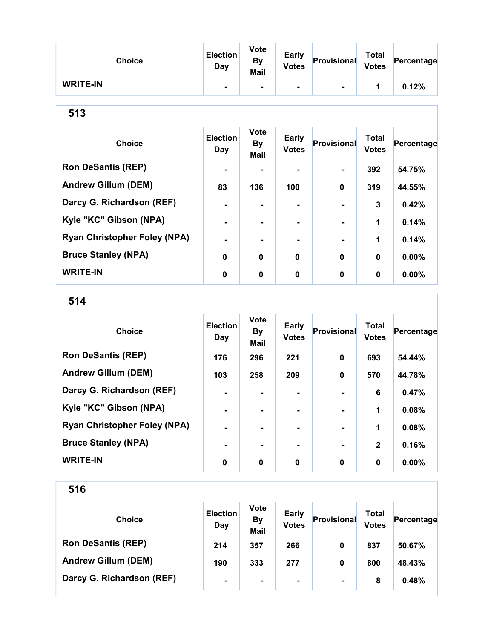| <b>Choice</b>   | <b>Election</b><br>Day | <b>Vote</b><br><b>By</b><br><b>Mail</b> | <b>Early</b><br><b>Votes</b> | Provisional    | <b>Total</b><br><b>Votes</b> | Percentage |
|-----------------|------------------------|-----------------------------------------|------------------------------|----------------|------------------------------|------------|
| <b>WRITE-IN</b> |                        | $\blacksquare$                          | $\blacksquare$               | $\blacksquare$ |                              | 0.12%      |

| <b>Choice</b>                       | <b>Election</b><br>Day | <b>Vote</b><br><b>By</b><br><b>Mail</b> | Early<br><b>Votes</b> | Provisional    | <b>Total</b><br><b>Votes</b> | Percentage |
|-------------------------------------|------------------------|-----------------------------------------|-----------------------|----------------|------------------------------|------------|
| <b>Ron DeSantis (REP)</b>           | $\blacksquare$         |                                         |                       | $\blacksquare$ | 392                          | 54.75%     |
| <b>Andrew Gillum (DEM)</b>          | 83                     | 136                                     | 100                   | $\bf{0}$       | 319                          | 44.55%     |
| Darcy G. Richardson (REF)           | $\blacksquare$         |                                         | $\blacksquare$        |                | 3                            | 0.42%      |
| Kyle "KC" Gibson (NPA)              | $\blacksquare$         |                                         |                       |                | 1                            | 0.14%      |
| <b>Ryan Christopher Foley (NPA)</b> | $\blacksquare$         |                                         |                       |                | 1                            | 0.14%      |
| <b>Bruce Stanley (NPA)</b>          | $\bf{0}$               | $\bf{0}$                                | $\mathbf 0$           | $\bf{0}$       | $\mathbf 0$                  | 0.00%      |
| <b>WRITE-IN</b>                     | 0                      | $\mathbf 0$                             | 0                     | 0              | $\mathbf 0$                  | $0.00\%$   |

514

| <b>Choice</b>                       | <b>Election</b><br>Day | <b>Vote</b><br><b>By</b><br><b>Mail</b> | Early<br><b>Votes</b> | <b>Provisional</b> | <b>Total</b><br><b>Votes</b> | Percentage |
|-------------------------------------|------------------------|-----------------------------------------|-----------------------|--------------------|------------------------------|------------|
| <b>Ron DeSantis (REP)</b>           | 176                    | 296                                     | 221                   | 0                  | 693                          | 54.44%     |
| <b>Andrew Gillum (DEM)</b>          | 103                    | 258                                     | 209                   | $\bf{0}$           | 570                          | 44.78%     |
| Darcy G. Richardson (REF)           |                        |                                         | ۰.                    |                    | 6                            | 0.47%      |
| Kyle "KC" Gibson (NPA)              | $\blacksquare$         |                                         | ۰.                    |                    | 1                            | 0.08%      |
| <b>Ryan Christopher Foley (NPA)</b> | $\blacksquare$         |                                         | ۰.                    |                    | 1                            | 0.08%      |
| <b>Bruce Stanley (NPA)</b>          |                        |                                         |                       |                    | $\mathbf{2}$                 | 0.16%      |
| <b>WRITE-IN</b>                     | 0                      | 0                                       | 0                     | 0                  | $\bf{0}$                     | $0.00\%$   |

| <b>Choice</b>              | <b>Election</b><br>Day | <b>Vote</b><br><b>By</b><br><b>Mail</b> | <b>Early</b><br><b>Votes</b> | Provisional    | Total<br><b>Votes</b> | Percentage |
|----------------------------|------------------------|-----------------------------------------|------------------------------|----------------|-----------------------|------------|
| <b>Ron DeSantis (REP)</b>  | 214                    | 357                                     | 266                          | 0              | 837                   | 50.67%     |
| <b>Andrew Gillum (DEM)</b> | 190                    | 333                                     | 277                          | 0              | 800                   | 48.43%     |
| Darcy G. Richardson (REF)  | $\blacksquare$         | $\blacksquare$                          | $\blacksquare$               | $\blacksquare$ | 8                     | 0.48%      |
|                            |                        |                                         |                              |                |                       |            |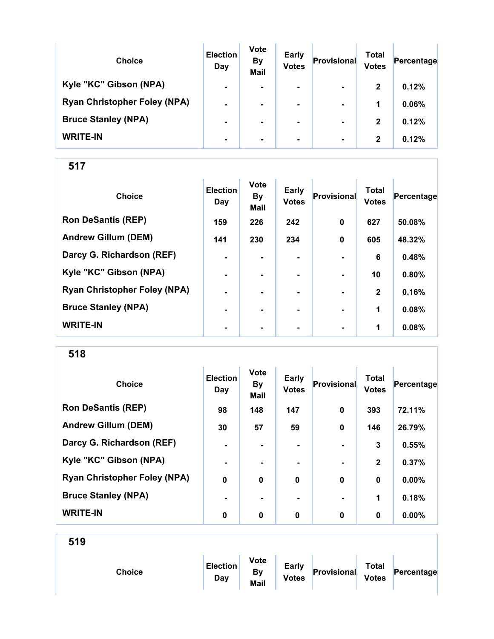| <b>Choice</b>                       | <b>Election</b><br>Day | <b>Vote</b><br><b>By</b><br><b>Mail</b> | <b>Early</b><br><b>Votes</b> | Provisional    | Total<br><b>Votes</b> | Percentage |
|-------------------------------------|------------------------|-----------------------------------------|------------------------------|----------------|-----------------------|------------|
| Kyle "KC" Gibson (NPA)              | $\blacksquare$         | $\blacksquare$                          | $\blacksquare$               | $\blacksquare$ | $\mathbf{2}$          | 0.12%      |
| <b>Ryan Christopher Foley (NPA)</b> | $\blacksquare$         |                                         |                              | $\blacksquare$ | 1                     | 0.06%      |
| <b>Bruce Stanley (NPA)</b>          | $\blacksquare$         |                                         |                              | $\blacksquare$ | $\mathbf{2}$          | 0.12%      |
| <b>WRITE-IN</b>                     | ۰                      |                                         |                              | $\blacksquare$ | $\mathbf{2}$          | 0.12%      |

| <b>Choice</b>                       | <b>Election</b><br>Day | <b>Vote</b><br><b>By</b><br><b>Mail</b> | Early<br><b>Votes</b> | Provisional | <b>Total</b><br><b>Votes</b> | Percentage |
|-------------------------------------|------------------------|-----------------------------------------|-----------------------|-------------|------------------------------|------------|
| <b>Ron DeSantis (REP)</b>           | 159                    | 226                                     | 242                   | $\mathbf 0$ | 627                          | 50.08%     |
| <b>Andrew Gillum (DEM)</b>          | 141                    | 230                                     | 234                   | $\mathbf 0$ | 605                          | 48.32%     |
| Darcy G. Richardson (REF)           | $\blacksquare$         | -                                       | ۰.                    |             | 6                            | 0.48%      |
| Kyle "KC" Gibson (NPA)              | $\blacksquare$         | -                                       | ۰.                    |             | 10                           | 0.80%      |
| <b>Ryan Christopher Foley (NPA)</b> | $\blacksquare$         |                                         |                       |             | $\mathbf{2}$                 | 0.16%      |
| <b>Bruce Stanley (NPA)</b>          | ۰                      |                                         |                       |             | 1                            | 0.08%      |
| <b>WRITE-IN</b>                     | $\blacksquare$         |                                         | ۰                     |             | 1                            | 0.08%      |

518

| <b>Choice</b>                       | <b>Election</b><br>Day | <b>Vote</b><br><b>By</b><br>Mail | <b>Early</b><br><b>Votes</b> | <b>Provisional</b> | <b>Total</b><br><b>Votes</b> | Percentage |
|-------------------------------------|------------------------|----------------------------------|------------------------------|--------------------|------------------------------|------------|
| <b>Ron DeSantis (REP)</b>           | 98                     | 148                              | 147                          | $\bf{0}$           | 393                          | 72.11%     |
| <b>Andrew Gillum (DEM)</b>          | 30                     | 57                               | 59                           | 0                  | 146                          | 26.79%     |
| Darcy G. Richardson (REF)           | $\blacksquare$         |                                  | ۰.                           |                    | 3                            | 0.55%      |
| Kyle "KC" Gibson (NPA)              | ٠                      |                                  |                              | $\blacksquare$     | $\mathbf{2}$                 | 0.37%      |
| <b>Ryan Christopher Foley (NPA)</b> | $\mathbf 0$            | $\mathbf 0$                      | $\mathbf 0$                  | $\bf{0}$           | $\bf{0}$                     | 0.00%      |
| <b>Bruce Stanley (NPA)</b>          |                        |                                  |                              | $\blacksquare$     | 1                            | 0.18%      |
| <b>WRITE-IN</b>                     | 0                      | 0                                | 0                            | $\bf{0}$           | 0                            | $0.00\%$   |

|--|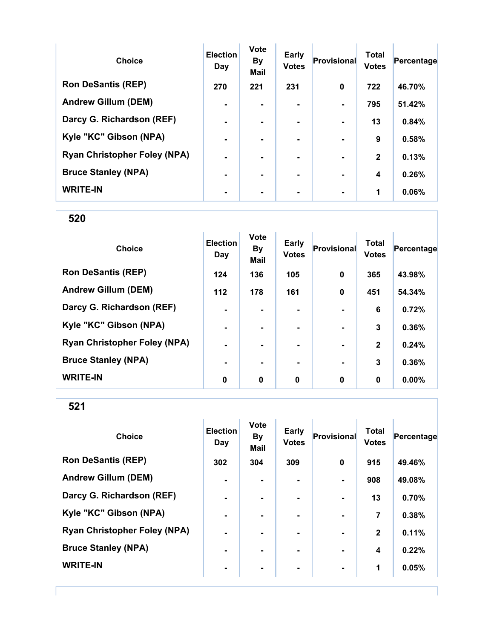| <b>Choice</b>                       | <b>Election</b><br>Day | <b>Vote</b><br><b>By</b><br><b>Mail</b> | Early<br><b>Votes</b> | Provisional    | <b>Total</b><br><b>Votes</b> | Percentage |
|-------------------------------------|------------------------|-----------------------------------------|-----------------------|----------------|------------------------------|------------|
| <b>Ron DeSantis (REP)</b>           | 270                    | 221                                     | 231                   | $\bf{0}$       | 722                          | 46.70%     |
| <b>Andrew Gillum (DEM)</b>          | $\blacksquare$         |                                         |                       |                | 795                          | 51.42%     |
| Darcy G. Richardson (REF)           | $\blacksquare$         | -                                       | $\blacksquare$        | $\blacksquare$ | 13                           | 0.84%      |
| Kyle "KC" Gibson (NPA)              | $\blacksquare$         |                                         | -                     |                | 9                            | 0.58%      |
| <b>Ryan Christopher Foley (NPA)</b> | $\blacksquare$         |                                         | -                     |                | $\mathbf{2}$                 | 0.13%      |
| <b>Bruce Stanley (NPA)</b>          | $\blacksquare$         |                                         |                       |                | 4                            | 0.26%      |
| <b>WRITE-IN</b>                     |                        |                                         |                       |                | 1                            | 0.06%      |

| <b>Choice</b>                       | <b>Election</b><br>Day | <b>Vote</b><br><b>By</b><br>Mail | Early<br><b>Votes</b> | <b>Provisional</b> | <b>Total</b><br><b>Votes</b> | Percentage |
|-------------------------------------|------------------------|----------------------------------|-----------------------|--------------------|------------------------------|------------|
| <b>Ron DeSantis (REP)</b>           | 124                    | 136                              | 105                   | $\mathbf 0$        | 365                          | 43.98%     |
| <b>Andrew Gillum (DEM)</b>          | 112                    | 178                              | 161                   | $\bf{0}$           | 451                          | 54.34%     |
| Darcy G. Richardson (REF)           | ۰                      |                                  |                       |                    | 6                            | 0.72%      |
| Kyle "KC" Gibson (NPA)              | $\blacksquare$         |                                  | ۰                     | $\blacksquare$     | 3                            | 0.36%      |
| <b>Ryan Christopher Foley (NPA)</b> | $\blacksquare$         | ۰.                               | ۰.                    | $\blacksquare$     | $\mathbf{2}$                 | 0.24%      |
| <b>Bruce Stanley (NPA)</b>          | $\blacksquare$         | ۰.                               |                       | $\blacksquare$     | 3                            | 0.36%      |
| <b>WRITE-IN</b>                     | 0                      | 0                                | 0                     | $\bf{0}$           | 0                            | $0.00\%$   |

521

| <b>Choice</b>                       | <b>Election</b><br>Day | Vote<br><b>By</b><br><b>Mail</b> | <b>Early</b><br><b>Votes</b> | <b>Provisional</b>       | <b>Total</b><br><b>Votes</b> | Percentage |
|-------------------------------------|------------------------|----------------------------------|------------------------------|--------------------------|------------------------------|------------|
| <b>Ron DeSantis (REP)</b>           | 302                    | 304                              | 309                          | $\mathbf 0$              | 915                          | 49.46%     |
| <b>Andrew Gillum (DEM)</b>          | $\blacksquare$         | ۰                                | ۰                            |                          | 908                          | 49.08%     |
| Darcy G. Richardson (REF)           | $\blacksquare$         | ۰                                | $\blacksquare$               | $\blacksquare$           | 13                           | 0.70%      |
| Kyle "KC" Gibson (NPA)              | $\blacksquare$         |                                  | $\blacksquare$               | $\overline{\phantom{a}}$ | 7                            | 0.38%      |
| <b>Ryan Christopher Foley (NPA)</b> | $\blacksquare$         |                                  |                              |                          | $\mathbf{2}$                 | 0.11%      |
| <b>Bruce Stanley (NPA)</b>          | $\blacksquare$         |                                  |                              |                          | 4                            | 0.22%      |
| <b>WRITE-IN</b>                     | $\blacksquare$         |                                  |                              | $\blacksquare$           | 1                            | 0.05%      |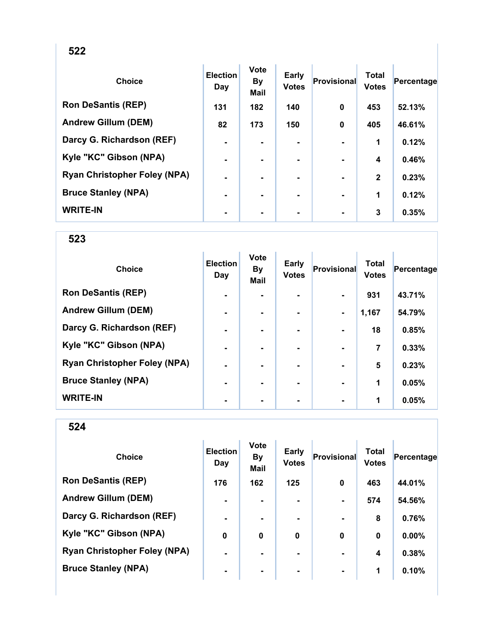| . .<br>. .<br>. .<br>×<br>v |
|-----------------------------|
|-----------------------------|

| <b>Choice</b>                       | <b>Election</b><br>Day | <b>Vote</b><br><b>By</b><br><b>Mail</b> | <b>Early</b><br><b>Votes</b> | <b>Provisional</b> | <b>Total</b><br><b>Votes</b> | Percentage |
|-------------------------------------|------------------------|-----------------------------------------|------------------------------|--------------------|------------------------------|------------|
| <b>Ron DeSantis (REP)</b>           | 131                    | 182                                     | 140                          | $\mathbf 0$        | 453                          | 52.13%     |
| <b>Andrew Gillum (DEM)</b>          | 82                     | 173                                     | 150                          | $\mathbf 0$        | 405                          | 46.61%     |
| Darcy G. Richardson (REF)           | $\blacksquare$         |                                         |                              |                    | 1                            | 0.12%      |
| Kyle "KC" Gibson (NPA)              | $\blacksquare$         |                                         |                              |                    | 4                            | 0.46%      |
| <b>Ryan Christopher Foley (NPA)</b> | $\blacksquare$         |                                         | ۰                            |                    | $\mathbf{2}$                 | 0.23%      |
| <b>Bruce Stanley (NPA)</b>          | $\blacksquare$         | ۰.                                      | ۰                            |                    | 1                            | 0.12%      |
| <b>WRITE-IN</b>                     | $\blacksquare$         |                                         |                              |                    | 3                            | 0.35%      |

| <b>Choice</b>                       | <b>Election</b><br>Day | <b>Vote</b><br><b>By</b><br><b>Mail</b> | <b>Early</b><br><b>Votes</b> | Provisional    | <b>Total</b><br><b>Votes</b> | Percentage |
|-------------------------------------|------------------------|-----------------------------------------|------------------------------|----------------|------------------------------|------------|
| <b>Ron DeSantis (REP)</b>           | $\blacksquare$         |                                         |                              |                | 931                          | 43.71%     |
| <b>Andrew Gillum (DEM)</b>          | $\blacksquare$         |                                         |                              | $\blacksquare$ | 1,167                        | 54.79%     |
| Darcy G. Richardson (REF)           | -                      |                                         |                              |                | 18                           | 0.85%      |
| Kyle "KC" Gibson (NPA)              | $\blacksquare$         |                                         | ۰                            |                | 7                            | 0.33%      |
| <b>Ryan Christopher Foley (NPA)</b> | $\blacksquare$         |                                         | ۰.                           |                | 5                            | 0.23%      |
| <b>Bruce Stanley (NPA)</b>          | $\blacksquare$         |                                         |                              |                | 1                            | 0.05%      |
| <b>WRITE-IN</b>                     |                        |                                         |                              |                | 1                            | 0.05%      |

| <b>Choice</b>                       | <b>Election</b><br>Day | <b>Vote</b><br><b>By</b><br><b>Mail</b> | <b>Early</b><br><b>Votes</b> | Provisional    | <b>Total</b><br><b>Votes</b> | Percentage |
|-------------------------------------|------------------------|-----------------------------------------|------------------------------|----------------|------------------------------|------------|
| <b>Ron DeSantis (REP)</b>           | 176                    | 162                                     | 125                          | $\bf{0}$       | 463                          | 44.01%     |
| <b>Andrew Gillum (DEM)</b>          | $\blacksquare$         | ۰.                                      | ۰.                           | $\blacksquare$ | 574                          | 54.56%     |
| Darcy G. Richardson (REF)           | $\blacksquare$         |                                         |                              |                | 8                            | 0.76%      |
| Kyle "KC" Gibson (NPA)              | 0                      | $\mathbf 0$                             | 0                            | $\bf{0}$       | $\bf{0}$                     | 0.00%      |
| <b>Ryan Christopher Foley (NPA)</b> | $\blacksquare$         |                                         | ۰                            | $\blacksquare$ | 4                            | 0.38%      |
| <b>Bruce Stanley (NPA)</b>          | $\blacksquare$         |                                         | ۰.                           | $\blacksquare$ | 1                            | 0.10%      |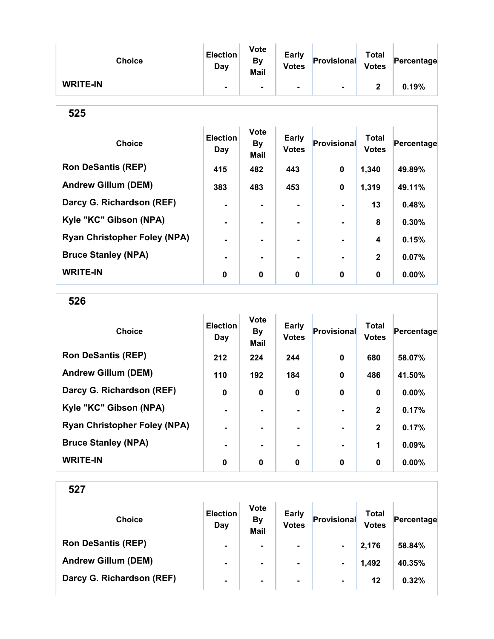| <b>Choice</b>                       | <b>Election</b><br>Day        | <b>Vote</b><br>By<br>Mail        | <b>Early</b><br><b>Votes</b> | <b>Provisional</b> | <b>Total</b><br><b>Votes</b> | Percentage |
|-------------------------------------|-------------------------------|----------------------------------|------------------------------|--------------------|------------------------------|------------|
| <b>WRITE-IN</b>                     |                               |                                  |                              |                    | $\mathbf{2}$                 | 0.19%      |
| 525                                 |                               |                                  |                              |                    |                              |            |
| <b>Choice</b>                       | <b>Election</b><br><b>Day</b> | <b>Vote</b><br><b>By</b><br>Mail | <b>Early</b><br><b>Votes</b> | Provisional        | <b>Total</b><br><b>Votes</b> | Percentage |
| <b>Ron DeSantis (REP)</b>           | 415                           | 482                              | 443                          | $\bf{0}$           | 1,340                        | 49.89%     |
| <b>Andrew Gillum (DEM)</b>          | 383                           | 483                              | 453                          | $\bf{0}$           | 1,319                        | 49.11%     |
| Darcy G. Richardson (REF)           | ۰                             | $\blacksquare$                   | ۰.                           |                    | 13                           | 0.48%      |
| Kyle "KC" Gibson (NPA)              |                               |                                  |                              |                    | 8                            | 0.30%      |
| <b>Ryan Christopher Foley (NPA)</b> |                               |                                  |                              |                    | 4                            | 0.15%      |
| <b>Bruce Stanley (NPA)</b>          |                               |                                  | $\blacksquare$               |                    | $\mathbf{2}$                 | 0.07%      |
| <b>WRITE-IN</b>                     | $\bf{0}$                      | 0                                | 0                            | 0                  | $\bf{0}$                     | $0.00\%$   |

526

| <b>Choice</b>                       | <b>Election</b><br>Day | <b>Vote</b><br><b>By</b><br><b>Mail</b> | <b>Early</b><br><b>Votes</b> | Provisional | <b>Total</b><br><b>Votes</b> | Percentage |
|-------------------------------------|------------------------|-----------------------------------------|------------------------------|-------------|------------------------------|------------|
| <b>Ron DeSantis (REP)</b>           | 212                    | 224                                     | 244                          | $\bf{0}$    | 680                          | 58.07%     |
| <b>Andrew Gillum (DEM)</b>          | 110                    | 192                                     | 184                          | $\bf{0}$    | 486                          | 41.50%     |
| Darcy G. Richardson (REF)           | 0                      | 0                                       | 0                            | $\bf{0}$    | $\bf{0}$                     | 0.00%      |
| Kyle "KC" Gibson (NPA)              | $\blacksquare$         |                                         |                              |             | $\mathbf{2}$                 | 0.17%      |
| <b>Ryan Christopher Foley (NPA)</b> | $\blacksquare$         |                                         |                              |             | $\mathbf{2}$                 | 0.17%      |
| <b>Bruce Stanley (NPA)</b>          |                        |                                         |                              |             | 1                            | 0.09%      |
| <b>WRITE-IN</b>                     | 0                      | 0                                       | 0                            | $\bf{0}$    | 0                            | $0.00\%$   |

| <b>Choice</b>              | <b>Election</b><br>Day | <b>Vote</b><br><b>By</b><br><b>Mail</b> | <b>Early</b><br><b>Votes</b> | Provisional    | Total<br><b>Votes</b> | Percentage |
|----------------------------|------------------------|-----------------------------------------|------------------------------|----------------|-----------------------|------------|
| <b>Ron DeSantis (REP)</b>  | $\blacksquare$         | $\blacksquare$                          | $\blacksquare$               | $\blacksquare$ | 2,176                 | 58.84%     |
| <b>Andrew Gillum (DEM)</b> | $\blacksquare$         | $\blacksquare$                          | ۰                            | $\blacksquare$ | 1,492                 | 40.35%     |
| Darcy G. Richardson (REF)  | $\blacksquare$         | $\blacksquare$                          | $\blacksquare$               | $\blacksquare$ | 12                    | 0.32%      |
|                            |                        |                                         |                              |                |                       |            |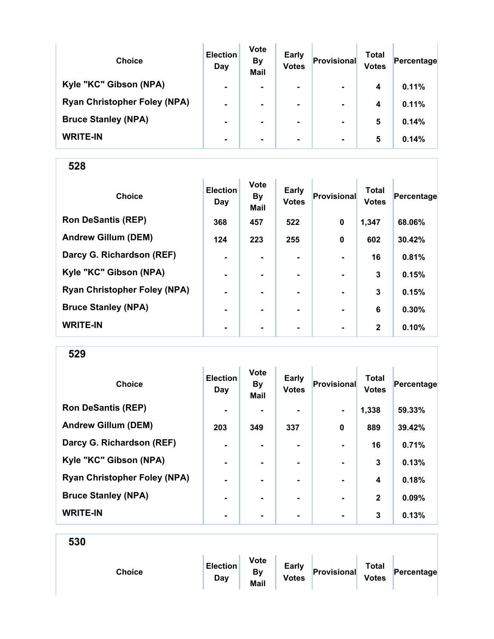| <b>Choice</b>                       | <b>Election</b><br>Day | <b>Vote</b><br><b>By</b><br><b>Mail</b> | <b>Early</b><br><b>Votes</b> | Provisional    | Total<br><b>Votes</b> | Percentage |
|-------------------------------------|------------------------|-----------------------------------------|------------------------------|----------------|-----------------------|------------|
| Kyle "KC" Gibson (NPA)              | $\blacksquare$         | ۰.                                      | $\blacksquare$               | $\blacksquare$ | 4                     | 0.11%      |
| <b>Ryan Christopher Foley (NPA)</b> | $\blacksquare$         | $\blacksquare$                          | $\blacksquare$               | $\blacksquare$ | 4                     | 0.11%      |
| <b>Bruce Stanley (NPA)</b>          | $\blacksquare$         |                                         | $\blacksquare$               | $\blacksquare$ | 5                     | 0.14%      |
| <b>WRITE-IN</b>                     | ۰                      |                                         | $\blacksquare$               | $\blacksquare$ | 5                     | 0.14%      |

| <b>Choice</b>                       | <b>Election</b><br>Day | <b>Vote</b><br><b>By</b><br><b>Mail</b> | <b>Early</b><br><b>Votes</b> | Provisional    | <b>Total</b><br><b>Votes</b> | Percentage |
|-------------------------------------|------------------------|-----------------------------------------|------------------------------|----------------|------------------------------|------------|
| <b>Ron DeSantis (REP)</b>           | 368                    | 457                                     | 522                          | $\mathbf 0$    | 1,347                        | 68.06%     |
| <b>Andrew Gillum (DEM)</b>          | 124                    | 223                                     | 255                          | $\mathbf 0$    | 602                          | 30.42%     |
| Darcy G. Richardson (REF)           | $\blacksquare$         |                                         |                              |                | 16                           | 0.81%      |
| Kyle "KC" Gibson (NPA)              | $\blacksquare$         |                                         |                              |                | 3                            | 0.15%      |
| <b>Ryan Christopher Foley (NPA)</b> | $\blacksquare$         |                                         |                              |                | 3                            | 0.15%      |
| <b>Bruce Stanley (NPA)</b>          |                        |                                         |                              |                | 6                            | 0.30%      |
| <b>WRITE-IN</b>                     | $\blacksquare$         | ۰                                       | ۰                            | $\blacksquare$ | $\mathbf{2}$                 | 0.10%      |

529

| <b>Choice</b>                       | <b>Election</b><br>Day | <b>Vote</b><br><b>By</b><br>Mail | <b>Early</b><br><b>Votes</b> | Provisional    | <b>Total</b><br><b>Votes</b> | Percentage |
|-------------------------------------|------------------------|----------------------------------|------------------------------|----------------|------------------------------|------------|
| <b>Ron DeSantis (REP)</b>           | $\blacksquare$         |                                  |                              | $\blacksquare$ | 1,338                        | 59.33%     |
| <b>Andrew Gillum (DEM)</b>          | 203                    | 349                              | 337                          | $\mathbf 0$    | 889                          | 39.42%     |
| Darcy G. Richardson (REF)           | $\blacksquare$         | $\blacksquare$                   | ۰.                           | $\blacksquare$ | 16                           | 0.71%      |
| Kyle "KC" Gibson (NPA)              | $\blacksquare$         |                                  |                              |                | 3                            | 0.13%      |
| <b>Ryan Christopher Foley (NPA)</b> |                        |                                  |                              |                | 4                            | 0.18%      |
| <b>Bruce Stanley (NPA)</b>          | $\blacksquare$         |                                  | ۰                            | $\blacksquare$ | $\mathbf{2}$                 | 0.09%      |
| <b>WRITE-IN</b>                     | ٠                      | $\blacksquare$                   | ۰                            | $\blacksquare$ | 3                            | 0.13%      |

| Choice | <b>Election</b><br>Day | <b>Vote</b><br>By<br>Mail | <b>Early</b><br><b>Votes</b> | Provisional | <b>Total</b><br><b>Votes</b> | Percentage |  |
|--------|------------------------|---------------------------|------------------------------|-------------|------------------------------|------------|--|
|        |                        |                           |                              |             |                              |            |  |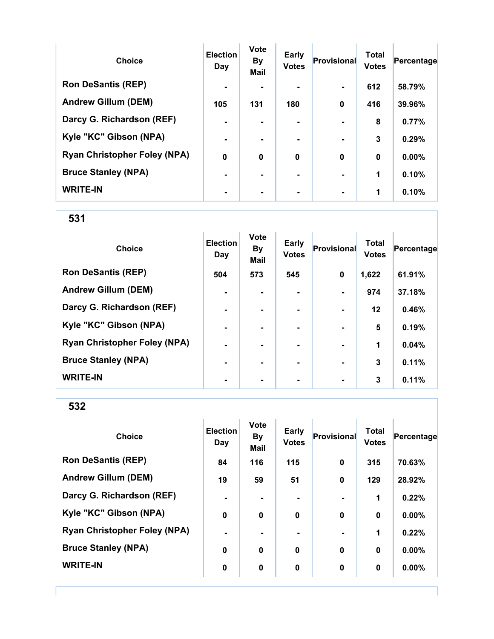| <b>Choice</b>                       | <b>Election</b><br>Day | Vote<br><b>By</b><br><b>Mail</b> | Early<br><b>Votes</b> | Provisional    | <b>Total</b><br><b>Votes</b> | Percentage |
|-------------------------------------|------------------------|----------------------------------|-----------------------|----------------|------------------------------|------------|
| <b>Ron DeSantis (REP)</b>           | $\blacksquare$         |                                  |                       | $\blacksquare$ | 612                          | 58.79%     |
| <b>Andrew Gillum (DEM)</b>          | 105                    | 131                              | 180                   | $\bf{0}$       | 416                          | 39.96%     |
| Darcy G. Richardson (REF)           | $\blacksquare$         |                                  | ۰.                    |                | 8                            | 0.77%      |
| Kyle "KC" Gibson (NPA)              | $\blacksquare$         |                                  | ۰.                    |                | 3                            | 0.29%      |
| <b>Ryan Christopher Foley (NPA)</b> | $\boldsymbol{0}$       | $\bf{0}$                         | $\mathbf 0$           | $\bf{0}$       | $\bf{0}$                     | 0.00%      |
| <b>Bruce Stanley (NPA)</b>          |                        |                                  | ۰.                    |                | 1                            | 0.10%      |
| <b>WRITE-IN</b>                     |                        |                                  |                       |                | 1                            | 0.10%      |

| <b>Choice</b>                       | <b>Election</b><br>Day | <b>Vote</b><br><b>By</b><br><b>Mail</b> | Early<br><b>Votes</b> | Provisional    | <b>Total</b><br><b>Votes</b> | Percentage |
|-------------------------------------|------------------------|-----------------------------------------|-----------------------|----------------|------------------------------|------------|
| <b>Ron DeSantis (REP)</b>           | 504                    | 573                                     | 545                   | 0              | 1,622                        | 61.91%     |
| <b>Andrew Gillum (DEM)</b>          | ۰                      |                                         |                       |                | 974                          | 37.18%     |
| Darcy G. Richardson (REF)           | $\blacksquare$         |                                         | ۰                     | $\blacksquare$ | $12 \,$                      | 0.46%      |
| Kyle "KC" Gibson (NPA)              | $\blacksquare$         | ۰.                                      | ۰                     | $\blacksquare$ | 5                            | 0.19%      |
| <b>Ryan Christopher Foley (NPA)</b> | $\blacksquare$         |                                         |                       | $\blacksquare$ | 1                            | 0.04%      |
| <b>Bruce Stanley (NPA)</b>          | $\blacksquare$         | -                                       |                       | $\blacksquare$ | 3                            | 0.11%      |
| <b>WRITE-IN</b>                     | ۰                      |                                         |                       | $\blacksquare$ | 3                            | 0.11%      |

| <b>Choice</b>                       | <b>Election</b><br>Day | <b>Vote</b><br>By<br>Mail | <b>Early</b><br><b>Votes</b> | Provisional    | <b>Total</b><br><b>Votes</b> | Percentage |
|-------------------------------------|------------------------|---------------------------|------------------------------|----------------|------------------------------|------------|
| <b>Ron DeSantis (REP)</b>           | 84                     | 116                       | 115                          | $\mathbf 0$    | 315                          | 70.63%     |
| <b>Andrew Gillum (DEM)</b>          | 19                     | 59                        | 51                           | $\mathbf 0$    | 129                          | 28.92%     |
| Darcy G. Richardson (REF)           | $\blacksquare$         |                           |                              |                | 1                            | 0.22%      |
| Kyle "KC" Gibson (NPA)              | $\mathbf 0$            | $\mathbf 0$               | 0                            | $\mathbf 0$    | 0                            | 0.00%      |
| <b>Ryan Christopher Foley (NPA)</b> | $\blacksquare$         |                           |                              | $\blacksquare$ | 1                            | 0.22%      |
| <b>Bruce Stanley (NPA)</b>          | $\bf{0}$               | 0                         | $\mathbf 0$                  | $\mathbf 0$    | 0                            | 0.00%      |
| <b>WRITE-IN</b>                     | $\bf{0}$               | 0                         | 0                            | 0              | 0                            | 0.00%      |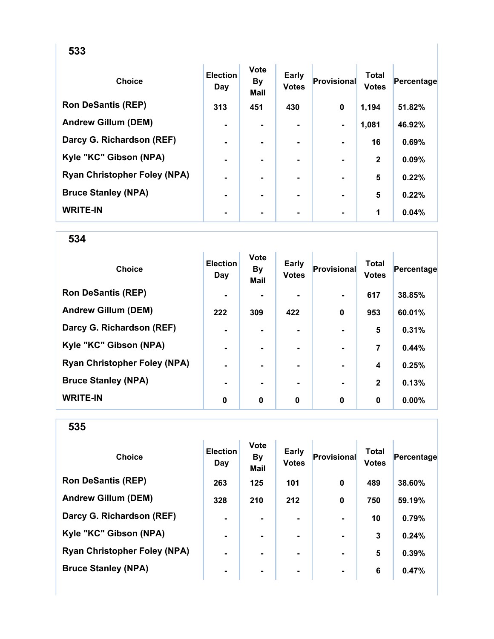| <b>Choice</b>                       | <b>Election</b><br>Day | <b>Vote</b><br>By<br><b>Mail</b> | Early<br><b>Votes</b> | Provisional    | <b>Total</b><br><b>Votes</b> | Percentage |
|-------------------------------------|------------------------|----------------------------------|-----------------------|----------------|------------------------------|------------|
| <b>Ron DeSantis (REP)</b>           | 313                    | 451                              | 430                   | 0              | 1,194                        | 51.82%     |
| <b>Andrew Gillum (DEM)</b>          | $\blacksquare$         | $\blacksquare$                   | $\blacksquare$        | $\blacksquare$ | 1,081                        | 46.92%     |
| Darcy G. Richardson (REF)           | $\blacksquare$         |                                  |                       |                | 16                           | 0.69%      |
| Kyle "KC" Gibson (NPA)              | ۰                      |                                  |                       |                | $\mathbf{2}$                 | 0.09%      |
| <b>Ryan Christopher Foley (NPA)</b> |                        |                                  |                       |                | 5                            | 0.22%      |
| <b>Bruce Stanley (NPA)</b>          |                        |                                  | ۰                     |                | 5                            | 0.22%      |
| <b>WRITE-IN</b>                     | ۰                      |                                  |                       |                | 1                            | 0.04%      |

| <b>Choice</b>                       | <b>Election</b><br>Day | <b>Vote</b><br><b>By</b><br><b>Mail</b> | Early<br><b>Votes</b> | <b>Provisional</b> | <b>Total</b><br><b>Votes</b> | Percentage |
|-------------------------------------|------------------------|-----------------------------------------|-----------------------|--------------------|------------------------------|------------|
| <b>Ron DeSantis (REP)</b>           | $\blacksquare$         |                                         |                       | $\blacksquare$     | 617                          | 38.85%     |
| <b>Andrew Gillum (DEM)</b>          | 222                    | 309                                     | 422                   | $\mathbf 0$        | 953                          | 60.01%     |
| Darcy G. Richardson (REF)           | ٠                      |                                         |                       |                    | 5                            | 0.31%      |
| Kyle "KC" Gibson (NPA)              | ۰                      | $\blacksquare$                          |                       | $\blacksquare$     | $\overline{7}$               | 0.44%      |
| <b>Ryan Christopher Foley (NPA)</b> | $\blacksquare$         | $\blacksquare$                          | ۰                     | $\blacksquare$     | 4                            | 0.25%      |
| <b>Bruce Stanley (NPA)</b>          | $\blacksquare$         |                                         |                       | $\blacksquare$     | $\mathbf{2}$                 | 0.13%      |
| <b>WRITE-IN</b>                     | 0                      | 0                                       | 0                     | $\mathbf 0$        | 0                            | $0.00\%$   |

| <b>Choice</b>                       | <b>Election</b><br>Day | <b>Vote</b><br><b>By</b><br><b>Mail</b> | <b>Early</b><br><b>Votes</b> | Provisional    | Total<br><b>Votes</b> | Percentage |
|-------------------------------------|------------------------|-----------------------------------------|------------------------------|----------------|-----------------------|------------|
| <b>Ron DeSantis (REP)</b>           | 263                    | 125                                     | 101                          | 0              | 489                   | 38.60%     |
| <b>Andrew Gillum (DEM)</b>          | 328                    | 210                                     | 212                          | $\mathbf 0$    | 750                   | 59.19%     |
| Darcy G. Richardson (REF)           | $\blacksquare$         |                                         |                              |                | 10                    | 0.79%      |
| Kyle "KC" Gibson (NPA)              | $\blacksquare$         | $\blacksquare$                          |                              |                | 3                     | 0.24%      |
| <b>Ryan Christopher Foley (NPA)</b> | $\blacksquare$         |                                         | ۰.                           |                | 5                     | 0.39%      |
| <b>Bruce Stanley (NPA)</b>          | $\blacksquare$         |                                         | ۰                            | $\blacksquare$ | 6                     | 0.47%      |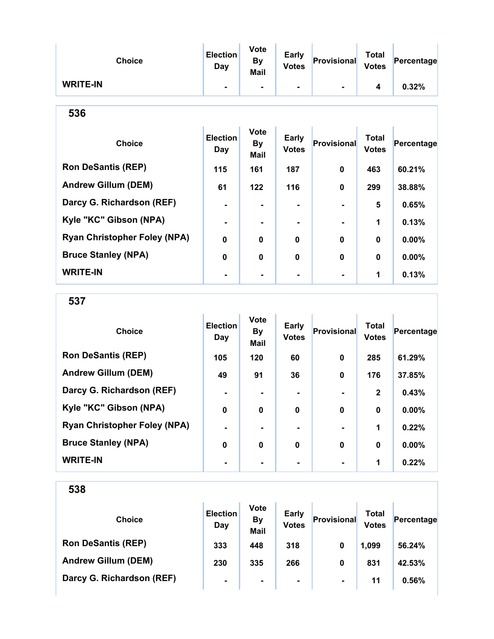| <b>Choice</b>                       | <b>Election</b><br>Day | <b>Vote</b><br><b>By</b><br>Mail | Early<br><b>Votes</b>        | Provisional        | <b>Total</b><br><b>Votes</b> | Percentage |
|-------------------------------------|------------------------|----------------------------------|------------------------------|--------------------|------------------------------|------------|
| <b>WRITE-IN</b>                     |                        | ۰                                | $\blacksquare$               |                    | 4                            | 0.32%      |
| 536                                 |                        |                                  |                              |                    |                              |            |
| <b>Choice</b>                       | <b>Election</b><br>Day | <b>Vote</b><br>By<br>Mail        | <b>Early</b><br><b>Votes</b> | <b>Provisional</b> | <b>Total</b><br><b>Votes</b> | Percentage |
| <b>Ron DeSantis (REP)</b>           | 115                    | 161                              | 187                          | $\bf{0}$           | 463                          | 60.21%     |
| <b>Andrew Gillum (DEM)</b>          | 61                     | 122                              | 116                          | 0                  | 299                          | 38.88%     |
| Darcy G. Richardson (REF)           | $\blacksquare$         | ۰                                | $\blacksquare$               |                    | 5                            | 0.65%      |
| Kyle "KC" Gibson (NPA)              |                        |                                  |                              |                    | 1                            | 0.13%      |
| <b>Ryan Christopher Foley (NPA)</b> | $\Omega$               | 0                                | $\bf{0}$                     | $\bf{0}$           | $\mathbf{0}$                 | 0.00%      |
| <b>Bruce Stanley (NPA)</b>          | $\bf{0}$               | 0                                | $\bf{0}$                     | $\bf{0}$           | $\mathbf{0}$                 | $0.00\%$   |
| <b>WRITE-IN</b>                     |                        |                                  |                              |                    | 1                            | 0.13%      |

537

| <b>Choice</b>                       | <b>Election</b><br>Day | <b>Vote</b><br><b>By</b><br><b>Mail</b> | <b>Early</b><br><b>Votes</b> | Provisional | <b>Total</b><br><b>Votes</b> | Percentage |
|-------------------------------------|------------------------|-----------------------------------------|------------------------------|-------------|------------------------------|------------|
| <b>Ron DeSantis (REP)</b>           | 105                    | 120                                     | 60                           | $\bf{0}$    | 285                          | 61.29%     |
| <b>Andrew Gillum (DEM)</b>          | 49                     | 91                                      | 36                           | $\bf{0}$    | 176                          | 37.85%     |
| Darcy G. Richardson (REF)           |                        |                                         |                              |             | $\mathbf{2}$                 | 0.43%      |
| Kyle "KC" Gibson (NPA)              | 0                      | 0                                       | $\mathbf 0$                  | $\bf{0}$    | $\bf{0}$                     | 0.00%      |
| <b>Ryan Christopher Foley (NPA)</b> | $\blacksquare$         |                                         |                              |             | 1                            | 0.22%      |
| <b>Bruce Stanley (NPA)</b>          | 0                      | 0                                       | $\bf{0}$                     | $\bf{0}$    | $\bf{0}$                     | 0.00%      |
| <b>WRITE-IN</b>                     |                        |                                         |                              |             | 1                            | 0.22%      |

| <b>Choice</b>              | <b>Election</b><br>Day | <b>Vote</b><br><b>By</b><br><b>Mail</b> | <b>Early</b><br><b>Votes</b> | Provisional    | Total<br><b>Votes</b> | Percentage |
|----------------------------|------------------------|-----------------------------------------|------------------------------|----------------|-----------------------|------------|
| <b>Ron DeSantis (REP)</b>  | 333                    | 448                                     | 318                          | 0              | 1,099                 | 56.24%     |
| <b>Andrew Gillum (DEM)</b> | 230                    | 335                                     | 266                          | 0              | 831                   | 42.53%     |
| Darcy G. Richardson (REF)  | $\blacksquare$         | $\blacksquare$                          | $\blacksquare$               | $\blacksquare$ | 11                    | 0.56%      |
|                            |                        |                                         |                              |                |                       |            |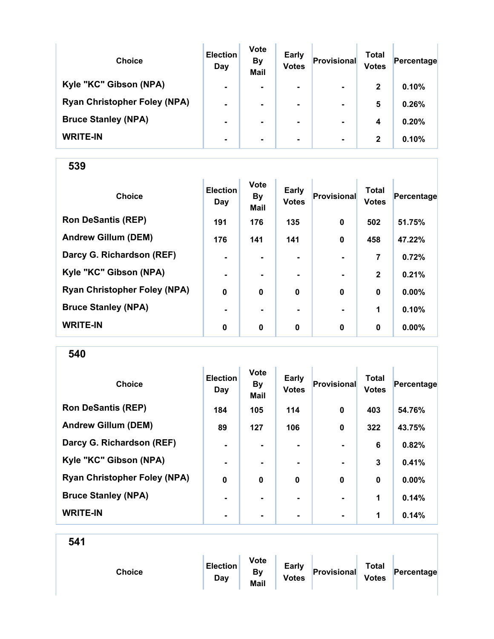| <b>Choice</b>                       | <b>Election</b><br>Day | <b>Vote</b><br><b>By</b><br><b>Mail</b> | <b>Early</b><br><b>Votes</b> | Provisional    | Total<br><b>Votes</b> | Percentage |
|-------------------------------------|------------------------|-----------------------------------------|------------------------------|----------------|-----------------------|------------|
| Kyle "KC" Gibson (NPA)              | $\blacksquare$         | ۰.                                      | $\blacksquare$               | $\blacksquare$ | $\mathbf{2}$          | 0.10%      |
| <b>Ryan Christopher Foley (NPA)</b> | $\blacksquare$         | $\blacksquare$                          | $\blacksquare$               | $\blacksquare$ | 5                     | 0.26%      |
| <b>Bruce Stanley (NPA)</b>          | $\blacksquare$         |                                         | $\blacksquare$               | $\blacksquare$ | 4                     | 0.20%      |
| <b>WRITE-IN</b>                     | ۰                      |                                         | $\blacksquare$               | $\blacksquare$ | 2                     | 0.10%      |

| <b>Choice</b>                       | <b>Election</b><br>Day | <b>Vote</b><br><b>By</b><br>Mail | <b>Early</b><br><b>Votes</b> | Provisional | <b>Total</b><br><b>Votes</b> | Percentage |
|-------------------------------------|------------------------|----------------------------------|------------------------------|-------------|------------------------------|------------|
| <b>Ron DeSantis (REP)</b>           | 191                    | 176                              | 135                          | $\mathbf 0$ | 502                          | 51.75%     |
| <b>Andrew Gillum (DEM)</b>          | 176                    | 141                              | 141                          | $\mathbf 0$ | 458                          | 47.22%     |
| Darcy G. Richardson (REF)           | $\blacksquare$         | ۰.                               | $\blacksquare$               |             | 7                            | 0.72%      |
| Kyle "KC" Gibson (NPA)              | $\blacksquare$         | ۰.                               | ۰.                           |             | $\mathbf{2}$                 | 0.21%      |
| <b>Ryan Christopher Foley (NPA)</b> | $\mathbf 0$            | $\bf{0}$                         | 0                            | $\mathbf 0$ | $\mathbf 0$                  | $0.00\%$   |
| <b>Bruce Stanley (NPA)</b>          |                        |                                  |                              |             | 1                            | 0.10%      |
| <b>WRITE-IN</b>                     | 0                      | $\mathbf 0$                      | $\bf{0}$                     | $\mathbf 0$ | $\bf{0}$                     | $0.00\%$   |

| <b>Choice</b>                       | <b>Election</b><br>Day | <b>Vote</b><br><b>By</b><br>Mail | <b>Early</b><br><b>Votes</b> | Provisional    | <b>Total</b><br><b>Votes</b> | Percentage |
|-------------------------------------|------------------------|----------------------------------|------------------------------|----------------|------------------------------|------------|
| <b>Ron DeSantis (REP)</b>           | 184                    | 105                              | 114                          | $\bf{0}$       | 403                          | 54.76%     |
| <b>Andrew Gillum (DEM)</b>          | 89                     | 127                              | 106                          | 0              | 322                          | 43.75%     |
| Darcy G. Richardson (REF)           | $\blacksquare$         | $\blacksquare$                   | $\blacksquare$               | $\blacksquare$ | 6                            | 0.82%      |
| Kyle "KC" Gibson (NPA)              | $\blacksquare$         |                                  |                              |                | 3                            | 0.41%      |
| <b>Ryan Christopher Foley (NPA)</b> | $\bf{0}$               | $\bf{0}$                         | $\bf{0}$                     | $\bf{0}$       | 0                            | $0.00\%$   |
| <b>Bruce Stanley (NPA)</b>          | $\blacksquare$         | ۰.                               | ۰.                           | $\blacksquare$ | 1                            | 0.14%      |
| <b>WRITE-IN</b>                     | $\blacksquare$         |                                  | ۰                            | $\blacksquare$ | 1                            | 0.14%      |

| 541 |               |                        |                                  |                              |             |                              |            |
|-----|---------------|------------------------|----------------------------------|------------------------------|-------------|------------------------------|------------|
|     | <b>Choice</b> | <b>Election</b><br>Day | <b>Vote</b><br>By<br><b>Mail</b> | <b>Early</b><br><b>Votes</b> | Provisional | <b>Total</b><br><b>Votes</b> | Percentage |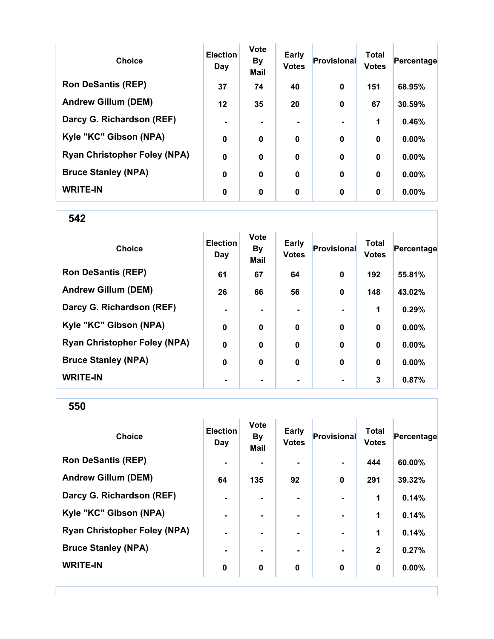| <b>Choice</b>                       | <b>Election</b><br>Day | <b>Vote</b><br><b>By</b><br><b>Mail</b> | <b>Early</b><br><b>Votes</b> | Provisional | <b>Total</b><br><b>Votes</b> | Percentage |
|-------------------------------------|------------------------|-----------------------------------------|------------------------------|-------------|------------------------------|------------|
| <b>Ron DeSantis (REP)</b>           | 37                     | 74                                      | 40                           | $\bf{0}$    | 151                          | 68.95%     |
| <b>Andrew Gillum (DEM)</b>          | 12                     | 35                                      | 20                           | $\bf{0}$    | 67                           | 30.59%     |
| Darcy G. Richardson (REF)           |                        |                                         | ۰                            |             | 1                            | 0.46%      |
| Kyle "KC" Gibson (NPA)              | 0                      | 0                                       | $\mathbf 0$                  | $\bf{0}$    | $\bf{0}$                     | 0.00%      |
| <b>Ryan Christopher Foley (NPA)</b> | $\mathbf 0$            | 0                                       | $\mathbf 0$                  | $\bf{0}$    | $\bf{0}$                     | 0.00%      |
| <b>Bruce Stanley (NPA)</b>          | 0                      | $\bf{0}$                                | $\mathbf{0}$                 | $\bf{0}$    | $\bf{0}$                     | $0.00\%$   |
| <b>WRITE-IN</b>                     | 0                      | $\mathbf 0$                             | $\mathbf 0$                  | $\bf{0}$    | $\mathbf 0$                  | $0.00\%$   |

| <b>Choice</b>                       | <b>Election</b><br>Day | <b>Vote</b><br><b>By</b><br><b>Mail</b> | <b>Early</b><br><b>Votes</b> | <b>Provisional</b> | <b>Total</b><br><b>Votes</b> | Percentage |
|-------------------------------------|------------------------|-----------------------------------------|------------------------------|--------------------|------------------------------|------------|
| <b>Ron DeSantis (REP)</b>           | 61                     | 67                                      | 64                           | $\mathbf 0$        | 192                          | 55.81%     |
| <b>Andrew Gillum (DEM)</b>          | 26                     | 66                                      | 56                           | $\mathbf 0$        | 148                          | 43.02%     |
| Darcy G. Richardson (REF)           | $\blacksquare$         |                                         |                              |                    | 1                            | 0.29%      |
| Kyle "KC" Gibson (NPA)              | $\bf{0}$               | $\bf{0}$                                | $\mathbf 0$                  | $\mathbf 0$        | $\bf{0}$                     | 0.00%      |
| <b>Ryan Christopher Foley (NPA)</b> | $\mathbf 0$            | $\mathbf 0$                             | $\mathbf 0$                  | $\mathbf 0$        | $\bf{0}$                     | 0.00%      |
| <b>Bruce Stanley (NPA)</b>          | 0                      | 0                                       | 0                            | $\mathbf 0$        | 0                            | 0.00%      |
| <b>WRITE-IN</b>                     | ٠                      |                                         |                              |                    | 3                            | 0.87%      |

<sup>550</sup>

| <b>Choice</b>                       | <b>Election</b><br>Day | <b>Vote</b><br><b>By</b><br><b>Mail</b> | Early<br><b>Votes</b> | <b>Provisional</b> | <b>Total</b><br><b>Votes</b> | Percentage |
|-------------------------------------|------------------------|-----------------------------------------|-----------------------|--------------------|------------------------------|------------|
| <b>Ron DeSantis (REP)</b>           | $\blacksquare$         |                                         | ۰                     | $\blacksquare$     | 444                          | 60.00%     |
| <b>Andrew Gillum (DEM)</b>          | 64                     | 135                                     | 92                    | $\mathbf 0$        | 291                          | 39.32%     |
| Darcy G. Richardson (REF)           | $\blacksquare$         |                                         |                       |                    | 1                            | 0.14%      |
| Kyle "KC" Gibson (NPA)              | $\blacksquare$         |                                         | ۰.                    | $\blacksquare$     | 1                            | 0.14%      |
| <b>Ryan Christopher Foley (NPA)</b> | $\blacksquare$         | $\blacksquare$                          | ۰.                    | $\blacksquare$     | 1                            | 0.14%      |
| <b>Bruce Stanley (NPA)</b>          | $\blacksquare$         |                                         | $\blacksquare$        | $\blacksquare$     | $\mathbf{2}$                 | 0.27%      |
| <b>WRITE-IN</b>                     | 0                      | $\mathbf 0$                             | 0                     | $\mathbf 0$        | 0                            | 0.00%      |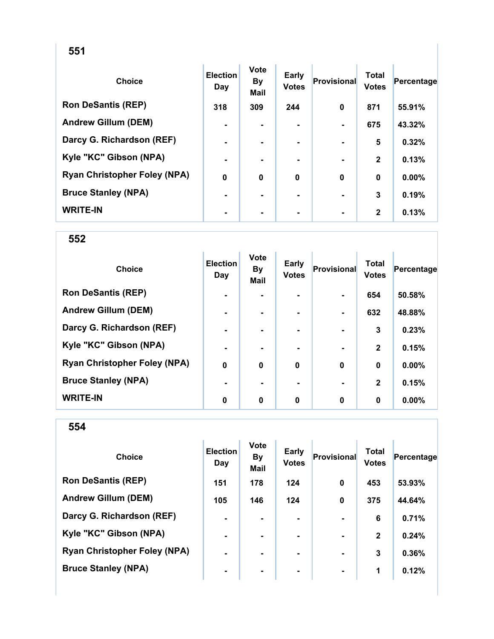| ۰.<br>I<br>v<br>×<br>× |
|------------------------|
|------------------------|

| <b>Choice</b>                       | <b>Election</b><br>Day | <b>Vote</b><br><b>By</b><br><b>Mail</b> | Early<br><b>Votes</b> | Provisional | <b>Total</b><br><b>Votes</b> | Percentage |
|-------------------------------------|------------------------|-----------------------------------------|-----------------------|-------------|------------------------------|------------|
| <b>Ron DeSantis (REP)</b>           | 318                    | 309                                     | 244                   | 0           | 871                          | 55.91%     |
| <b>Andrew Gillum (DEM)</b>          | $\blacksquare$         |                                         |                       |             | 675                          | 43.32%     |
| Darcy G. Richardson (REF)           | $\blacksquare$         |                                         |                       |             | 5                            | 0.32%      |
| Kyle "KC" Gibson (NPA)              | ۰                      |                                         |                       |             | $\mathbf{2}$                 | 0.13%      |
| <b>Ryan Christopher Foley (NPA)</b> | $\bf{0}$               | $\bf{0}$                                | $\bf{0}$              | 0           | $\bf{0}$                     | 0.00%      |
| <b>Bruce Stanley (NPA)</b>          | ۰                      |                                         | ۰.                    |             | 3                            | 0.19%      |
| <b>WRITE-IN</b>                     | ۰                      |                                         | ۰.                    |             | $\mathbf{2}$                 | 0.13%      |

| <b>Choice</b>                       | <b>Election</b><br>Day | <b>Vote</b><br><b>By</b><br><b>Mail</b> | Early<br><b>Votes</b> | Provisional    | <b>Total</b><br><b>Votes</b> | Percentage |
|-------------------------------------|------------------------|-----------------------------------------|-----------------------|----------------|------------------------------|------------|
| <b>Ron DeSantis (REP)</b>           | $\blacksquare$         |                                         |                       | $\blacksquare$ | 654                          | 50.58%     |
| <b>Andrew Gillum (DEM)</b>          | $\blacksquare$         | -                                       |                       |                | 632                          | 48.88%     |
| Darcy G. Richardson (REF)           |                        |                                         |                       |                | 3                            | 0.23%      |
| Kyle "KC" Gibson (NPA)              |                        |                                         |                       |                | $\mathbf{2}$                 | 0.15%      |
| <b>Ryan Christopher Foley (NPA)</b> | $\boldsymbol{0}$       | $\bf{0}$                                | $\mathbf 0$           | $\bf{0}$       | $\bf{0}$                     | 0.00%      |
| <b>Bruce Stanley (NPA)</b>          |                        |                                         |                       |                | $\mathbf{2}$                 | 0.15%      |
| <b>WRITE-IN</b>                     | 0                      | $\mathbf 0$                             | $\mathbf 0$           | $\bf{0}$       | 0                            | $0.00\%$   |

| ×<br>۰.<br>I<br>v<br>v<br>×<br>× |
|----------------------------------|
|----------------------------------|

| <b>Choice</b>                       | <b>Election</b><br>Day | <b>Vote</b><br><b>By</b><br><b>Mail</b> | <b>Early</b><br><b>Votes</b> | Provisional    | <b>Total</b><br><b>Votes</b> | Percentage |
|-------------------------------------|------------------------|-----------------------------------------|------------------------------|----------------|------------------------------|------------|
| <b>Ron DeSantis (REP)</b>           | 151                    | 178                                     | 124                          | $\mathbf 0$    | 453                          | 53.93%     |
| <b>Andrew Gillum (DEM)</b>          | 105                    | 146                                     | 124                          | $\mathbf 0$    | 375                          | 44.64%     |
| Darcy G. Richardson (REF)           | $\blacksquare$         | $\blacksquare$                          | ۰.                           |                | 6                            | 0.71%      |
| Kyle "KC" Gibson (NPA)              | $\blacksquare$         | $\blacksquare$                          | ۰.                           | $\blacksquare$ | $\mathbf{2}$                 | 0.24%      |
| <b>Ryan Christopher Foley (NPA)</b> | ۰                      |                                         |                              |                | 3                            | 0.36%      |
| <b>Bruce Stanley (NPA)</b>          | $\blacksquare$         | $\blacksquare$                          | ۰                            | $\blacksquare$ | 1                            | 0.12%      |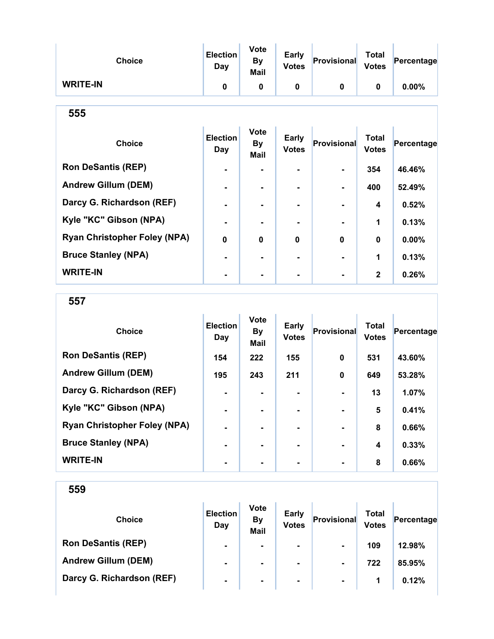| <b>Choice</b>                       | <b>Election</b><br><b>Day</b> | <b>Vote</b><br><b>By</b><br><b>Mail</b> | <b>Early</b><br><b>Votes</b> | <b>Provisional</b> | <b>Total</b><br><b>Votes</b> | Percentage |  |  |
|-------------------------------------|-------------------------------|-----------------------------------------|------------------------------|--------------------|------------------------------|------------|--|--|
| <b>WRITE-IN</b>                     | 0                             | $\mathbf{0}$                            | 0                            | 0                  | 0                            | 0.00%      |  |  |
| 555                                 |                               |                                         |                              |                    |                              |            |  |  |
| <b>Choice</b>                       | <b>Election</b><br><b>Day</b> | <b>Vote</b><br><b>By</b><br><b>Mail</b> | Early<br><b>Votes</b>        | <b>Provisional</b> | <b>Total</b><br><b>Votes</b> | Percentage |  |  |
| <b>Ron DeSantis (REP)</b>           |                               |                                         |                              |                    | 354                          | 46.46%     |  |  |
| <b>Andrew Gillum (DEM)</b>          |                               | ۰                                       |                              |                    | 400                          | 52.49%     |  |  |
| Darcy G. Richardson (REF)           |                               |                                         |                              |                    | 4                            | 0.52%      |  |  |
| Kyle "KC" Gibson (NPA)              |                               |                                         |                              |                    | 1                            | 0.13%      |  |  |
| <b>Ryan Christopher Foley (NPA)</b> | $\bf{0}$                      | 0                                       | 0                            | $\bf{0}$           | $\bf{0}$                     | 0.00%      |  |  |
| <b>Bruce Stanley (NPA)</b>          |                               | ۰                                       |                              |                    | 1                            | 0.13%      |  |  |
| <b>WRITE-IN</b>                     |                               |                                         |                              |                    | $\mathbf{2}$                 | 0.26%      |  |  |

557

| <b>Choice</b>                       | <b>Election</b><br>Day | <b>Vote</b><br><b>By</b><br>Mail | <b>Early</b><br><b>Votes</b> | <b>Provisional</b> | <b>Total</b><br><b>Votes</b> | Percentage |
|-------------------------------------|------------------------|----------------------------------|------------------------------|--------------------|------------------------------|------------|
| <b>Ron DeSantis (REP)</b>           | 154                    | 222                              | 155                          | $\bf{0}$           | 531                          | 43.60%     |
| <b>Andrew Gillum (DEM)</b>          | 195                    | 243                              | 211                          | $\bf{0}$           | 649                          | 53.28%     |
| Darcy G. Richardson (REF)           |                        |                                  |                              |                    | 13                           | 1.07%      |
| Kyle "KC" Gibson (NPA)              |                        |                                  | -                            |                    | 5                            | 0.41%      |
| <b>Ryan Christopher Foley (NPA)</b> |                        |                                  | $\blacksquare$               |                    | 8                            | 0.66%      |
| <b>Bruce Stanley (NPA)</b>          |                        | ۰.                               | $\blacksquare$               |                    | 4                            | 0.33%      |
| <b>WRITE-IN</b>                     |                        |                                  |                              |                    | 8                            | 0.66%      |

| <b>Choice</b>              | <b>Election</b><br>Day | <b>Vote</b><br><b>By</b><br><b>Mail</b> | <b>Early</b><br><b>Votes</b> | Provisional    | Total<br><b>Votes</b> | Percentage |
|----------------------------|------------------------|-----------------------------------------|------------------------------|----------------|-----------------------|------------|
| <b>Ron DeSantis (REP)</b>  | $\blacksquare$         | $\blacksquare$                          | ۰.                           | $\blacksquare$ | 109                   | 12.98%     |
| <b>Andrew Gillum (DEM)</b> | $\blacksquare$         | $\blacksquare$                          | ۰.                           | $\blacksquare$ | 722                   | 85.95%     |
| Darcy G. Richardson (REF)  | $\blacksquare$         | $\blacksquare$                          | $\blacksquare$               | $\blacksquare$ | 1                     | 0.12%      |
|                            |                        |                                         |                              |                |                       |            |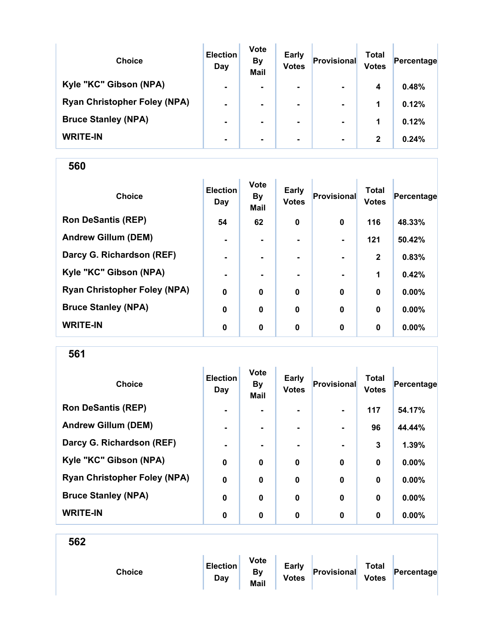| <b>Choice</b>                       | <b>Election</b><br>Day | <b>Vote</b><br><b>By</b><br><b>Mail</b> | <b>Early</b><br><b>Votes</b> | Provisional    | <b>Total</b><br><b>Votes</b> | Percentage |
|-------------------------------------|------------------------|-----------------------------------------|------------------------------|----------------|------------------------------|------------|
| Kyle "KC" Gibson (NPA)              | $\blacksquare$         | ۰                                       | $\blacksquare$               | $\blacksquare$ | 4                            | 0.48%      |
| <b>Ryan Christopher Foley (NPA)</b> | $\blacksquare$         |                                         | $\blacksquare$               | $\blacksquare$ | 1                            | 0.12%      |
| <b>Bruce Stanley (NPA)</b>          |                        |                                         |                              | $\blacksquare$ | 1                            | 0.12%      |
| <b>WRITE-IN</b>                     | ۰                      | ۰                                       |                              | $\blacksquare$ | 2                            | 0.24%      |

| <b>Choice</b>                       | <b>Election</b><br>Day | <b>Vote</b><br><b>By</b><br>Mail | <b>Early</b><br><b>Votes</b> | Provisional    | <b>Total</b><br><b>Votes</b> | Percentage |
|-------------------------------------|------------------------|----------------------------------|------------------------------|----------------|------------------------------|------------|
| <b>Ron DeSantis (REP)</b>           | 54                     | 62                               | 0                            | $\mathbf 0$    | 116                          | 48.33%     |
| <b>Andrew Gillum (DEM)</b>          | ۰                      |                                  |                              | $\blacksquare$ | 121                          | 50.42%     |
| Darcy G. Richardson (REF)           | $\blacksquare$         |                                  |                              | $\blacksquare$ | $\mathbf{2}$                 | 0.83%      |
| Kyle "KC" Gibson (NPA)              | $\blacksquare$         |                                  |                              |                | 1                            | 0.42%      |
| <b>Ryan Christopher Foley (NPA)</b> | $\mathbf 0$            | $\mathbf 0$                      | $\mathbf 0$                  | $\bf{0}$       | 0                            | 0.00%      |
| <b>Bruce Stanley (NPA)</b>          | $\bf{0}$               | $\bf{0}$                         | $\mathbf 0$                  | $\bf{0}$       | 0                            | $0.00\%$   |
| <b>WRITE-IN</b>                     | 0                      | $\mathbf 0$                      | 0                            | $\bf{0}$       | $\bf{0}$                     | $0.00\%$   |

561

| <b>Choice</b>                       | <b>Election</b><br>Day | <b>Vote</b><br><b>By</b><br>Mail | <b>Early</b><br><b>Votes</b> | Provisional    | <b>Total</b><br><b>Votes</b> | Percentage |
|-------------------------------------|------------------------|----------------------------------|------------------------------|----------------|------------------------------|------------|
| <b>Ron DeSantis (REP)</b>           | $\blacksquare$         |                                  |                              | $\blacksquare$ | 117                          | 54.17%     |
| <b>Andrew Gillum (DEM)</b>          | $\blacksquare$         |                                  | ۰                            | $\blacksquare$ | 96                           | 44.44%     |
| Darcy G. Richardson (REF)           | $\blacksquare$         | -                                | -                            | $\blacksquare$ | 3                            | 1.39%      |
| Kyle "KC" Gibson (NPA)              | $\mathbf 0$            | $\bf{0}$                         | $\bf{0}$                     | $\bf{0}$       | 0                            | 0.00%      |
| <b>Ryan Christopher Foley (NPA)</b> | $\mathbf 0$            | $\bf{0}$                         | $\mathbf 0$                  | $\bf{0}$       | 0                            | 0.00%      |
| <b>Bruce Stanley (NPA)</b>          | $\bf{0}$               | $\bf{0}$                         | $\mathbf 0$                  | $\bf{0}$       | $\bf{0}$                     | 0.00%      |
| <b>WRITE-IN</b>                     | 0                      | 0                                | 0                            | $\bf{0}$       | $\bf{0}$                     | 0.00%      |

| <b>Choice</b> | <b>Election</b><br>Day | <b>Vote</b><br><b>By</b><br>Mail | Early<br><b>Votes</b> | Provisional | <b>Total</b><br>Votes | Percentage |
|---------------|------------------------|----------------------------------|-----------------------|-------------|-----------------------|------------|
|               |                        |                                  |                       |             |                       |            |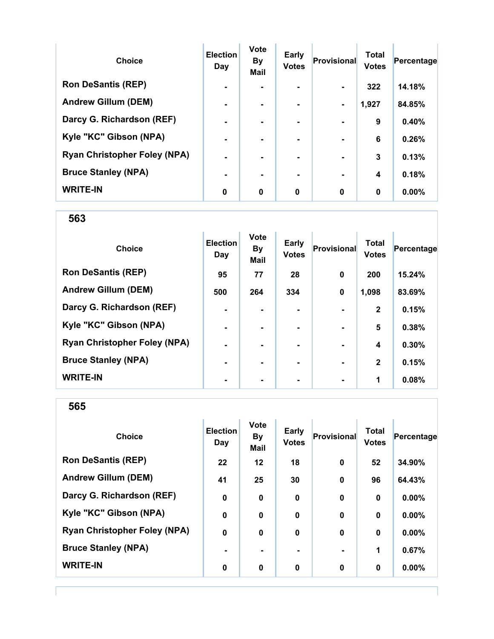| <b>Choice</b>                       | <b>Election</b><br>Day | <b>Vote</b><br><b>By</b><br><b>Mail</b> | <b>Early</b><br><b>Votes</b> | Provisional    | <b>Total</b><br><b>Votes</b> | Percentage |
|-------------------------------------|------------------------|-----------------------------------------|------------------------------|----------------|------------------------------|------------|
| <b>Ron DeSantis (REP)</b>           |                        |                                         |                              |                | 322                          | 14.18%     |
| <b>Andrew Gillum (DEM)</b>          |                        |                                         | -                            | $\blacksquare$ | 1,927                        | 84.85%     |
| Darcy G. Richardson (REF)           |                        |                                         |                              |                | 9                            | 0.40%      |
| Kyle "KC" Gibson (NPA)              | $\blacksquare$         |                                         | $\blacksquare$               | $\blacksquare$ | 6                            | 0.26%      |
| <b>Ryan Christopher Foley (NPA)</b> | $\blacksquare$         |                                         | -                            | $\blacksquare$ | 3                            | 0.13%      |
| <b>Bruce Stanley (NPA)</b>          | $\blacksquare$         |                                         | -                            |                | 4                            | 0.18%      |
| <b>WRITE-IN</b>                     | 0                      | $\mathbf 0$                             | 0                            | $\bf{0}$       | 0                            | $0.00\%$   |

| <b>Choice</b>                       | <b>Election</b><br>Day | <b>Vote</b><br><b>By</b><br>Mail | Early<br><b>Votes</b> | Provisional    | <b>Total</b><br><b>Votes</b> | Percentage |
|-------------------------------------|------------------------|----------------------------------|-----------------------|----------------|------------------------------|------------|
| <b>Ron DeSantis (REP)</b>           | 95                     | 77                               | 28                    | $\mathbf 0$    | 200                          | 15.24%     |
| <b>Andrew Gillum (DEM)</b>          | 500                    | 264                              | 334                   | $\mathbf 0$    | 1,098                        | 83.69%     |
| Darcy G. Richardson (REF)           | ۰                      |                                  | $\blacksquare$        |                | $\mathbf{2}$                 | 0.15%      |
| Kyle "KC" Gibson (NPA)              | $\blacksquare$         |                                  | $\blacksquare$        | $\blacksquare$ | 5                            | 0.38%      |
| <b>Ryan Christopher Foley (NPA)</b> | $\blacksquare$         |                                  | ۰.                    | $\blacksquare$ | 4                            | 0.30%      |
| <b>Bruce Stanley (NPA)</b>          | $\blacksquare$         | ۰.                               | -                     | $\blacksquare$ | $\mathbf{2}$                 | 0.15%      |
| <b>WRITE-IN</b>                     | ٠                      |                                  |                       |                | 1                            | 0.08%      |

565

| <b>Choice</b>                       | <b>Election</b><br>Day | <b>Vote</b><br><b>By</b><br><b>Mail</b> | <b>Early</b><br><b>Votes</b> | Provisional      | <b>Total</b><br><b>Votes</b> | Percentage |
|-------------------------------------|------------------------|-----------------------------------------|------------------------------|------------------|------------------------------|------------|
| <b>Ron DeSantis (REP)</b>           | 22                     | $12 \,$                                 | 18                           | $\mathbf 0$      | 52                           | 34.90%     |
| <b>Andrew Gillum (DEM)</b>          | 41                     | 25                                      | 30                           | $\mathbf 0$      | 96                           | 64.43%     |
| Darcy G. Richardson (REF)           | $\mathbf 0$            | $\mathbf 0$                             | $\mathbf 0$                  | $\boldsymbol{0}$ | $\mathbf 0$                  | $0.00\%$   |
| Kyle "KC" Gibson (NPA)              | $\mathbf 0$            | $\bf{0}$                                | $\mathbf 0$                  | 0                | $\bf{0}$                     | $0.00\%$   |
| <b>Ryan Christopher Foley (NPA)</b> | $\mathbf 0$            | $\mathbf 0$                             | $\mathbf 0$                  | $\mathbf 0$      | $\mathbf 0$                  | 0.00%      |
| <b>Bruce Stanley (NPA)</b>          |                        |                                         |                              |                  | 1                            | 0.67%      |
| <b>WRITE-IN</b>                     | $\bf{0}$               | $\bf{0}$                                | $\bf{0}$                     | 0                | $\mathbf 0$                  | 0.00%      |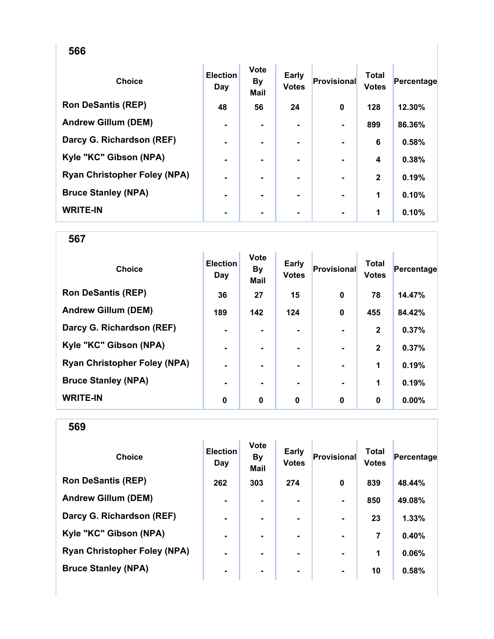| <b>Choice</b>                       | <b>Election</b><br>Day | <b>Vote</b><br><b>By</b><br><b>Mail</b> | Early<br><b>Votes</b> | Provisional | <b>Total</b><br><b>Votes</b> | Percentage |
|-------------------------------------|------------------------|-----------------------------------------|-----------------------|-------------|------------------------------|------------|
| <b>Ron DeSantis (REP)</b>           | 48                     | 56                                      | 24                    | $\bf{0}$    | 128                          | 12.30%     |
| <b>Andrew Gillum (DEM)</b>          | $\blacksquare$         | ۰.                                      | ۰.                    |             | 899                          | 86.36%     |
| Darcy G. Richardson (REF)           | $\blacksquare$         |                                         |                       |             | 6                            | 0.58%      |
| Kyle "KC" Gibson (NPA)              |                        |                                         |                       |             | 4                            | 0.38%      |
| <b>Ryan Christopher Foley (NPA)</b> |                        |                                         |                       |             | $\mathbf{2}$                 | 0.19%      |
| <b>Bruce Stanley (NPA)</b>          | ۰                      |                                         | ۰.                    |             | 1                            | 0.10%      |
| <b>WRITE-IN</b>                     | ۰                      |                                         | ۰                     |             | 1                            | 0.10%      |

567

| <b>Choice</b>                       | <b>Election</b><br>Day | <b>Vote</b><br><b>By</b><br><b>Mail</b> | Early<br><b>Votes</b> | Provisional | <b>Total</b><br><b>Votes</b> | Percentage |
|-------------------------------------|------------------------|-----------------------------------------|-----------------------|-------------|------------------------------|------------|
| <b>Ron DeSantis (REP)</b>           | 36                     | 27                                      | 15                    | $\mathbf 0$ | 78                           | 14.47%     |
| <b>Andrew Gillum (DEM)</b>          | 189                    | 142                                     | 124                   | $\mathbf 0$ | 455                          | 84.42%     |
| Darcy G. Richardson (REF)           | ۰                      |                                         | $\blacksquare$        |             | $\mathbf{2}$                 | 0.37%      |
| Kyle "KC" Gibson (NPA)              | $\blacksquare$         | ۰                                       | $\blacksquare$        |             | $\mathbf{2}$                 | 0.37%      |
| <b>Ryan Christopher Foley (NPA)</b> | $\blacksquare$         |                                         | ۰.                    |             | 1                            | 0.19%      |
| <b>Bruce Stanley (NPA)</b>          |                        |                                         | ۰.                    |             | 1                            | 0.19%      |
| <b>WRITE-IN</b>                     | 0                      | 0                                       | 0                     | 0           | 0                            | $0.00\%$   |

| <b>Choice</b>                       | <b>Election</b><br>Day | <b>Vote</b><br><b>By</b><br><b>Mail</b> | <b>Early</b><br><b>Votes</b> | Provisional    | <b>Total</b><br><b>Votes</b> | Percentage |
|-------------------------------------|------------------------|-----------------------------------------|------------------------------|----------------|------------------------------|------------|
| <b>Ron DeSantis (REP)</b>           | 262                    | 303                                     | 274                          | $\bf{0}$       | 839                          | 48.44%     |
| <b>Andrew Gillum (DEM)</b>          | $\blacksquare$         |                                         | ۰.                           | $\blacksquare$ | 850                          | 49.08%     |
| Darcy G. Richardson (REF)           | $\blacksquare$         |                                         |                              |                | 23                           | 1.33%      |
| Kyle "KC" Gibson (NPA)              | $\blacksquare$         | ۰                                       | ۰                            | $\blacksquare$ | 7                            | 0.40%      |
| <b>Ryan Christopher Foley (NPA)</b> | $\blacksquare$         |                                         | ۰.                           | $\blacksquare$ | 1                            | 0.06%      |
| <b>Bruce Stanley (NPA)</b>          | $\blacksquare$         |                                         | ۰.                           | $\blacksquare$ | 10                           | 0.58%      |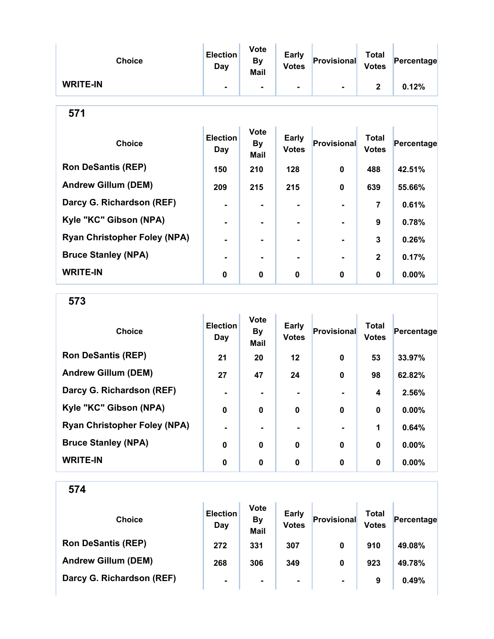| <b>Choice</b>                       | <b>Election</b><br><b>Day</b> | <b>Vote</b><br><b>By</b><br><b>Mail</b> | <b>Early</b><br><b>Votes</b> | Provisional | <b>Total</b><br><b>Votes</b> | Percentage |
|-------------------------------------|-------------------------------|-----------------------------------------|------------------------------|-------------|------------------------------|------------|
| <b>WRITE-IN</b>                     | $\blacksquare$                | $\blacksquare$                          | ۰.                           |             | $\mathbf{2}$                 | 0.12%      |
| 571                                 |                               |                                         |                              |             |                              |            |
| <b>Choice</b>                       | <b>Election</b><br>Day        | <b>Vote</b><br><b>By</b><br><b>Mail</b> | Early<br><b>Votes</b>        | Provisional | <b>Total</b><br><b>Votes</b> | Percentage |
| <b>Ron DeSantis (REP)</b>           | 150                           | 210                                     | 128                          | $\bf{0}$    | 488                          | 42.51%     |
| <b>Andrew Gillum (DEM)</b>          | 209                           | 215                                     | 215                          | $\mathbf 0$ | 639                          | 55.66%     |
| Darcy G. Richardson (REF)           |                               |                                         |                              |             | 7                            | 0.61%      |
| Kyle "KC" Gibson (NPA)              | $\blacksquare$                | $\blacksquare$                          | $\blacksquare$               |             | 9                            | 0.78%      |
| <b>Ryan Christopher Foley (NPA)</b> |                               |                                         |                              |             | 3                            | 0.26%      |

Bruce Stanley (NPA) - - - - 2 0.17%

WRITE-IN 0 0 0 0 0 0.00%

| ×<br>ï<br>×<br>w |  |
|------------------|--|
|------------------|--|

| <b>Choice</b>                       | <b>Election</b><br>Day | <b>Vote</b><br>By<br><b>Mail</b> | <b>Early</b><br><b>Votes</b> | Provisional | <b>Total</b><br><b>Votes</b> | Percentage |
|-------------------------------------|------------------------|----------------------------------|------------------------------|-------------|------------------------------|------------|
| <b>Ron DeSantis (REP)</b>           | 21                     | 20                               | 12                           | 0           | 53                           | 33.97%     |
| <b>Andrew Gillum (DEM)</b>          | 27                     | 47                               | 24                           | 0           | 98                           | 62.82%     |
| Darcy G. Richardson (REF)           | $\blacksquare$         |                                  | ۰                            |             | 4                            | 2.56%      |
| Kyle "KC" Gibson (NPA)              | 0                      | $\bf{0}$                         | 0                            | $\bf{0}$    | $\bf{0}$                     | 0.00%      |
| <b>Ryan Christopher Foley (NPA)</b> | $\blacksquare$         |                                  |                              |             | 1                            | 0.64%      |
| <b>Bruce Stanley (NPA)</b>          | $\mathbf 0$            | $\bf{0}$                         | $\boldsymbol{0}$             | 0           | $\bf{0}$                     | 0.00%      |
| <b>WRITE-IN</b>                     | 0                      | 0                                | 0                            | 0           | 0                            | $0.00\%$   |

| <b>Choice</b>              | <b>Election</b><br>Day | <b>Vote</b><br><b>By</b><br><b>Mail</b> | <b>Early</b><br><b>Votes</b> | Provisional    | Total<br><b>Votes</b> | Percentage |
|----------------------------|------------------------|-----------------------------------------|------------------------------|----------------|-----------------------|------------|
| <b>Ron DeSantis (REP)</b>  | 272                    | 331                                     | 307                          | 0              | 910                   | 49.08%     |
| <b>Andrew Gillum (DEM)</b> | 268                    | 306                                     | 349                          | 0              | 923                   | 49.78%     |
| Darcy G. Richardson (REF)  | $\blacksquare$         | $\blacksquare$                          | $\blacksquare$               | $\blacksquare$ | 9                     | 0.49%      |
|                            |                        |                                         |                              |                |                       |            |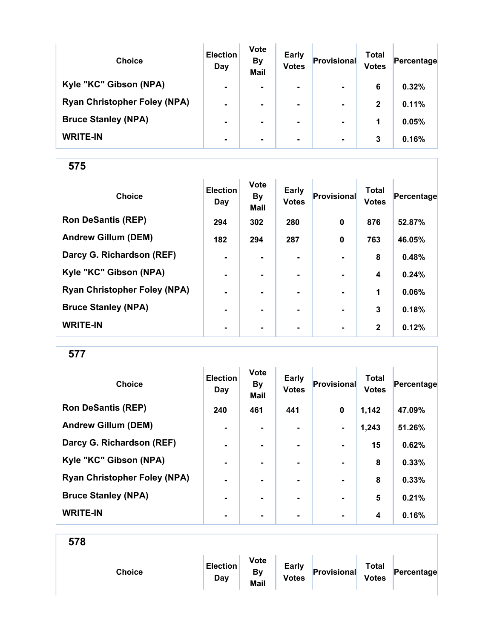| <b>Choice</b>                       | <b>Election</b><br>Day | <b>Vote</b><br><b>By</b><br><b>Mail</b> | <b>Early</b><br><b>Votes</b> | Provisional    | Total<br><b>Votes</b> | Percentage |
|-------------------------------------|------------------------|-----------------------------------------|------------------------------|----------------|-----------------------|------------|
| Kyle "KC" Gibson (NPA)              | $\blacksquare$         | $\blacksquare$                          | $\blacksquare$               | $\blacksquare$ | 6                     | 0.32%      |
| <b>Ryan Christopher Foley (NPA)</b> | $\blacksquare$         |                                         |                              | $\blacksquare$ | $\mathbf{2}$          | 0.11%      |
| <b>Bruce Stanley (NPA)</b>          | $\blacksquare$         |                                         | $\blacksquare$               | $\blacksquare$ | 1                     | 0.05%      |
| <b>WRITE-IN</b>                     | ٠                      |                                         | ۰.                           | $\blacksquare$ | 3                     | 0.16%      |

| <b>Choice</b>                       | <b>Election</b><br>Day | <b>Vote</b><br><b>By</b><br><b>Mail</b> | Early<br><b>Votes</b> | Provisional    | <b>Total</b><br><b>Votes</b> | Percentage |
|-------------------------------------|------------------------|-----------------------------------------|-----------------------|----------------|------------------------------|------------|
| <b>Ron DeSantis (REP)</b>           | 294                    | 302                                     | 280                   | $\mathbf{0}$   | 876                          | 52.87%     |
| <b>Andrew Gillum (DEM)</b>          | 182                    | 294                                     | 287                   | $\mathbf 0$    | 763                          | 46.05%     |
| Darcy G. Richardson (REF)           | $\blacksquare$         | $\blacksquare$                          |                       |                | 8                            | 0.48%      |
| Kyle "KC" Gibson (NPA)              | $\blacksquare$         | ۰.                                      | ۰.                    |                | 4                            | 0.24%      |
| <b>Ryan Christopher Foley (NPA)</b> | $\blacksquare$         |                                         | ۰.                    |                | 1                            | 0.06%      |
| <b>Bruce Stanley (NPA)</b>          | -                      |                                         |                       |                | 3                            | 0.18%      |
| <b>WRITE-IN</b>                     | ٠                      | ۰                                       | ۰                     | $\blacksquare$ | $\mathbf{2}$                 | 0.12%      |

577

| <b>Choice</b>                       | <b>Election</b><br>Day | <b>Vote</b><br><b>By</b><br><b>Mail</b> | <b>Early</b><br><b>Votes</b> | <b>Provisional</b> | <b>Total</b><br><b>Votes</b> | Percentage |
|-------------------------------------|------------------------|-----------------------------------------|------------------------------|--------------------|------------------------------|------------|
| <b>Ron DeSantis (REP)</b>           | 240                    | 461                                     | 441                          | $\mathbf 0$        | 1,142                        | 47.09%     |
| <b>Andrew Gillum (DEM)</b>          | $\blacksquare$         | $\blacksquare$                          |                              | $\blacksquare$     | 1,243                        | 51.26%     |
| Darcy G. Richardson (REF)           | $\blacksquare$         | $\blacksquare$                          | ۰.                           | $\blacksquare$     | 15                           | 0.62%      |
| Kyle "KC" Gibson (NPA)              | $\blacksquare$         |                                         |                              |                    | 8                            | 0.33%      |
| <b>Ryan Christopher Foley (NPA)</b> | $\blacksquare$         |                                         | ۰.                           | $\blacksquare$     | 8                            | 0.33%      |
| <b>Bruce Stanley (NPA)</b>          | $\blacksquare$         |                                         |                              | $\blacksquare$     | 5                            | 0.21%      |
| <b>WRITE-IN</b>                     | -                      |                                         |                              |                    | 4                            | 0.16%      |

| <b>Choice</b> | <b>Election</b><br>Day | <b>Vote</b><br>By<br>Mail | <b>Early</b><br><b>Votes</b> | Provisional | <b>Total</b><br><b>Votes</b> | Percentage |
|---------------|------------------------|---------------------------|------------------------------|-------------|------------------------------|------------|
|               |                        |                           |                              |             |                              |            |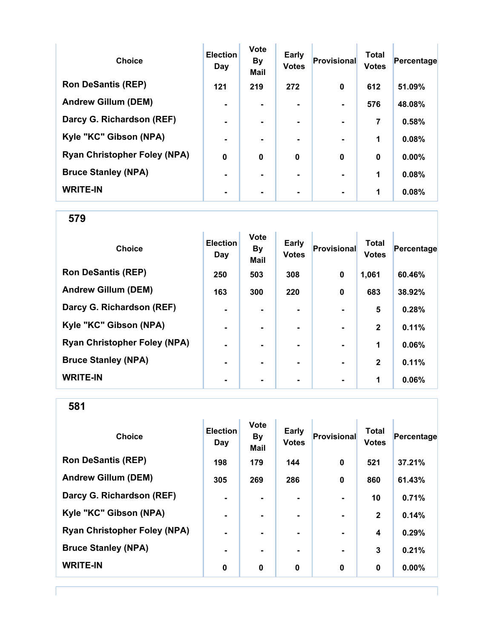| <b>Choice</b>                       | <b>Election</b><br>Day | <b>Vote</b><br><b>By</b><br><b>Mail</b> | <b>Early</b><br><b>Votes</b> | <b>Provisional</b> | <b>Total</b><br><b>Votes</b> | Percentage |
|-------------------------------------|------------------------|-----------------------------------------|------------------------------|--------------------|------------------------------|------------|
| <b>Ron DeSantis (REP)</b>           | 121                    | 219                                     | 272                          | 0                  | 612                          | 51.09%     |
| <b>Andrew Gillum (DEM)</b>          |                        |                                         | ۰.                           |                    | 576                          | 48.08%     |
| Darcy G. Richardson (REF)           | $\blacksquare$         |                                         | $\blacksquare$               |                    | 7                            | 0.58%      |
| Kyle "KC" Gibson (NPA)              |                        |                                         |                              |                    | 1                            | 0.08%      |
| <b>Ryan Christopher Foley (NPA)</b> | $\mathbf 0$            | $\bf{0}$                                | $\bf{0}$                     | $\bf{0}$           | $\mathbf 0$                  | 0.00%      |
| <b>Bruce Stanley (NPA)</b>          |                        |                                         |                              |                    | 1                            | 0.08%      |
| <b>WRITE-IN</b>                     |                        |                                         |                              |                    | 1                            | 0.08%      |

| <b>Choice</b>                       | <b>Election</b><br>Day | <b>Vote</b><br><b>By</b><br><b>Mail</b> | <b>Early</b><br><b>Votes</b> | <b>Provisional</b> | <b>Total</b><br><b>Votes</b> | Percentage |
|-------------------------------------|------------------------|-----------------------------------------|------------------------------|--------------------|------------------------------|------------|
| <b>Ron DeSantis (REP)</b>           | 250                    | 503                                     | 308                          | 0                  | 1,061                        | 60.46%     |
| <b>Andrew Gillum (DEM)</b>          | 163                    | 300                                     | 220                          | $\bf{0}$           | 683                          | 38.92%     |
| Darcy G. Richardson (REF)           | $\blacksquare$         |                                         |                              |                    | 5                            | 0.28%      |
| Kyle "KC" Gibson (NPA)              | $\blacksquare$         | $\blacksquare$                          | ۰                            | $\blacksquare$     | $\mathbf{2}$                 | 0.11%      |
| <b>Ryan Christopher Foley (NPA)</b> | $\blacksquare$         | ۰.                                      |                              | $\blacksquare$     | 1                            | 0.06%      |
| <b>Bruce Stanley (NPA)</b>          | ٠                      |                                         |                              |                    | $\mathbf{2}$                 | 0.11%      |
| <b>WRITE-IN</b>                     | ۰                      |                                         |                              | $\blacksquare$     | 1                            | 0.06%      |

| <b>Choice</b>                       | <b>Election</b><br>Day | <b>Vote</b><br><b>By</b><br><b>Mail</b> | <b>Early</b><br><b>Votes</b> | Provisional      | <b>Total</b><br><b>Votes</b> | Percentage |
|-------------------------------------|------------------------|-----------------------------------------|------------------------------|------------------|------------------------------|------------|
| <b>Ron DeSantis (REP)</b>           | 198                    | 179                                     | 144                          | $\bf{0}$         | 521                          | 37.21%     |
| <b>Andrew Gillum (DEM)</b>          | 305                    | 269                                     | 286                          | $\boldsymbol{0}$ | 860                          | 61.43%     |
| Darcy G. Richardson (REF)           | $\blacksquare$         | $\blacksquare$                          |                              | $\blacksquare$   | 10                           | 0.71%      |
| Kyle "KC" Gibson (NPA)              | $\blacksquare$         | $\blacksquare$                          |                              | $\blacksquare$   | $\mathbf{2}$                 | 0.14%      |
| <b>Ryan Christopher Foley (NPA)</b> | ۰                      |                                         |                              |                  | 4                            | 0.29%      |
| <b>Bruce Stanley (NPA)</b>          | $\blacksquare$         | $\blacksquare$                          |                              | $\blacksquare$   | 3                            | 0.21%      |
| <b>WRITE-IN</b>                     | 0                      | 0                                       | 0                            | $\bf{0}$         | 0                            | 0.00%      |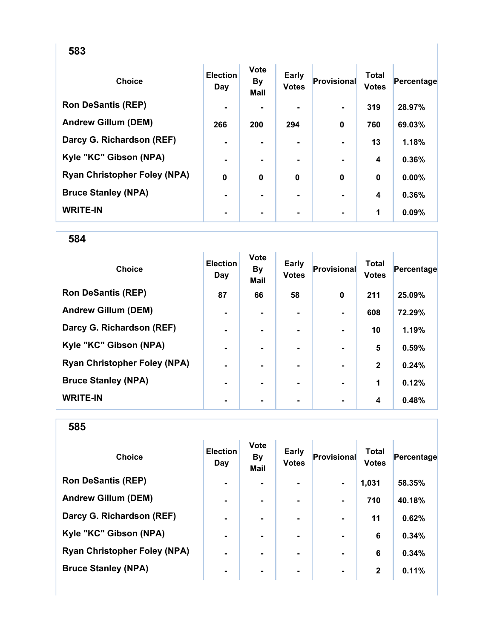| <b>Choice</b>                       | <b>Election</b><br>Day | <b>Vote</b><br><b>By</b><br>Mail | <b>Early</b><br><b>Votes</b> | <b>Provisional</b> | <b>Total</b><br><b>Votes</b> | Percentage |
|-------------------------------------|------------------------|----------------------------------|------------------------------|--------------------|------------------------------|------------|
| <b>Ron DeSantis (REP)</b>           | $\blacksquare$         |                                  |                              |                    | 319                          | 28.97%     |
| <b>Andrew Gillum (DEM)</b>          | 266                    | 200                              | 294                          | $\bf{0}$           | 760                          | 69.03%     |
| Darcy G. Richardson (REF)           | $\blacksquare$         |                                  |                              |                    | 13                           | 1.18%      |
| Kyle "KC" Gibson (NPA)              | ۰                      |                                  |                              |                    | 4                            | 0.36%      |
| <b>Ryan Christopher Foley (NPA)</b> | 0                      | 0                                | $\bf{0}$                     | $\bf{0}$           | $\bf{0}$                     | 0.00%      |
| <b>Bruce Stanley (NPA)</b>          | $\blacksquare$         |                                  | ۰.                           |                    | 4                            | 0.36%      |
| <b>WRITE-IN</b>                     |                        |                                  |                              |                    | 1                            | 0.09%      |

584

| <b>Choice</b>                       | <b>Election</b><br>Day | <b>Vote</b><br><b>By</b><br>Mail | <b>Early</b><br><b>Votes</b> | <b>Provisional</b> | <b>Total</b><br><b>Votes</b> | Percentage |
|-------------------------------------|------------------------|----------------------------------|------------------------------|--------------------|------------------------------|------------|
| <b>Ron DeSantis (REP)</b>           | 87                     | 66                               | 58                           | $\mathbf 0$        | 211                          | 25.09%     |
| <b>Andrew Gillum (DEM)</b>          | ٠                      |                                  |                              |                    | 608                          | 72.29%     |
| Darcy G. Richardson (REF)           | $\blacksquare$         |                                  | ۰                            | $\blacksquare$     | 10                           | 1.19%      |
| Kyle "KC" Gibson (NPA)              | $\blacksquare$         |                                  | ۰                            | $\blacksquare$     | 5                            | 0.59%      |
| <b>Ryan Christopher Foley (NPA)</b> | $\blacksquare$         |                                  |                              | $\blacksquare$     | $\mathbf{2}$                 | 0.24%      |
| <b>Bruce Stanley (NPA)</b>          | ۰                      |                                  |                              |                    | 1                            | 0.12%      |
| <b>WRITE-IN</b>                     | ۰                      |                                  |                              | $\blacksquare$     | 4                            | 0.48%      |

| <b>Choice</b>                       | <b>Election</b><br>Day | <b>Vote</b><br><b>By</b><br><b>Mail</b> | <b>Early</b><br><b>Votes</b> | Provisional    | Total<br><b>Votes</b> | Percentage |
|-------------------------------------|------------------------|-----------------------------------------|------------------------------|----------------|-----------------------|------------|
| <b>Ron DeSantis (REP)</b>           | $\blacksquare$         | ۰.                                      |                              | $\blacksquare$ | 1,031                 | 58.35%     |
| <b>Andrew Gillum (DEM)</b>          | $\blacksquare$         |                                         | ۰.                           |                | 710                   | 40.18%     |
| Darcy G. Richardson (REF)           | $\blacksquare$         | $\blacksquare$                          | $\blacksquare$               |                | 11                    | 0.62%      |
| Kyle "KC" Gibson (NPA)              | $\blacksquare$         |                                         | ۰.                           |                | 6                     | 0.34%      |
| <b>Ryan Christopher Foley (NPA)</b> | $\blacksquare$         |                                         | ۰.                           | $\blacksquare$ | 6                     | 0.34%      |
| <b>Bruce Stanley (NPA)</b>          | ۰                      | ۰                                       | ۰                            | $\blacksquare$ | $\mathbf{2}$          | 0.11%      |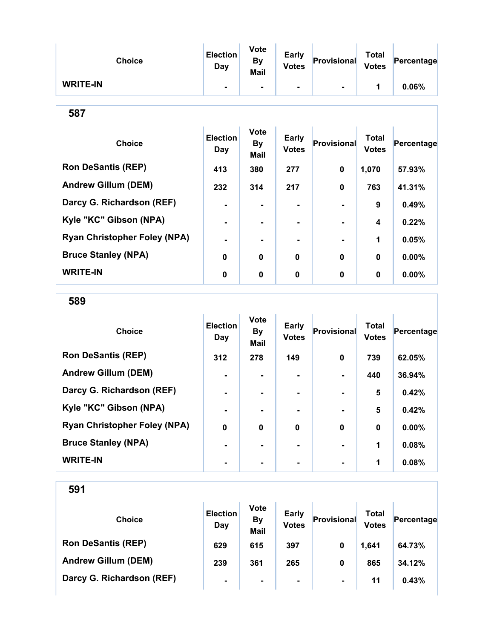| <b>Choice</b>                       | <b>Election</b><br>Day        | <b>Vote</b><br><b>By</b><br>Mail | Early<br><b>Votes</b>        | Provisional        | <b>Total</b><br><b>Votes</b> | Percentage |  |  |
|-------------------------------------|-------------------------------|----------------------------------|------------------------------|--------------------|------------------------------|------------|--|--|
| <b>WRITE-IN</b>                     |                               | ۰                                | $\blacksquare$               |                    | 1                            | 0.06%      |  |  |
| 587                                 |                               |                                  |                              |                    |                              |            |  |  |
| <b>Choice</b>                       | <b>Election</b><br><b>Day</b> | <b>Vote</b><br>By<br>Mail        | <b>Early</b><br><b>Votes</b> | <b>Provisional</b> | <b>Total</b><br><b>Votes</b> | Percentage |  |  |
| <b>Ron DeSantis (REP)</b>           | 413                           | 380                              | 277                          | $\mathbf 0$        | 1,070                        | 57.93%     |  |  |
| <b>Andrew Gillum (DEM)</b>          | 232                           | 314                              | 217                          | 0                  | 763                          | 41.31%     |  |  |
| Darcy G. Richardson (REF)           | $\blacksquare$                | ۰                                | $\blacksquare$               |                    | 9                            | 0.49%      |  |  |
| Kyle "KC" Gibson (NPA)              |                               | $\blacksquare$                   | $\blacksquare$               |                    | 4                            | 0.22%      |  |  |
| <b>Ryan Christopher Foley (NPA)</b> | $\blacksquare$                | ۰                                | $\blacksquare$               |                    | 1                            | 0.05%      |  |  |
| <b>Bruce Stanley (NPA)</b>          | 0                             | 0                                | $\bf{0}$                     | $\bf{0}$           | $\mathbf{0}$                 | $0.00\%$   |  |  |
| <b>WRITE-IN</b>                     | 0                             | 0                                | 0                            | $\bf{0}$           | 0                            | $0.00\%$   |  |  |

589

| <b>Choice</b>                       | <b>Election</b><br>Day | <b>Vote</b><br><b>By</b><br><b>Mail</b> | Early<br><b>Votes</b> | <b>Provisional</b> | <b>Total</b><br><b>Votes</b> | Percentage |
|-------------------------------------|------------------------|-----------------------------------------|-----------------------|--------------------|------------------------------|------------|
| <b>Ron DeSantis (REP)</b>           | 312                    | 278                                     | 149                   | 0                  | 739                          | 62.05%     |
| <b>Andrew Gillum (DEM)</b>          | ۰                      |                                         |                       |                    | 440                          | 36.94%     |
| Darcy G. Richardson (REF)           | $\blacksquare$         |                                         | ۰.                    | $\blacksquare$     | 5                            | 0.42%      |
| Kyle "KC" Gibson (NPA)              | $\blacksquare$         |                                         | ۰.                    | $\blacksquare$     | 5                            | 0.42%      |
| <b>Ryan Christopher Foley (NPA)</b> | $\mathbf 0$            | $\mathbf 0$                             | $\mathbf 0$           | $\bf{0}$           | $\bf{0}$                     | 0.00%      |
| <b>Bruce Stanley (NPA)</b>          | $\blacksquare$         |                                         |                       |                    | 1                            | 0.08%      |
| <b>WRITE-IN</b>                     |                        |                                         | -                     |                    | 1                            | 0.08%      |

| <b>Choice</b>              | <b>Election</b><br>Day | <b>Vote</b><br><b>By</b><br><b>Mail</b> | <b>Early</b><br><b>Votes</b> | <b>Provisional</b> | Total<br><b>Votes</b> | Percentage |
|----------------------------|------------------------|-----------------------------------------|------------------------------|--------------------|-----------------------|------------|
| <b>Ron DeSantis (REP)</b>  | 629                    | 615                                     | 397                          | 0                  | 1,641                 | 64.73%     |
| <b>Andrew Gillum (DEM)</b> | 239                    | 361                                     | 265                          | 0                  | 865                   | 34.12%     |
| Darcy G. Richardson (REF)  | $\blacksquare$         | $\blacksquare$                          | $\blacksquare$               | $\blacksquare$     | 11                    | 0.43%      |
|                            |                        |                                         |                              |                    |                       |            |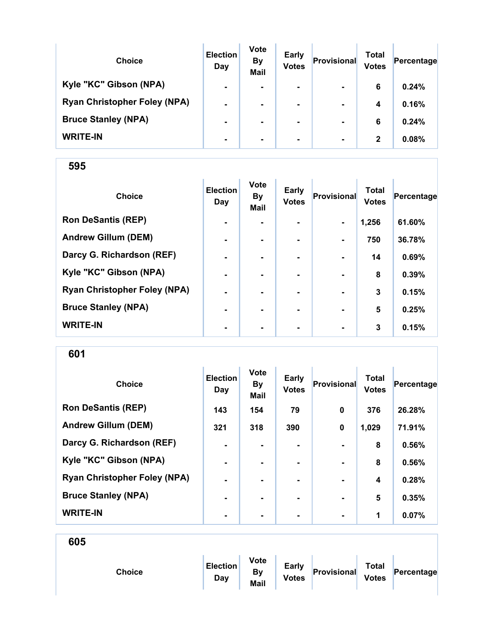| <b>Choice</b>                       | <b>Election</b><br>Day | <b>Vote</b><br><b>By</b><br><b>Mail</b> | <b>Early</b><br><b>Votes</b> | Provisional    | Total<br><b>Votes</b> | Percentage |
|-------------------------------------|------------------------|-----------------------------------------|------------------------------|----------------|-----------------------|------------|
| Kyle "KC" Gibson (NPA)              | $\blacksquare$         | $\blacksquare$                          | $\blacksquare$               | $\blacksquare$ | 6                     | 0.24%      |
| <b>Ryan Christopher Foley (NPA)</b> | $\blacksquare$         |                                         | $\blacksquare$               | $\blacksquare$ | 4                     | 0.16%      |
| <b>Bruce Stanley (NPA)</b>          | $\blacksquare$         |                                         |                              | $\blacksquare$ | 6                     | 0.24%      |
| <b>WRITE-IN</b>                     | $\blacksquare$         | $\blacksquare$                          | $\blacksquare$               | $\blacksquare$ | $\mathbf{2}$          | 0.08%      |

| <b>Choice</b>                       | <b>Election</b><br>Day | Vote<br><b>By</b><br>Mail | <b>Early</b><br><b>Votes</b> | Provisional    | <b>Total</b><br><b>Votes</b> | Percentage |
|-------------------------------------|------------------------|---------------------------|------------------------------|----------------|------------------------------|------------|
| <b>Ron DeSantis (REP)</b>           | $\blacksquare$         | $\overline{\phantom{0}}$  | $\blacksquare$               | $\blacksquare$ | 1,256                        | 61.60%     |
| <b>Andrew Gillum (DEM)</b>          | $\blacksquare$         | $\blacksquare$            |                              | $\blacksquare$ | 750                          | 36.78%     |
| Darcy G. Richardson (REF)           | $\blacksquare$         | $\blacksquare$            |                              | $\blacksquare$ | 14                           | 0.69%      |
| Kyle "KC" Gibson (NPA)              | $\blacksquare$         | $\blacksquare$            |                              | $\blacksquare$ | 8                            | 0.39%      |
| <b>Ryan Christopher Foley (NPA)</b> | ۰                      |                           |                              |                | 3                            | 0.15%      |
| <b>Bruce Stanley (NPA)</b>          | ۰                      |                           |                              |                | 5                            | 0.25%      |
| <b>WRITE-IN</b>                     | $\blacksquare$         | $\blacksquare$            | $\blacksquare$               | $\blacksquare$ | 3                            | 0.15%      |

| <b>Choice</b>                       | <b>Election</b><br>Day | <b>Vote</b><br><b>By</b><br><b>Mail</b> | <b>Early</b><br><b>Votes</b> | Provisional    | <b>Total</b><br><b>Votes</b> | Percentage |
|-------------------------------------|------------------------|-----------------------------------------|------------------------------|----------------|------------------------------|------------|
| <b>Ron DeSantis (REP)</b>           | 143                    | 154                                     | 79                           | $\bf{0}$       | 376                          | 26.28%     |
| <b>Andrew Gillum (DEM)</b>          | 321                    | 318                                     | 390                          | $\mathbf 0$    | 1,029                        | 71.91%     |
| Darcy G. Richardson (REF)           | $\blacksquare$         |                                         |                              |                | 8                            | 0.56%      |
| Kyle "KC" Gibson (NPA)              | $\blacksquare$         |                                         | ۰.                           |                | 8                            | 0.56%      |
| <b>Ryan Christopher Foley (NPA)</b> | $\blacksquare$         |                                         | ۰.                           | $\blacksquare$ | 4                            | 0.28%      |
| <b>Bruce Stanley (NPA)</b>          | $\blacksquare$         |                                         |                              |                | 5                            | 0.35%      |
| <b>WRITE-IN</b>                     | -                      |                                         |                              | $\blacksquare$ | 1                            | 0.07%      |

| 605 |               |                 |                                         |                              |             |                              |            |
|-----|---------------|-----------------|-----------------------------------------|------------------------------|-------------|------------------------------|------------|
|     | <b>Choice</b> | Election<br>Day | <b>Vote</b><br><b>By</b><br><b>Mail</b> | <b>Early</b><br><b>Votes</b> | Provisional | <b>Total</b><br><b>Votes</b> | Percentage |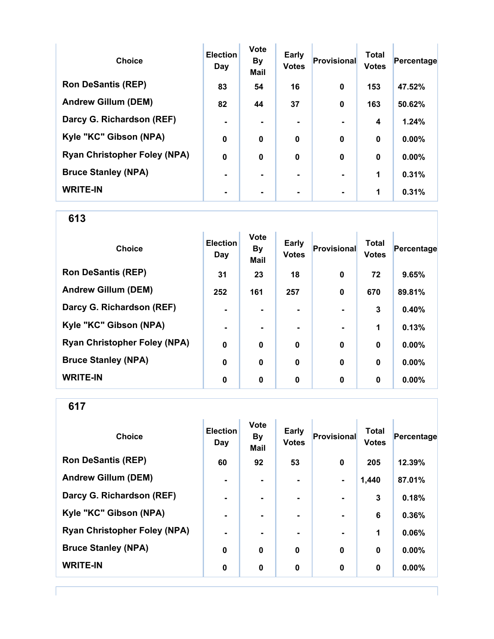| <b>Choice</b>                       | <b>Election</b><br>Day | <b>Vote</b><br><b>By</b><br><b>Mail</b> | <b>Early</b><br><b>Votes</b> | <b>Provisional</b> | <b>Total</b><br><b>Votes</b> | Percentage |
|-------------------------------------|------------------------|-----------------------------------------|------------------------------|--------------------|------------------------------|------------|
| <b>Ron DeSantis (REP)</b>           | 83                     | 54                                      | 16                           | $\bf{0}$           | 153                          | 47.52%     |
| <b>Andrew Gillum (DEM)</b>          | 82                     | 44                                      | 37                           | $\mathbf 0$        | 163                          | 50.62%     |
| Darcy G. Richardson (REF)           | $\blacksquare$         |                                         | $\blacksquare$               |                    | 4                            | 1.24%      |
| Kyle "KC" Gibson (NPA)              | $\mathbf 0$            | $\bf{0}$                                | $\bf{0}$                     | $\bf{0}$           | $\bf{0}$                     | 0.00%      |
| <b>Ryan Christopher Foley (NPA)</b> | $\mathbf 0$            | $\bf{0}$                                | $\mathbf 0$                  | $\bf{0}$           | $\bf{0}$                     | 0.00%      |
| <b>Bruce Stanley (NPA)</b>          |                        |                                         | ۰.                           |                    | 1                            | 0.31%      |
| <b>WRITE-IN</b>                     |                        |                                         |                              |                    | 1                            | 0.31%      |

| <b>Choice</b>                       | <b>Election</b><br>Day | <b>Vote</b><br><b>By</b><br><b>Mail</b> | <b>Early</b><br><b>Votes</b> | <b>Provisional</b> | <b>Total</b><br><b>Votes</b> | Percentage |
|-------------------------------------|------------------------|-----------------------------------------|------------------------------|--------------------|------------------------------|------------|
| <b>Ron DeSantis (REP)</b>           | 31                     | 23                                      | 18                           | $\mathbf 0$        | 72                           | 9.65%      |
| <b>Andrew Gillum (DEM)</b>          | 252                    | 161                                     | 257                          | $\bf{0}$           | 670                          | 89.81%     |
| Darcy G. Richardson (REF)           | $\blacksquare$         |                                         |                              |                    | 3                            | 0.40%      |
| Kyle "KC" Gibson (NPA)              | $\blacksquare$         | ۰.                                      |                              | $\blacksquare$     | 1                            | 0.13%      |
| <b>Ryan Christopher Foley (NPA)</b> | $\mathbf 0$            | $\mathbf 0$                             | $\mathbf 0$                  | $\mathbf 0$        | $\bf{0}$                     | $0.00\%$   |
| <b>Bruce Stanley (NPA)</b>          | 0                      | 0                                       | 0                            | 0                  | 0                            | 0.00%      |
| <b>WRITE-IN</b>                     | 0                      | 0                                       | 0                            | $\bf{0}$           | 0                            | $0.00\%$   |

| <b>Choice</b>                       | <b>Election</b><br>Day | <b>Vote</b><br><b>By</b><br><b>Mail</b> | <b>Early</b><br><b>Votes</b> | <b>Provisional</b> | <b>Total</b><br><b>Votes</b> | Percentage |
|-------------------------------------|------------------------|-----------------------------------------|------------------------------|--------------------|------------------------------|------------|
| <b>Ron DeSantis (REP)</b>           | 60                     | 92                                      | 53                           | $\bf{0}$           | 205                          | 12.39%     |
| <b>Andrew Gillum (DEM)</b>          | ۰                      | $\blacksquare$                          |                              | $\blacksquare$     | 1,440                        | 87.01%     |
| Darcy G. Richardson (REF)           | $\blacksquare$         | $\blacksquare$                          | ۰                            | $\blacksquare$     | 3                            | 0.18%      |
| Kyle "KC" Gibson (NPA)              | $\blacksquare$         | $\blacksquare$                          |                              | $\blacksquare$     | 6                            | 0.36%      |
| <b>Ryan Christopher Foley (NPA)</b> | ۰                      | $\blacksquare$                          | ۰                            | ٠                  | 1                            | 0.06%      |
| <b>Bruce Stanley (NPA)</b>          | $\mathbf 0$            | $\mathbf 0$                             | $\mathbf 0$                  | $\mathbf 0$        | $\bf{0}$                     | $0.00\%$   |
| <b>WRITE-IN</b>                     | 0                      | 0                                       | 0                            | $\bf{0}$           | 0                            | 0.00%      |
|                                     |                        |                                         |                              |                    |                              |            |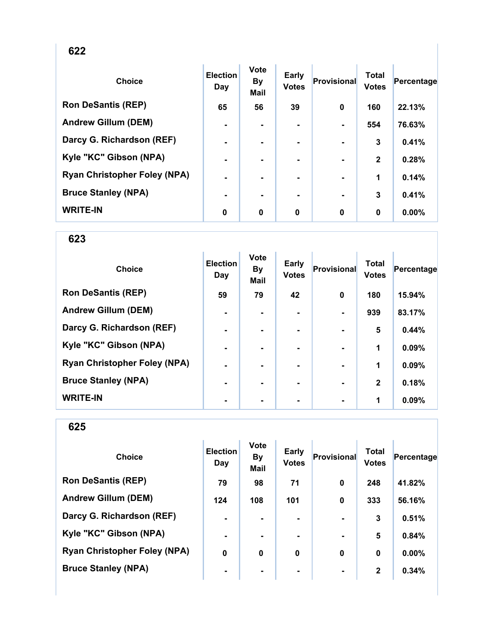| . .<br><br>v |
|--------------|
|--------------|

| <b>Choice</b>                       | <b>Election</b><br>Day | Vote<br><b>By</b><br><b>Mail</b> | <b>Early</b><br><b>Votes</b> | <b>Provisional</b> | <b>Total</b><br><b>Votes</b> | Percentage |
|-------------------------------------|------------------------|----------------------------------|------------------------------|--------------------|------------------------------|------------|
| <b>Ron DeSantis (REP)</b>           | 65                     | 56                               | 39                           | $\bf{0}$           | 160                          | 22.13%     |
| <b>Andrew Gillum (DEM)</b>          | $\blacksquare$         | $\blacksquare$                   | ۰                            |                    | 554                          | 76.63%     |
| Darcy G. Richardson (REF)           | $\blacksquare$         | ۰.                               | ۰.                           |                    | 3                            | 0.41%      |
| Kyle "KC" Gibson (NPA)              | Ē.                     |                                  |                              |                    | $\mathbf{2}$                 | 0.28%      |
| <b>Ryan Christopher Foley (NPA)</b> | ٠                      |                                  |                              |                    | 1                            | 0.14%      |
| <b>Bruce Stanley (NPA)</b>          | ۰                      |                                  |                              |                    | 3                            | 0.41%      |
| <b>WRITE-IN</b>                     | 0                      | 0                                | $\bf{0}$                     | 0                  | $\bf{0}$                     | 0.00%      |

| <b>Choice</b>                       | <b>Election</b><br>Day | <b>Vote</b><br><b>By</b><br><b>Mail</b> | Early<br><b>Votes</b> | Provisional    | <b>Total</b><br><b>Votes</b> | Percentage |
|-------------------------------------|------------------------|-----------------------------------------|-----------------------|----------------|------------------------------|------------|
| <b>Ron DeSantis (REP)</b>           | 59                     | 79                                      | 42                    | $\mathbf 0$    | 180                          | 15.94%     |
| <b>Andrew Gillum (DEM)</b>          | $\blacksquare$         |                                         |                       |                | 939                          | 83.17%     |
| Darcy G. Richardson (REF)           | ۰                      |                                         | $\blacksquare$        |                | 5                            | 0.44%      |
| Kyle "KC" Gibson (NPA)              | $\blacksquare$         |                                         | $\blacksquare$        |                | 1                            | 0.09%      |
| <b>Ryan Christopher Foley (NPA)</b> | $\blacksquare$         |                                         | ۰.                    | $\blacksquare$ | 1                            | 0.09%      |
| <b>Bruce Stanley (NPA)</b>          | $\blacksquare$         | ۰.                                      | ۰.                    | $\blacksquare$ | $\overline{2}$               | 0.18%      |
| <b>WRITE-IN</b>                     | ۰                      |                                         |                       |                | 1                            | 0.09%      |

| <b>Choice</b>                       | <b>Election</b><br>Day | <b>Vote</b><br><b>By</b><br><b>Mail</b> | Early<br><b>Votes</b> | Provisional    | <b>Total</b><br><b>Votes</b> | Percentage |
|-------------------------------------|------------------------|-----------------------------------------|-----------------------|----------------|------------------------------|------------|
| <b>Ron DeSantis (REP)</b>           | 79                     | 98                                      | 71                    | 0              | 248                          | 41.82%     |
| <b>Andrew Gillum (DEM)</b>          | 124                    | 108                                     | 101                   | $\mathbf 0$    | 333                          | 56.16%     |
| Darcy G. Richardson (REF)           | $\blacksquare$         |                                         | ۰                     |                | 3                            | 0.51%      |
| Kyle "KC" Gibson (NPA)              | $\blacksquare$         | $\blacksquare$                          |                       |                | 5                            | 0.84%      |
| <b>Ryan Christopher Foley (NPA)</b> | 0                      | 0                                       | 0                     | $\bf{0}$       | $\bf{0}$                     | 0.00%      |
| <b>Bruce Stanley (NPA)</b>          | ۰                      | ۰                                       | ۰                     | $\blacksquare$ | $\mathbf{2}$                 | 0.34%      |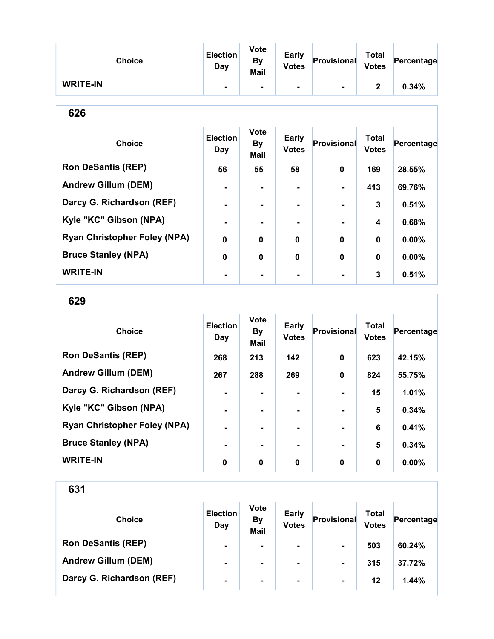| <b>Choice</b>   | <b>Election</b><br>Day | <b>Vote</b><br>By<br><b>Mail</b> | <b>Early</b><br><b>Votes</b> | Provisional | <b>Total</b><br><b>Votes</b> | Percentage |
|-----------------|------------------------|----------------------------------|------------------------------|-------------|------------------------------|------------|
| <b>WRITE-IN</b> | $\blacksquare$         | ٠                                | ۰.                           | ٠           | 2                            | 0.34%      |

| ۰.<br>×<br>v |
|--------------|
|--------------|

| <b>Choice</b>                       | <b>Election</b><br>Day | <b>Vote</b><br><b>By</b><br><b>Mail</b> | <b>Early</b><br><b>Votes</b> | <b>Provisional</b> | <b>Total</b><br><b>Votes</b> | Percentage |
|-------------------------------------|------------------------|-----------------------------------------|------------------------------|--------------------|------------------------------|------------|
| <b>Ron DeSantis (REP)</b>           | 56                     | 55                                      | 58                           | 0                  | 169                          | 28.55%     |
| <b>Andrew Gillum (DEM)</b>          |                        |                                         |                              |                    | 413                          | 69.76%     |
| Darcy G. Richardson (REF)           |                        |                                         |                              |                    | 3                            | 0.51%      |
| Kyle "KC" Gibson (NPA)              |                        |                                         |                              |                    | 4                            | 0.68%      |
| <b>Ryan Christopher Foley (NPA)</b> | $\bf{0}$               | 0                                       | $\bf{0}$                     | $\bf{0}$           | $\mathbf 0$                  | 0.00%      |
| <b>Bruce Stanley (NPA)</b>          | $\bf{0}$               | 0                                       | $\bf{0}$                     | $\bf{0}$           | $\mathbf 0$                  | 0.00%      |
| <b>WRITE-IN</b>                     |                        |                                         |                              |                    | 3                            | 0.51%      |

629

| <b>Choice</b>                       | <b>Election</b><br>Day | <b>Vote</b><br><b>By</b><br><b>Mail</b> | <b>Early</b><br><b>Votes</b> | Provisional    | <b>Total</b><br><b>Votes</b> | Percentage |
|-------------------------------------|------------------------|-----------------------------------------|------------------------------|----------------|------------------------------|------------|
| <b>Ron DeSantis (REP)</b>           | 268                    | 213                                     | 142                          | 0              | 623                          | 42.15%     |
| <b>Andrew Gillum (DEM)</b>          | 267                    | 288                                     | 269                          | 0              | 824                          | 55.75%     |
| Darcy G. Richardson (REF)           |                        |                                         | $\blacksquare$               |                | 15                           | 1.01%      |
| Kyle "KC" Gibson (NPA)              | $\blacksquare$         |                                         | $\blacksquare$               | $\blacksquare$ | 5                            | 0.34%      |
| <b>Ryan Christopher Foley (NPA)</b> | $\blacksquare$         |                                         | ۰.                           | $\blacksquare$ | 6                            | 0.41%      |
| <b>Bruce Stanley (NPA)</b>          | $\blacksquare$         |                                         | ۰.                           | $\blacksquare$ | 5                            | 0.34%      |
| <b>WRITE-IN</b>                     | 0                      | 0                                       | 0                            | 0              | 0                            | $0.00\%$   |

| <b>Choice</b>              | <b>Election</b><br>Day | <b>Vote</b><br><b>By</b><br><b>Mail</b> | <b>Early</b><br><b>Votes</b> | Provisional    | Total<br><b>Votes</b> | Percentage |
|----------------------------|------------------------|-----------------------------------------|------------------------------|----------------|-----------------------|------------|
| <b>Ron DeSantis (REP)</b>  | $\blacksquare$         | ۰                                       | ۰                            | $\blacksquare$ | 503                   | 60.24%     |
| <b>Andrew Gillum (DEM)</b> | $\blacksquare$         | $\blacksquare$                          | ۰                            | $\blacksquare$ | 315                   | 37.72%     |
| Darcy G. Richardson (REF)  | $\blacksquare$         | $\blacksquare$                          | $\blacksquare$               | $\blacksquare$ | 12                    | 1.44%      |
|                            |                        |                                         |                              |                |                       |            |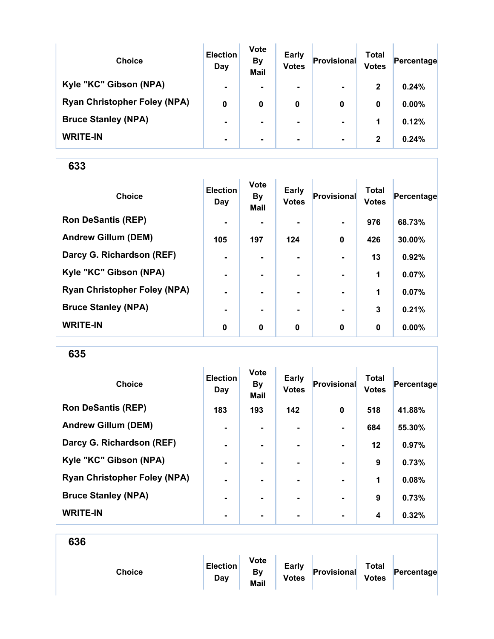| <b>Choice</b>                       | <b>Election</b><br>Day | <b>Vote</b><br><b>By</b><br><b>Mail</b> | Early<br><b>Votes</b> | Provisional    | Total<br><b>Votes</b> | Percentage |
|-------------------------------------|------------------------|-----------------------------------------|-----------------------|----------------|-----------------------|------------|
| Kyle "KC" Gibson (NPA)              | $\blacksquare$         | ۰.                                      | $\blacksquare$        | $\blacksquare$ | $\mathbf{2}$          | 0.24%      |
| <b>Ryan Christopher Foley (NPA)</b> | 0                      | 0                                       | 0                     | 0              | 0                     | $0.00\%$   |
| <b>Bruce Stanley (NPA)</b>          | $\blacksquare$         | ۰.                                      | $\blacksquare$        | $\blacksquare$ | 1                     | 0.12%      |
| <b>WRITE-IN</b>                     | $\blacksquare$         |                                         | $\blacksquare$        | $\blacksquare$ | $\mathbf{2}$          | 0.24%      |

| <b>Choice</b>                       | <b>Election</b><br>Day | <b>Vote</b><br><b>By</b><br><b>Mail</b> | Early<br><b>Votes</b> | <b>Provisional</b> | <b>Total</b><br><b>Votes</b> | Percentage |
|-------------------------------------|------------------------|-----------------------------------------|-----------------------|--------------------|------------------------------|------------|
| <b>Ron DeSantis (REP)</b>           | $\blacksquare$         |                                         |                       |                    | 976                          | 68.73%     |
| <b>Andrew Gillum (DEM)</b>          | 105                    | 197                                     | 124                   | $\mathbf 0$        | 426                          | 30.00%     |
| Darcy G. Richardson (REF)           | $\blacksquare$         | $\blacksquare$                          | $\blacksquare$        |                    | 13                           | 0.92%      |
| Kyle "KC" Gibson (NPA)              | $\blacksquare$         |                                         | ۰.                    | $\blacksquare$     | 1                            | 0.07%      |
| <b>Ryan Christopher Foley (NPA)</b> | $\blacksquare$         |                                         |                       |                    | 1                            | 0.07%      |
| <b>Bruce Stanley (NPA)</b>          | -                      |                                         |                       |                    | 3                            | 0.21%      |
| <b>WRITE-IN</b>                     | 0                      | $\mathbf 0$                             | $\bf{0}$              | $\mathbf 0$        | $\bf{0}$                     | $0.00\%$   |

635

| <b>Choice</b>                       | <b>Election</b><br>Day | <b>Vote</b><br><b>By</b><br>Mail | <b>Early</b><br><b>Votes</b> | Provisional    | <b>Total</b><br><b>Votes</b> | Percentage |
|-------------------------------------|------------------------|----------------------------------|------------------------------|----------------|------------------------------|------------|
| <b>Ron DeSantis (REP)</b>           | 183                    | 193                              | 142                          | $\mathbf 0$    | 518                          | 41.88%     |
| <b>Andrew Gillum (DEM)</b>          | $\blacksquare$         |                                  | ۰.                           | $\blacksquare$ | 684                          | 55.30%     |
| Darcy G. Richardson (REF)           | $\blacksquare$         | $\blacksquare$                   | ۰.                           | $\blacksquare$ | $12 \,$                      | 0.97%      |
| Kyle "KC" Gibson (NPA)              | $\blacksquare$         |                                  |                              |                | 9                            | 0.73%      |
| <b>Ryan Christopher Foley (NPA)</b> | $\blacksquare$         |                                  | ۰.                           | $\blacksquare$ | 1                            | 0.08%      |
| <b>Bruce Stanley (NPA)</b>          | ۰.                     |                                  |                              | $\blacksquare$ | 9                            | 0.73%      |
| <b>WRITE-IN</b>                     | -                      |                                  |                              | $\blacksquare$ | 4                            | 0.32%      |

| Choice | <b>Election</b><br>Day | <b>Vote</b><br><b>By</b><br>Mail | <b>Early</b><br><b>Votes</b> | Provisional | <b>Total</b><br><b>Votes</b> | Percentage |
|--------|------------------------|----------------------------------|------------------------------|-------------|------------------------------|------------|
|        |                        |                                  |                              |             |                              |            |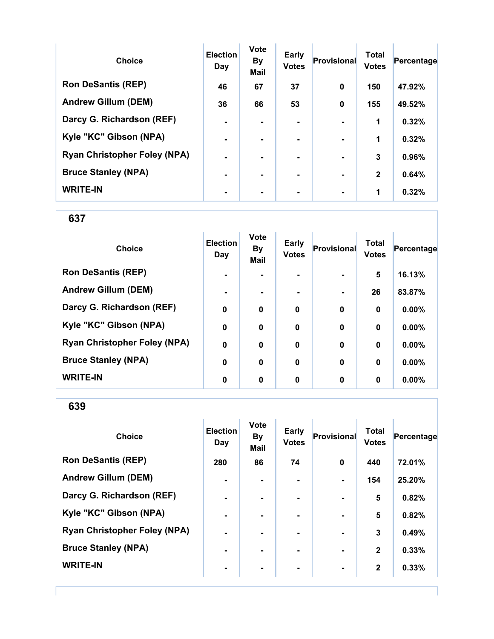| <b>Choice</b>                       | <b>Election</b><br>Day | <b>Vote</b><br><b>By</b><br><b>Mail</b> | <b>Early</b><br><b>Votes</b> | <b>Provisional</b> | <b>Total</b><br><b>Votes</b> | Percentage |
|-------------------------------------|------------------------|-----------------------------------------|------------------------------|--------------------|------------------------------|------------|
| <b>Ron DeSantis (REP)</b>           | 46                     | 67                                      | 37                           | $\bf{0}$           | 150                          | 47.92%     |
| <b>Andrew Gillum (DEM)</b>          | 36                     | 66                                      | 53                           | $\bf{0}$           | 155                          | 49.52%     |
| Darcy G. Richardson (REF)           | $\blacksquare$         |                                         | $\blacksquare$               |                    | 1                            | 0.32%      |
| Kyle "KC" Gibson (NPA)              | $\blacksquare$         | ۰                                       | $\blacksquare$               |                    | 1                            | 0.32%      |
| <b>Ryan Christopher Foley (NPA)</b> | $\blacksquare$         |                                         | ۰.                           | $\blacksquare$     | 3                            | 0.96%      |
| <b>Bruce Stanley (NPA)</b>          | $\blacksquare$         |                                         | ۰.                           |                    | $\mathbf{2}$                 | 0.64%      |
| <b>WRITE-IN</b>                     |                        |                                         |                              |                    | 1                            | 0.32%      |

| <b>Choice</b>                       | <b>Election</b><br>Day | <b>Vote</b><br><b>By</b><br>Mail | Early<br><b>Votes</b> | <b>Provisional</b> | <b>Total</b><br><b>Votes</b> | Percentage |
|-------------------------------------|------------------------|----------------------------------|-----------------------|--------------------|------------------------------|------------|
| <b>Ron DeSantis (REP)</b>           | $\blacksquare$         |                                  |                       |                    | 5                            | 16.13%     |
| <b>Andrew Gillum (DEM)</b>          | $\blacksquare$         |                                  | ۰.                    |                    | 26                           | 83.87%     |
| Darcy G. Richardson (REF)           | $\boldsymbol{0}$       | 0                                | 0                     | $\mathbf 0$        | 0                            | 0.00%      |
| Kyle "KC" Gibson (NPA)              | 0                      | $\bf{0}$                         | $\mathbf 0$           | $\bf{0}$           | $\bf{0}$                     | 0.00%      |
| <b>Ryan Christopher Foley (NPA)</b> | $\boldsymbol{0}$       | $\bf{0}$                         | $\mathbf 0$           | $\mathbf 0$        | $\bf{0}$                     | 0.00%      |
| <b>Bruce Stanley (NPA)</b>          | 0                      | $\bf{0}$                         | $\bf{0}$              | $\mathbf 0$        | $\bf{0}$                     | 0.00%      |
| <b>WRITE-IN</b>                     | 0                      | 0                                | 0                     | $\mathbf 0$        | 0                            | $0.00\%$   |

639

| <b>Choice</b>                       | <b>Election</b><br>Day | <b>Vote</b><br><b>By</b><br><b>Mail</b> | <b>Early</b><br><b>Votes</b> | Provisional    | <b>Total</b><br><b>Votes</b> | Percentage |
|-------------------------------------|------------------------|-----------------------------------------|------------------------------|----------------|------------------------------|------------|
| <b>Ron DeSantis (REP)</b>           | 280                    | 86                                      | 74                           | $\mathbf 0$    | 440                          | 72.01%     |
| <b>Andrew Gillum (DEM)</b>          | $\blacksquare$         | ۰                                       | ۰                            | $\blacksquare$ | 154                          | 25.20%     |
| Darcy G. Richardson (REF)           | $\blacksquare$         | ۰.                                      | ۰.                           | $\blacksquare$ | 5                            | 0.82%      |
| Kyle "KC" Gibson (NPA)              | $\blacksquare$         | $\blacksquare$                          |                              | $\blacksquare$ | 5                            | 0.82%      |
| <b>Ryan Christopher Foley (NPA)</b> | $\blacksquare$         |                                         | $\blacksquare$               | $\blacksquare$ | 3                            | 0.49%      |
| <b>Bruce Stanley (NPA)</b>          | $\blacksquare$         |                                         | $\blacksquare$               | $\blacksquare$ | $\overline{2}$               | 0.33%      |
| <b>WRITE-IN</b>                     | $\blacksquare$         |                                         |                              | $\blacksquare$ | $\mathbf{2}$                 | 0.33%      |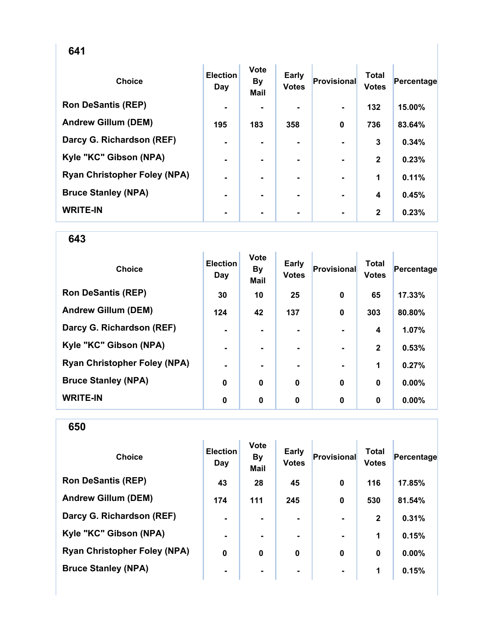| <b>Choice</b>                       | <b>Election</b><br>Day | <b>Vote</b><br><b>By</b><br><b>Mail</b> | <b>Early</b><br><b>Votes</b> | <b>Provisional</b> | <b>Total</b><br><b>Votes</b> | Percentage |
|-------------------------------------|------------------------|-----------------------------------------|------------------------------|--------------------|------------------------------|------------|
| <b>Ron DeSantis (REP)</b>           | $\blacksquare$         |                                         |                              |                    | 132                          | 15.00%     |
| <b>Andrew Gillum (DEM)</b>          | 195                    | 183                                     | 358                          | 0                  | 736                          | 83.64%     |
| Darcy G. Richardson (REF)           | $\blacksquare$         |                                         |                              |                    | 3                            | 0.34%      |
| Kyle "KC" Gibson (NPA)              | $\blacksquare$         |                                         |                              |                    | $\mathbf{2}$                 | 0.23%      |
| <b>Ryan Christopher Foley (NPA)</b> | $\blacksquare$         |                                         |                              |                    | 1                            | 0.11%      |
| <b>Bruce Stanley (NPA)</b>          | $\blacksquare$         | $\blacksquare$                          |                              | $\blacksquare$     | 4                            | 0.45%      |
| <b>WRITE-IN</b>                     | $\blacksquare$         |                                         | ۰                            | $\blacksquare$     | $\mathbf{2}$                 | 0.23%      |

| <b>Choice</b>                       | <b>Election</b><br>Day | <b>Vote</b><br><b>By</b><br><b>Mail</b> | Early<br><b>Votes</b> | Provisional | <b>Total</b><br><b>Votes</b> | Percentage |
|-------------------------------------|------------------------|-----------------------------------------|-----------------------|-------------|------------------------------|------------|
| <b>Ron DeSantis (REP)</b>           | 30                     | 10                                      | 25                    | $\mathbf 0$ | 65                           | 17.33%     |
| <b>Andrew Gillum (DEM)</b>          | 124                    | 42                                      | 137                   | $\mathbf 0$ | 303                          | 80.80%     |
| Darcy G. Richardson (REF)           | $\blacksquare$         |                                         |                       |             | $\boldsymbol{4}$             | 1.07%      |
| Kyle "KC" Gibson (NPA)              | $\blacksquare$         |                                         | ۰                     |             | $\mathbf{2}$                 | 0.53%      |
| <b>Ryan Christopher Foley (NPA)</b> | $\blacksquare$         |                                         | ۰                     |             | 1                            | 0.27%      |
| <b>Bruce Stanley (NPA)</b>          | 0                      | $\mathbf 0$                             | $\bf{0}$              | $\mathbf 0$ | $\bf{0}$                     | 0.00%      |
| <b>WRITE-IN</b>                     | 0                      | 0                                       | 0                     | $\bf{0}$    | 0                            | $0.00\%$   |

| <b>Choice</b>                       | <b>Election</b><br>Day | <b>Vote</b><br><b>By</b><br><b>Mail</b> | <b>Early</b><br><b>Votes</b> | Provisional    | <b>Total</b><br><b>Votes</b> | Percentage |
|-------------------------------------|------------------------|-----------------------------------------|------------------------------|----------------|------------------------------|------------|
| <b>Ron DeSantis (REP)</b>           | 43                     | 28                                      | 45                           | $\mathbf 0$    | 116                          | 17.85%     |
| <b>Andrew Gillum (DEM)</b>          | 174                    | 111                                     | 245                          | $\mathbf 0$    | 530                          | 81.54%     |
| Darcy G. Richardson (REF)           | $\blacksquare$         | ۰.                                      | ۰.                           |                | $\mathbf{2}$                 | 0.31%      |
| Kyle "KC" Gibson (NPA)              | ۰.                     |                                         | ۰.                           |                | 1                            | 0.15%      |
| <b>Ryan Christopher Foley (NPA)</b> | 0                      | 0                                       | $\bf{0}$                     | $\bf{0}$       | $\bf{0}$                     | $0.00\%$   |
| <b>Bruce Stanley (NPA)</b>          | ۰                      | ۰                                       | $\blacksquare$               | $\blacksquare$ | 1                            | 0.15%      |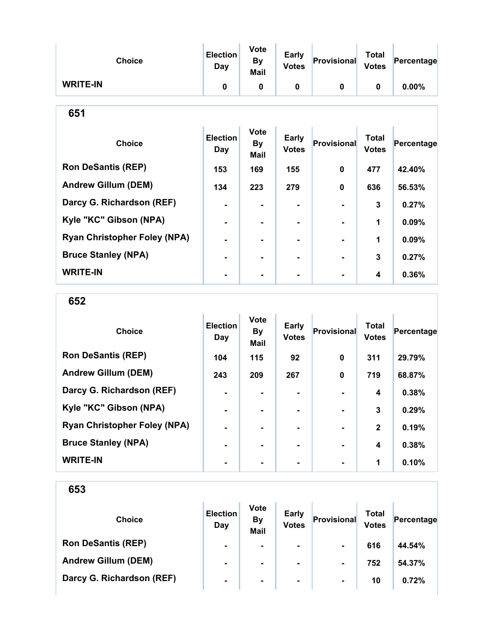| <b>Choice</b>                       | <b>Election</b><br>Day        | <b>Vote</b><br><b>By</b><br>Mail        | Early<br><b>Votes</b>        | Provisional  | <b>Total</b><br><b>Votes</b> | Percentage |  |  |  |
|-------------------------------------|-------------------------------|-----------------------------------------|------------------------------|--------------|------------------------------|------------|--|--|--|
| <b>WRITE-IN</b>                     | $\mathbf{0}$                  | 0                                       | 0                            | 0            | $\mathbf 0$                  | 0.00%      |  |  |  |
| 651                                 |                               |                                         |                              |              |                              |            |  |  |  |
| <b>Choice</b>                       | <b>Election</b><br><b>Day</b> | <b>Vote</b><br><b>By</b><br><b>Mail</b> | <b>Early</b><br><b>Votes</b> | Provisional  | <b>Total</b><br><b>Votes</b> | Percentage |  |  |  |
| <b>Ron DeSantis (REP)</b>           | 153                           | 169                                     | 155                          | $\bf{0}$     | 477                          | 42.40%     |  |  |  |
| <b>Andrew Gillum (DEM)</b>          | 134                           | 223                                     | 279                          | $\mathbf{0}$ | 636                          | 56.53%     |  |  |  |
| Darcy G. Richardson (REF)           | ۰                             |                                         |                              |              | $\overline{3}$               | 0.27%      |  |  |  |
| Kyle "KC" Gibson (NPA)              |                               |                                         |                              |              | 1                            | 0.09%      |  |  |  |
| <b>Ryan Christopher Foley (NPA)</b> |                               | Ξ.                                      |                              |              | 1                            | 0.09%      |  |  |  |
| <b>Bruce Stanley (NPA)</b>          |                               | $\blacksquare$                          | ۰.                           |              | 3                            | 0.27%      |  |  |  |
| <b>WRITE-IN</b>                     |                               |                                         | ۰                            |              | 4                            | 0.36%      |  |  |  |

652

| <b>Choice</b>                       | <b>Election</b><br>Day | <b>Vote</b><br>By<br><b>Mail</b> | <b>Early</b><br><b>Votes</b> | Provisional | <b>Total</b><br><b>Votes</b> | Percentage |
|-------------------------------------|------------------------|----------------------------------|------------------------------|-------------|------------------------------|------------|
| <b>Ron DeSantis (REP)</b>           | 104                    | 115                              | 92                           | 0           | 311                          | 29.79%     |
| <b>Andrew Gillum (DEM)</b>          | 243                    | 209                              | 267                          | 0           | 719                          | 68.87%     |
| Darcy G. Richardson (REF)           | $\blacksquare$         |                                  |                              |             | 4                            | 0.38%      |
| Kyle "KC" Gibson (NPA)              | $\blacksquare$         |                                  | ۰                            |             | 3                            | 0.29%      |
| <b>Ryan Christopher Foley (NPA)</b> | $\blacksquare$         |                                  | ۰.                           |             | $\mathbf{2}$                 | 0.19%      |
| <b>Bruce Stanley (NPA)</b>          | $\blacksquare$         | ۰.                               | ۰.                           |             | 4                            | 0.38%      |
| <b>WRITE-IN</b>                     | ٠                      |                                  |                              |             | 1                            | 0.10%      |

| <b>Choice</b>              | <b>Election</b><br>Day | <b>Vote</b><br><b>By</b><br><b>Mail</b> | <b>Early</b><br><b>Votes</b> | Provisional    | Total<br><b>Votes</b> | Percentage |
|----------------------------|------------------------|-----------------------------------------|------------------------------|----------------|-----------------------|------------|
| <b>Ron DeSantis (REP)</b>  | $\blacksquare$         | $\blacksquare$                          | ۰.                           | $\blacksquare$ | 616                   | 44.54%     |
| <b>Andrew Gillum (DEM)</b> | $\blacksquare$         | $\blacksquare$                          | ۰.                           | $\blacksquare$ | 752                   | 54.37%     |
| Darcy G. Richardson (REF)  | $\blacksquare$         | ۰                                       | $\blacksquare$               | $\blacksquare$ | 10                    | 0.72%      |
|                            |                        |                                         |                              |                |                       |            |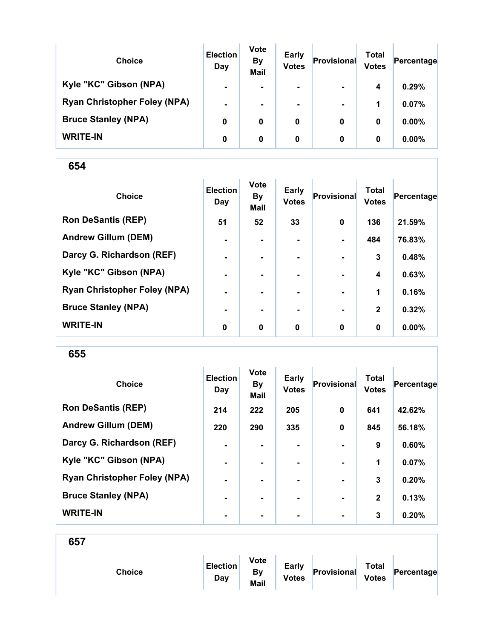| <b>Choice</b>                       | <b>Election</b><br>Day | <b>Vote</b><br><b>By</b><br><b>Mail</b> | <b>Early</b><br><b>Votes</b> | Provisional    | Total<br><b>Votes</b> | Percentage |
|-------------------------------------|------------------------|-----------------------------------------|------------------------------|----------------|-----------------------|------------|
| Kyle "KC" Gibson (NPA)              | $\blacksquare$         |                                         | $\blacksquare$               | $\blacksquare$ | 4                     | 0.29%      |
| <b>Ryan Christopher Foley (NPA)</b> | $\blacksquare$         | ۰.                                      | $\blacksquare$               | $\blacksquare$ | 1                     | 0.07%      |
| <b>Bruce Stanley (NPA)</b>          | 0                      | 0                                       | 0                            | 0              | 0                     | $0.00\%$   |
| <b>WRITE-IN</b>                     | 0                      | 0                                       | 0                            | 0              | 0                     | $0.00\%$   |

| <b>Choice</b>                       | <b>Election</b><br>Day | <b>Vote</b><br><b>By</b><br><b>Mail</b> | <b>Early</b><br><b>Votes</b> | Provisional    | <b>Total</b><br><b>Votes</b> | Percentage |
|-------------------------------------|------------------------|-----------------------------------------|------------------------------|----------------|------------------------------|------------|
| <b>Ron DeSantis (REP)</b>           | 51                     | 52                                      | 33                           | $\mathbf 0$    | 136                          | 21.59%     |
| <b>Andrew Gillum (DEM)</b>          | $\blacksquare$         |                                         |                              | $\blacksquare$ | 484                          | 76.83%     |
| Darcy G. Richardson (REF)           | $\blacksquare$         | $\blacksquare$                          | ۰.                           | $\blacksquare$ | $\mathbf{3}$                 | 0.48%      |
| Kyle "KC" Gibson (NPA)              | $\blacksquare$         | $\blacksquare$                          |                              |                | 4                            | 0.63%      |
| <b>Ryan Christopher Foley (NPA)</b> | ۰                      |                                         |                              |                | 1                            | 0.16%      |
| <b>Bruce Stanley (NPA)</b>          | ۰                      |                                         |                              | $\blacksquare$ | $\mathbf{2}$                 | 0.32%      |
| <b>WRITE-IN</b>                     | 0                      | $\mathbf 0$                             | $\mathbf 0$                  | $\mathbf 0$    | $\bf{0}$                     | $0.00\%$   |

655

| <b>Choice</b>                       | <b>Election</b><br>Day | <b>Vote</b><br><b>By</b><br>Mail | <b>Early</b><br><b>Votes</b> | Provisional    | <b>Total</b><br><b>Votes</b> | Percentage |
|-------------------------------------|------------------------|----------------------------------|------------------------------|----------------|------------------------------|------------|
| <b>Ron DeSantis (REP)</b>           | 214                    | 222                              | 205                          | $\bf{0}$       | 641                          | 42.62%     |
| <b>Andrew Gillum (DEM)</b>          | 220                    | 290                              | 335                          | 0              | 845                          | 56.18%     |
| Darcy G. Richardson (REF)           | $\blacksquare$         |                                  | ۰.                           | $\blacksquare$ | 9                            | 0.60%      |
| Kyle "KC" Gibson (NPA)              | ٠                      |                                  |                              |                | 1                            | 0.07%      |
| <b>Ryan Christopher Foley (NPA)</b> | $\blacksquare$         |                                  | ۰.                           | $\blacksquare$ | 3                            | 0.20%      |
| <b>Bruce Stanley (NPA)</b>          | $\blacksquare$         |                                  |                              | $\blacksquare$ | $\mathbf{2}$                 | 0.13%      |
| <b>WRITE-IN</b>                     | -                      |                                  |                              | $\blacksquare$ | 3                            | 0.20%      |

| <b>Choice</b> | <b>Election</b><br>Day | <b>Vote</b><br><b>By</b><br>Mail | <b>Early</b><br><b>Votes</b> | Provisional | <b>Total</b><br><b>Votes</b> | Percentage |  |
|---------------|------------------------|----------------------------------|------------------------------|-------------|------------------------------|------------|--|
|               |                        |                                  |                              |             |                              |            |  |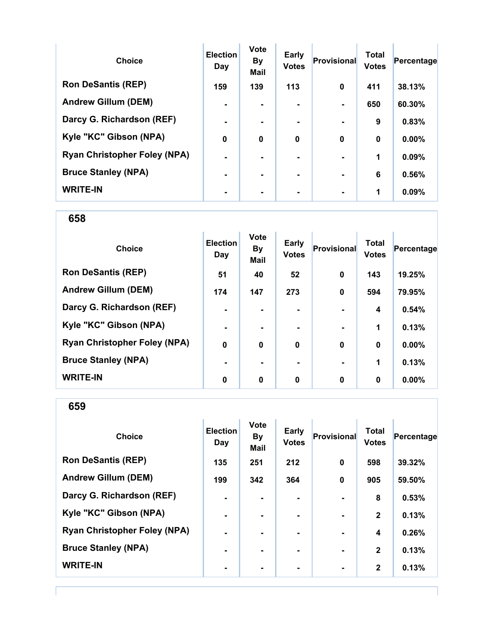| <b>Choice</b>                       | <b>Election</b><br>Day | <b>Vote</b><br><b>By</b><br><b>Mail</b> | Early<br><b>Votes</b> | Provisional    | <b>Total</b><br><b>Votes</b> | Percentage |
|-------------------------------------|------------------------|-----------------------------------------|-----------------------|----------------|------------------------------|------------|
| <b>Ron DeSantis (REP)</b>           | 159                    | 139                                     | 113                   | $\bf{0}$       | 411                          | 38.13%     |
| <b>Andrew Gillum (DEM)</b>          | $\blacksquare$         |                                         |                       |                | 650                          | 60.30%     |
| Darcy G. Richardson (REF)           | $\blacksquare$         |                                         | $\blacksquare$        | $\blacksquare$ | 9                            | 0.83%      |
| Kyle "KC" Gibson (NPA)              | $\boldsymbol{0}$       | $\mathbf{0}$                            | $\mathbf 0$           | $\bf{0}$       | $\bf{0}$                     | 0.00%      |
| <b>Ryan Christopher Foley (NPA)</b> | $\blacksquare$         |                                         |                       |                | 1                            | 0.09%      |
| <b>Bruce Stanley (NPA)</b>          | $\blacksquare$         |                                         |                       |                | 6                            | 0.56%      |
| <b>WRITE-IN</b>                     |                        |                                         |                       |                | 1                            | 0.09%      |

| <b>Choice</b>                       | <b>Election</b><br>Day | <b>Vote</b><br><b>By</b><br>Mail | <b>Early</b><br><b>Votes</b> | Provisional    | <b>Total</b><br><b>Votes</b> | Percentage |
|-------------------------------------|------------------------|----------------------------------|------------------------------|----------------|------------------------------|------------|
| <b>Ron DeSantis (REP)</b>           | 51                     | 40                               | 52                           | $\mathbf 0$    | 143                          | 19.25%     |
| <b>Andrew Gillum (DEM)</b>          | 174                    | 147                              | 273                          | $\mathbf 0$    | 594                          | 79.95%     |
| Darcy G. Richardson (REF)           | ۰                      |                                  |                              |                | 4                            | 0.54%      |
| Kyle "KC" Gibson (NPA)              | ۰                      | $\blacksquare$                   |                              | $\blacksquare$ | 1                            | 0.13%      |
| <b>Ryan Christopher Foley (NPA)</b> | $\mathbf 0$            | $\mathbf 0$                      | $\mathbf 0$                  | $\mathbf 0$    | $\bf{0}$                     | $0.00\%$   |
| <b>Bruce Stanley (NPA)</b>          | $\blacksquare$         | ۰.                               |                              | $\blacksquare$ | 1                            | 0.13%      |
| <b>WRITE-IN</b>                     | 0                      | $\mathbf 0$                      | 0                            | $\mathbf 0$    | 0                            | $0.00\%$   |

659

| <b>Choice</b>                       | <b>Election</b><br>Day | <b>Vote</b><br><b>By</b><br><b>Mail</b> | <b>Early</b><br><b>Votes</b> | Provisional    | <b>Total</b><br><b>Votes</b> | Percentage |
|-------------------------------------|------------------------|-----------------------------------------|------------------------------|----------------|------------------------------|------------|
| <b>Ron DeSantis (REP)</b>           | 135                    | 251                                     | 212                          | $\mathbf 0$    | 598                          | 39.32%     |
| <b>Andrew Gillum (DEM)</b>          | 199                    | 342                                     | 364                          | $\mathbf 0$    | 905                          | 59.50%     |
| Darcy G. Richardson (REF)           | $\blacksquare$         |                                         |                              |                | 8                            | 0.53%      |
| Kyle "KC" Gibson (NPA)              | $\blacksquare$         | -                                       | ۰                            | $\blacksquare$ | $\mathbf{2}$                 | 0.13%      |
| <b>Ryan Christopher Foley (NPA)</b> | $\blacksquare$         | ۰                                       | ۰                            | $\blacksquare$ | $\overline{\mathbf{4}}$      | 0.26%      |
| <b>Bruce Stanley (NPA)</b>          | $\blacksquare$         | -                                       | ۰.                           | $\blacksquare$ | $\mathbf{2}$                 | 0.13%      |
| <b>WRITE-IN</b>                     |                        |                                         |                              |                | $\overline{2}$               | 0.13%      |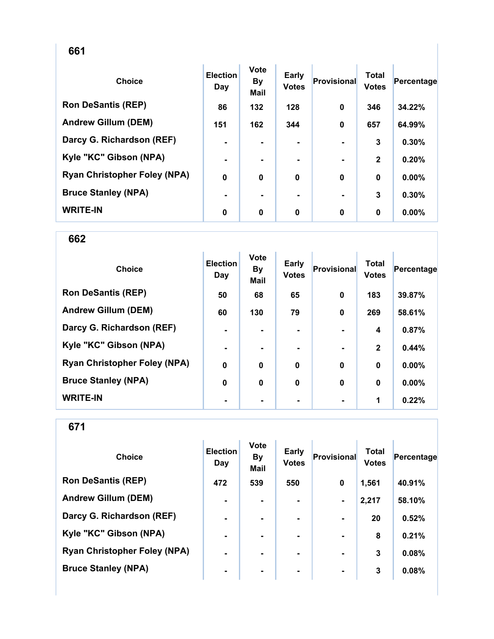| <b>Choice</b>                       | <b>Election</b><br>Day | <b>Vote</b><br><b>By</b><br><b>Mail</b> | Early<br><b>Votes</b> | <b>Provisional</b> | <b>Total</b><br><b>Votes</b> | Percentage |
|-------------------------------------|------------------------|-----------------------------------------|-----------------------|--------------------|------------------------------|------------|
| <b>Ron DeSantis (REP)</b>           | 86                     | 132                                     | 128                   | 0                  | 346                          | 34.22%     |
| <b>Andrew Gillum (DEM)</b>          | 151                    | 162                                     | 344                   | $\mathbf 0$        | 657                          | 64.99%     |
| Darcy G. Richardson (REF)           | $\blacksquare$         | ۰.                                      | $\blacksquare$        |                    | 3                            | 0.30%      |
| Kyle "KC" Gibson (NPA)              | $\blacksquare$         |                                         |                       |                    | $\mathbf{2}$                 | 0.20%      |
| <b>Ryan Christopher Foley (NPA)</b> | $\mathbf 0$            | 0                                       | $\bf{0}$              | $\bf{0}$           | $\bf{0}$                     | $0.00\%$   |
| <b>Bruce Stanley (NPA)</b>          | ۰                      |                                         |                       |                    | 3                            | 0.30%      |
| <b>WRITE-IN</b>                     | 0                      | 0                                       | $\bf{0}$              | 0                  | $\bf{0}$                     | 0.00%      |

662

| <b>Choice</b>                       | <b>Election</b><br>Day | <b>Vote</b><br><b>By</b><br>Mail | Early<br><b>Votes</b> | Provisional | <b>Total</b><br><b>Votes</b> | Percentage |
|-------------------------------------|------------------------|----------------------------------|-----------------------|-------------|------------------------------|------------|
| <b>Ron DeSantis (REP)</b>           | 50                     | 68                               | 65                    | $\mathbf 0$ | 183                          | 39.87%     |
| <b>Andrew Gillum (DEM)</b>          | 60                     | 130                              | 79                    | $\mathbf 0$ | 269                          | 58.61%     |
| Darcy G. Richardson (REF)           | $\blacksquare$         |                                  | ۰                     |             | 4                            | 0.87%      |
| Kyle "KC" Gibson (NPA)              | $\blacksquare$         |                                  | ۰                     |             | $\mathbf{2}$                 | 0.44%      |
| <b>Ryan Christopher Foley (NPA)</b> | $\mathbf 0$            | $\mathbf 0$                      | $\bf{0}$              | $\mathbf 0$ | $\mathbf 0$                  | 0.00%      |
| <b>Bruce Stanley (NPA)</b>          | 0                      | $\mathbf 0$                      | $\mathbf 0$           | $\mathbf 0$ | $\bf{0}$                     | 0.00%      |
| <b>WRITE-IN</b>                     | ٠                      |                                  |                       |             | 1                            | 0.22%      |

| <b>Choice</b>                       | <b>Election</b><br>Day | <b>Vote</b><br><b>By</b><br><b>Mail</b> | <b>Early</b><br><b>Votes</b> | Provisional    | Total<br><b>Votes</b> | Percentage |
|-------------------------------------|------------------------|-----------------------------------------|------------------------------|----------------|-----------------------|------------|
| <b>Ron DeSantis (REP)</b>           | 472                    | 539                                     | 550                          | 0              | 1,561                 | 40.91%     |
| <b>Andrew Gillum (DEM)</b>          | $\blacksquare$         | $\blacksquare$                          | ۰                            | $\blacksquare$ | 2,217                 | 58.10%     |
| Darcy G. Richardson (REF)           | $\blacksquare$         | $\blacksquare$                          | ۰.                           | $\blacksquare$ | 20                    | 0.52%      |
| Kyle "KC" Gibson (NPA)              | $\blacksquare$         | ۰.                                      | ۰.                           | $\blacksquare$ | 8                     | 0.21%      |
| <b>Ryan Christopher Foley (NPA)</b> | $\blacksquare$         |                                         |                              |                | 3                     | 0.08%      |
| <b>Bruce Stanley (NPA)</b>          | $\blacksquare$         | ۰                                       | $\blacksquare$               | $\blacksquare$ | 3                     | 0.08%      |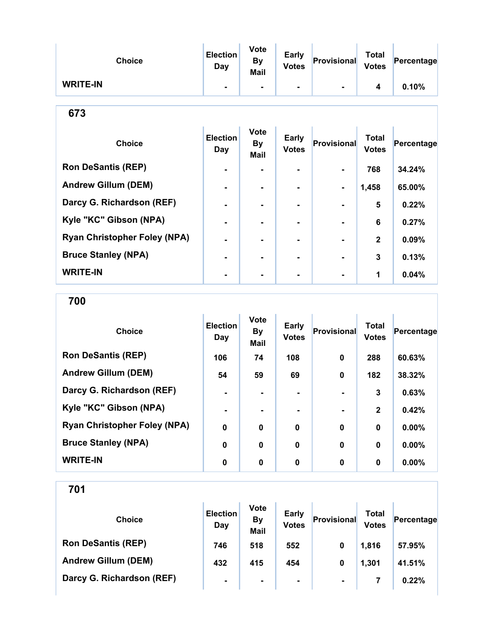| <b>Choice</b>   | <b>Election</b><br>Day | <b>Vote</b><br>By<br><b>Mail</b> | <b>Early</b><br><b>Votes</b> | Provisional | <b>Total</b><br><b>Votes</b> | Percentage |
|-----------------|------------------------|----------------------------------|------------------------------|-------------|------------------------------|------------|
| <b>WRITE-IN</b> |                        | ۰.                               |                              | -           |                              | 0.10%      |

| ×<br>۰.<br>۰.<br>w | ۰.<br>v |
|--------------------|---------|
|--------------------|---------|

| <b>Choice</b>                       | <b>Election</b><br>Day | <b>Vote</b><br><b>By</b><br><b>Mail</b> | Early<br><b>Votes</b> | Provisional    | <b>Total</b><br><b>Votes</b> | Percentage |
|-------------------------------------|------------------------|-----------------------------------------|-----------------------|----------------|------------------------------|------------|
| <b>Ron DeSantis (REP)</b>           | $\blacksquare$         |                                         |                       | ۰.             | 768                          | 34.24%     |
| <b>Andrew Gillum (DEM)</b>          | $\blacksquare$         |                                         |                       | $\blacksquare$ | 1,458                        | 65.00%     |
| Darcy G. Richardson (REF)           | $\blacksquare$         |                                         |                       |                | 5                            | 0.22%      |
| Kyle "KC" Gibson (NPA)              | $\blacksquare$         |                                         |                       |                | 6                            | 0.27%      |
| <b>Ryan Christopher Foley (NPA)</b> |                        |                                         |                       |                | $\mathbf{2}$                 | 0.09%      |
| <b>Bruce Stanley (NPA)</b>          |                        | -                                       |                       | $\blacksquare$ | 3                            | 0.13%      |
| <b>WRITE-IN</b>                     |                        |                                         |                       |                | 1                            | 0.04%      |

700

| <b>Choice</b>                       | <b>Election</b><br>Day | <b>Vote</b><br><b>By</b><br><b>Mail</b> | <b>Early</b><br><b>Votes</b> | Provisional | <b>Total</b><br><b>Votes</b> | Percentage |
|-------------------------------------|------------------------|-----------------------------------------|------------------------------|-------------|------------------------------|------------|
| <b>Ron DeSantis (REP)</b>           | 106                    | 74                                      | 108                          | 0           | 288                          | 60.63%     |
| <b>Andrew Gillum (DEM)</b>          | 54                     | 59                                      | 69                           | $\bf{0}$    | 182                          | 38.32%     |
| Darcy G. Richardson (REF)           |                        |                                         |                              |             | 3                            | 0.63%      |
| Kyle "KC" Gibson (NPA)              | $\blacksquare$         |                                         | ۰                            |             | $\mathbf{2}$                 | 0.42%      |
| <b>Ryan Christopher Foley (NPA)</b> | $\mathbf 0$            | 0                                       | $\bf{0}$                     | $\bf{0}$    | $\mathbf 0$                  | 0.00%      |
| <b>Bruce Stanley (NPA)</b>          | $\mathbf 0$            | 0                                       | $\mathbf 0$                  | $\bf{0}$    | $\mathbf 0$                  | 0.00%      |
| <b>WRITE-IN</b>                     | 0                      | 0                                       | 0                            | $\bf{0}$    | 0                            | $0.00\%$   |

| <b>Choice</b>              | <b>Election</b><br>Day | <b>Vote</b><br><b>By</b><br><b>Mail</b> | <b>Early</b><br><b>Votes</b> | Provisional    | Total<br><b>Votes</b> | Percentage |
|----------------------------|------------------------|-----------------------------------------|------------------------------|----------------|-----------------------|------------|
| <b>Ron DeSantis (REP)</b>  | 746                    | 518                                     | 552                          | $\bf{0}$       | 1,816                 | 57.95%     |
| <b>Andrew Gillum (DEM)</b> | 432                    | 415                                     | 454                          | 0              | 1,301                 | 41.51%     |
| Darcy G. Richardson (REF)  | $\blacksquare$         | ۰                                       | $\blacksquare$               | $\blacksquare$ |                       | 0.22%      |
|                            |                        |                                         |                              |                |                       |            |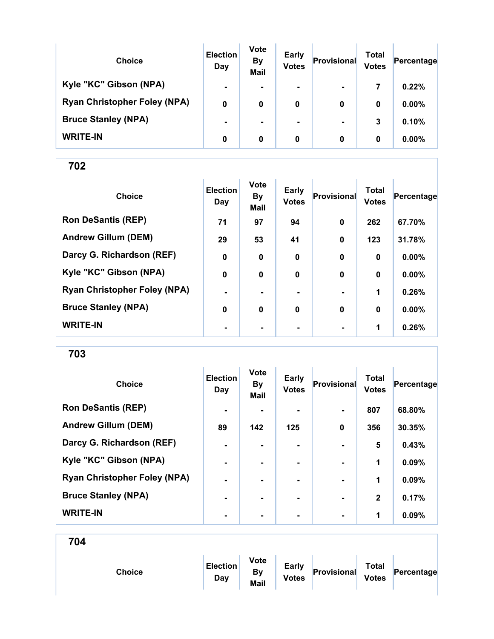| <b>Choice</b>                       | <b>Election</b><br>Day | <b>Vote</b><br><b>By</b><br><b>Mail</b> | <b>Early</b><br><b>Votes</b> | Provisional    | Total<br><b>Votes</b> | Percentage |
|-------------------------------------|------------------------|-----------------------------------------|------------------------------|----------------|-----------------------|------------|
| Kyle "KC" Gibson (NPA)              | $\blacksquare$         | ۰.                                      | $\blacksquare$               | $\blacksquare$ | 7                     | 0.22%      |
| <b>Ryan Christopher Foley (NPA)</b> | 0                      | 0                                       | 0                            | 0              | 0                     | $0.00\%$   |
| <b>Bruce Stanley (NPA)</b>          | $\blacksquare$         |                                         | $\blacksquare$               | $\blacksquare$ | 3                     | 0.10%      |
| <b>WRITE-IN</b>                     | 0                      | 0                                       | 0                            | 0              | 0                     | $0.00\%$   |

| <b>Choice</b>                       | <b>Election</b><br>Day | <b>Vote</b><br><b>By</b><br><b>Mail</b> | <b>Early</b><br><b>Votes</b> | <b>Provisional</b> | <b>Total</b><br><b>Votes</b> | Percentage |
|-------------------------------------|------------------------|-----------------------------------------|------------------------------|--------------------|------------------------------|------------|
| <b>Ron DeSantis (REP)</b>           | 71                     | 97                                      | 94                           | $\mathbf 0$        | 262                          | 67.70%     |
| <b>Andrew Gillum (DEM)</b>          | 29                     | 53                                      | 41                           | $\mathbf 0$        | 123                          | 31.78%     |
| Darcy G. Richardson (REF)           | 0                      | 0                                       | 0                            | 0                  | $\mathbf 0$                  | 0.00%      |
| Kyle "KC" Gibson (NPA)              | $\mathbf 0$            | $\bf{0}$                                | $\mathbf 0$                  | $\bf{0}$           | $\mathbf 0$                  | 0.00%      |
| <b>Ryan Christopher Foley (NPA)</b> | $\blacksquare$         |                                         |                              |                    | 1                            | 0.26%      |
| <b>Bruce Stanley (NPA)</b>          | 0                      | $\mathbf 0$                             | $\mathbf 0$                  | $\bf{0}$           | $\bf{0}$                     | 0.00%      |
| <b>WRITE-IN</b>                     | $\blacksquare$         |                                         |                              |                    | 1                            | 0.26%      |

703

| <b>Choice</b>                       | <b>Election</b><br>Day | <b>Vote</b><br><b>By</b><br>Mail | <b>Early</b><br><b>Votes</b> | Provisional    | <b>Total</b><br><b>Votes</b> | Percentage |
|-------------------------------------|------------------------|----------------------------------|------------------------------|----------------|------------------------------|------------|
| <b>Ron DeSantis (REP)</b>           | $\blacksquare$         |                                  |                              |                | 807                          | 68.80%     |
| <b>Andrew Gillum (DEM)</b>          | 89                     | 142                              | 125                          | $\bf{0}$       | 356                          | 30.35%     |
| Darcy G. Richardson (REF)           | $\blacksquare$         |                                  | $\blacksquare$               |                | 5                            | 0.43%      |
| Kyle "KC" Gibson (NPA)              |                        |                                  |                              |                | 1                            | 0.09%      |
| <b>Ryan Christopher Foley (NPA)</b> | $\blacksquare$         |                                  | ۰.                           | $\blacksquare$ | 1                            | 0.09%      |
| <b>Bruce Stanley (NPA)</b>          | $\blacksquare$         | -                                | ۰.                           | $\blacksquare$ | $\mathbf{2}$                 | 0.17%      |
| <b>WRITE-IN</b>                     | $\blacksquare$         |                                  |                              | $\blacksquare$ | 1                            | 0.09%      |

| Choice | <b>Election</b><br>Day | <b>Vote</b><br>By<br>Mail | Early<br><b>Votes</b> | Provisional | <b>Total</b><br><b>Votes</b> | Percentage |
|--------|------------------------|---------------------------|-----------------------|-------------|------------------------------|------------|
|        |                        |                           |                       |             |                              |            |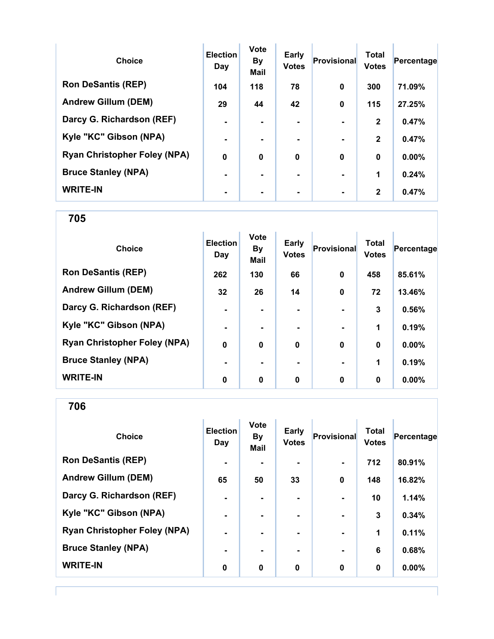| <b>Choice</b>                       | <b>Election</b><br>Day | <b>Vote</b><br><b>By</b><br><b>Mail</b> | <b>Early</b><br><b>Votes</b> | <b>Provisional</b> | <b>Total</b><br><b>Votes</b> | Percentage |
|-------------------------------------|------------------------|-----------------------------------------|------------------------------|--------------------|------------------------------|------------|
| <b>Ron DeSantis (REP)</b>           | 104                    | 118                                     | 78                           | $\bf{0}$           | 300                          | 71.09%     |
| <b>Andrew Gillum (DEM)</b>          | 29                     | 44                                      | 42                           | $\bf{0}$           | 115                          | 27.25%     |
| Darcy G. Richardson (REF)           | $\blacksquare$         |                                         | $\blacksquare$               |                    | $\mathbf{2}$                 | 0.47%      |
| Kyle "KC" Gibson (NPA)              |                        |                                         | ۰                            |                    | $\mathbf{2}$                 | 0.47%      |
| <b>Ryan Christopher Foley (NPA)</b> | $\mathbf 0$            | $\bf{0}$                                | $\bf{0}$                     | $\bf{0}$           | $\bf{0}$                     | 0.00%      |
| <b>Bruce Stanley (NPA)</b>          |                        |                                         | ۰.                           |                    | 1                            | 0.24%      |
| <b>WRITE-IN</b>                     |                        |                                         |                              |                    | $\mathbf{2}$                 | 0.47%      |

| <b>Choice</b>                       | <b>Election</b><br>Day | <b>Vote</b><br><b>By</b><br><b>Mail</b> | Early<br><b>Votes</b> | Provisional | <b>Total</b><br><b>Votes</b> | Percentage |
|-------------------------------------|------------------------|-----------------------------------------|-----------------------|-------------|------------------------------|------------|
| <b>Ron DeSantis (REP)</b>           | 262                    | 130                                     | 66                    | $\mathbf 0$ | 458                          | 85.61%     |
| <b>Andrew Gillum (DEM)</b>          | 32                     | 26                                      | 14                    | 0           | 72                           | 13.46%     |
| Darcy G. Richardson (REF)           | $\blacksquare$         |                                         |                       |             | 3                            | 0.56%      |
| Kyle "KC" Gibson (NPA)              | ٠                      |                                         | $\blacksquare$        |             | 1                            | 0.19%      |
| <b>Ryan Christopher Foley (NPA)</b> | $\boldsymbol{0}$       | $\bf{0}$                                | $\bf{0}$              | $\bf{0}$    | $\bf{0}$                     | 0.00%      |
| <b>Bruce Stanley (NPA)</b>          | $\blacksquare$         |                                         |                       |             | 1                            | 0.19%      |
| <b>WRITE-IN</b>                     | 0                      | 0                                       | 0                     | 0           | 0                            | $0.00\%$   |

706

| <b>Choice</b>                       | <b>Election</b><br>Day | Vote<br><b>By</b><br><b>Mail</b> | <b>Early</b><br><b>Votes</b> | Provisional    | <b>Total</b><br><b>Votes</b> | Percentage |
|-------------------------------------|------------------------|----------------------------------|------------------------------|----------------|------------------------------|------------|
| <b>Ron DeSantis (REP)</b>           | $\blacksquare$         |                                  | ۰                            | $\blacksquare$ | 712                          | 80.91%     |
| <b>Andrew Gillum (DEM)</b>          | 65                     | 50                               | 33                           | $\bf{0}$       | 148                          | 16.82%     |
| Darcy G. Richardson (REF)           | $\blacksquare$         | $\blacksquare$                   |                              |                | 10                           | 1.14%      |
| Kyle "KC" Gibson (NPA)              | $\blacksquare$         | ۰.                               |                              | $\blacksquare$ | 3                            | 0.34%      |
| <b>Ryan Christopher Foley (NPA)</b> |                        |                                  |                              |                | 1                            | 0.11%      |
| <b>Bruce Stanley (NPA)</b>          | $\blacksquare$         |                                  |                              | $\blacksquare$ | $6\phantom{1}6$              | 0.68%      |
| <b>WRITE-IN</b>                     | 0                      | 0                                | $\mathbf 0$                  | $\bf{0}$       | 0                            | 0.00%      |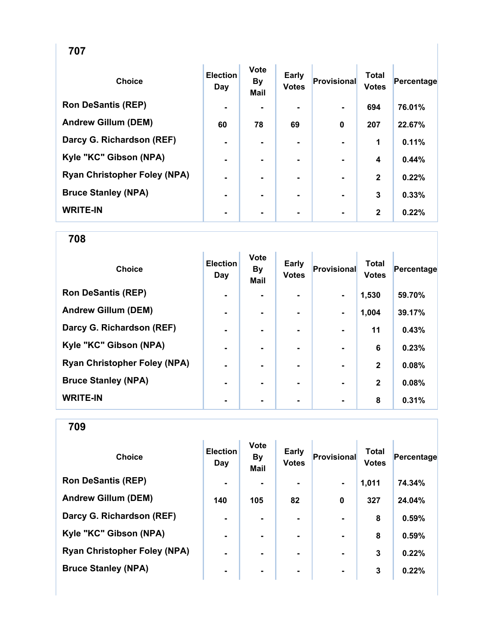| ۰.<br>× |  |
|---------|--|
|---------|--|

| <b>Choice</b>                       | <b>Election</b><br>Day | <b>Vote</b><br><b>By</b><br><b>Mail</b> | Early<br><b>Votes</b> | Provisional    | <b>Total</b><br><b>Votes</b> | Percentage |
|-------------------------------------|------------------------|-----------------------------------------|-----------------------|----------------|------------------------------|------------|
| <b>Ron DeSantis (REP)</b>           | $\blacksquare$         |                                         |                       |                | 694                          | 76.01%     |
| <b>Andrew Gillum (DEM)</b>          | 60                     | 78                                      | 69                    | $\bf{0}$       | 207                          | 22.67%     |
| Darcy G. Richardson (REF)           | $\blacksquare$         |                                         |                       |                | 1                            | 0.11%      |
| Kyle "KC" Gibson (NPA)              | ۰                      |                                         |                       |                | 4                            | 0.44%      |
| <b>Ryan Christopher Foley (NPA)</b> | ۰                      |                                         | ۰.                    | $\blacksquare$ | $\mathbf{2}$                 | 0.22%      |
| <b>Bruce Stanley (NPA)</b>          | ۰                      | ۰.                                      | ۰.                    |                | 3                            | 0.33%      |
| <b>WRITE-IN</b>                     | ۰                      |                                         |                       |                | $\mathbf{2}$                 | 0.22%      |

| <b>Choice</b>                       | <b>Election</b><br>Day | <b>Vote</b><br><b>By</b><br><b>Mail</b> | Early<br><b>Votes</b> | Provisional    | <b>Total</b><br><b>Votes</b> | Percentage |
|-------------------------------------|------------------------|-----------------------------------------|-----------------------|----------------|------------------------------|------------|
| <b>Ron DeSantis (REP)</b>           | $\blacksquare$         |                                         | ۰.                    | $\blacksquare$ | 1,530                        | 59.70%     |
| <b>Andrew Gillum (DEM)</b>          | $\blacksquare$         |                                         |                       | $\blacksquare$ | 1,004                        | 39.17%     |
| Darcy G. Richardson (REF)           | $\blacksquare$         |                                         |                       |                | 11                           | 0.43%      |
| Kyle "KC" Gibson (NPA)              | $\blacksquare$         |                                         | ۰                     |                | 6                            | 0.23%      |
| <b>Ryan Christopher Foley (NPA)</b> | $\blacksquare$         |                                         | ۰.                    |                | $\mathbf{2}$                 | 0.08%      |
| <b>Bruce Stanley (NPA)</b>          | $\blacksquare$         |                                         | ۰.                    |                | $\mathbf{2}$                 | 0.08%      |
| <b>WRITE-IN</b>                     | ٠                      |                                         |                       |                | 8                            | 0.31%      |

| <b>Choice</b>                       | <b>Election</b><br>Day | <b>Vote</b><br><b>By</b><br><b>Mail</b> | <b>Early</b><br><b>Votes</b> | Provisional    | <b>Total</b><br><b>Votes</b> | Percentage |
|-------------------------------------|------------------------|-----------------------------------------|------------------------------|----------------|------------------------------|------------|
| <b>Ron DeSantis (REP)</b>           | $\blacksquare$         |                                         | $\blacksquare$               | $\blacksquare$ | 1,011                        | 74.34%     |
| <b>Andrew Gillum (DEM)</b>          | 140                    | 105                                     | 82                           | $\mathbf 0$    | 327                          | 24.04%     |
| Darcy G. Richardson (REF)           | $\blacksquare$         |                                         | ۰.                           |                | 8                            | 0.59%      |
| Kyle "KC" Gibson (NPA)              | $\blacksquare$         |                                         |                              |                | 8                            | 0.59%      |
| <b>Ryan Christopher Foley (NPA)</b> | $\blacksquare$         |                                         |                              |                | 3                            | 0.22%      |
| <b>Bruce Stanley (NPA)</b>          | $\blacksquare$         | ۰                                       | ۰                            | $\blacksquare$ | 3                            | 0.22%      |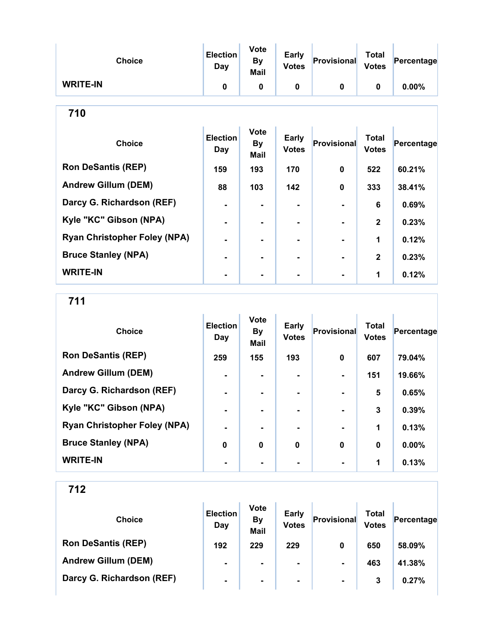| <b>Choice</b>                       | <b>Election</b><br>Day | <b>Vote</b><br>By<br><b>Mail</b> | Early<br><b>Votes</b>        | Provisional        | <b>Total</b><br><b>Votes</b> | Percentage |  |  |
|-------------------------------------|------------------------|----------------------------------|------------------------------|--------------------|------------------------------|------------|--|--|
| <b>WRITE-IN</b>                     | $\mathbf{0}$           | 0                                | $\bf{0}$                     | $\bf{0}$           | $\mathbf 0$                  | $0.00\%$   |  |  |
| 710                                 |                        |                                  |                              |                    |                              |            |  |  |
| <b>Choice</b>                       | <b>Election</b><br>Day | <b>Vote</b><br><b>By</b><br>Mail | <b>Early</b><br><b>Votes</b> | <b>Provisional</b> | <b>Total</b><br><b>Votes</b> | Percentage |  |  |
| <b>Ron DeSantis (REP)</b>           | 159                    | 193                              | 170                          | 0                  | 522                          | 60.21%     |  |  |
| <b>Andrew Gillum (DEM)</b>          | 88                     | 103                              | 142                          | $\mathbf{0}$       | 333                          | 38.41%     |  |  |
| Darcy G. Richardson (REF)           | $\blacksquare$         | $\blacksquare$                   | $\blacksquare$               |                    | 6                            | 0.69%      |  |  |
| Kyle "KC" Gibson (NPA)              |                        |                                  |                              |                    | $\mathbf{2}$                 | 0.23%      |  |  |
| <b>Ryan Christopher Foley (NPA)</b> |                        | $\blacksquare$                   |                              |                    | 1                            | 0.12%      |  |  |
| <b>Bruce Stanley (NPA)</b>          |                        |                                  |                              |                    | $\mathbf{2}$                 | 0.23%      |  |  |
| <b>WRITE-IN</b>                     |                        |                                  |                              |                    | 1                            | 0.12%      |  |  |

711

| <b>Choice</b>                       | <b>Election</b><br>Day | <b>Vote</b><br><b>By</b><br><b>Mail</b> | Early<br><b>Votes</b> | Provisional    | <b>Total</b><br><b>Votes</b> | Percentage |
|-------------------------------------|------------------------|-----------------------------------------|-----------------------|----------------|------------------------------|------------|
| <b>Ron DeSantis (REP)</b>           | 259                    | 155                                     | 193                   | $\bf{0}$       | 607                          | 79.04%     |
| <b>Andrew Gillum (DEM)</b>          | $\blacksquare$         |                                         |                       |                | 151                          | 19.66%     |
| Darcy G. Richardson (REF)           |                        |                                         |                       |                | 5                            | 0.65%      |
| Kyle "KC" Gibson (NPA)              | $\blacksquare$         |                                         | ۰.                    | $\blacksquare$ | 3                            | 0.39%      |
| <b>Ryan Christopher Foley (NPA)</b> | $\blacksquare$         |                                         | ۰.                    | $\blacksquare$ | 1                            | 0.13%      |
| <b>Bruce Stanley (NPA)</b>          | 0                      | $\mathbf 0$                             | $\mathbf 0$           | $\bf{0}$       | $\bf{0}$                     | 0.00%      |
| <b>WRITE-IN</b>                     |                        |                                         |                       |                | 1                            | 0.13%      |

| <b>Choice</b>              | <b>Election</b><br>Day | <b>Vote</b><br><b>By</b><br><b>Mail</b> | <b>Early</b><br><b>Votes</b> | Provisional    | Total<br><b>Votes</b> | Percentage |
|----------------------------|------------------------|-----------------------------------------|------------------------------|----------------|-----------------------|------------|
| <b>Ron DeSantis (REP)</b>  | 192                    | 229                                     | 229                          | 0              | 650                   | 58.09%     |
| <b>Andrew Gillum (DEM)</b> | $\blacksquare$         | ۰.                                      | $\blacksquare$               | $\blacksquare$ | 463                   | 41.38%     |
| Darcy G. Richardson (REF)  | $\blacksquare$         | ۰                                       | $\blacksquare$               | $\blacksquare$ | 3                     | 0.27%      |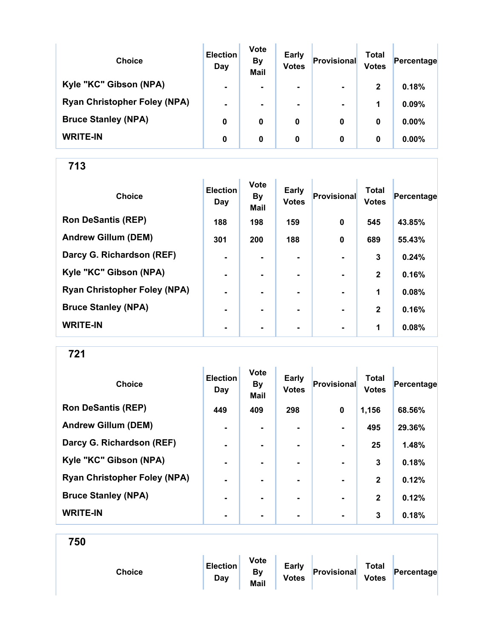| <b>Choice</b>                       | <b>Election</b><br>Day | <b>Vote</b><br><b>By</b><br><b>Mail</b> | <b>Early</b><br><b>Votes</b> | Provisional    | Total<br><b>Votes</b> | Percentage |
|-------------------------------------|------------------------|-----------------------------------------|------------------------------|----------------|-----------------------|------------|
| Kyle "KC" Gibson (NPA)              | $\blacksquare$         | $\blacksquare$                          | $\blacksquare$               | $\blacksquare$ | $\mathbf{2}$          | 0.18%      |
| <b>Ryan Christopher Foley (NPA)</b> | $\blacksquare$         | ۰.                                      | $\blacksquare$               | $\blacksquare$ | 1                     | 0.09%      |
| <b>Bruce Stanley (NPA)</b>          | 0                      | 0                                       | 0                            | 0              | 0                     | $0.00\%$   |
| <b>WRITE-IN</b>                     | 0                      | 0                                       | 0                            | 0              | 0                     | $0.00\%$   |

| <b>Choice</b>                       | <b>Election</b><br>Day | <b>Vote</b><br><b>By</b><br>Mail | <b>Early</b><br><b>Votes</b> | Provisional    | <b>Total</b><br><b>Votes</b> | Percentage |
|-------------------------------------|------------------------|----------------------------------|------------------------------|----------------|------------------------------|------------|
| <b>Ron DeSantis (REP)</b>           | 188                    | 198                              | 159                          | $\mathbf 0$    | 545                          | 43.85%     |
| <b>Andrew Gillum (DEM)</b>          | 301                    | 200                              | 188                          | $\mathbf 0$    | 689                          | 55.43%     |
| Darcy G. Richardson (REF)           | $\blacksquare$         | $\blacksquare$                   |                              | $\blacksquare$ | 3                            | 0.24%      |
| Kyle "KC" Gibson (NPA)              | $\blacksquare$         | $\blacksquare$                   |                              | $\blacksquare$ | $\mathbf{2}$                 | 0.16%      |
| <b>Ryan Christopher Foley (NPA)</b> | ۰                      |                                  |                              |                | 1                            | 0.08%      |
| <b>Bruce Stanley (NPA)</b>          | $\blacksquare$         |                                  |                              |                | $\mathbf{2}$                 | 0.16%      |
| <b>WRITE-IN</b>                     | $\blacksquare$         | $\blacksquare$                   | $\blacksquare$               | $\blacksquare$ | 1                            | 0.08%      |

721

| <b>Choice</b>                       | <b>Election</b><br>Day | <b>Vote</b><br><b>By</b><br><b>Mail</b> | <b>Early</b><br><b>Votes</b> | Provisional    | <b>Total</b><br><b>Votes</b> | Percentage |
|-------------------------------------|------------------------|-----------------------------------------|------------------------------|----------------|------------------------------|------------|
| <b>Ron DeSantis (REP)</b>           | 449                    | 409                                     | 298                          | $\mathbf 0$    | 1,156                        | 68.56%     |
| <b>Andrew Gillum (DEM)</b>          | $\blacksquare$         | ۰                                       | $\blacksquare$               | $\blacksquare$ | 495                          | 29.36%     |
| Darcy G. Richardson (REF)           | $\blacksquare$         | ۰.                                      | ۰.                           | $\blacksquare$ | 25                           | 1.48%      |
| Kyle "KC" Gibson (NPA)              | $\blacksquare$         |                                         |                              |                | 3                            | 0.18%      |
| <b>Ryan Christopher Foley (NPA)</b> | $\blacksquare$         |                                         | ۰.                           |                | $\mathbf{2}$                 | 0.12%      |
| <b>Bruce Stanley (NPA)</b>          | $\blacksquare$         |                                         | ۰.                           | $\blacksquare$ | $\mathbf{2}$                 | 0.12%      |
| <b>WRITE-IN</b>                     | $\blacksquare$         |                                         |                              |                | 3                            | 0.18%      |

| <b>Choice</b> | <b>Election</b><br>Day | <b>Vote</b><br>By<br>Mail | Early<br><b>Votes</b> | Provisional | <b>Total</b><br><b>Votes</b> | Percentage |
|---------------|------------------------|---------------------------|-----------------------|-------------|------------------------------|------------|
|               |                        |                           |                       |             |                              |            |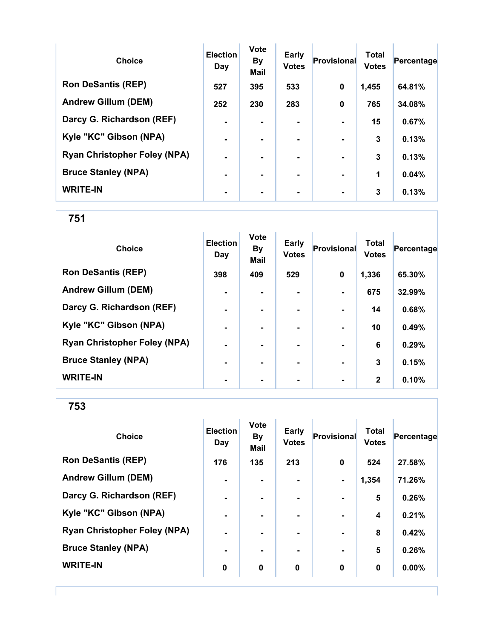| <b>Choice</b>                       | <b>Election</b><br>Day | <b>Vote</b><br><b>By</b><br><b>Mail</b> | Early<br><b>Votes</b> | Provisional    | <b>Total</b><br><b>Votes</b> | Percentage |
|-------------------------------------|------------------------|-----------------------------------------|-----------------------|----------------|------------------------------|------------|
| <b>Ron DeSantis (REP)</b>           | 527                    | 395                                     | 533                   | $\bf{0}$       | 1,455                        | 64.81%     |
| <b>Andrew Gillum (DEM)</b>          | 252                    | 230                                     | 283                   | $\mathbf 0$    | 765                          | 34.08%     |
| Darcy G. Richardson (REF)           | $\blacksquare$         |                                         |                       | $\blacksquare$ | 15                           | 0.67%      |
| Kyle "KC" Gibson (NPA)              | $\blacksquare$         |                                         | ۰.                    | $\blacksquare$ | 3                            | 0.13%      |
| <b>Ryan Christopher Foley (NPA)</b> | $\blacksquare$         |                                         |                       | $\blacksquare$ | 3                            | 0.13%      |
| <b>Bruce Stanley (NPA)</b>          | $\blacksquare$         | -                                       |                       |                | 1                            | 0.04%      |
| <b>WRITE-IN</b>                     | ٠                      |                                         |                       |                | 3                            | 0.13%      |

| <b>Choice</b>                       | <b>Election</b><br>Day | <b>Vote</b><br><b>By</b><br><b>Mail</b> | <b>Early</b><br><b>Votes</b> | <b>Provisional</b> | <b>Total</b><br><b>Votes</b> | Percentage |
|-------------------------------------|------------------------|-----------------------------------------|------------------------------|--------------------|------------------------------|------------|
| <b>Ron DeSantis (REP)</b>           | 398                    | 409                                     | 529                          | 0                  | 1,336                        | 65.30%     |
| <b>Andrew Gillum (DEM)</b>          | ۰                      |                                         |                              |                    | 675                          | 32.99%     |
| Darcy G. Richardson (REF)           | $\blacksquare$         |                                         |                              |                    | 14                           | 0.68%      |
| Kyle "KC" Gibson (NPA)              | $\blacksquare$         | $\blacksquare$                          |                              | $\blacksquare$     | 10                           | 0.49%      |
| <b>Ryan Christopher Foley (NPA)</b> | $\blacksquare$         | ۰.                                      |                              | $\blacksquare$     | 6                            | 0.29%      |
| <b>Bruce Stanley (NPA)</b>          | ٠                      |                                         |                              |                    | 3                            | 0.15%      |
| <b>WRITE-IN</b>                     | ۰                      |                                         |                              | $\blacksquare$     | $\mathbf{2}$                 | 0.10%      |

| <b>Choice</b>                       | <b>Election</b><br>Day | <b>Vote</b><br><b>By</b><br>Mail | Early<br><b>Votes</b> | <b>Provisional</b> | <b>Total</b><br><b>Votes</b> | Percentage |
|-------------------------------------|------------------------|----------------------------------|-----------------------|--------------------|------------------------------|------------|
| <b>Ron DeSantis (REP)</b>           | 176                    | 135                              | 213                   | $\bf{0}$           | 524                          | 27.58%     |
| <b>Andrew Gillum (DEM)</b>          | $\blacksquare$         | $\blacksquare$                   |                       | $\blacksquare$     | 1,354                        | 71.26%     |
| Darcy G. Richardson (REF)           | $\blacksquare$         | $\blacksquare$                   | ۰                     | $\blacksquare$     | 5                            | 0.26%      |
| Kyle "KC" Gibson (NPA)              | ۰                      | $\blacksquare$                   |                       |                    | 4                            | 0.21%      |
| <b>Ryan Christopher Foley (NPA)</b> | ٠                      |                                  |                       | ۰                  | 8                            | 0.42%      |
| <b>Bruce Stanley (NPA)</b>          | ۰                      | $\blacksquare$                   |                       |                    | 5                            | 0.26%      |
| <b>WRITE-IN</b>                     | 0                      | 0                                | 0                     | 0                  | 0                            | 0.00%      |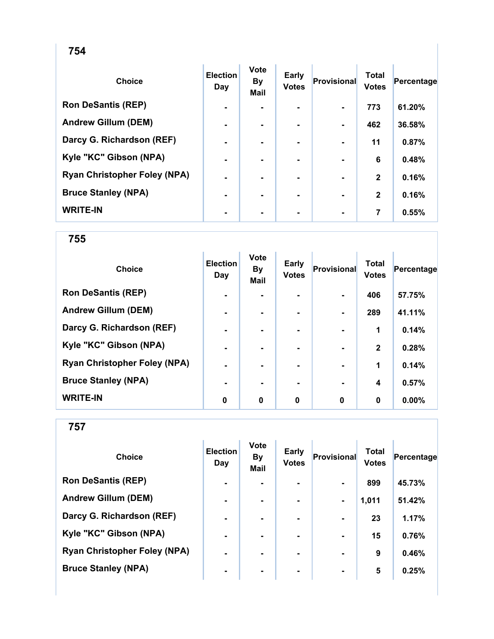| <b>Choice</b>                       | <b>Election</b><br>Day | Vote<br><b>By</b><br>Mail | Early<br><b>Votes</b> | Provisional    | <b>Total</b><br><b>Votes</b> | Percentage |
|-------------------------------------|------------------------|---------------------------|-----------------------|----------------|------------------------------|------------|
| <b>Ron DeSantis (REP)</b>           | $\blacksquare$         |                           |                       |                | 773                          | 61.20%     |
| <b>Andrew Gillum (DEM)</b>          | $\blacksquare$         | $\blacksquare$            | ۰                     | $\blacksquare$ | 462                          | 36.58%     |
| Darcy G. Richardson (REF)           | $\blacksquare$         | $\blacksquare$            | ۰.                    | $\blacksquare$ | 11                           | 0.87%      |
| Kyle "KC" Gibson (NPA)              | $\blacksquare$         |                           |                       |                | 6                            | 0.48%      |
| <b>Ryan Christopher Foley (NPA)</b> | $\blacksquare$         |                           | ۰                     |                | $\mathbf{2}$                 | 0.16%      |
| <b>Bruce Stanley (NPA)</b>          | $\blacksquare$         | $\blacksquare$            | ۰.                    |                | $\mathbf{2}$                 | 0.16%      |
| <b>WRITE-IN</b>                     | $\blacksquare$         |                           |                       |                | 7                            | 0.55%      |

| <b>Choice</b>                       | <b>Election</b><br>Day | <b>Vote</b><br><b>By</b><br>Mail | Early<br><b>Votes</b> | Provisional | <b>Total</b><br><b>Votes</b> | Percentage |
|-------------------------------------|------------------------|----------------------------------|-----------------------|-------------|------------------------------|------------|
| <b>Ron DeSantis (REP)</b>           | $\blacksquare$         |                                  | ٠                     |             | 406                          | 57.75%     |
| <b>Andrew Gillum (DEM)</b>          | $\blacksquare$         | -                                | ۰.                    |             | 289                          | 41.11%     |
| Darcy G. Richardson (REF)           | $\blacksquare$         |                                  |                       |             | 1                            | 0.14%      |
| Kyle "KC" Gibson (NPA)              | ٠                      |                                  |                       |             | $\mathbf{2}$                 | 0.28%      |
| <b>Ryan Christopher Foley (NPA)</b> | $\blacksquare$         |                                  | ۰.                    |             | 1                            | 0.14%      |
| <b>Bruce Stanley (NPA)</b>          |                        |                                  | ۰.                    |             | 4                            | 0.57%      |
| <b>WRITE-IN</b>                     | 0                      | 0                                | 0                     | $\bf{0}$    | 0                            | 0.00%      |

| <b>Choice</b>                       | <b>Election</b><br>Day | <b>Vote</b><br><b>By</b><br><b>Mail</b> | Early<br><b>Votes</b> | Provisional    | Total<br><b>Votes</b> | Percentage |
|-------------------------------------|------------------------|-----------------------------------------|-----------------------|----------------|-----------------------|------------|
| <b>Ron DeSantis (REP)</b>           | $\blacksquare$         |                                         |                       | $\blacksquare$ | 899                   | 45.73%     |
| <b>Andrew Gillum (DEM)</b>          | $\blacksquare$         | $\blacksquare$                          |                       | $\blacksquare$ | 1,011                 | 51.42%     |
| Darcy G. Richardson (REF)           | $\blacksquare$         | $\blacksquare$                          |                       | $\blacksquare$ | 23                    | 1.17%      |
| Kyle "KC" Gibson (NPA)              | $\blacksquare$         |                                         |                       | $\blacksquare$ | 15                    | 0.76%      |
| <b>Ryan Christopher Foley (NPA)</b> | $\blacksquare$         | $\blacksquare$                          | ۰.                    | $\blacksquare$ | 9                     | 0.46%      |
| <b>Bruce Stanley (NPA)</b>          | $\blacksquare$         | ۰                                       | ۰                     | $\blacksquare$ | 5                     | 0.25%      |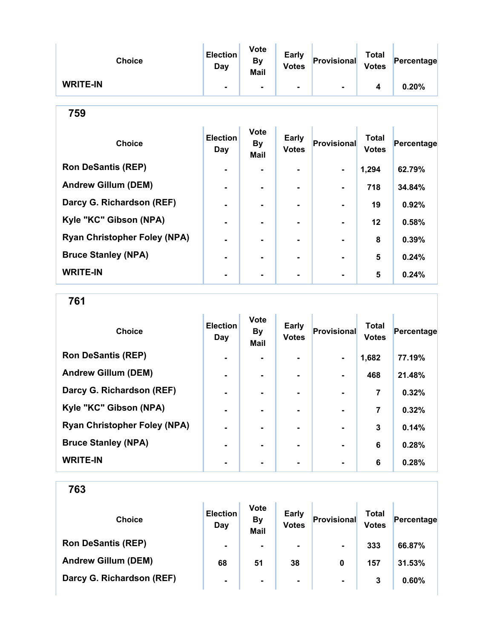| <b>Choice</b>   | <b>Election</b><br>Day | <b>Vote</b><br><b>By</b><br>Mail | <b>Early</b><br><b>Votes</b> | Provisional | <b>Total</b><br><b>Votes</b> | Percentage |
|-----------------|------------------------|----------------------------------|------------------------------|-------------|------------------------------|------------|
| <b>WRITE-IN</b> |                        |                                  | ۰                            |             |                              | 0.20%      |

| <b>Choice</b>                       | <b>Election</b><br>Day | <b>Vote</b><br><b>By</b><br><b>Mail</b> | <b>Early</b><br><b>Votes</b> | <b>Provisional</b> | <b>Total</b><br><b>Votes</b> | Percentage |
|-------------------------------------|------------------------|-----------------------------------------|------------------------------|--------------------|------------------------------|------------|
| <b>Ron DeSantis (REP)</b>           |                        |                                         |                              |                    | 1,294                        | 62.79%     |
| <b>Andrew Gillum (DEM)</b>          | $\blacksquare$         | ۰.                                      | ۰.                           | ۰.                 | 718                          | 34.84%     |
| Darcy G. Richardson (REF)           | $\blacksquare$         |                                         | ۰.                           |                    | 19                           | 0.92%      |
| Kyle "KC" Gibson (NPA)              |                        |                                         |                              |                    | $12 \,$                      | 0.58%      |
| <b>Ryan Christopher Foley (NPA)</b> |                        |                                         |                              |                    | 8                            | 0.39%      |
| <b>Bruce Stanley (NPA)</b>          |                        |                                         |                              |                    | 5                            | 0.24%      |
| <b>WRITE-IN</b>                     |                        |                                         | ۰                            |                    | 5                            | 0.24%      |

761

| <b>Choice</b>                       | <b>Election</b><br>Day | <b>Vote</b><br><b>By</b><br><b>Mail</b> | <b>Early</b><br><b>Votes</b> | Provisional    | <b>Total</b><br><b>Votes</b> | Percentage |
|-------------------------------------|------------------------|-----------------------------------------|------------------------------|----------------|------------------------------|------------|
| <b>Ron DeSantis (REP)</b>           | $\blacksquare$         |                                         |                              | $\blacksquare$ | 1,682                        | 77.19%     |
| <b>Andrew Gillum (DEM)</b>          | $\blacksquare$         | -                                       |                              | $\blacksquare$ | 468                          | 21.48%     |
| Darcy G. Richardson (REF)           | -                      |                                         |                              |                | 7                            | 0.32%      |
| Kyle "KC" Gibson (NPA)              | $\blacksquare$         |                                         | ۰                            |                | 7                            | 0.32%      |
| <b>Ryan Christopher Foley (NPA)</b> | $\blacksquare$         |                                         |                              |                | 3                            | 0.14%      |
| <b>Bruce Stanley (NPA)</b>          | $\blacksquare$         |                                         |                              |                | 6                            | 0.28%      |
| <b>WRITE-IN</b>                     |                        |                                         |                              |                | 6                            | 0.28%      |

| <b>Choice</b>              | <b>Election</b><br>Day | <b>Vote</b><br><b>By</b><br><b>Mail</b> | <b>Early</b><br><b>Votes</b> | Provisional    | Total<br><b>Votes</b> | Percentage |  |
|----------------------------|------------------------|-----------------------------------------|------------------------------|----------------|-----------------------|------------|--|
| <b>Ron DeSantis (REP)</b>  | $\blacksquare$         | $\blacksquare$                          | $\blacksquare$               | $\blacksquare$ | 333                   | 66.87%     |  |
| <b>Andrew Gillum (DEM)</b> | 68                     | 51                                      | 38                           | 0              | 157                   | 31.53%     |  |
| Darcy G. Richardson (REF)  | $\blacksquare$         | $\blacksquare$                          | $\blacksquare$               | $\blacksquare$ | 3                     | 0.60%      |  |
|                            |                        |                                         |                              |                |                       |            |  |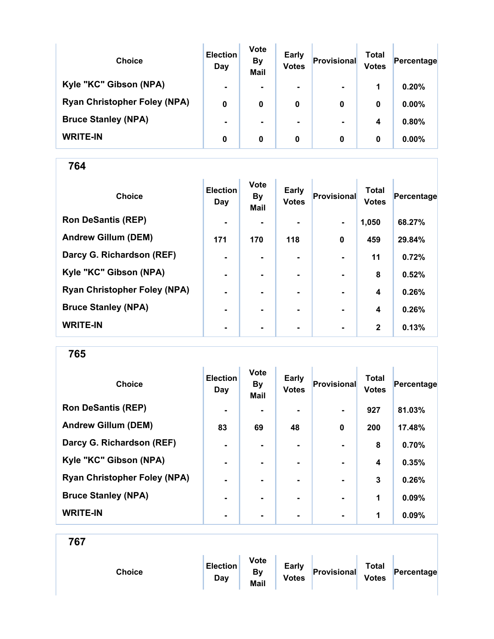| <b>Choice</b>                       | <b>Election</b><br>Day | <b>Vote</b><br><b>By</b><br><b>Mail</b> | <b>Early</b><br><b>Votes</b> | Provisional    | Total<br><b>Votes</b> | Percentage |
|-------------------------------------|------------------------|-----------------------------------------|------------------------------|----------------|-----------------------|------------|
| Kyle "KC" Gibson (NPA)              | $\blacksquare$         |                                         | $\blacksquare$               | $\blacksquare$ | 1                     | 0.20%      |
| <b>Ryan Christopher Foley (NPA)</b> | 0                      | 0                                       | 0                            | 0              | 0                     | $0.00\%$   |
| <b>Bruce Stanley (NPA)</b>          | $\blacksquare$         |                                         | $\blacksquare$               | $\blacksquare$ | 4                     | 0.80%      |
| <b>WRITE-IN</b>                     | 0                      | 0                                       | 0                            | 0              | 0                     | $0.00\%$   |

| <b>Choice</b>                       | <b>Election</b><br>Day | <b>Vote</b><br><b>By</b><br><b>Mail</b> | Early<br><b>Votes</b> | Provisional    | <b>Total</b><br><b>Votes</b> | Percentage |
|-------------------------------------|------------------------|-----------------------------------------|-----------------------|----------------|------------------------------|------------|
| <b>Ron DeSantis (REP)</b>           | $\blacksquare$         |                                         |                       | $\blacksquare$ | 1,050                        | 68.27%     |
| <b>Andrew Gillum (DEM)</b>          | 171                    | 170                                     | 118                   | $\mathbf 0$    | 459                          | 29.84%     |
| Darcy G. Richardson (REF)           | $\blacksquare$         |                                         |                       |                | 11                           | 0.72%      |
| Kyle "KC" Gibson (NPA)              | $\blacksquare$         |                                         | ۰.                    |                | 8                            | 0.52%      |
| <b>Ryan Christopher Foley (NPA)</b> | $\blacksquare$         |                                         |                       |                | 4                            | 0.26%      |
| <b>Bruce Stanley (NPA)</b>          | -                      |                                         |                       |                | 4                            | 0.26%      |
| <b>WRITE-IN</b>                     | ٠                      | ۰                                       | $\blacksquare$        | $\blacksquare$ | $\mathbf{2}$                 | 0.13%      |

765

| <b>Choice</b>                       | <b>Election</b><br>Day | <b>Vote</b><br><b>By</b><br><b>Mail</b> | Early<br><b>Votes</b> | Provisional    | <b>Total</b><br><b>Votes</b> | Percentage |
|-------------------------------------|------------------------|-----------------------------------------|-----------------------|----------------|------------------------------|------------|
| <b>Ron DeSantis (REP)</b>           | $\blacksquare$         |                                         |                       | $\blacksquare$ | 927                          | 81.03%     |
| <b>Andrew Gillum (DEM)</b>          | 83                     | 69                                      | 48                    | $\mathbf 0$    | 200                          | 17.48%     |
| Darcy G. Richardson (REF)           | $\blacksquare$         |                                         | $\blacksquare$        | $\blacksquare$ | 8                            | 0.70%      |
| Kyle "KC" Gibson (NPA)              | -                      |                                         |                       |                | 4                            | 0.35%      |
| <b>Ryan Christopher Foley (NPA)</b> | $\blacksquare$         |                                         | ۰.                    | $\blacksquare$ | 3                            | 0.26%      |
| <b>Bruce Stanley (NPA)</b>          | $\blacksquare$         |                                         | ۰.                    | $\blacksquare$ | 1                            | 0.09%      |
| <b>WRITE-IN</b>                     | $\blacksquare$         |                                         |                       | $\blacksquare$ | 1                            | 0.09%      |

| Choice | <b>Election</b><br>Day | <b>Vote</b><br>By<br>Mail | Early<br><b>Votes</b> | Provisional | <b>Total</b><br><b>Votes</b> | Percentage |  |
|--------|------------------------|---------------------------|-----------------------|-------------|------------------------------|------------|--|
|        |                        |                           |                       |             |                              |            |  |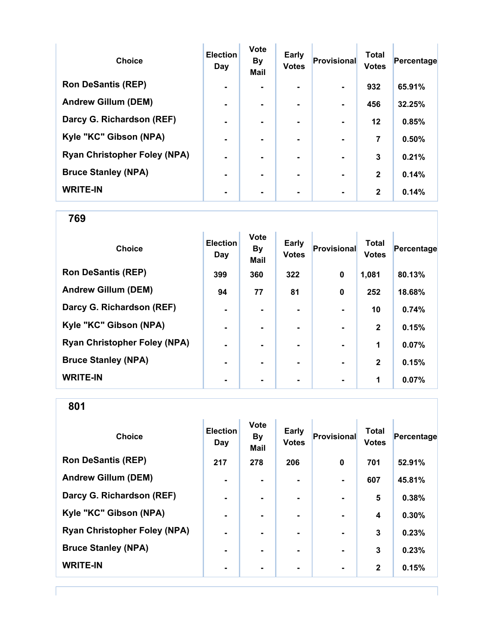| <b>Choice</b>                       | <b>Election</b><br>Day | Vote<br><b>By</b><br><b>Mail</b> | Early<br><b>Votes</b> | Provisional    | <b>Total</b><br><b>Votes</b> | Percentage |
|-------------------------------------|------------------------|----------------------------------|-----------------------|----------------|------------------------------|------------|
| <b>Ron DeSantis (REP)</b>           | -                      |                                  |                       |                | 932                          | 65.91%     |
| <b>Andrew Gillum (DEM)</b>          | $\blacksquare$         |                                  |                       |                | 456                          | 32.25%     |
| Darcy G. Richardson (REF)           | $\blacksquare$         |                                  |                       |                | $12 \,$                      | 0.85%      |
| Kyle "KC" Gibson (NPA)              | $\blacksquare$         | -                                | ۰.                    | $\blacksquare$ | 7                            | 0.50%      |
| <b>Ryan Christopher Foley (NPA)</b> | ۰.                     |                                  | ۰.                    |                | 3                            | 0.21%      |
| <b>Bruce Stanley (NPA)</b>          |                        |                                  | ۰.                    |                | $\mathbf{2}$                 | 0.14%      |
| <b>WRITE-IN</b>                     |                        |                                  |                       |                | $\mathbf{2}$                 | 0.14%      |

769

| <b>Choice</b>                       | <b>Election</b><br>Day | <b>Vote</b><br><b>By</b><br>Mail | <b>Early</b><br><b>Votes</b> | Provisional    | <b>Total</b><br><b>Votes</b> | Percentage |
|-------------------------------------|------------------------|----------------------------------|------------------------------|----------------|------------------------------|------------|
| <b>Ron DeSantis (REP)</b>           | 399                    | 360                              | 322                          | $\mathbf 0$    | 1,081                        | 80.13%     |
| <b>Andrew Gillum (DEM)</b>          | 94                     | 77                               | 81                           | $\bf{0}$       | 252                          | 18.68%     |
| Darcy G. Richardson (REF)           | ۰                      |                                  |                              |                | 10                           | 0.74%      |
| Kyle "KC" Gibson (NPA)              | $\blacksquare$         |                                  | ۰                            | $\blacksquare$ | $\mathbf{2}$                 | 0.15%      |
| <b>Ryan Christopher Foley (NPA)</b> | $\blacksquare$         |                                  | ۰.                           | $\blacksquare$ | 1                            | 0.07%      |
| <b>Bruce Stanley (NPA)</b>          | $\blacksquare$         | ۰.                               | ۰.                           | $\blacksquare$ | $\mathbf{2}$                 | 0.15%      |
| <b>WRITE-IN</b>                     | ٠                      |                                  |                              | $\blacksquare$ | 1                            | 0.07%      |

| <b>Choice</b>                       | <b>Election</b><br>Day | <b>Vote</b><br><b>By</b><br><b>Mail</b> | <b>Early</b><br><b>Votes</b> | <b>Provisional</b>       | <b>Total</b><br><b>Votes</b> | Percentage |
|-------------------------------------|------------------------|-----------------------------------------|------------------------------|--------------------------|------------------------------|------------|
| <b>Ron DeSantis (REP)</b>           | 217                    | 278                                     | 206                          | $\bf{0}$                 | 701                          | 52.91%     |
| <b>Andrew Gillum (DEM)</b>          | $\blacksquare$         | $\blacksquare$                          | ۰.                           | $\overline{\phantom{0}}$ | 607                          | 45.81%     |
| Darcy G. Richardson (REF)           | $\blacksquare$         | $\blacksquare$                          |                              | ٠                        | 5                            | 0.38%      |
| Kyle "KC" Gibson (NPA)              | $\blacksquare$         | ۰.                                      | $\blacksquare$               | $\blacksquare$           | 4                            | 0.30%      |
| <b>Ryan Christopher Foley (NPA)</b> | $\blacksquare$         | $\blacksquare$                          | $\blacksquare$               | $\blacksquare$           | 3                            | 0.23%      |
| <b>Bruce Stanley (NPA)</b>          | ۰                      |                                         |                              | ٠                        | $\mathbf{3}$                 | 0.23%      |
| <b>WRITE-IN</b>                     | ۰                      |                                         |                              |                          | $\mathbf{2}$                 | 0.15%      |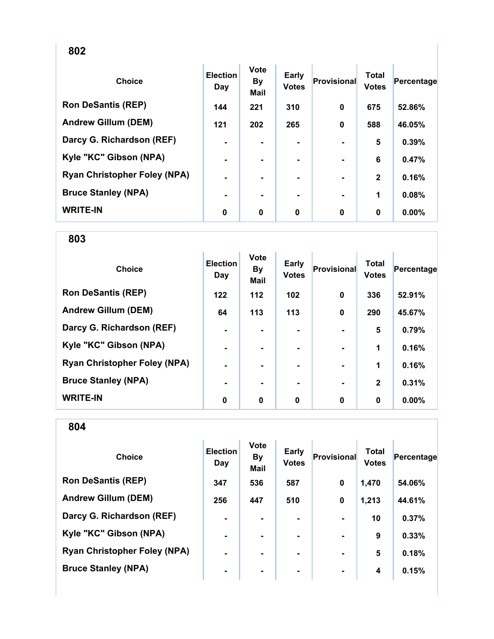| . .<br>. .<br>ï<br>×<br>۰.<br>×<br>۰. |
|---------------------------------------|
|---------------------------------------|

| <b>Choice</b>                       | <b>Election</b><br>Day | <b>Vote</b><br><b>By</b><br><b>Mail</b> | Early<br><b>Votes</b> | <b>Provisional</b> | <b>Total</b><br><b>Votes</b> | Percentage |
|-------------------------------------|------------------------|-----------------------------------------|-----------------------|--------------------|------------------------------|------------|
| <b>Ron DeSantis (REP)</b>           | 144                    | 221                                     | 310                   | 0                  | 675                          | 52.86%     |
| <b>Andrew Gillum (DEM)</b>          | $121$                  | 202                                     | 265                   | $\mathbf 0$        | 588                          | 46.05%     |
| Darcy G. Richardson (REF)           | $\blacksquare$         | ۰.                                      | ۰.                    |                    | 5                            | 0.39%      |
| Kyle "KC" Gibson (NPA)              | ۰                      |                                         |                       |                    | 6                            | 0.47%      |
| <b>Ryan Christopher Foley (NPA)</b> | ۰                      |                                         |                       |                    | $\mathbf{2}$                 | 0.16%      |
| <b>Bruce Stanley (NPA)</b>          | ۰                      |                                         |                       |                    | 1                            | 0.08%      |
| <b>WRITE-IN</b>                     | 0                      | 0                                       | $\bf{0}$              | 0                  | $\bf{0}$                     | 0.00%      |

| <b>Choice</b>                       | <b>Election</b><br>Day | <b>Vote</b><br><b>By</b><br><b>Mail</b> | Early<br><b>Votes</b> | Provisional | <b>Total</b><br><b>Votes</b> | Percentage |
|-------------------------------------|------------------------|-----------------------------------------|-----------------------|-------------|------------------------------|------------|
| <b>Ron DeSantis (REP)</b>           | $122$                  | $112$                                   | 102                   | $\mathbf 0$ | 336                          | 52.91%     |
| <b>Andrew Gillum (DEM)</b>          | 64                     | 113                                     | 113                   | $\mathbf 0$ | 290                          | 45.67%     |
| Darcy G. Richardson (REF)           | $\blacksquare$         |                                         |                       |             | 5                            | 0.79%      |
| Kyle "KC" Gibson (NPA)              | $\blacksquare$         |                                         | -                     |             | 1                            | 0.16%      |
| <b>Ryan Christopher Foley (NPA)</b> | $\blacksquare$         |                                         | $\blacksquare$        |             | 1                            | 0.16%      |
| <b>Bruce Stanley (NPA)</b>          | ٠                      | -                                       | ۰.                    |             | $\mathbf{2}$                 | 0.31%      |
| <b>WRITE-IN</b>                     | 0                      | $\mathbf 0$                             | 0                     | $\mathbf 0$ | 0                            | $0.00\%$   |

| <b>Choice</b>                       | <b>Election</b><br>Day | <b>Vote</b><br><b>By</b><br><b>Mail</b> | Early<br><b>Votes</b> | Provisional    | Total<br><b>Votes</b> | Percentage |
|-------------------------------------|------------------------|-----------------------------------------|-----------------------|----------------|-----------------------|------------|
| <b>Ron DeSantis (REP)</b>           | 347                    | 536                                     | 587                   | $\mathbf 0$    | 1,470                 | 54.06%     |
| <b>Andrew Gillum (DEM)</b>          | 256                    | 447                                     | 510                   | $\mathbf 0$    | 1,213                 | 44.61%     |
| Darcy G. Richardson (REF)           | $\blacksquare$         |                                         |                       |                | 10                    | 0.37%      |
| Kyle "KC" Gibson (NPA)              | $\blacksquare$         | ۰.                                      | ۰.                    |                | 9                     | 0.33%      |
| <b>Ryan Christopher Foley (NPA)</b> | ۰.                     |                                         | ۰.                    | $\blacksquare$ | 5                     | 0.18%      |
| <b>Bruce Stanley (NPA)</b>          | ۰                      | ۰                                       | ۰                     | $\blacksquare$ | 4                     | 0.15%      |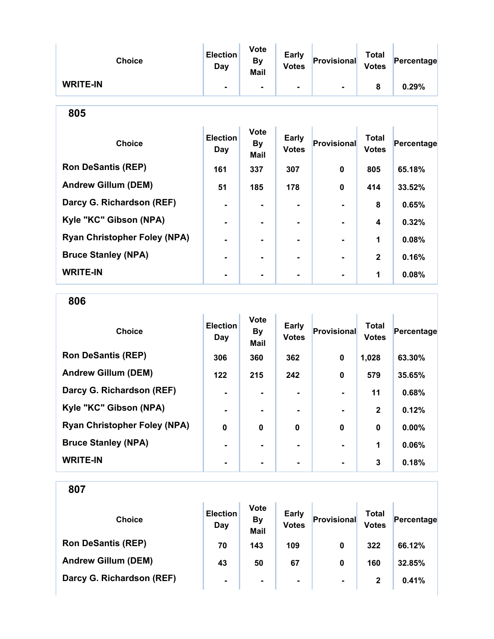| <b>Choice</b>                       | <b>Election</b><br><b>Day</b> | <b>Vote</b><br><b>By</b><br>Mail | <b>Early</b><br><b>Votes</b> | <b>Provisional</b> | <b>Total</b><br><b>Votes</b> | Percentage |
|-------------------------------------|-------------------------------|----------------------------------|------------------------------|--------------------|------------------------------|------------|
| <b>WRITE-IN</b>                     |                               |                                  |                              |                    | 8                            | 0.29%      |
| 805                                 |                               |                                  |                              |                    |                              |            |
| <b>Choice</b>                       | <b>Election</b><br><b>Day</b> | <b>Vote</b><br><b>By</b><br>Mail | <b>Early</b><br><b>Votes</b> | Provisional        | <b>Total</b><br><b>Votes</b> | Percentage |
| <b>Ron DeSantis (REP)</b>           | 161                           | 337                              | 307                          | 0                  | 805                          | 65.18%     |
| <b>Andrew Gillum (DEM)</b>          | 51                            | 185                              | 178                          | 0                  | 414                          | 33.52%     |
| Darcy G. Richardson (REF)           |                               | $\blacksquare$                   |                              |                    | 8                            | 0.65%      |
| Kyle "KC" Gibson (NPA)              |                               |                                  | ۰                            |                    | 4                            | 0.32%      |
| <b>Ryan Christopher Foley (NPA)</b> | $\blacksquare$                |                                  | ۰                            |                    | 1                            | 0.08%      |
| <b>Bruce Stanley (NPA)</b>          |                               |                                  |                              |                    | $\overline{2}$               | 0.16%      |
| <b>WRITE-IN</b>                     |                               |                                  |                              |                    | 1                            | 0.08%      |

806

| <b>Choice</b>                       | <b>Election</b><br>Day | <b>Vote</b><br><b>By</b><br><b>Mail</b> | <b>Early</b><br><b>Votes</b> | <b>Provisional</b> | <b>Total</b><br><b>Votes</b> | Percentage |
|-------------------------------------|------------------------|-----------------------------------------|------------------------------|--------------------|------------------------------|------------|
| <b>Ron DeSantis (REP)</b>           | 306                    | 360                                     | 362                          | 0                  | 1,028                        | 63.30%     |
| <b>Andrew Gillum (DEM)</b>          | $122$                  | 215                                     | 242                          | $\bf{0}$           | 579                          | 35.65%     |
| Darcy G. Richardson (REF)           |                        |                                         |                              |                    | 11                           | 0.68%      |
| Kyle "KC" Gibson (NPA)              | $\blacksquare$         |                                         | $\blacksquare$               |                    | $\mathbf{2}$                 | 0.12%      |
| <b>Ryan Christopher Foley (NPA)</b> | $\bf{0}$               | $\mathbf 0$                             | $\mathbf{0}$                 | $\bf{0}$           | $\bf{0}$                     | 0.00%      |
| <b>Bruce Stanley (NPA)</b>          |                        |                                         |                              |                    | 1                            | 0.06%      |
| <b>WRITE-IN</b>                     |                        |                                         |                              |                    | 3                            | 0.18%      |

| <b>Choice</b>              | <b>Election</b><br>Day | <b>Vote</b><br><b>By</b><br><b>Mail</b> | <b>Early</b><br><b>Votes</b> | Provisional    | Total<br><b>Votes</b> | Percentage |
|----------------------------|------------------------|-----------------------------------------|------------------------------|----------------|-----------------------|------------|
| <b>Ron DeSantis (REP)</b>  | 70                     | 143                                     | 109                          | 0              | 322                   | 66.12%     |
| <b>Andrew Gillum (DEM)</b> | 43                     | 50                                      | 67                           | 0              | 160                   | 32.85%     |
| Darcy G. Richardson (REF)  | $\blacksquare$         | ۰.                                      | $\blacksquare$               | $\blacksquare$ | 2                     | 0.41%      |
|                            |                        |                                         |                              |                |                       |            |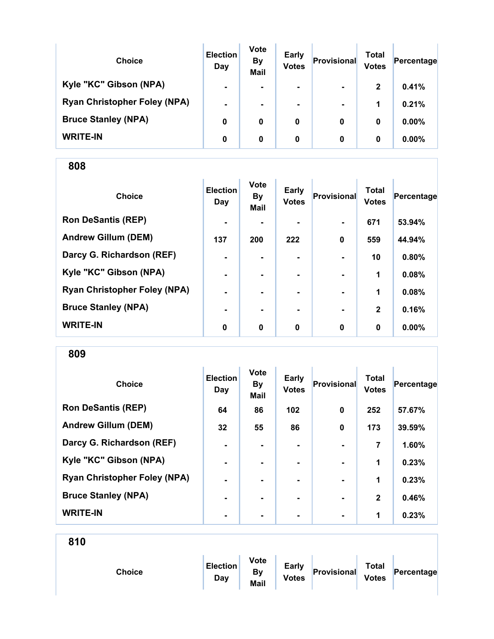| <b>Choice</b>                       | <b>Election</b><br>Day | <b>Vote</b><br><b>By</b><br><b>Mail</b> | <b>Early</b><br><b>Votes</b> | Provisional    | Total<br><b>Votes</b> | Percentage |
|-------------------------------------|------------------------|-----------------------------------------|------------------------------|----------------|-----------------------|------------|
| Kyle "KC" Gibson (NPA)              | $\blacksquare$         | ۰.                                      | $\blacksquare$               | $\blacksquare$ | $\mathbf{2}$          | 0.41%      |
| <b>Ryan Christopher Foley (NPA)</b> | $\blacksquare$         |                                         | ۰                            | $\blacksquare$ | 1                     | 0.21%      |
| <b>Bruce Stanley (NPA)</b>          | 0                      | 0                                       | 0                            | 0              | 0                     | $0.00\%$   |
| <b>WRITE-IN</b>                     | 0                      | 0                                       | 0                            | 0              | 0                     | $0.00\%$   |

| <b>Choice</b>                       | <b>Election</b><br>Day | <b>Vote</b><br><b>By</b><br><b>Mail</b> | <b>Early</b><br><b>Votes</b> | Provisional    | <b>Total</b><br><b>Votes</b> | Percentage |
|-------------------------------------|------------------------|-----------------------------------------|------------------------------|----------------|------------------------------|------------|
| <b>Ron DeSantis (REP)</b>           | $\blacksquare$         |                                         |                              | $\blacksquare$ | 671                          | 53.94%     |
| <b>Andrew Gillum (DEM)</b>          | 137                    | 200                                     | 222                          | 0              | 559                          | 44.94%     |
| Darcy G. Richardson (REF)           | $\blacksquare$         |                                         |                              |                | 10                           | 0.80%      |
| Kyle "KC" Gibson (NPA)              | $\blacksquare$         |                                         |                              | $\blacksquare$ | 1                            | 0.08%      |
| <b>Ryan Christopher Foley (NPA)</b> | ۰                      |                                         |                              |                | 1                            | 0.08%      |
| <b>Bruce Stanley (NPA)</b>          | ۰                      |                                         |                              |                | $\mathbf{2}$                 | 0.16%      |
| <b>WRITE-IN</b>                     | 0                      | $\bf{0}$                                | $\bf{0}$                     | $\mathbf 0$    | $\bf{0}$                     | 0.00%      |

809

| <b>Choice</b>                       | <b>Election</b><br>Day | <b>Vote</b><br><b>By</b><br><b>Mail</b> | <b>Early</b><br><b>Votes</b> | Provisional    | <b>Total</b><br><b>Votes</b> | Percentage |
|-------------------------------------|------------------------|-----------------------------------------|------------------------------|----------------|------------------------------|------------|
| <b>Ron DeSantis (REP)</b>           | 64                     | 86                                      | 102                          | $\bf{0}$       | 252                          | 57.67%     |
| <b>Andrew Gillum (DEM)</b>          | 32                     | 55                                      | 86                           | $\bf{0}$       | 173                          | 39.59%     |
| Darcy G. Richardson (REF)           | $\blacksquare$         | $\blacksquare$                          | ۰.                           |                | 7                            | 1.60%      |
| Kyle "KC" Gibson (NPA)              | $\blacksquare$         |                                         | ۰.                           |                | 1                            | 0.23%      |
| <b>Ryan Christopher Foley (NPA)</b> | $\blacksquare$         |                                         | ۰.                           | $\blacksquare$ | 1                            | 0.23%      |
| <b>Bruce Stanley (NPA)</b>          | $\blacksquare$         |                                         |                              |                | $\mathbf{2}$                 | 0.46%      |
| <b>WRITE-IN</b>                     | -                      |                                         |                              | $\blacksquare$ | 1                            | 0.23%      |

| <b>Choice</b> | <b>Election</b><br>Day | <b>Vote</b><br>By<br>Mail | <b>Early</b><br><b>Votes</b> | Provisional | <b>Total</b><br><b>Votes</b> | Percentage |
|---------------|------------------------|---------------------------|------------------------------|-------------|------------------------------|------------|
|               |                        |                           |                              |             |                              |            |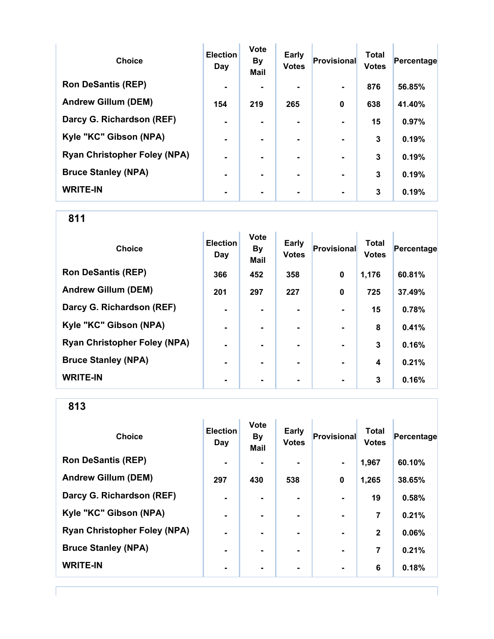| <b>Choice</b>                       | <b>Election</b><br>Day | <b>Vote</b><br><b>By</b><br><b>Mail</b> | Early<br><b>Votes</b> | Provisional    | <b>Total</b><br><b>Votes</b> | Percentage |
|-------------------------------------|------------------------|-----------------------------------------|-----------------------|----------------|------------------------------|------------|
| <b>Ron DeSantis (REP)</b>           | $\blacksquare$         |                                         |                       |                | 876                          | 56.85%     |
| <b>Andrew Gillum (DEM)</b>          | 154                    | 219                                     | 265                   | $\bf{0}$       | 638                          | 41.40%     |
| Darcy G. Richardson (REF)           | $\blacksquare$         |                                         | $\blacksquare$        |                | 15                           | 0.97%      |
| Kyle "KC" Gibson (NPA)              | $\blacksquare$         |                                         | ۰.                    | $\blacksquare$ | 3                            | 0.19%      |
| <b>Ryan Christopher Foley (NPA)</b> | $\blacksquare$         |                                         | -                     |                | 3                            | 0.19%      |
| <b>Bruce Stanley (NPA)</b>          |                        |                                         | -                     | $\blacksquare$ | 3                            | 0.19%      |
| <b>WRITE-IN</b>                     |                        |                                         |                       |                | 3                            | 0.19%      |

811

| <b>Choice</b>                       | <b>Election</b><br>Day | <b>Vote</b><br><b>By</b><br><b>Mail</b> | <b>Early</b><br><b>Votes</b> | <b>Provisional</b> | <b>Total</b><br><b>Votes</b> | Percentage |
|-------------------------------------|------------------------|-----------------------------------------|------------------------------|--------------------|------------------------------|------------|
| <b>Ron DeSantis (REP)</b>           | 366                    | 452                                     | 358                          | 0                  | 1,176                        | 60.81%     |
| <b>Andrew Gillum (DEM)</b>          | 201                    | 297                                     | 227                          | $\mathbf 0$        | 725                          | 37.49%     |
| Darcy G. Richardson (REF)           | $\blacksquare$         |                                         |                              |                    | 15                           | 0.78%      |
| Kyle "KC" Gibson (NPA)              | $\blacksquare$         | $\blacksquare$                          | ۰                            | $\blacksquare$     | 8                            | 0.41%      |
| <b>Ryan Christopher Foley (NPA)</b> | $\blacksquare$         | $\blacksquare$                          |                              | $\blacksquare$     | 3                            | 0.16%      |
| <b>Bruce Stanley (NPA)</b>          | ٠                      |                                         |                              |                    | 4                            | 0.21%      |
| <b>WRITE-IN</b>                     | $\blacksquare$         |                                         |                              | $\blacksquare$     | 3                            | 0.16%      |

| <b>Choice</b>                       | <b>Election</b><br>Day | Vote<br><b>By</b><br>Mail | <b>Early</b><br><b>Votes</b> | <b>Provisional</b> | <b>Total</b><br><b>Votes</b> | Percentage |
|-------------------------------------|------------------------|---------------------------|------------------------------|--------------------|------------------------------|------------|
| <b>Ron DeSantis (REP)</b>           | $\blacksquare$         |                           |                              | $\blacksquare$     | 1,967                        | 60.10%     |
| <b>Andrew Gillum (DEM)</b>          | 297                    | 430                       | 538                          | 0                  | 1,265                        | 38.65%     |
| Darcy G. Richardson (REF)           |                        |                           |                              |                    | 19                           | 0.58%      |
| Kyle "KC" Gibson (NPA)              | $\blacksquare$         |                           |                              |                    | 7                            | 0.21%      |
| <b>Ryan Christopher Foley (NPA)</b> |                        |                           |                              |                    | $\mathbf{2}$                 | 0.06%      |
| <b>Bruce Stanley (NPA)</b>          | ٠                      |                           |                              |                    | 7                            | 0.21%      |
| <b>WRITE-IN</b>                     | ٠                      |                           |                              | $\blacksquare$     | 6                            | 0.18%      |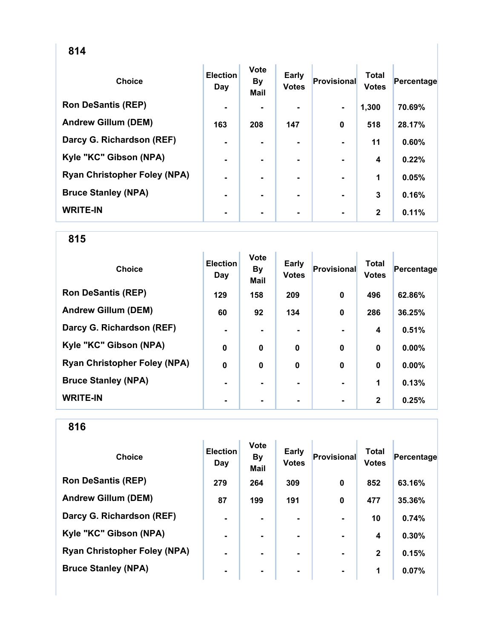| <b>Choice</b>                       | <b>Election</b><br>Day | <b>Vote</b><br><b>By</b><br><b>Mail</b> | <b>Early</b><br><b>Votes</b> | Provisional    | <b>Total</b><br><b>Votes</b> | Percentage |
|-------------------------------------|------------------------|-----------------------------------------|------------------------------|----------------|------------------------------|------------|
| <b>Ron DeSantis (REP)</b>           | $\blacksquare$         |                                         |                              | $\blacksquare$ | 1,300                        | 70.69%     |
| <b>Andrew Gillum (DEM)</b>          | 163                    | 208                                     | 147                          | $\mathbf 0$    | 518                          | 28.17%     |
| Darcy G. Richardson (REF)           | $\blacksquare$         |                                         |                              |                | 11                           | 0.60%      |
| Kyle "KC" Gibson (NPA)              | $\blacksquare$         |                                         |                              |                | 4                            | 0.22%      |
| <b>Ryan Christopher Foley (NPA)</b> | $\blacksquare$         |                                         |                              |                | 1                            | 0.05%      |
| <b>Bruce Stanley (NPA)</b>          | $\blacksquare$         |                                         |                              | $\blacksquare$ | 3                            | 0.16%      |
| <b>WRITE-IN</b>                     | $\blacksquare$         |                                         | ۰                            |                | $\mathbf{2}$                 | 0.11%      |

| <b>Choice</b>                       | <b>Election</b><br>Day | <b>Vote</b><br><b>By</b><br>Mail | Early<br><b>Votes</b> | Provisional | <b>Total</b><br><b>Votes</b> | Percentage |
|-------------------------------------|------------------------|----------------------------------|-----------------------|-------------|------------------------------|------------|
| <b>Ron DeSantis (REP)</b>           | 129                    | 158                              | 209                   | 0           | 496                          | 62.86%     |
| <b>Andrew Gillum (DEM)</b>          | 60                     | 92                               | 134                   | $\mathbf 0$ | 286                          | 36.25%     |
| Darcy G. Richardson (REF)           | $\blacksquare$         |                                  |                       |             | 4                            | 0.51%      |
| Kyle "KC" Gibson (NPA)              | $\bf{0}$               | $\bf{0}$                         | $\bf{0}$              | $\mathbf 0$ | $\bf{0}$                     | 0.00%      |
| <b>Ryan Christopher Foley (NPA)</b> | $\mathbf 0$            | $\bf{0}$                         | $\mathbf 0$           | $\mathbf 0$ | $\bf{0}$                     | 0.00%      |
| <b>Bruce Stanley (NPA)</b>          | $\blacksquare$         |                                  |                       |             | 1                            | 0.13%      |
| <b>WRITE-IN</b>                     | $\blacksquare$         |                                  |                       |             | $\mathbf{2}$                 | 0.25%      |

| <b>Choice</b>                       | <b>Election</b><br>Day | <b>Vote</b><br><b>By</b><br><b>Mail</b> | <b>Early</b><br><b>Votes</b> | Provisional | Total<br><b>Votes</b> | Percentage |
|-------------------------------------|------------------------|-----------------------------------------|------------------------------|-------------|-----------------------|------------|
| <b>Ron DeSantis (REP)</b>           | 279                    | 264                                     | 309                          | $\mathbf 0$ | 852                   | 63.16%     |
| <b>Andrew Gillum (DEM)</b>          | 87                     | 199                                     | 191                          | $\mathbf 0$ | 477                   | 35.36%     |
| Darcy G. Richardson (REF)           | $\blacksquare$         |                                         |                              |             | 10                    | 0.74%      |
| Kyle "KC" Gibson (NPA)              | $\blacksquare$         | $\blacksquare$                          |                              |             | 4                     | 0.30%      |
| <b>Ryan Christopher Foley (NPA)</b> | $\blacksquare$         |                                         | ۰.                           |             | $\mathbf{2}$          | 0.15%      |
| <b>Bruce Stanley (NPA)</b>          | $\blacksquare$         |                                         | ۰                            |             | 1                     | 0.07%      |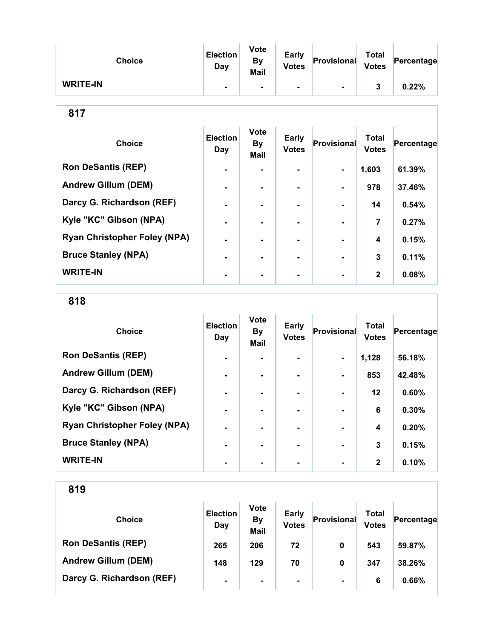| <b>Choice</b>   | <b>Election</b><br>Day | <b>Vote</b><br>By<br>Mail | <b>Early</b><br><b>Votes</b> | Provisional | <b>Total</b><br><b>Votes</b> | Percentage |
|-----------------|------------------------|---------------------------|------------------------------|-------------|------------------------------|------------|
| <b>WRITE-IN</b> |                        | $\blacksquare$            | ۰.                           | -           |                              | 0.22%      |

| ×<br>ï<br>v<br>× |  |
|------------------|--|
|------------------|--|

| <b>Choice</b>                       | <b>Election</b><br>Day | <b>Vote</b><br><b>By</b><br><b>Mail</b> | <b>Early</b><br><b>Votes</b> | Provisional    | <b>Total</b><br><b>Votes</b> | Percentage |
|-------------------------------------|------------------------|-----------------------------------------|------------------------------|----------------|------------------------------|------------|
| <b>Ron DeSantis (REP)</b>           | $\blacksquare$         |                                         |                              | $\blacksquare$ | 1,603                        | 61.39%     |
| <b>Andrew Gillum (DEM)</b>          | $\blacksquare$         | ۰.                                      | ۰.                           | $\blacksquare$ | 978                          | 37.46%     |
| Darcy G. Richardson (REF)           | $\blacksquare$         | -                                       | ۰.                           | $\blacksquare$ | 14                           | 0.54%      |
| Kyle "KC" Gibson (NPA)              | $\blacksquare$         | -                                       |                              |                | 7                            | 0.27%      |
| <b>Ryan Christopher Foley (NPA)</b> | -                      |                                         |                              |                | $\boldsymbol{4}$             | 0.15%      |
| <b>Bruce Stanley (NPA)</b>          | $\blacksquare$         |                                         |                              |                | 3                            | 0.11%      |
| <b>WRITE-IN</b>                     | $\blacksquare$         |                                         |                              |                | $\mathbf{2}$                 | 0.08%      |

818

| <b>Choice</b>                       | <b>Election</b><br>Day | Vote<br><b>By</b><br><b>Mail</b> | <b>Early</b><br><b>Votes</b> | Provisional    | <b>Total</b><br><b>Votes</b> | Percentage |
|-------------------------------------|------------------------|----------------------------------|------------------------------|----------------|------------------------------|------------|
| <b>Ron DeSantis (REP)</b>           | $\blacksquare$         |                                  |                              | $\blacksquare$ | 1,128                        | 56.18%     |
| <b>Andrew Gillum (DEM)</b>          | $\blacksquare$         |                                  |                              |                | 853                          | 42.48%     |
| Darcy G. Richardson (REF)           | -                      |                                  |                              |                | $12 \,$                      | 0.60%      |
| Kyle "KC" Gibson (NPA)              | $\blacksquare$         |                                  | ۰.                           |                | 6                            | 0.30%      |
| <b>Ryan Christopher Foley (NPA)</b> | $\blacksquare$         |                                  | ۰.                           |                | 4                            | 0.20%      |
| <b>Bruce Stanley (NPA)</b>          | $\blacksquare$         |                                  |                              |                | 3                            | 0.15%      |
| <b>WRITE-IN</b>                     |                        |                                  | ۰.                           |                | $\mathbf{2}$                 | 0.10%      |

| <b>Choice</b>              | <b>Election</b><br>Day | <b>Vote</b><br><b>By</b><br><b>Mail</b> | <b>Early</b><br><b>Votes</b> | Provisional    | Total<br><b>Votes</b> | Percentage |
|----------------------------|------------------------|-----------------------------------------|------------------------------|----------------|-----------------------|------------|
| <b>Ron DeSantis (REP)</b>  | 265                    | 206                                     | 72                           | 0              | 543                   | 59.87%     |
| <b>Andrew Gillum (DEM)</b> | 148                    | 129                                     | 70                           | 0              | 347                   | 38.26%     |
| Darcy G. Richardson (REF)  | $\blacksquare$         | ۰                                       | $\blacksquare$               | $\blacksquare$ | 6                     | 0.66%      |
|                            |                        |                                         |                              |                |                       |            |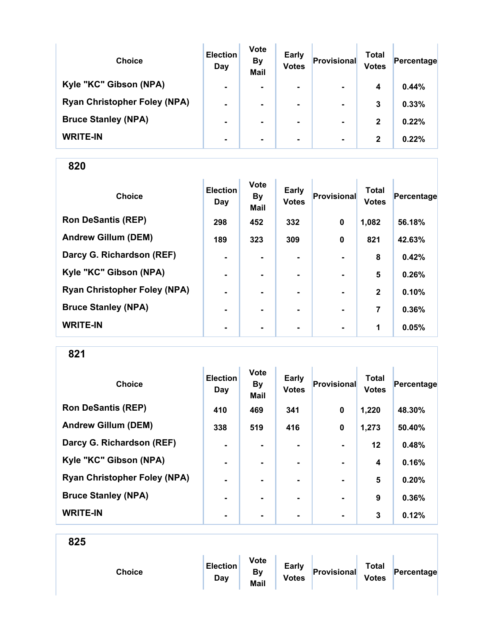| <b>Choice</b>                       | <b>Election</b><br>Day | <b>Vote</b><br><b>By</b><br><b>Mail</b> | <b>Early</b><br><b>Votes</b> | Provisional    | Total<br><b>Votes</b> | Percentage |
|-------------------------------------|------------------------|-----------------------------------------|------------------------------|----------------|-----------------------|------------|
| Kyle "KC" Gibson (NPA)              | $\blacksquare$         | $\blacksquare$                          | $\blacksquare$               | $\blacksquare$ | 4                     | 0.44%      |
| <b>Ryan Christopher Foley (NPA)</b> | $\blacksquare$         |                                         |                              | $\blacksquare$ | 3                     | 0.33%      |
| <b>Bruce Stanley (NPA)</b>          | $\blacksquare$         |                                         | $\blacksquare$               | $\blacksquare$ | $\mathbf{2}$          | 0.22%      |
| <b>WRITE-IN</b>                     | ۰                      |                                         |                              | $\blacksquare$ | $\mathbf{2}$          | 0.22%      |

| <b>Choice</b>                       | <b>Election</b><br>Day | <b>Vote</b><br><b>By</b><br>Mail | Early<br><b>Votes</b> | Provisional | <b>Total</b><br><b>Votes</b> | Percentage |
|-------------------------------------|------------------------|----------------------------------|-----------------------|-------------|------------------------------|------------|
| <b>Ron DeSantis (REP)</b>           | 298                    | 452                              | 332                   | $\mathbf 0$ | 1,082                        | 56.18%     |
| <b>Andrew Gillum (DEM)</b>          | 189                    | 323                              | 309                   | $\mathbf 0$ | 821                          | 42.63%     |
| Darcy G. Richardson (REF)           | ۰                      |                                  | ۰                     |             | 8                            | 0.42%      |
| Kyle "KC" Gibson (NPA)              | $\blacksquare$         | ۰.                               | ۰                     |             | 5                            | 0.26%      |
| <b>Ryan Christopher Foley (NPA)</b> | $\blacksquare$         |                                  |                       |             | $\mathbf{2}$                 | 0.10%      |
| <b>Bruce Stanley (NPA)</b>          |                        |                                  |                       |             | 7                            | 0.36%      |
| <b>WRITE-IN</b>                     | $\blacksquare$         | ۰                                | ۰                     |             | 1                            | 0.05%      |

821

| <b>Choice</b>                       | <b>Election</b><br>Day | <b>Vote</b><br><b>By</b><br><b>Mail</b> | Early<br><b>Votes</b> | Provisional    | <b>Total</b><br><b>Votes</b> | Percentage |
|-------------------------------------|------------------------|-----------------------------------------|-----------------------|----------------|------------------------------|------------|
| <b>Ron DeSantis (REP)</b>           | 410                    | 469                                     | 341                   | $\mathbf 0$    | 1,220                        | 48.30%     |
| <b>Andrew Gillum (DEM)</b>          | 338                    | 519                                     | 416                   | $\mathbf 0$    | 1,273                        | 50.40%     |
| Darcy G. Richardson (REF)           | $\blacksquare$         | ۰.                                      | ۰                     | $\blacksquare$ | $12 \,$                      | 0.48%      |
| Kyle "KC" Gibson (NPA)              | $\blacksquare$         |                                         |                       |                | 4                            | 0.16%      |
| <b>Ryan Christopher Foley (NPA)</b> | $\blacksquare$         |                                         | ۰.                    | $\blacksquare$ | 5                            | 0.20%      |
| <b>Bruce Stanley (NPA)</b>          | $\blacksquare$         | ۰.                                      | ۰.                    | $\blacksquare$ | 9                            | 0.36%      |
| <b>WRITE-IN</b>                     | ۰                      |                                         | ۰                     | $\blacksquare$ | 3                            | 0.12%      |

| Choice | <b>Election</b><br>Day | <b>Vote</b><br><b>By</b><br>Mail | <b>Early</b><br><b>Votes</b> | Provisional | <b>Total</b><br><b>Votes</b> | Percentage |  |
|--------|------------------------|----------------------------------|------------------------------|-------------|------------------------------|------------|--|
|        |                        |                                  |                              |             |                              |            |  |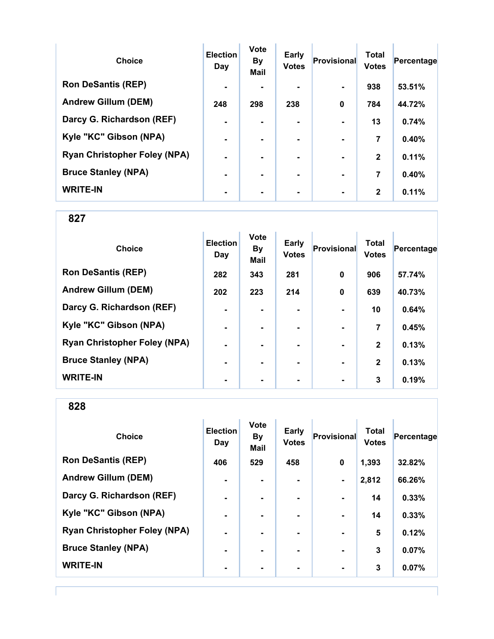| <b>Choice</b>                       | <b>Election</b><br>Day | <b>Vote</b><br><b>By</b><br><b>Mail</b> | Early<br><b>Votes</b> | Provisional              | <b>Total</b><br><b>Votes</b> | Percentage |
|-------------------------------------|------------------------|-----------------------------------------|-----------------------|--------------------------|------------------------------|------------|
| <b>Ron DeSantis (REP)</b>           | $\blacksquare$         |                                         |                       | $\blacksquare$           | 938                          | 53.51%     |
| <b>Andrew Gillum (DEM)</b>          | 248                    | 298                                     | 238                   | $\mathbf 0$              | 784                          | 44.72%     |
| Darcy G. Richardson (REF)           | $\blacksquare$         |                                         |                       |                          | 13                           | 0.74%      |
| Kyle "KC" Gibson (NPA)              | $\blacksquare$         |                                         |                       |                          | 7                            | 0.40%      |
| <b>Ryan Christopher Foley (NPA)</b> | $\blacksquare$         | -                                       |                       | $\blacksquare$           | $\mathbf{2}$                 | 0.11%      |
| <b>Bruce Stanley (NPA)</b>          |                        |                                         |                       | $\overline{\phantom{0}}$ | 7                            | 0.40%      |
| <b>WRITE-IN</b>                     |                        |                                         |                       |                          | $\mathbf{2}$                 | 0.11%      |

| <b>Choice</b>                       | <b>Election</b><br>Day | <b>Vote</b><br><b>By</b><br><b>Mail</b> | <b>Early</b><br><b>Votes</b> | <b>Provisional</b> | <b>Total</b><br><b>Votes</b> | Percentage |
|-------------------------------------|------------------------|-----------------------------------------|------------------------------|--------------------|------------------------------|------------|
| <b>Ron DeSantis (REP)</b>           | 282                    | 343                                     | 281                          | $\mathbf 0$        | 906                          | 57.74%     |
| <b>Andrew Gillum (DEM)</b>          | 202                    | 223                                     | 214                          | $\mathbf 0$        | 639                          | 40.73%     |
| Darcy G. Richardson (REF)           | ۰                      |                                         |                              |                    | 10                           | 0.64%      |
| Kyle "KC" Gibson (NPA)              | $\blacksquare$         | $\blacksquare$                          |                              | $\blacksquare$     | 7                            | 0.45%      |
| <b>Ryan Christopher Foley (NPA)</b> | $\blacksquare$         | ۰.                                      |                              | $\blacksquare$     | $\mathbf{2}$                 | 0.13%      |
| <b>Bruce Stanley (NPA)</b>          | $\blacksquare$         | $\overline{\phantom{0}}$                |                              | $\blacksquare$     | $\mathbf{2}$                 | 0.13%      |
| <b>WRITE-IN</b>                     | $\blacksquare$         |                                         |                              | $\blacksquare$     | 3                            | 0.19%      |

| <b>Choice</b>                       | <b>Election</b><br>Day | <b>Vote</b><br><b>By</b><br><b>Mail</b> | <b>Early</b><br><b>Votes</b> | Provisional    | <b>Total</b><br><b>Votes</b> | Percentage |
|-------------------------------------|------------------------|-----------------------------------------|------------------------------|----------------|------------------------------|------------|
| <b>Ron DeSantis (REP)</b>           | 406                    | 529                                     | 458                          | $\mathbf 0$    | 1,393                        | 32.82%     |
| <b>Andrew Gillum (DEM)</b>          | $\blacksquare$         |                                         |                              | $\blacksquare$ | 2,812                        | 66.26%     |
| Darcy G. Richardson (REF)           | $\blacksquare$         | ۰.                                      |                              | $\blacksquare$ | 14                           | 0.33%      |
| Kyle "KC" Gibson (NPA)              | $\blacksquare$         | $\blacksquare$                          | $\blacksquare$               | $\blacksquare$ | 14                           | 0.33%      |
| <b>Ryan Christopher Foley (NPA)</b> | $\blacksquare$         |                                         |                              | $\blacksquare$ | 5                            | 0.12%      |
| <b>Bruce Stanley (NPA)</b>          | $\blacksquare$         | $\blacksquare$                          |                              | ٠              | 3                            | 0.07%      |
| <b>WRITE-IN</b>                     | $\blacksquare$         |                                         |                              | ٠              | 3                            | 0.07%      |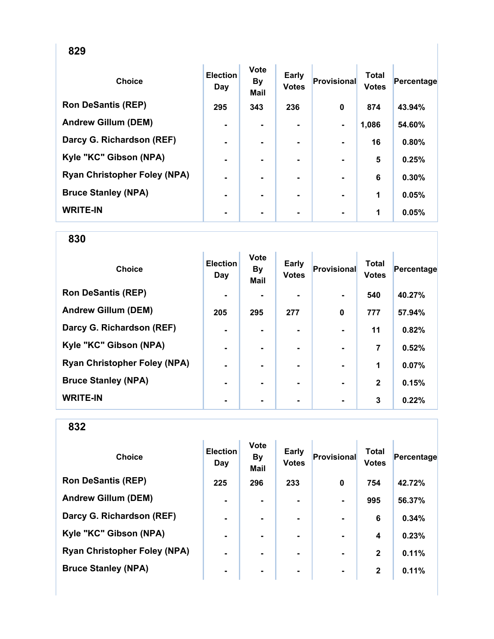| <b>Choice</b>                       | <b>Election</b><br>Day | <b>Vote</b><br><b>By</b><br><b>Mail</b> | Early<br><b>Votes</b> | Provisional    | <b>Total</b><br><b>Votes</b> | Percentage |
|-------------------------------------|------------------------|-----------------------------------------|-----------------------|----------------|------------------------------|------------|
| <b>Ron DeSantis (REP)</b>           | 295                    | 343                                     | 236                   | 0              | 874                          | 43.94%     |
| <b>Andrew Gillum (DEM)</b>          | $\blacksquare$         | $\blacksquare$                          | ۰.                    | $\blacksquare$ | 1,086                        | 54.60%     |
| Darcy G. Richardson (REF)           | $\blacksquare$         |                                         |                       |                | 16                           | 0.80%      |
| Kyle "KC" Gibson (NPA)              | ۰                      |                                         |                       |                | 5                            | 0.25%      |
| <b>Ryan Christopher Foley (NPA)</b> | ۰                      |                                         | ۰                     |                | 6                            | 0.30%      |
| <b>Bruce Stanley (NPA)</b>          | $\blacksquare$         |                                         | ۰.                    |                | 1                            | 0.05%      |
| <b>WRITE-IN</b>                     | ۰                      |                                         | ۰.                    |                | 1                            | 0.05%      |

| <b>Choice</b>                       | <b>Election</b><br>Day | <b>Vote</b><br><b>By</b><br>Mail | Early<br><b>Votes</b> | Provisional | <b>Total</b><br><b>Votes</b> | Percentage |
|-------------------------------------|------------------------|----------------------------------|-----------------------|-------------|------------------------------|------------|
| <b>Ron DeSantis (REP)</b>           | $\blacksquare$         |                                  |                       |             | 540                          | 40.27%     |
| <b>Andrew Gillum (DEM)</b>          | 205                    | 295                              | 277                   | $\mathbf 0$ | 777                          | 57.94%     |
| Darcy G. Richardson (REF)           | $\blacksquare$         |                                  |                       |             | 11                           | 0.82%      |
| Kyle "KC" Gibson (NPA)              | $\blacksquare$         |                                  | ۰                     |             | 7                            | 0.52%      |
| <b>Ryan Christopher Foley (NPA)</b> | $\blacksquare$         |                                  | ۰.                    |             | 1                            | 0.07%      |
| <b>Bruce Stanley (NPA)</b>          | $\blacksquare$         |                                  |                       |             | $\mathbf{2}$                 | 0.15%      |
| <b>WRITE-IN</b>                     |                        |                                  |                       |             | 3                            | 0.22%      |

| <b>Choice</b>                       | <b>Election</b><br>Day | <b>Vote</b><br><b>By</b><br><b>Mail</b> | <b>Early</b><br><b>Votes</b> | Provisional    | <b>Total</b><br><b>Votes</b> | Percentage |
|-------------------------------------|------------------------|-----------------------------------------|------------------------------|----------------|------------------------------|------------|
| <b>Ron DeSantis (REP)</b>           | 225                    | 296                                     | 233                          | $\mathbf 0$    | 754                          | 42.72%     |
| <b>Andrew Gillum (DEM)</b>          | $\blacksquare$         |                                         | ۰.                           |                | 995                          | 56.37%     |
| Darcy G. Richardson (REF)           | $\blacksquare$         | ۰.                                      | ۰.                           |                | 6                            | 0.34%      |
| Kyle "KC" Gibson (NPA)              | $\blacksquare$         |                                         | ۰.                           |                | 4                            | 0.23%      |
| <b>Ryan Christopher Foley (NPA)</b> | $\blacksquare$         |                                         | ۰.                           | $\blacksquare$ | $\mathbf{2}$                 | 0.11%      |
| <b>Bruce Stanley (NPA)</b>          | $\blacksquare$         |                                         | ۰.                           |                | $\mathbf{2}$                 | 0.11%      |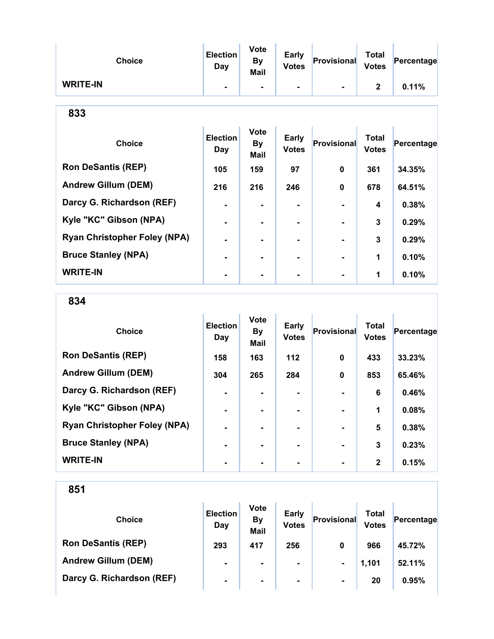| <b>Choice</b>                       | <b>Election</b><br>Day | <b>Vote</b><br><b>By</b><br>Mail | Early<br><b>Votes</b>        | <b>Provisional</b> | <b>Total</b><br><b>Votes</b> | Percentage |  |  |
|-------------------------------------|------------------------|----------------------------------|------------------------------|--------------------|------------------------------|------------|--|--|
| <b>WRITE-IN</b>                     |                        |                                  |                              |                    | $\mathbf{2}$                 | 0.11%      |  |  |
| 833                                 |                        |                                  |                              |                    |                              |            |  |  |
| <b>Choice</b>                       | <b>Election</b><br>Day | <b>Vote</b><br><b>By</b><br>Mail | <b>Early</b><br><b>Votes</b> | <b>Provisional</b> | <b>Total</b><br><b>Votes</b> | Percentage |  |  |
| <b>Ron DeSantis (REP)</b>           | 105                    | 159                              | 97                           | 0                  | 361                          | 34.35%     |  |  |
| <b>Andrew Gillum (DEM)</b>          | 216                    | 216                              | 246                          | $\bf{0}$           | 678                          | 64.51%     |  |  |
| Darcy G. Richardson (REF)           |                        | ۰                                |                              |                    | 4                            | 0.38%      |  |  |
| Kyle "KC" Gibson (NPA)              |                        |                                  |                              |                    | 3                            | 0.29%      |  |  |
| <b>Ryan Christopher Foley (NPA)</b> | $\blacksquare$         |                                  | ۰                            |                    | 3                            | 0.29%      |  |  |
| <b>Bruce Stanley (NPA)</b>          |                        |                                  |                              |                    | 1                            | 0.10%      |  |  |
| <b>WRITE-IN</b>                     |                        |                                  |                              |                    | 1                            | 0.10%      |  |  |

834

| <b>Choice</b>                       | <b>Election</b><br>Day | <b>Vote</b><br><b>By</b><br><b>Mail</b> | <b>Early</b><br><b>Votes</b> | Provisional | <b>Total</b><br><b>Votes</b> | Percentage |
|-------------------------------------|------------------------|-----------------------------------------|------------------------------|-------------|------------------------------|------------|
| <b>Ron DeSantis (REP)</b>           | 158                    | 163                                     | $112$                        | $\mathbf 0$ | 433                          | 33.23%     |
| <b>Andrew Gillum (DEM)</b>          | 304                    | 265                                     | 284                          | 0           | 853                          | 65.46%     |
| Darcy G. Richardson (REF)           | $\blacksquare$         |                                         |                              |             | 6                            | 0.46%      |
| Kyle "KC" Gibson (NPA)              | $\blacksquare$         |                                         | ۰.                           |             | 1                            | 0.08%      |
| <b>Ryan Christopher Foley (NPA)</b> | $\blacksquare$         |                                         | ۰.                           |             | 5                            | 0.38%      |
| <b>Bruce Stanley (NPA)</b>          | $\blacksquare$         |                                         |                              |             | 3                            | 0.23%      |
| <b>WRITE-IN</b>                     | $\blacksquare$         |                                         |                              |             | $\mathbf{2}$                 | 0.15%      |

| <b>Choice</b>              | <b>Election</b><br>Day | <b>Vote</b><br><b>By</b><br><b>Mail</b> | <b>Early</b><br><b>Votes</b> | Provisional    | Total<br><b>Votes</b> | Percentage |
|----------------------------|------------------------|-----------------------------------------|------------------------------|----------------|-----------------------|------------|
| <b>Ron DeSantis (REP)</b>  | 293                    | 417                                     | 256                          | 0              | 966                   | 45.72%     |
| <b>Andrew Gillum (DEM)</b> | ۰                      | $\blacksquare$                          | ۰                            | $\blacksquare$ | 1,101                 | 52.11%     |
| Darcy G. Richardson (REF)  | $\blacksquare$         | $\blacksquare$                          | $\blacksquare$               | $\blacksquare$ | 20                    | 0.95%      |
|                            |                        |                                         |                              |                |                       |            |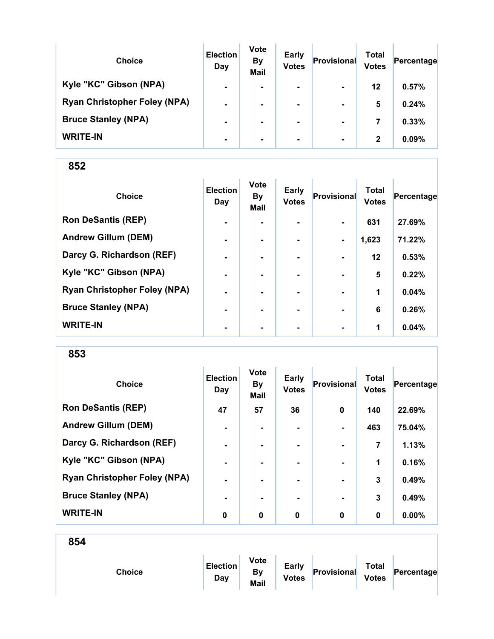| <b>Choice</b>                       | <b>Election</b><br>Day | <b>Vote</b><br><b>By</b><br><b>Mail</b> | <b>Early</b><br><b>Votes</b> | Provisional    | Total<br><b>Votes</b> | Percentage |
|-------------------------------------|------------------------|-----------------------------------------|------------------------------|----------------|-----------------------|------------|
| Kyle "KC" Gibson (NPA)              | $\blacksquare$         | $\blacksquare$                          | $\blacksquare$               | $\blacksquare$ | 12                    | 0.57%      |
| <b>Ryan Christopher Foley (NPA)</b> | $\blacksquare$         |                                         | $\blacksquare$               | $\blacksquare$ | 5                     | 0.24%      |
| <b>Bruce Stanley (NPA)</b>          | $\blacksquare$         |                                         |                              | $\blacksquare$ | 7                     | 0.33%      |
| <b>WRITE-IN</b>                     | $\blacksquare$         |                                         | $\blacksquare$               | $\blacksquare$ | $\mathbf{2}$          | 0.09%      |

| <b>Choice</b>                       | <b>Election</b><br>Day | Vote<br><b>By</b><br>Mail | <b>Early</b><br><b>Votes</b> | Provisional    | <b>Total</b><br><b>Votes</b> | Percentage |
|-------------------------------------|------------------------|---------------------------|------------------------------|----------------|------------------------------|------------|
| <b>Ron DeSantis (REP)</b>           | $\blacksquare$         | $\overline{\phantom{0}}$  | $\blacksquare$               | $\blacksquare$ | 631                          | 27.69%     |
| <b>Andrew Gillum (DEM)</b>          | $\blacksquare$         | $\blacksquare$            |                              | $\blacksquare$ | 1,623                        | 71.22%     |
| Darcy G. Richardson (REF)           | $\blacksquare$         | $\blacksquare$            |                              | $\blacksquare$ | 12                           | 0.53%      |
| Kyle "KC" Gibson (NPA)              | $\blacksquare$         | $\blacksquare$            |                              |                | 5                            | 0.22%      |
| <b>Ryan Christopher Foley (NPA)</b> | ۰                      |                           |                              |                | 1                            | 0.04%      |
| <b>Bruce Stanley (NPA)</b>          | ۰                      |                           |                              |                | 6                            | 0.26%      |
| <b>WRITE-IN</b>                     | $\blacksquare$         | $\blacksquare$            | $\blacksquare$               | $\blacksquare$ | 1                            | 0.04%      |

853

| <b>Choice</b>                       | <b>Election</b><br>Day | <b>Vote</b><br><b>By</b><br><b>Mail</b> | <b>Early</b><br><b>Votes</b> | Provisional    | <b>Total</b><br><b>Votes</b> | Percentage |
|-------------------------------------|------------------------|-----------------------------------------|------------------------------|----------------|------------------------------|------------|
| <b>Ron DeSantis (REP)</b>           | 47                     | 57                                      | 36                           | 0              | 140                          | 22.69%     |
| <b>Andrew Gillum (DEM)</b>          | $\blacksquare$         | $\blacksquare$                          | $\blacksquare$               | $\blacksquare$ | 463                          | 75.04%     |
| Darcy G. Richardson (REF)           | $\blacksquare$         | $\blacksquare$                          | ۰.                           | $\blacksquare$ | 7                            | 1.13%      |
| Kyle "KC" Gibson (NPA)              | $\blacksquare$         |                                         |                              |                | 1                            | 0.16%      |
| <b>Ryan Christopher Foley (NPA)</b> | $\blacksquare$         |                                         |                              |                | 3                            | 0.49%      |
| <b>Bruce Stanley (NPA)</b>          |                        |                                         |                              | $\blacksquare$ | 3                            | 0.49%      |
| <b>WRITE-IN</b>                     | 0                      | 0                                       | 0                            | $\bf{0}$       | 0                            | $0.00\%$   |

| <b>Choice</b> | <b>Election</b><br>Day | <b>Vote</b><br>By<br>Mail | <b>Early</b><br><b>Votes</b> | Provisional | <b>Total</b><br><b>Votes</b> | Percentage |  |
|---------------|------------------------|---------------------------|------------------------------|-------------|------------------------------|------------|--|
|               |                        |                           |                              |             |                              |            |  |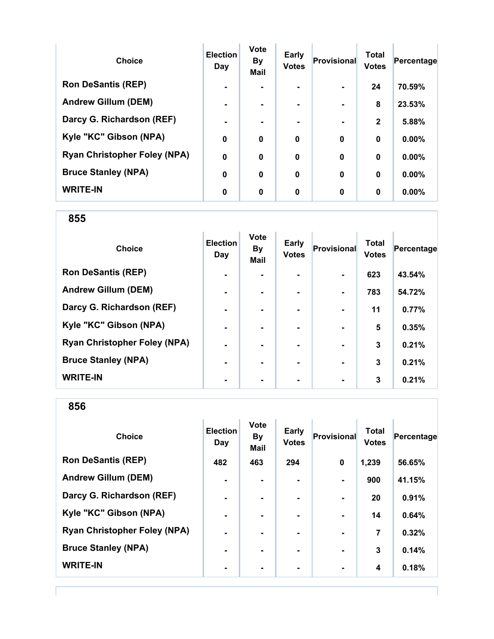| <b>Choice</b>                       | <b>Election</b><br>Day | <b>Vote</b><br><b>By</b><br><b>Mail</b> | <b>Early</b><br><b>Votes</b> | Provisional | <b>Total</b><br><b>Votes</b> | Percentage |
|-------------------------------------|------------------------|-----------------------------------------|------------------------------|-------------|------------------------------|------------|
| <b>Ron DeSantis (REP)</b>           |                        |                                         |                              |             | 24                           | 70.59%     |
| <b>Andrew Gillum (DEM)</b>          |                        |                                         | ۰.                           |             | 8                            | 23.53%     |
| Darcy G. Richardson (REF)           |                        |                                         |                              |             | $\mathbf{2}$                 | 5.88%      |
| Kyle "KC" Gibson (NPA)              | 0                      | 0                                       | $\mathbf 0$                  | $\bf{0}$    | $\bf{0}$                     | 0.00%      |
| <b>Ryan Christopher Foley (NPA)</b> | $\mathbf 0$            | 0                                       | $\mathbf 0$                  | $\bf{0}$    | $\bf{0}$                     | 0.00%      |
| <b>Bruce Stanley (NPA)</b>          | 0                      | $\bf{0}$                                | $\bf{0}$                     | $\bf{0}$    | $\bf{0}$                     | 0.00%      |
| <b>WRITE-IN</b>                     | 0                      | 0                                       | 0                            | $\bf{0}$    | 0                            | $0.00\%$   |

855

| <b>Choice</b>                       | <b>Election</b><br>Day | <b>Vote</b><br><b>By</b><br><b>Mail</b> | Early<br><b>Votes</b> | Provisional | <b>Total</b><br><b>Votes</b> | Percentage |
|-------------------------------------|------------------------|-----------------------------------------|-----------------------|-------------|------------------------------|------------|
| <b>Ron DeSantis (REP)</b>           | $\blacksquare$         |                                         |                       |             | 623                          | 43.54%     |
| <b>Andrew Gillum (DEM)</b>          | $\blacksquare$         |                                         |                       |             | 783                          | 54.72%     |
| Darcy G. Richardson (REF)           | $\blacksquare$         |                                         |                       |             | 11                           | 0.77%      |
| Kyle "KC" Gibson (NPA)              | ٠                      |                                         |                       |             | 5                            | 0.35%      |
| <b>Ryan Christopher Foley (NPA)</b> | $\blacksquare$         |                                         | ۰                     |             | 3                            | 0.21%      |
| <b>Bruce Stanley (NPA)</b>          | ۰.                     |                                         | ۰.                    |             | 3                            | 0.21%      |
| <b>WRITE-IN</b>                     |                        |                                         |                       |             | 3                            | 0.21%      |

| <b>Choice</b>                       | <b>Election</b><br>Day | <b>Vote</b><br><b>By</b><br><b>Mail</b> | Early<br><b>Votes</b> | <b>Provisional</b> | <b>Total</b><br><b>Votes</b> | Percentage |
|-------------------------------------|------------------------|-----------------------------------------|-----------------------|--------------------|------------------------------|------------|
| <b>Ron DeSantis (REP)</b>           | 482                    | 463                                     | 294                   | 0                  | 1,239                        | 56.65%     |
| <b>Andrew Gillum (DEM)</b>          | $\blacksquare$         | ۰.                                      |                       | $\blacksquare$     | 900                          | 41.15%     |
| Darcy G. Richardson (REF)           | $\blacksquare$         |                                         |                       | $\blacksquare$     | 20                           | 0.91%      |
| Kyle "KC" Gibson (NPA)              | $\blacksquare$         | $\blacksquare$                          |                       | $\blacksquare$     | 14                           | 0.64%      |
| <b>Ryan Christopher Foley (NPA)</b> | $\blacksquare$         | $\blacksquare$                          | $\blacksquare$        | $\blacksquare$     | 7                            | 0.32%      |
| <b>Bruce Stanley (NPA)</b>          | $\blacksquare$         |                                         | -                     |                    | 3                            | 0.14%      |
| <b>WRITE-IN</b>                     | ٠                      |                                         | ۰                     | $\blacksquare$     | 4                            | 0.18%      |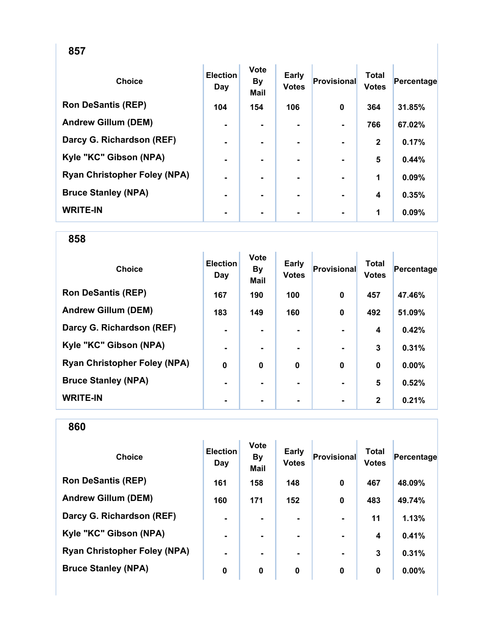| <b>Choice</b>                       | <b>Election</b><br>Day | <b>Vote</b><br><b>By</b><br><b>Mail</b> | <b>Early</b><br><b>Votes</b> | Provisional    | <b>Total</b><br><b>Votes</b> | Percentage |
|-------------------------------------|------------------------|-----------------------------------------|------------------------------|----------------|------------------------------|------------|
| <b>Ron DeSantis (REP)</b>           | 104                    | 154                                     | 106                          | 0              | 364                          | 31.85%     |
| <b>Andrew Gillum (DEM)</b>          | $\blacksquare$         | $\blacksquare$                          | ۰.                           | $\blacksquare$ | 766                          | 67.02%     |
| Darcy G. Richardson (REF)           | $\blacksquare$         | ۰.                                      | ۰.                           |                | $\mathbf{2}$                 | 0.17%      |
| Kyle "KC" Gibson (NPA)              | ۰                      |                                         |                              |                | 5                            | 0.44%      |
| <b>Ryan Christopher Foley (NPA)</b> | ۰                      |                                         |                              |                | 1                            | 0.09%      |
| <b>Bruce Stanley (NPA)</b>          | ۰                      | $\blacksquare$                          | ۰.                           |                | 4                            | 0.35%      |
| <b>WRITE-IN</b>                     | ۰                      | ۰                                       | ۰                            |                | 1                            | 0.09%      |

| <b>Choice</b>                       | <b>Election</b><br>Day | <b>Vote</b><br><b>By</b><br><b>Mail</b> | Early<br><b>Votes</b> | Provisional | <b>Total</b><br><b>Votes</b> | Percentage |
|-------------------------------------|------------------------|-----------------------------------------|-----------------------|-------------|------------------------------|------------|
| <b>Ron DeSantis (REP)</b>           | 167                    | 190                                     | 100                   | $\mathbf 0$ | 457                          | 47.46%     |
| <b>Andrew Gillum (DEM)</b>          | 183                    | 149                                     | 160                   | $\mathbf 0$ | 492                          | 51.09%     |
| Darcy G. Richardson (REF)           | $\blacksquare$         |                                         | ۰.                    |             | 4                            | 0.42%      |
| Kyle "KC" Gibson (NPA)              | $\blacksquare$         |                                         | ۰.                    |             | 3                            | 0.31%      |
| <b>Ryan Christopher Foley (NPA)</b> | $\mathbf 0$            | $\mathbf 0$                             | $\mathbf 0$           | $\mathbf 0$ | $\bf{0}$                     | 0.00%      |
| <b>Bruce Stanley (NPA)</b>          | $\blacksquare$         |                                         |                       |             | 5                            | 0.52%      |
| <b>WRITE-IN</b>                     |                        |                                         |                       |             | $\mathbf{2}$                 | 0.21%      |

| <b>Choice</b>                       | <b>Election</b><br>Day | <b>Vote</b><br><b>By</b><br><b>Mail</b> | <b>Early</b><br><b>Votes</b> | <b>Provisional</b> | <b>Total</b><br><b>Votes</b> | Percentage |
|-------------------------------------|------------------------|-----------------------------------------|------------------------------|--------------------|------------------------------|------------|
| <b>Ron DeSantis (REP)</b>           | 161                    | 158                                     | 148                          | $\mathbf 0$        | 467                          | 48.09%     |
| <b>Andrew Gillum (DEM)</b>          | 160                    | 171                                     | 152                          | $\mathbf 0$        | 483                          | 49.74%     |
| Darcy G. Richardson (REF)           | $\blacksquare$         |                                         |                              |                    | 11                           | 1.13%      |
| Kyle "KC" Gibson (NPA)              | $\blacksquare$         | $\blacksquare$                          |                              | $\blacksquare$     | 4                            | 0.41%      |
| <b>Ryan Christopher Foley (NPA)</b> | $\blacksquare$         |                                         |                              | $\blacksquare$     | 3                            | 0.31%      |
| <b>Bruce Stanley (NPA)</b>          | 0                      | 0                                       | 0                            | 0                  | 0                            | $0.00\%$   |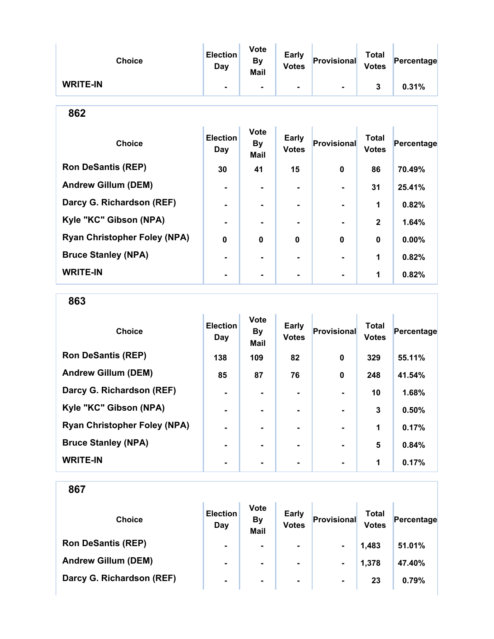| <b>Choice</b>   | <b>Election</b><br>Day   | <b>Vote</b><br>By<br><b>Mail</b> | <b>Early</b><br><b>Votes</b> | Provisional    | <b>Total</b><br><b>Votes</b> | Percentage |
|-----------------|--------------------------|----------------------------------|------------------------------|----------------|------------------------------|------------|
| <b>WRITE-IN</b> | $\overline{\phantom{a}}$ | $\blacksquare$                   | $\blacksquare$               | $\blacksquare$ |                              | 0.31%      |

| ٠<br>. .<br>×<br>۰.<br>v |
|--------------------------|
|--------------------------|

| <b>Choice</b>                       | <b>Election</b><br>Day | <b>Vote</b><br><b>By</b><br><b>Mail</b> | Early<br><b>Votes</b> | <b>Provisional</b> | <b>Total</b><br><b>Votes</b> | Percentage |
|-------------------------------------|------------------------|-----------------------------------------|-----------------------|--------------------|------------------------------|------------|
| <b>Ron DeSantis (REP)</b>           | 30                     | 41                                      | 15                    | $\bf{0}$           | 86                           | 70.49%     |
| <b>Andrew Gillum (DEM)</b>          |                        |                                         |                       |                    | 31                           | 25.41%     |
| Darcy G. Richardson (REF)           |                        |                                         |                       |                    | 1                            | 0.82%      |
| Kyle "KC" Gibson (NPA)              |                        |                                         |                       |                    | $\mathbf{2}$                 | 1.64%      |
| <b>Ryan Christopher Foley (NPA)</b> | $\mathbf 0$            | 0                                       | $\bf{0}$              | $\bf{0}$           | $\mathbf 0$                  | 0.00%      |
| <b>Bruce Stanley (NPA)</b>          |                        |                                         | -                     |                    | 1                            | 0.82%      |
| <b>WRITE-IN</b>                     |                        |                                         |                       |                    | 1                            | 0.82%      |

863

| <b>Choice</b>                       | <b>Election</b><br>Day | <b>Vote</b><br><b>By</b><br><b>Mail</b> | <b>Early</b><br><b>Votes</b> | Provisional    | <b>Total</b><br><b>Votes</b> | Percentage |
|-------------------------------------|------------------------|-----------------------------------------|------------------------------|----------------|------------------------------|------------|
| <b>Ron DeSantis (REP)</b>           | 138                    | 109                                     | 82                           | $\bf{0}$       | 329                          | 55.11%     |
| <b>Andrew Gillum (DEM)</b>          | 85                     | 87                                      | 76                           | $\bf{0}$       | 248                          | 41.54%     |
| Darcy G. Richardson (REF)           |                        |                                         | $\blacksquare$               |                | 10                           | 1.68%      |
| Kyle "KC" Gibson (NPA)              | $\blacksquare$         |                                         | ۰                            | $\blacksquare$ | 3                            | 0.50%      |
| <b>Ryan Christopher Foley (NPA)</b> | $\blacksquare$         |                                         | -                            | $\blacksquare$ | 1                            | 0.17%      |
| <b>Bruce Stanley (NPA)</b>          |                        |                                         |                              | $\blacksquare$ | $5\phantom{1}$               | 0.84%      |
| <b>WRITE-IN</b>                     |                        |                                         |                              |                | 1                            | 0.17%      |

| <b>Choice</b>              | <b>Election</b><br>Day | <b>Vote</b><br><b>By</b><br><b>Mail</b> | <b>Early</b><br><b>Votes</b> | Provisional    | Total<br><b>Votes</b> | Percentage |
|----------------------------|------------------------|-----------------------------------------|------------------------------|----------------|-----------------------|------------|
| <b>Ron DeSantis (REP)</b>  | $\blacksquare$         | ۰                                       | ۰                            | $\blacksquare$ | 1,483                 | 51.01%     |
| <b>Andrew Gillum (DEM)</b> | $\blacksquare$         | $\blacksquare$                          | ۰                            | $\blacksquare$ | 1,378                 | 47.40%     |
| Darcy G. Richardson (REF)  | $\blacksquare$         | $\blacksquare$                          | $\blacksquare$               | $\blacksquare$ | 23                    | 0.79%      |
|                            |                        |                                         |                              |                |                       |            |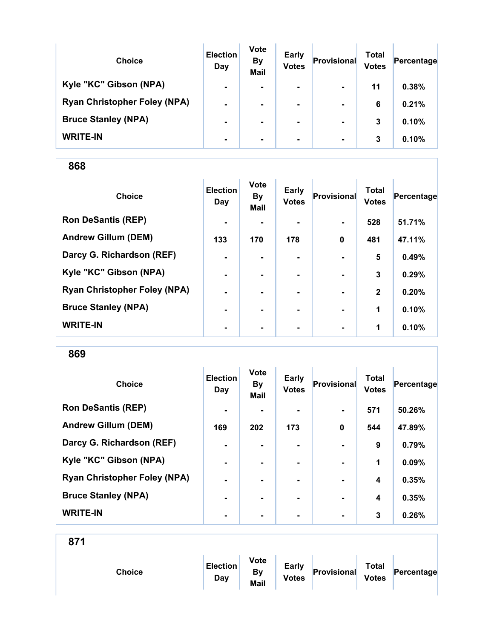| <b>Choice</b>                       | <b>Election</b><br>Day | <b>Vote</b><br><b>By</b><br><b>Mail</b> | <b>Early</b><br><b>Votes</b> | Provisional    | Total<br><b>Votes</b> | Percentage |
|-------------------------------------|------------------------|-----------------------------------------|------------------------------|----------------|-----------------------|------------|
| Kyle "KC" Gibson (NPA)              | $\blacksquare$         | $\blacksquare$                          | $\blacksquare$               | $\blacksquare$ | 11                    | 0.38%      |
| <b>Ryan Christopher Foley (NPA)</b> | $\blacksquare$         |                                         | $\blacksquare$               | $\blacksquare$ | 6                     | 0.21%      |
| <b>Bruce Stanley (NPA)</b>          | $\blacksquare$         |                                         | ۰.                           | $\blacksquare$ | 3                     | 0.10%      |
| <b>WRITE-IN</b>                     | $\blacksquare$         |                                         | $\blacksquare$               | $\blacksquare$ | 3                     | 0.10%      |

| <b>Choice</b>                       | <b>Election</b><br>Day | <b>Vote</b><br><b>By</b><br>Mail | <b>Early</b><br><b>Votes</b> | Provisional    | <b>Total</b><br><b>Votes</b> | Percentage |
|-------------------------------------|------------------------|----------------------------------|------------------------------|----------------|------------------------------|------------|
| <b>Ron DeSantis (REP)</b>           | $\blacksquare$         |                                  |                              | $\blacksquare$ | 528                          | 51.71%     |
| <b>Andrew Gillum (DEM)</b>          | 133                    | 170                              | 178                          | $\mathbf 0$    | 481                          | 47.11%     |
| Darcy G. Richardson (REF)           | $\blacksquare$         |                                  |                              |                | 5                            | 0.49%      |
| Kyle "KC" Gibson (NPA)              | $\blacksquare$         |                                  |                              | $\blacksquare$ | 3                            | 0.29%      |
| <b>Ryan Christopher Foley (NPA)</b> | ۰                      |                                  |                              |                | $\mathbf{2}$                 | 0.20%      |
| <b>Bruce Stanley (NPA)</b>          | ٠                      |                                  |                              |                | 1                            | 0.10%      |
| <b>WRITE-IN</b>                     | $\blacksquare$         | $\blacksquare$                   | ٠                            | $\blacksquare$ | 1                            | 0.10%      |

869

| <b>Choice</b>                       | <b>Election</b><br>Day | <b>Vote</b><br><b>By</b><br><b>Mail</b> | <b>Early</b><br><b>Votes</b> | Provisional | <b>Total</b><br><b>Votes</b> | Percentage |
|-------------------------------------|------------------------|-----------------------------------------|------------------------------|-------------|------------------------------|------------|
| <b>Ron DeSantis (REP)</b>           | $\blacksquare$         |                                         |                              |             | 571                          | 50.26%     |
| <b>Andrew Gillum (DEM)</b>          | 169                    | 202                                     | 173                          | $\mathbf 0$ | 544                          | 47.89%     |
| Darcy G. Richardson (REF)           | $\blacksquare$         |                                         | ۰.                           |             | 9                            | 0.79%      |
| Kyle "KC" Gibson (NPA)              |                        |                                         |                              |             | 1                            | 0.09%      |
| <b>Ryan Christopher Foley (NPA)</b> | $\blacksquare$         |                                         | ۰.                           |             | $\overline{\mathbf{4}}$      | 0.35%      |
| <b>Bruce Stanley (NPA)</b>          |                        |                                         | ۰.                           |             | 4                            | 0.35%      |
| <b>WRITE-IN</b>                     |                        |                                         |                              |             | 3                            | 0.26%      |

| Choice | <b>Election</b><br>Day | <b>Vote</b><br><b>By</b><br>Mail | <b>Early</b><br><b>Votes</b> | Provisional | <b>Total</b><br><b>Votes</b> | Percentage |
|--------|------------------------|----------------------------------|------------------------------|-------------|------------------------------|------------|
|        |                        |                                  |                              |             |                              |            |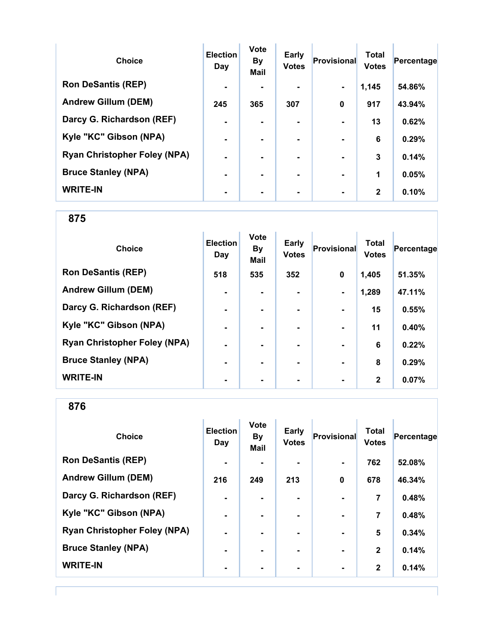| <b>Choice</b>                       | <b>Election</b><br>Day | <b>Vote</b><br><b>By</b><br><b>Mail</b> | Early<br><b>Votes</b> | Provisional    | <b>Total</b><br><b>Votes</b> | Percentage |
|-------------------------------------|------------------------|-----------------------------------------|-----------------------|----------------|------------------------------|------------|
| <b>Ron DeSantis (REP)</b>           | $\blacksquare$         |                                         |                       | $\blacksquare$ | 1,145                        | 54.86%     |
| <b>Andrew Gillum (DEM)</b>          | 245                    | 365                                     | 307                   | $\bf{0}$       | 917                          | 43.94%     |
| Darcy G. Richardson (REF)           | $\blacksquare$         |                                         | $\blacksquare$        |                | 13                           | 0.62%      |
| Kyle "KC" Gibson (NPA)              | $\blacksquare$         | ۰                                       | $\blacksquare$        |                | 6                            | 0.29%      |
| <b>Ryan Christopher Foley (NPA)</b> | $\blacksquare$         |                                         | -                     | $\blacksquare$ | 3                            | 0.14%      |
| <b>Bruce Stanley (NPA)</b>          |                        |                                         | -                     |                | 1                            | 0.05%      |
| <b>WRITE-IN</b>                     |                        |                                         |                       |                | $\mathbf{2}$                 | 0.10%      |

| <b>Choice</b>                       | <b>Election</b><br>Day | <b>Vote</b><br><b>By</b><br><b>Mail</b> | Early<br><b>Votes</b> | <b>Provisional</b>       | <b>Total</b><br><b>Votes</b> | Percentage |
|-------------------------------------|------------------------|-----------------------------------------|-----------------------|--------------------------|------------------------------|------------|
| <b>Ron DeSantis (REP)</b>           | 518                    | 535                                     | 352                   | 0                        | 1,405                        | 51.35%     |
| <b>Andrew Gillum (DEM)</b>          | ۰                      |                                         |                       | $\blacksquare$           | 1,289                        | 47.11%     |
| Darcy G. Richardson (REF)           | $\blacksquare$         |                                         |                       | $\blacksquare$           | 15                           | 0.55%      |
| Kyle "KC" Gibson (NPA)              | $\blacksquare$         |                                         | ۰                     | $\blacksquare$           | 11                           | 0.40%      |
| <b>Ryan Christopher Foley (NPA)</b> | $\blacksquare$         |                                         |                       | $\blacksquare$           | 6                            | 0.22%      |
| <b>Bruce Stanley (NPA)</b>          | $\blacksquare$         |                                         |                       | $\blacksquare$           | 8                            | 0.29%      |
| <b>WRITE-IN</b>                     | ۰                      |                                         |                       | $\overline{\phantom{a}}$ | $\mathbf{2}$                 | 0.07%      |

| <b>Choice</b>                       | <b>Election</b><br>Day | <b>Vote</b><br><b>By</b><br><b>Mail</b> | Early<br><b>Votes</b> | <b>Provisional</b> | <b>Total</b><br><b>Votes</b> | Percentage |
|-------------------------------------|------------------------|-----------------------------------------|-----------------------|--------------------|------------------------------|------------|
| <b>Ron DeSantis (REP)</b>           | $\blacksquare$         |                                         | $\blacksquare$        |                    | 762                          | 52.08%     |
| <b>Andrew Gillum (DEM)</b>          | 216                    | 249                                     | 213                   | $\mathbf 0$        | 678                          | 46.34%     |
| Darcy G. Richardson (REF)           | $\blacksquare$         |                                         |                       | $\blacksquare$     | 7                            | 0.48%      |
| Kyle "KC" Gibson (NPA)              | $\blacksquare$         | ۰.                                      | ۰.                    | $\blacksquare$     | 7                            | 0.48%      |
| <b>Ryan Christopher Foley (NPA)</b> | $\blacksquare$         | $\blacksquare$                          | -                     | $\blacksquare$     | 5                            | 0.34%      |
| <b>Bruce Stanley (NPA)</b>          | $\blacksquare$         |                                         |                       | $\blacksquare$     | $\mathbf{2}$                 | 0.14%      |
| <b>WRITE-IN</b>                     | ٠                      |                                         | ۰                     | $\blacksquare$     | $\mathbf{2}$                 | 0.14%      |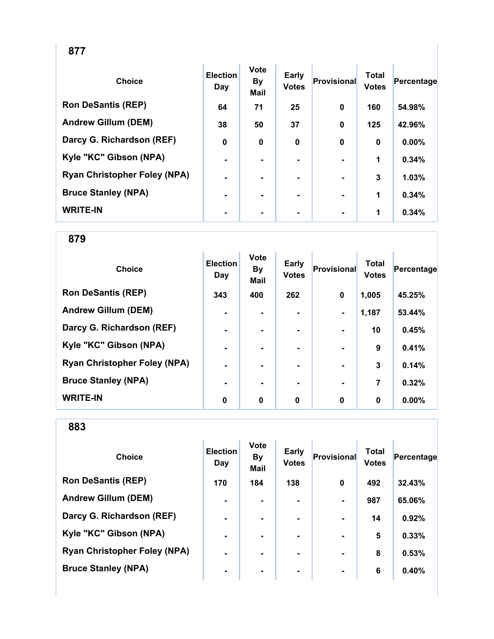| ×<br>ï<br>۰.<br>× |  |
|-------------------|--|
|-------------------|--|

| <b>Choice</b>                       | <b>Election</b><br>Day | <b>Vote</b><br><b>By</b><br>Mail | <b>Early</b><br><b>Votes</b> | <b>Provisional</b> | <b>Total</b><br><b>Votes</b> | Percentage |
|-------------------------------------|------------------------|----------------------------------|------------------------------|--------------------|------------------------------|------------|
| <b>Ron DeSantis (REP)</b>           | 64                     | 71                               | 25                           | $\mathbf 0$        | 160                          | 54.98%     |
| <b>Andrew Gillum (DEM)</b>          | 38                     | 50                               | 37                           | $\mathbf 0$        | 125                          | 42.96%     |
| Darcy G. Richardson (REF)           | 0                      | $\bf{0}$                         | 0                            | $\mathbf 0$        | $\mathbf 0$                  | $0.00\%$   |
| Kyle "KC" Gibson (NPA)              | $\blacksquare$         |                                  |                              |                    | 1                            | 0.34%      |
| <b>Ryan Christopher Foley (NPA)</b> | -                      | $\blacksquare$                   | -                            | $\blacksquare$     | 3                            | 1.03%      |
| <b>Bruce Stanley (NPA)</b>          | $\blacksquare$         | ۰                                | -                            | $\blacksquare$     | 1                            | 0.34%      |
| <b>WRITE-IN</b>                     |                        | $\blacksquare$                   |                              | $\blacksquare$     | 1                            | 0.34%      |

| <b>Choice</b>                       | <b>Election</b><br>Day | <b>Vote</b><br><b>By</b><br><b>Mail</b> | <b>Early</b><br><b>Votes</b> | Provisional    | <b>Total</b><br><b>Votes</b> | Percentage |
|-------------------------------------|------------------------|-----------------------------------------|------------------------------|----------------|------------------------------|------------|
| <b>Ron DeSantis (REP)</b>           | 343                    | 400                                     | 262                          | 0              | 1,005                        | 45.25%     |
| <b>Andrew Gillum (DEM)</b>          | $\blacksquare$         |                                         |                              | $\blacksquare$ | 1,187                        | 53.44%     |
| Darcy G. Richardson (REF)           | -                      |                                         |                              |                | 10                           | 0.45%      |
| Kyle "KC" Gibson (NPA)              | $\blacksquare$         |                                         | ۰.                           |                | 9                            | 0.41%      |
| <b>Ryan Christopher Foley (NPA)</b> | $\blacksquare$         |                                         | ۰                            |                | 3                            | 0.14%      |
| <b>Bruce Stanley (NPA)</b>          |                        |                                         | ۰.                           |                | 7                            | 0.32%      |
| <b>WRITE-IN</b>                     | 0                      | $\mathbf 0$                             | 0                            | 0              | 0                            | $0.00\%$   |

| <b>Choice</b>                       | <b>Election</b><br>Day | <b>Vote</b><br><b>By</b><br><b>Mail</b> | <b>Early</b><br><b>Votes</b> | Provisional              | <b>Total</b><br><b>Votes</b> | Percentage |
|-------------------------------------|------------------------|-----------------------------------------|------------------------------|--------------------------|------------------------------|------------|
| <b>Ron DeSantis (REP)</b>           | 170                    | 184                                     | 138                          | $\bf{0}$                 | 492                          | 32.43%     |
| <b>Andrew Gillum (DEM)</b>          | $\blacksquare$         | ۰.                                      |                              | $\blacksquare$           | 987                          | 65.06%     |
| Darcy G. Richardson (REF)           | $\blacksquare$         |                                         |                              | $\overline{\phantom{0}}$ | 14                           | 0.92%      |
| Kyle "KC" Gibson (NPA)              | $\blacksquare$         | ۰.                                      |                              | $\blacksquare$           | $5\phantom{1}$               | 0.33%      |
| <b>Ryan Christopher Foley (NPA)</b> | $\blacksquare$         |                                         | ۰.                           | $\blacksquare$           | 8                            | 0.53%      |
| <b>Bruce Stanley (NPA)</b>          | $\blacksquare$         |                                         | ۰.                           | $\blacksquare$           | 6                            | 0.40%      |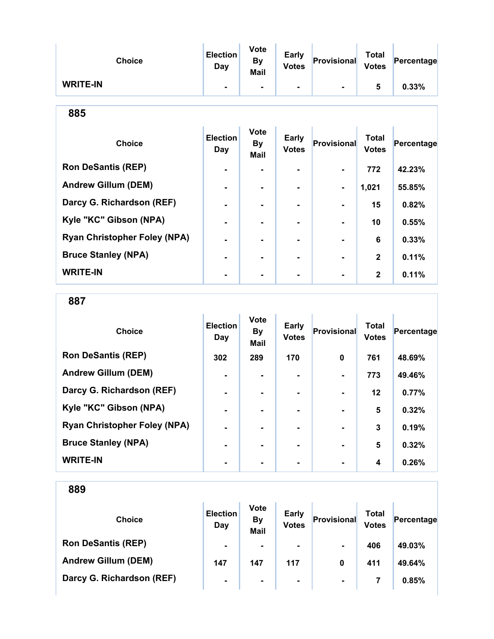| <b>Choice</b>   | Election<br>Day | <b>Vote</b><br>By<br><b>Mail</b> | <b>Early</b><br><b>Votes</b> | Provisional    | <b>Total</b><br><b>Votes</b> | Percentage |
|-----------------|-----------------|----------------------------------|------------------------------|----------------|------------------------------|------------|
| <b>WRITE-IN</b> |                 | $\blacksquare$                   |                              | $\blacksquare$ | b                            | 0.33%      |

| <b>Choice</b>                       | <b>Election</b><br>Day | <b>Vote</b><br><b>By</b><br><b>Mail</b> | <b>Early</b><br><b>Votes</b> | <b>Provisional</b> | <b>Total</b><br><b>Votes</b> | Percentage |
|-------------------------------------|------------------------|-----------------------------------------|------------------------------|--------------------|------------------------------|------------|
| <b>Ron DeSantis (REP)</b>           | $\blacksquare$         |                                         | -                            |                    | 772                          | 42.23%     |
| <b>Andrew Gillum (DEM)</b>          |                        |                                         | $\blacksquare$               | $\blacksquare$     | 1,021                        | 55.85%     |
| Darcy G. Richardson (REF)           |                        |                                         |                              |                    | 15                           | 0.82%      |
| Kyle "KC" Gibson (NPA)              |                        |                                         |                              |                    | 10                           | 0.55%      |
| <b>Ryan Christopher Foley (NPA)</b> |                        |                                         |                              |                    | 6                            | 0.33%      |
| <b>Bruce Stanley (NPA)</b>          | $\blacksquare$         |                                         |                              |                    | $\mathbf{2}$                 | 0.11%      |
| <b>WRITE-IN</b>                     |                        |                                         |                              |                    | $\mathbf{2}$                 | 0.11%      |

887

| <b>Choice</b>                       | <b>Election</b><br>Day | <b>Vote</b><br><b>By</b><br><b>Mail</b> | <b>Early</b><br><b>Votes</b> | <b>Provisional</b> | <b>Total</b><br><b>Votes</b> | Percentage |
|-------------------------------------|------------------------|-----------------------------------------|------------------------------|--------------------|------------------------------|------------|
| <b>Ron DeSantis (REP)</b>           | 302                    | 289                                     | 170                          | 0                  | 761                          | 48.69%     |
| <b>Andrew Gillum (DEM)</b>          |                        |                                         |                              |                    | 773                          | 49.46%     |
| Darcy G. Richardson (REF)           |                        |                                         |                              |                    | $12 \,$                      | 0.77%      |
| Kyle "KC" Gibson (NPA)              | $\blacksquare$         |                                         | -                            |                    | 5                            | 0.32%      |
| <b>Ryan Christopher Foley (NPA)</b> |                        |                                         |                              |                    | 3                            | 0.19%      |
| <b>Bruce Stanley (NPA)</b>          |                        |                                         |                              |                    | 5                            | 0.32%      |
| <b>WRITE-IN</b>                     |                        |                                         |                              |                    | 4                            | 0.26%      |

| <b>Choice</b>              | <b>Election</b><br>Day | <b>Vote</b><br><b>By</b><br><b>Mail</b> | <b>Early</b><br><b>Votes</b> | Provisional    | Total<br><b>Votes</b> | Percentage |
|----------------------------|------------------------|-----------------------------------------|------------------------------|----------------|-----------------------|------------|
| <b>Ron DeSantis (REP)</b>  | $\blacksquare$         | ۰                                       | $\blacksquare$               | $\blacksquare$ | 406                   | 49.03%     |
| <b>Andrew Gillum (DEM)</b> | 147                    | 147                                     | 117                          | 0              | 411                   | 49.64%     |
| Darcy G. Richardson (REF)  | $\blacksquare$         | $\blacksquare$                          | $\blacksquare$               | $\blacksquare$ |                       | 0.85%      |
|                            |                        |                                         |                              |                |                       |            |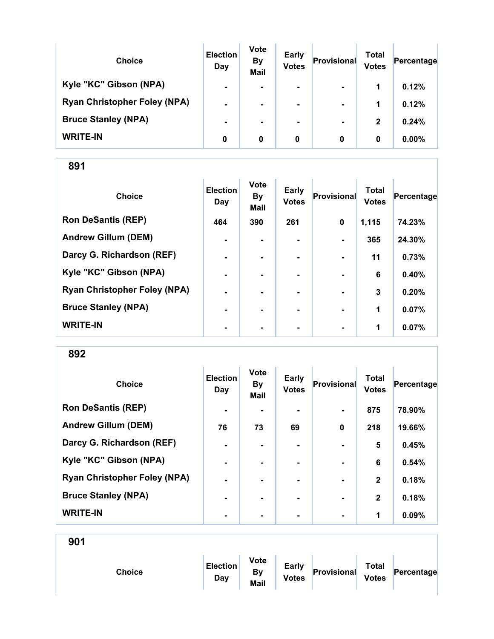| <b>Choice</b>                       | <b>Election</b><br>Day | <b>Vote</b><br><b>By</b><br><b>Mail</b> | <b>Early</b><br><b>Votes</b> | Provisional    | Total<br><b>Votes</b> | Percentage |
|-------------------------------------|------------------------|-----------------------------------------|------------------------------|----------------|-----------------------|------------|
| Kyle "KC" Gibson (NPA)              | $\blacksquare$         |                                         | $\blacksquare$               | $\blacksquare$ | 1                     | 0.12%      |
| <b>Ryan Christopher Foley (NPA)</b> | $\blacksquare$         |                                         | $\blacksquare$               | $\blacksquare$ | 1                     | 0.12%      |
| <b>Bruce Stanley (NPA)</b>          |                        |                                         | ۰.                           | $\blacksquare$ | $\mathbf{2}$          | 0.24%      |
| <b>WRITE-IN</b>                     | 0                      | 0                                       | 0                            | 0              | 0                     | $0.00\%$   |

| <b>Choice</b>                       | <b>Election</b><br>Day | <b>Vote</b><br><b>By</b><br><b>Mail</b> | <b>Early</b><br><b>Votes</b> | Provisional    | <b>Total</b><br><b>Votes</b> | Percentage |
|-------------------------------------|------------------------|-----------------------------------------|------------------------------|----------------|------------------------------|------------|
| <b>Ron DeSantis (REP)</b>           | 464                    | 390                                     | 261                          | $\mathbf 0$    | 1,115                        | 74.23%     |
| <b>Andrew Gillum (DEM)</b>          | $\blacksquare$         |                                         |                              | $\blacksquare$ | 365                          | 24.30%     |
| Darcy G. Richardson (REF)           | $\blacksquare$         | $\blacksquare$                          |                              | $\blacksquare$ | 11                           | 0.73%      |
| Kyle "KC" Gibson (NPA)              | $\blacksquare$         |                                         |                              |                | 6                            | 0.40%      |
| <b>Ryan Christopher Foley (NPA)</b> | $\blacksquare$         |                                         |                              |                | 3                            | 0.20%      |
| <b>Bruce Stanley (NPA)</b>          | ۰                      |                                         |                              |                | 1                            | 0.07%      |
| <b>WRITE-IN</b>                     | ۰                      |                                         | $\blacksquare$               | $\blacksquare$ | 1                            | 0.07%      |

892

| <b>Choice</b>                       | <b>Election</b><br>Day | <b>Vote</b><br><b>By</b><br>Mail | <b>Early</b><br><b>Votes</b> | Provisional    | <b>Total</b><br><b>Votes</b> | Percentage |
|-------------------------------------|------------------------|----------------------------------|------------------------------|----------------|------------------------------|------------|
| <b>Ron DeSantis (REP)</b>           | $\blacksquare$         |                                  |                              | $\blacksquare$ | 875                          | 78.90%     |
| <b>Andrew Gillum (DEM)</b>          | 76                     | 73                               | 69                           | 0              | 218                          | 19.66%     |
| Darcy G. Richardson (REF)           | $\blacksquare$         |                                  | ۰                            | $\blacksquare$ | 5                            | 0.45%      |
| Kyle "KC" Gibson (NPA)              | ٠                      |                                  |                              |                | 6                            | 0.54%      |
| <b>Ryan Christopher Foley (NPA)</b> | $\blacksquare$         |                                  | ۰.                           | $\blacksquare$ | $\mathbf{2}$                 | 0.18%      |
| <b>Bruce Stanley (NPA)</b>          | $\blacksquare$         |                                  | ۰.                           | $\blacksquare$ | $\mathbf{2}$                 | 0.18%      |
| <b>WRITE-IN</b>                     | -                      |                                  |                              | $\blacksquare$ | 1                            | 0.09%      |

| <b>Choice</b> | <b>Election</b><br>Day | <b>Vote</b><br><b>By</b><br>Mail | <b>Early</b><br><b>Votes</b> | Provisional | <b>Total</b><br><b>Votes</b> | Percentage |  |
|---------------|------------------------|----------------------------------|------------------------------|-------------|------------------------------|------------|--|
|               |                        |                                  |                              |             |                              |            |  |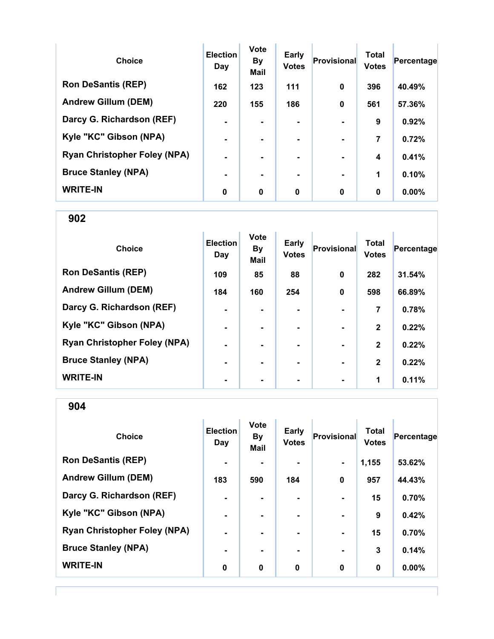| <b>Choice</b>                       | <b>Election</b><br>Day | <b>Vote</b><br><b>By</b><br><b>Mail</b> | <b>Early</b><br><b>Votes</b> | Provisional    | <b>Total</b><br><b>Votes</b> | Percentage |
|-------------------------------------|------------------------|-----------------------------------------|------------------------------|----------------|------------------------------|------------|
| <b>Ron DeSantis (REP)</b>           | 162                    | 123                                     | 111                          | $\bf{0}$       | 396                          | 40.49%     |
| <b>Andrew Gillum (DEM)</b>          | 220                    | 155                                     | 186                          | $\bf{0}$       | 561                          | 57.36%     |
| Darcy G. Richardson (REF)           | $\blacksquare$         |                                         | $\blacksquare$               |                | 9                            | 0.92%      |
| Kyle "KC" Gibson (NPA)              | $\blacksquare$         |                                         | ۰.                           | $\blacksquare$ | 7                            | 0.72%      |
| <b>Ryan Christopher Foley (NPA)</b> | $\blacksquare$         |                                         | ۰.                           |                | 4                            | 0.41%      |
| <b>Bruce Stanley (NPA)</b>          | $\blacksquare$         |                                         | ۰.                           | $\blacksquare$ | 1                            | 0.10%      |
| <b>WRITE-IN</b>                     | 0                      | $\mathbf 0$                             | 0                            | $\bf{0}$       | 0                            | $0.00\%$   |

| <b>Choice</b>                       | <b>Election</b><br>Day | <b>Vote</b><br><b>By</b><br><b>Mail</b> | <b>Early</b><br><b>Votes</b> | <b>Provisional</b> | <b>Total</b><br><b>Votes</b> | Percentage |
|-------------------------------------|------------------------|-----------------------------------------|------------------------------|--------------------|------------------------------|------------|
| <b>Ron DeSantis (REP)</b>           | 109                    | 85                                      | 88                           | 0                  | 282                          | 31.54%     |
| <b>Andrew Gillum (DEM)</b>          | 184                    | 160                                     | 254                          | 0                  | 598                          | 66.89%     |
| Darcy G. Richardson (REF)           | $\blacksquare$         |                                         |                              |                    | 7                            | 0.78%      |
| Kyle "KC" Gibson (NPA)              | $\blacksquare$         |                                         |                              | $\blacksquare$     | $\mathbf{2}$                 | 0.22%      |
| <b>Ryan Christopher Foley (NPA)</b> | $\blacksquare$         | $\blacksquare$                          |                              | $\blacksquare$     | $\mathbf{2}$                 | 0.22%      |
| <b>Bruce Stanley (NPA)</b>          | $\blacksquare$         |                                         |                              | $\blacksquare$     | $\mathbf{2}$                 | 0.22%      |
| <b>WRITE-IN</b>                     | ۰                      |                                         |                              | $\blacksquare$     | 1                            | 0.11%      |

904

| <b>Choice</b>                       | <b>Election</b><br>Day | <b>Vote</b><br><b>By</b><br><b>Mail</b> | Early<br><b>Votes</b> | <b>Provisional</b> | <b>Total</b><br><b>Votes</b> | Percentage |
|-------------------------------------|------------------------|-----------------------------------------|-----------------------|--------------------|------------------------------|------------|
| <b>Ron DeSantis (REP)</b>           | $\blacksquare$         |                                         | ۰                     |                    | 1,155                        | 53.62%     |
| <b>Andrew Gillum (DEM)</b>          | 183                    | 590                                     | 184                   | $\mathbf 0$        | 957                          | 44.43%     |
| Darcy G. Richardson (REF)           | $\blacksquare$         | $\blacksquare$                          |                       |                    | 15                           | 0.70%      |
| Kyle "KC" Gibson (NPA)              | $\blacksquare$         |                                         |                       | $\blacksquare$     | 9                            | 0.42%      |
| <b>Ryan Christopher Foley (NPA)</b> | $\blacksquare$         | $\blacksquare$                          |                       | $\blacksquare$     | 15                           | 0.70%      |
| <b>Bruce Stanley (NPA)</b>          | $\blacksquare$         |                                         | ۰                     | $\blacksquare$     | 3                            | 0.14%      |
| <b>WRITE-IN</b>                     | 0                      | $\mathbf 0$                             | $\mathbf 0$           | $\mathbf 0$        | 0                            | 0.00%      |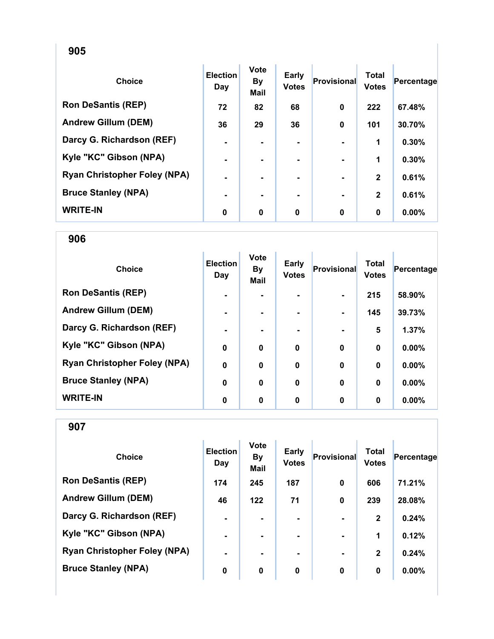| <b>Choice</b>                       | <b>Election</b><br>Day | Vote<br><b>By</b><br><b>Mail</b> | Early<br><b>Votes</b> | Provisional | <b>Total</b><br><b>Votes</b> | Percentage |
|-------------------------------------|------------------------|----------------------------------|-----------------------|-------------|------------------------------|------------|
| <b>Ron DeSantis (REP)</b>           | 72                     | 82                               | 68                    | 0           | 222                          | 67.48%     |
| <b>Andrew Gillum (DEM)</b>          | 36                     | 29                               | 36                    | $\mathbf 0$ | 101                          | 30.70%     |
| Darcy G. Richardson (REF)           | $\blacksquare$         | ۰.                               | ۰                     |             | 1                            | 0.30%      |
| Kyle "KC" Gibson (NPA)              | ۰                      |                                  |                       |             | 1                            | 0.30%      |
| <b>Ryan Christopher Foley (NPA)</b> |                        |                                  |                       |             | $\mathbf{2}$                 | 0.61%      |
| <b>Bruce Stanley (NPA)</b>          | ۰                      |                                  |                       |             | $\mathbf{2}$                 | 0.61%      |
| <b>WRITE-IN</b>                     | 0                      | 0                                | $\bf{0}$              | 0           | $\bf{0}$                     | 0.00%      |

906

| <b>Choice</b>                       | <b>Election</b><br>Day | <b>Vote</b><br><b>By</b><br><b>Mail</b> | <b>Early</b><br><b>Votes</b> | Provisional | <b>Total</b><br><b>Votes</b> | Percentage |
|-------------------------------------|------------------------|-----------------------------------------|------------------------------|-------------|------------------------------|------------|
| <b>Ron DeSantis (REP)</b>           | $\blacksquare$         |                                         |                              |             | 215                          | 58.90%     |
| <b>Andrew Gillum (DEM)</b>          | $\blacksquare$         |                                         |                              |             | 145                          | 39.73%     |
| Darcy G. Richardson (REF)           | $\blacksquare$         |                                         |                              |             | 5                            | 1.37%      |
| Kyle "KC" Gibson (NPA)              | $\bf{0}$               | 0                                       | $\bf{0}$                     | $\bf{0}$    | $\bf{0}$                     | 0.00%      |
| <b>Ryan Christopher Foley (NPA)</b> | $\mathbf 0$            | $\mathbf 0$                             | $\boldsymbol{0}$             | $\mathbf 0$ | $\bf{0}$                     | 0.00%      |
| <b>Bruce Stanley (NPA)</b>          | $\mathbf 0$            | $\bf{0}$                                | $\mathbf 0$                  | $\mathbf 0$ | $\mathbf 0$                  | 0.00%      |
| <b>WRITE-IN</b>                     | 0                      | 0                                       | 0                            | 0           | 0                            | $0.00\%$   |

| <b>Choice</b>                       | <b>Election</b><br>Day | <b>Vote</b><br><b>By</b><br><b>Mail</b> | <b>Early</b><br><b>Votes</b> | <b>Provisional</b> | Total<br><b>Votes</b> | Percentage |
|-------------------------------------|------------------------|-----------------------------------------|------------------------------|--------------------|-----------------------|------------|
| <b>Ron DeSantis (REP)</b>           | 174                    | 245                                     | 187                          | $\mathbf 0$        | 606                   | 71.21%     |
| <b>Andrew Gillum (DEM)</b>          | 46                     | 122                                     | 71                           | 0                  | 239                   | 28.08%     |
| Darcy G. Richardson (REF)           | $\blacksquare$         | $\blacksquare$                          | $\blacksquare$               | $\blacksquare$     | $\mathbf{2}$          | 0.24%      |
| Kyle "KC" Gibson (NPA)              | $\blacksquare$         | $\blacksquare$                          |                              | $\blacksquare$     | 1                     | 0.12%      |
| <b>Ryan Christopher Foley (NPA)</b> | $\blacksquare$         | $\blacksquare$                          |                              | $\blacksquare$     | $\mathbf{2}$          | 0.24%      |
| <b>Bruce Stanley (NPA)</b>          | $\bf{0}$               | $\bf{0}$                                | $\bf{0}$                     | 0                  | 0                     | 0.00%      |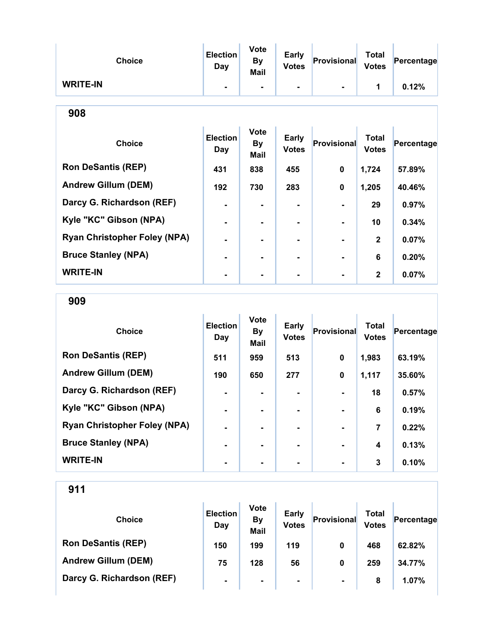| <b>Choice</b>                       | <b>Election</b><br><b>Day</b> | <b>Vote</b><br><b>By</b><br>Mail | <b>Early</b><br><b>Votes</b> | <b>Provisional</b> | <b>Total</b><br><b>Votes</b> | Percentage |  |  |  |
|-------------------------------------|-------------------------------|----------------------------------|------------------------------|--------------------|------------------------------|------------|--|--|--|
| <b>WRITE-IN</b>                     |                               |                                  |                              |                    | $\blacktriangleleft$         | 0.12%      |  |  |  |
| 908                                 |                               |                                  |                              |                    |                              |            |  |  |  |
| <b>Choice</b>                       | <b>Election</b><br><b>Day</b> | <b>Vote</b><br><b>By</b><br>Mail | <b>Early</b><br><b>Votes</b> | Provisional        | <b>Total</b><br><b>Votes</b> | Percentage |  |  |  |
| <b>Ron DeSantis (REP)</b>           | 431                           | 838                              | 455                          | 0                  | 1,724                        | 57.89%     |  |  |  |
| <b>Andrew Gillum (DEM)</b>          | 192                           | 730                              | 283                          | $\mathbf 0$        | 1,205                        | 40.46%     |  |  |  |
| Darcy G. Richardson (REF)           |                               | $\blacksquare$                   |                              |                    | 29                           | 0.97%      |  |  |  |
| Kyle "KC" Gibson (NPA)              |                               |                                  | ۰                            |                    | 10                           | 0.34%      |  |  |  |
| <b>Ryan Christopher Foley (NPA)</b> | $\blacksquare$                |                                  | ۰                            |                    | $\mathbf{2}$                 | 0.07%      |  |  |  |
| <b>Bruce Stanley (NPA)</b>          |                               |                                  |                              |                    | 6                            | 0.20%      |  |  |  |
| <b>WRITE-IN</b>                     |                               |                                  |                              |                    | $\mathbf{2}$                 | 0.07%      |  |  |  |

909

| <b>Choice</b>                       | <b>Election</b><br>Day | <b>Vote</b><br><b>By</b><br><b>Mail</b> | Early<br><b>Votes</b> | Provisional    | <b>Total</b><br><b>Votes</b> | Percentage |
|-------------------------------------|------------------------|-----------------------------------------|-----------------------|----------------|------------------------------|------------|
| <b>Ron DeSantis (REP)</b>           | 511                    | 959                                     | 513                   | 0              | 1,983                        | 63.19%     |
| <b>Andrew Gillum (DEM)</b>          | 190                    | 650                                     | 277                   | 0              | 1,117                        | 35.60%     |
| Darcy G. Richardson (REF)           | $\blacksquare$         |                                         |                       |                | 18                           | 0.57%      |
| Kyle "KC" Gibson (NPA)              | $\blacksquare$         |                                         | ۰.                    | $\blacksquare$ | 6                            | 0.19%      |
| <b>Ryan Christopher Foley (NPA)</b> | $\blacksquare$         | -                                       |                       | $\blacksquare$ | 7                            | 0.22%      |
| <b>Bruce Stanley (NPA)</b>          | $\blacksquare$         |                                         |                       |                | 4                            | 0.13%      |
| <b>WRITE-IN</b>                     |                        |                                         |                       |                | 3                            | 0.10%      |

| <b>Choice</b>              | <b>Election</b><br>Day | <b>Vote</b><br><b>By</b><br><b>Mail</b> | <b>Early</b><br><b>Votes</b> | Provisional    | Total<br><b>Votes</b> | Percentage |
|----------------------------|------------------------|-----------------------------------------|------------------------------|----------------|-----------------------|------------|
| <b>Ron DeSantis (REP)</b>  | 150                    | 199                                     | 119                          | 0              | 468                   | 62.82%     |
| <b>Andrew Gillum (DEM)</b> | 75                     | 128                                     | 56                           | 0              | 259                   | 34.77%     |
| Darcy G. Richardson (REF)  | $\blacksquare$         |                                         | $\blacksquare$               | $\blacksquare$ | 8                     | 1.07%      |
|                            |                        |                                         |                              |                |                       |            |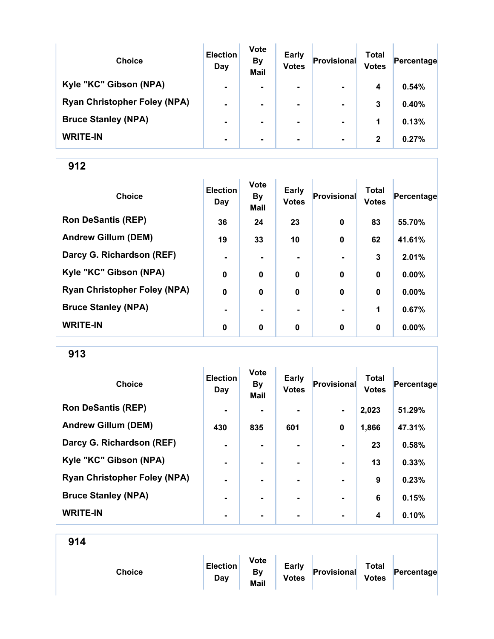| <b>Choice</b>                       | <b>Election</b><br>Day | <b>Vote</b><br><b>By</b><br><b>Mail</b> | <b>Early</b><br><b>Votes</b> | Provisional    | Total<br><b>Votes</b> | Percentage |
|-------------------------------------|------------------------|-----------------------------------------|------------------------------|----------------|-----------------------|------------|
| Kyle "KC" Gibson (NPA)              | $\blacksquare$         | $\blacksquare$                          | $\blacksquare$               | $\blacksquare$ | 4                     | 0.54%      |
| <b>Ryan Christopher Foley (NPA)</b> | $\blacksquare$         |                                         | $\blacksquare$               | $\blacksquare$ | 3                     | 0.40%      |
| <b>Bruce Stanley (NPA)</b>          | $\blacksquare$         |                                         | ۰.                           | $\blacksquare$ | 1                     | 0.13%      |
| <b>WRITE-IN</b>                     | $\blacksquare$         |                                         | $\blacksquare$               | $\blacksquare$ | $\mathbf{2}$          | 0.27%      |

| <b>Choice</b>                       | <b>Election</b><br>Day | <b>Vote</b><br><b>By</b><br><b>Mail</b> | Early<br><b>Votes</b> | <b>Provisional</b> | <b>Total</b><br><b>Votes</b> | Percentage |
|-------------------------------------|------------------------|-----------------------------------------|-----------------------|--------------------|------------------------------|------------|
| <b>Ron DeSantis (REP)</b>           | 36                     | 24                                      | 23                    | $\mathbf 0$        | 83                           | 55.70%     |
| <b>Andrew Gillum (DEM)</b>          | 19                     | 33                                      | 10                    | $\mathbf 0$        | 62                           | 41.61%     |
| Darcy G. Richardson (REF)           | $\blacksquare$         | ۰.                                      |                       |                    | 3                            | 2.01%      |
| Kyle "KC" Gibson (NPA)              | $\mathbf 0$            | $\bf{0}$                                | 0                     | $\mathbf 0$        | $\mathbf 0$                  | $0.00\%$   |
| <b>Ryan Christopher Foley (NPA)</b> | $\mathbf 0$            | 0                                       | 0                     | $\mathbf 0$        | $\bf{0}$                     | $0.00\%$   |
| <b>Bruce Stanley (NPA)</b>          |                        |                                         |                       |                    | 1                            | 0.67%      |
| <b>WRITE-IN</b>                     | 0                      | $\mathbf 0$                             | 0                     | $\mathbf 0$        | $\bf{0}$                     | 0.00%      |

913

| <b>Choice</b>                       | <b>Election</b><br>Day | <b>Vote</b><br><b>By</b><br><b>Mail</b> | Early<br><b>Votes</b> | <b>Provisional</b> | <b>Total</b><br><b>Votes</b> | Percentage |
|-------------------------------------|------------------------|-----------------------------------------|-----------------------|--------------------|------------------------------|------------|
| <b>Ron DeSantis (REP)</b>           | $\blacksquare$         | -                                       |                       | $\blacksquare$     | 2,023                        | 51.29%     |
| <b>Andrew Gillum (DEM)</b>          | 430                    | 835                                     | 601                   | $\mathbf 0$        | 1,866                        | 47.31%     |
| Darcy G. Richardson (REF)           | $\blacksquare$         | ۰.                                      | ۰                     |                    | 23                           | 0.58%      |
| Kyle "KC" Gibson (NPA)              | $\blacksquare$         | ۰.                                      |                       | $\blacksquare$     | 13                           | 0.33%      |
| <b>Ryan Christopher Foley (NPA)</b> | $\blacksquare$         |                                         |                       |                    | 9                            | 0.23%      |
| <b>Bruce Stanley (NPA)</b>          | $\blacksquare$         |                                         | ۰.                    | $\blacksquare$     | 6                            | 0.15%      |
| <b>WRITE-IN</b>                     | ۰                      |                                         | ۰                     | $\blacksquare$     | 4                            | 0.10%      |

|--|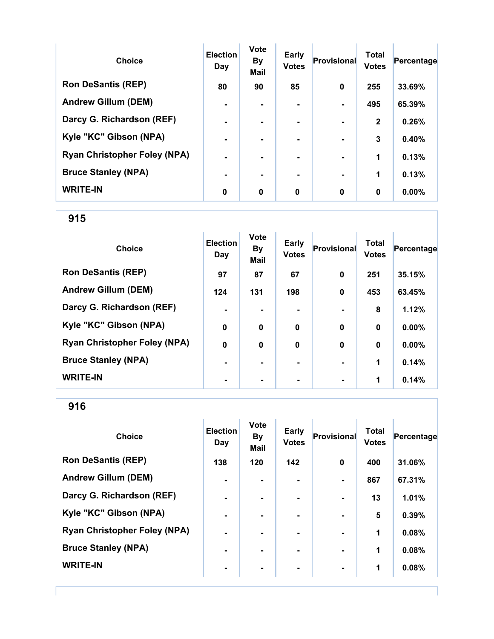| <b>Choice</b>                       | <b>Election</b><br>Day | <b>Vote</b><br><b>By</b><br><b>Mail</b> | <b>Early</b><br><b>Votes</b> | <b>Provisional</b> | <b>Total</b><br><b>Votes</b> | Percentage |
|-------------------------------------|------------------------|-----------------------------------------|------------------------------|--------------------|------------------------------|------------|
| <b>Ron DeSantis (REP)</b>           | 80                     | 90                                      | 85                           | $\bf{0}$           | 255                          | 33.69%     |
| <b>Andrew Gillum (DEM)</b>          |                        |                                         |                              |                    | 495                          | 65.39%     |
| Darcy G. Richardson (REF)           |                        |                                         |                              |                    | $\mathbf{2}$                 | 0.26%      |
| Kyle "KC" Gibson (NPA)              | $\blacksquare$         |                                         | $\blacksquare$               | $\blacksquare$     | 3                            | 0.40%      |
| <b>Ryan Christopher Foley (NPA)</b> | $\blacksquare$         |                                         | ۰.                           | $\blacksquare$     | 1                            | 0.13%      |
| <b>Bruce Stanley (NPA)</b>          | $\blacksquare$         |                                         | ۰.                           |                    | 1                            | 0.13%      |
| <b>WRITE-IN</b>                     | 0                      | $\mathbf 0$                             | 0                            | $\bf{0}$           | 0                            | $0.00\%$   |

| <b>Choice</b>                       | <b>Election</b><br>Day | <b>Vote</b><br><b>By</b><br>Mail | <b>Early</b><br><b>Votes</b> | <b>Provisional</b> | <b>Total</b><br><b>Votes</b> | Percentage |
|-------------------------------------|------------------------|----------------------------------|------------------------------|--------------------|------------------------------|------------|
| <b>Ron DeSantis (REP)</b>           | 97                     | 87                               | 67                           | $\mathbf 0$        | 251                          | 35.15%     |
| <b>Andrew Gillum (DEM)</b>          | 124                    | 131                              | 198                          | $\mathbf 0$        | 453                          | 63.45%     |
| Darcy G. Richardson (REF)           | ۰                      |                                  |                              |                    | 8                            | 1.12%      |
| Kyle "KC" Gibson (NPA)              | $\mathbf 0$            | $\bf{0}$                         | $\mathbf 0$                  | $\mathbf 0$        | $\bf{0}$                     | 0.00%      |
| <b>Ryan Christopher Foley (NPA)</b> | $\mathbf 0$            | $\mathbf 0$                      | $\mathbf 0$                  | $\mathbf 0$        | $\bf{0}$                     | $0.00\%$   |
| <b>Bruce Stanley (NPA)</b>          | $\blacksquare$         | ۰.                               |                              | $\blacksquare$     | 1                            | 0.14%      |
| <b>WRITE-IN</b>                     | ۰                      |                                  |                              | $\blacksquare$     | 1                            | 0.14%      |

| <b>Choice</b>                       | <b>Election</b><br>Day | <b>Vote</b><br><b>By</b><br><b>Mail</b> | <b>Early</b><br><b>Votes</b> | Provisional    | <b>Total</b><br><b>Votes</b> | Percentage |
|-------------------------------------|------------------------|-----------------------------------------|------------------------------|----------------|------------------------------|------------|
| <b>Ron DeSantis (REP)</b>           | 138                    | 120                                     | 142                          | $\mathbf{0}$   | 400                          | 31.06%     |
| <b>Andrew Gillum (DEM)</b>          | $\blacksquare$         | ۰.                                      | ۰                            |                | 867                          | 67.31%     |
| Darcy G. Richardson (REF)           | $\blacksquare$         | $\blacksquare$                          | ۰.                           | $\blacksquare$ | 13                           | 1.01%      |
| Kyle "KC" Gibson (NPA)              | ۰                      |                                         |                              | $\blacksquare$ | 5                            | 0.39%      |
| <b>Ryan Christopher Foley (NPA)</b> | $\blacksquare$         |                                         |                              | $\blacksquare$ | 1                            | 0.08%      |
| <b>Bruce Stanley (NPA)</b>          | ۰                      |                                         |                              | $\blacksquare$ | 1                            | 0.08%      |
| <b>WRITE-IN</b>                     | $\blacksquare$         |                                         | $\blacksquare$               | $\blacksquare$ | 1                            | 0.08%      |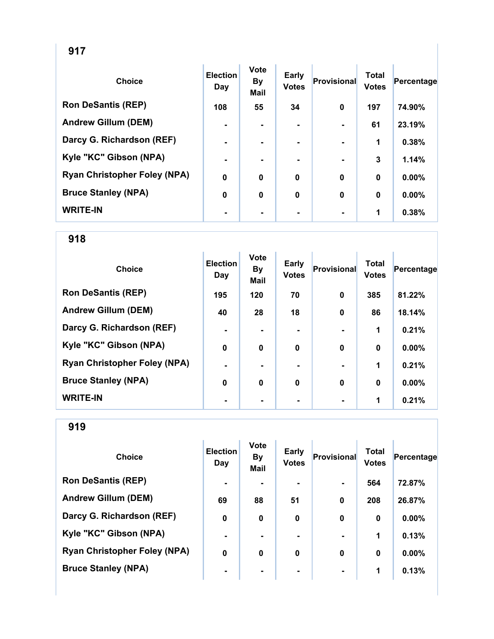| <b>Choice</b>                       | <b>Election</b><br>Day | <b>Vote</b><br><b>By</b><br><b>Mail</b> | <b>Early</b><br><b>Votes</b> | <b>Provisional</b> | <b>Total</b><br><b>Votes</b> | Percentage |
|-------------------------------------|------------------------|-----------------------------------------|------------------------------|--------------------|------------------------------|------------|
| <b>Ron DeSantis (REP)</b>           | 108                    | 55                                      | 34                           | $\mathbf 0$        | 197                          | 74.90%     |
| <b>Andrew Gillum (DEM)</b>          | $\blacksquare$         | $\blacksquare$                          |                              |                    | 61                           | 23.19%     |
| Darcy G. Richardson (REF)           | $\blacksquare$         |                                         |                              |                    | 1                            | 0.38%      |
| Kyle "KC" Gibson (NPA)              | $\blacksquare$         |                                         |                              |                    | 3                            | 1.14%      |
| <b>Ryan Christopher Foley (NPA)</b> | $\mathbf 0$            | $\bf{0}$                                | 0                            | $\mathbf 0$        | $\bf{0}$                     | 0.00%      |
| <b>Bruce Stanley (NPA)</b>          | 0                      | $\bf{0}$                                | $\mathbf 0$                  | $\mathbf 0$        | $\bf{0}$                     | 0.00%      |
| <b>WRITE-IN</b>                     | $\blacksquare$         |                                         |                              |                    | 1                            | 0.38%      |

| <b>Choice</b>                       | <b>Election</b><br>Day | <b>Vote</b><br>By<br><b>Mail</b> | <b>Early</b><br><b>Votes</b> | Provisional  | <b>Total</b><br><b>Votes</b> | Percentage |
|-------------------------------------|------------------------|----------------------------------|------------------------------|--------------|------------------------------|------------|
| <b>Ron DeSantis (REP)</b>           | 195                    | 120                              | 70                           | $\mathbf 0$  | 385                          | 81.22%     |
| <b>Andrew Gillum (DEM)</b>          | 40                     | 28                               | 18                           | $\mathbf 0$  | 86                           | 18.14%     |
| Darcy G. Richardson (REF)           | $\blacksquare$         |                                  |                              |              | 1                            | 0.21%      |
| Kyle "KC" Gibson (NPA)              | $\bf{0}$               | $\bf{0}$                         | $\bf{0}$                     | $\mathbf{0}$ | $\bf{0}$                     | 0.00%      |
| <b>Ryan Christopher Foley (NPA)</b> | $\blacksquare$         | ۰.                               |                              |              | 1                            | 0.21%      |
| <b>Bruce Stanley (NPA)</b>          | 0                      | 0                                | 0                            | $\mathbf 0$  | $\bf{0}$                     | 0.00%      |
| <b>WRITE-IN</b>                     | ٠                      |                                  |                              |              | 1                            | 0.21%      |

| <b>Choice</b>                       | <b>Election</b><br>Day | <b>Vote</b><br><b>By</b><br><b>Mail</b> | Early<br><b>Votes</b> | Provisional    | <b>Total</b><br><b>Votes</b> | Percentage |
|-------------------------------------|------------------------|-----------------------------------------|-----------------------|----------------|------------------------------|------------|
| <b>Ron DeSantis (REP)</b>           | $\blacksquare$         |                                         | $\blacksquare$        | $\blacksquare$ | 564                          | 72.87%     |
| <b>Andrew Gillum (DEM)</b>          | 69                     | 88                                      | 51                    | $\mathbf 0$    | 208                          | 26.87%     |
| Darcy G. Richardson (REF)           | 0                      | 0                                       | 0                     | 0              | 0                            | $0.00\%$   |
| Kyle "KC" Gibson (NPA)              | $\blacksquare$         |                                         |                       |                | 1                            | 0.13%      |
| <b>Ryan Christopher Foley (NPA)</b> | 0                      | 0                                       | 0                     | $\bf{0}$       | $\bf{0}$                     | $0.00\%$   |
| <b>Bruce Stanley (NPA)</b>          | $\blacksquare$         | ۰                                       | ۰                     | $\blacksquare$ | 1                            | 0.13%      |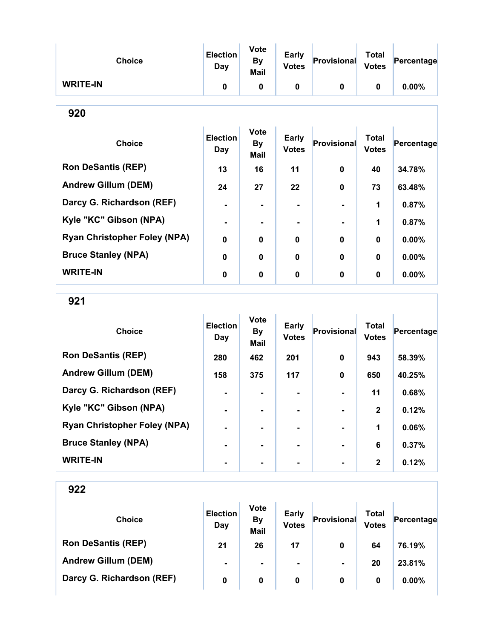| <b>Choice</b>                       | <b>Election</b><br><b>Day</b> | <b>Vote</b><br>By<br>Mail        | <b>Early</b><br><b>Votes</b> | <b>Provisional</b> | <b>Total</b><br><b>Votes</b> | Percentage |
|-------------------------------------|-------------------------------|----------------------------------|------------------------------|--------------------|------------------------------|------------|
| <b>WRITE-IN</b>                     | 0                             | 0                                | $\bf{0}$                     | 0                  | $\mathbf 0$                  | $0.00\%$   |
| 920                                 |                               |                                  |                              |                    |                              |            |
| <b>Choice</b>                       | <b>Election</b><br>Day        | <b>Vote</b><br><b>By</b><br>Mail | <b>Early</b><br><b>Votes</b> | Provisional        | <b>Total</b><br><b>Votes</b> | Percentage |
| <b>Ron DeSantis (REP)</b>           | 13                            | 16                               | 11                           | 0                  | 40                           | 34.78%     |
| <b>Andrew Gillum (DEM)</b>          | 24                            | 27                               | 22                           | $\mathbf{0}$       | 73                           | 63.48%     |
| Darcy G. Richardson (REF)           | $\blacksquare$                |                                  |                              |                    | 1                            | 0.87%      |
| Kyle "KC" Gibson (NPA)              |                               |                                  |                              |                    | 1                            | 0.87%      |
| <b>Ryan Christopher Foley (NPA)</b> | $\bf{0}$                      | 0                                | $\bf{0}$                     | $\bf{0}$           | $\bf{0}$                     | $0.00\%$   |
| <b>Bruce Stanley (NPA)</b>          | $\Omega$                      | $\bf{0}$                         | $\Omega$                     | $\bf{0}$           | $\Omega$                     | 0.00%      |
| <b>WRITE-IN</b>                     | $\bf{0}$                      | 0                                | $\bf{0}$                     | $\bf{0}$           | $\bf{0}$                     | $0.00\%$   |

921

| <b>Choice</b>                       | <b>Election</b><br>Day | <b>Vote</b><br><b>By</b><br>Mail | <b>Early</b><br><b>Votes</b> | <b>Provisional</b> | <b>Total</b><br><b>Votes</b> | Percentage |
|-------------------------------------|------------------------|----------------------------------|------------------------------|--------------------|------------------------------|------------|
| <b>Ron DeSantis (REP)</b>           | 280                    | 462                              | 201                          | $\bf{0}$           | 943                          | 58.39%     |
| <b>Andrew Gillum (DEM)</b>          | 158                    | 375                              | 117                          | $\bf{0}$           | 650                          | 40.25%     |
| Darcy G. Richardson (REF)           |                        |                                  |                              |                    | 11                           | 0.68%      |
| Kyle "KC" Gibson (NPA)              |                        |                                  | -                            |                    | $\mathbf{2}$                 | 0.12%      |
| <b>Ryan Christopher Foley (NPA)</b> |                        |                                  | $\blacksquare$               |                    | 1                            | 0.06%      |
| <b>Bruce Stanley (NPA)</b>          |                        | ۰.                               | $\blacksquare$               |                    | 6                            | 0.37%      |
| <b>WRITE-IN</b>                     |                        |                                  |                              |                    | $\mathbf{2}$                 | 0.12%      |

| <b>Choice</b>              | <b>Election</b><br>Day | <b>Vote</b><br><b>By</b><br><b>Mail</b> | <b>Early</b><br><b>Votes</b> | Provisional    | <b>Total</b><br><b>Votes</b> | Percentage |
|----------------------------|------------------------|-----------------------------------------|------------------------------|----------------|------------------------------|------------|
| <b>Ron DeSantis (REP)</b>  | 21                     | 26                                      | 17                           | 0              | 64                           | 76.19%     |
| <b>Andrew Gillum (DEM)</b> | $\blacksquare$         | $\blacksquare$                          | $\blacksquare$               | $\blacksquare$ | 20                           | 23.81%     |
| Darcy G. Richardson (REF)  | 0                      | 0                                       | 0                            | 0              | 0                            | $0.00\%$   |
|                            |                        |                                         |                              |                |                              |            |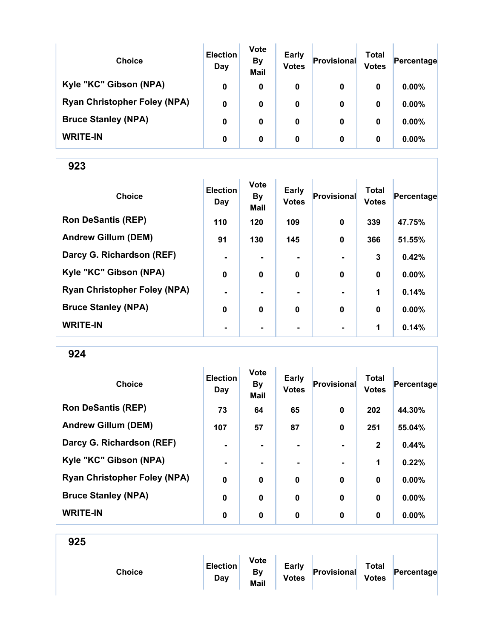| <b>Choice</b>                       | <b>Election</b><br>Day | <b>Vote</b><br><b>By</b><br><b>Mail</b> | <b>Early</b><br><b>Votes</b> | Provisional | Total<br><b>Votes</b> | Percentage |
|-------------------------------------|------------------------|-----------------------------------------|------------------------------|-------------|-----------------------|------------|
| Kyle "KC" Gibson (NPA)              | 0                      | 0                                       | 0                            | 0           | 0                     | $0.00\%$   |
| <b>Ryan Christopher Foley (NPA)</b> | 0                      | 0                                       | 0                            | 0           | 0                     | $0.00\%$   |
| <b>Bruce Stanley (NPA)</b>          | 0                      | 0                                       | 0                            | 0           | 0                     | $0.00\%$   |
| <b>WRITE-IN</b>                     | 0                      | 0                                       | 0                            | 0           | 0                     | $0.00\%$   |

| <b>Choice</b>                       | <b>Election</b><br>Day | <b>Vote</b><br><b>By</b><br>Mail | <b>Early</b><br><b>Votes</b> | Provisional    | <b>Total</b><br><b>Votes</b> | Percentage |
|-------------------------------------|------------------------|----------------------------------|------------------------------|----------------|------------------------------|------------|
| <b>Ron DeSantis (REP)</b>           | 110                    | 120                              | 109                          | $\mathbf 0$    | 339                          | 47.75%     |
| <b>Andrew Gillum (DEM)</b>          | 91                     | 130                              | 145                          | $\mathbf 0$    | 366                          | 51.55%     |
| Darcy G. Richardson (REF)           | $\blacksquare$         |                                  |                              |                | 3                            | 0.42%      |
| Kyle "KC" Gibson (NPA)              | 0                      | $\bf{0}$                         | 0                            | $\mathbf 0$    | 0                            | 0.00%      |
| <b>Ryan Christopher Foley (NPA)</b> | $\blacksquare$         |                                  |                              |                | 1                            | 0.14%      |
| <b>Bruce Stanley (NPA)</b>          | $\bf{0}$               | $\mathbf 0$                      | $\mathbf 0$                  | $\bf{0}$       | 0                            | 0.00%      |
| <b>WRITE-IN</b>                     | $\blacksquare$         |                                  | ۰                            | $\blacksquare$ | 1                            | 0.14%      |

| <b>Choice</b>                       | <b>Election</b><br>Day | <b>Vote</b><br><b>By</b><br><b>Mail</b> | Early<br><b>Votes</b> | Provisional    | <b>Total</b><br><b>Votes</b> | Percentage |
|-------------------------------------|------------------------|-----------------------------------------|-----------------------|----------------|------------------------------|------------|
| <b>Ron DeSantis (REP)</b>           | 73                     | 64                                      | 65                    | $\mathbf 0$    | 202                          | 44.30%     |
| <b>Andrew Gillum (DEM)</b>          | 107                    | 57                                      | 87                    | $\mathbf 0$    | 251                          | 55.04%     |
| Darcy G. Richardson (REF)           | $\blacksquare$         | ۰.                                      | $\blacksquare$        | $\blacksquare$ | $\mathbf{2}$                 | 0.44%      |
| Kyle "KC" Gibson (NPA)              | $\blacksquare$         |                                         |                       |                | 1                            | 0.22%      |
| <b>Ryan Christopher Foley (NPA)</b> | $\mathbf 0$            | $\mathbf 0$                             | $\mathbf 0$           | $\mathbf 0$    | 0                            | $0.00\%$   |
| <b>Bruce Stanley (NPA)</b>          | 0                      | $\mathbf 0$                             | $\mathbf 0$           | $\bf{0}$       | 0                            | $0.00\%$   |
| <b>WRITE-IN</b>                     | $\bf{0}$               | $\mathbf 0$                             | 0                     | 0              | 0                            | $0.00\%$   |

| 925 |               |                        |                                         |                              |             |                              |            |
|-----|---------------|------------------------|-----------------------------------------|------------------------------|-------------|------------------------------|------------|
|     | <b>Choice</b> | <b>Election</b><br>Day | <b>Vote</b><br><b>By</b><br><b>Mail</b> | <b>Early</b><br><b>Votes</b> | Provisional | <b>Total</b><br><b>Votes</b> | Percentage |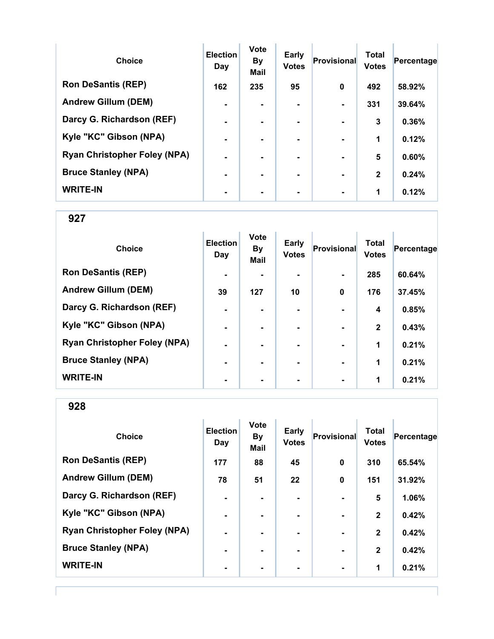| <b>Choice</b>                       | <b>Election</b><br>Day | <b>Vote</b><br><b>By</b><br><b>Mail</b> | Early<br><b>Votes</b> | <b>Provisional</b> | <b>Total</b><br><b>Votes</b> | Percentage |
|-------------------------------------|------------------------|-----------------------------------------|-----------------------|--------------------|------------------------------|------------|
| <b>Ron DeSantis (REP)</b>           | 162                    | 235                                     | 95                    | $\bf{0}$           | 492                          | 58.92%     |
| <b>Andrew Gillum (DEM)</b>          | $\blacksquare$         |                                         |                       |                    | 331                          | 39.64%     |
| Darcy G. Richardson (REF)           | $\blacksquare$         | -                                       | $\blacksquare$        | $\blacksquare$     | 3                            | 0.36%      |
| Kyle "KC" Gibson (NPA)              | $\blacksquare$         |                                         | ۰.                    |                    | 1                            | 0.12%      |
| <b>Ryan Christopher Foley (NPA)</b> | $\blacksquare$         |                                         | ۰.                    | $\blacksquare$     | 5                            | 0.60%      |
| <b>Bruce Stanley (NPA)</b>          | $\blacksquare$         |                                         |                       |                    | $\mathbf{2}$                 | 0.24%      |
| <b>WRITE-IN</b>                     |                        |                                         |                       |                    | 1                            | 0.12%      |

| <b>Choice</b>                       | <b>Election</b><br>Day | <b>Vote</b><br><b>By</b><br>Mail | Early<br><b>Votes</b> | Provisional    | <b>Total</b><br><b>Votes</b> | Percentage |
|-------------------------------------|------------------------|----------------------------------|-----------------------|----------------|------------------------------|------------|
| <b>Ron DeSantis (REP)</b>           | $\blacksquare$         |                                  |                       |                | 285                          | 60.64%     |
| <b>Andrew Gillum (DEM)</b>          | 39                     | 127                              | 10                    | $\bf{0}$       | 176                          | 37.45%     |
| Darcy G. Richardson (REF)           | ۰                      |                                  | $\blacksquare$        |                | 4                            | 0.85%      |
| Kyle "KC" Gibson (NPA)              | $\blacksquare$         |                                  | $\blacksquare$        | $\blacksquare$ | $\mathbf{2}$                 | 0.43%      |
| <b>Ryan Christopher Foley (NPA)</b> | $\blacksquare$         |                                  | ۰.                    | $\blacksquare$ | 1                            | 0.21%      |
| <b>Bruce Stanley (NPA)</b>          | $\blacksquare$         |                                  | ۰.                    | $\blacksquare$ | 1                            | 0.21%      |
| <b>WRITE-IN</b>                     | ٠                      |                                  |                       |                | 1                            | 0.21%      |

928

| <b>Choice</b>                       | <b>Election</b><br>Day | <b>Vote</b><br><b>By</b><br><b>Mail</b> | <b>Early</b><br><b>Votes</b> | <b>Provisional</b> | <b>Total</b><br><b>Votes</b> | Percentage |
|-------------------------------------|------------------------|-----------------------------------------|------------------------------|--------------------|------------------------------|------------|
| <b>Ron DeSantis (REP)</b>           | 177                    | 88                                      | 45                           | $\mathbf 0$        | 310                          | 65.54%     |
| <b>Andrew Gillum (DEM)</b>          | 78                     | 51                                      | 22                           | $\boldsymbol{0}$   | 151                          | 31.92%     |
| Darcy G. Richardson (REF)           | $\blacksquare$         |                                         |                              |                    | 5                            | 1.06%      |
| Kyle "KC" Gibson (NPA)              | $\blacksquare$         |                                         |                              | $\blacksquare$     | $\mathbf{2}$                 | 0.42%      |
| <b>Ryan Christopher Foley (NPA)</b> | $\blacksquare$         | $\blacksquare$                          | $\blacksquare$               | $\blacksquare$     | $\mathbf{2}$                 | 0.42%      |
| <b>Bruce Stanley (NPA)</b>          | $\blacksquare$         | $\blacksquare$                          | ۰.                           | $\blacksquare$     | $\mathbf{2}$                 | 0.42%      |
| <b>WRITE-IN</b>                     | ٠                      |                                         |                              | $\blacksquare$     | 1                            | 0.21%      |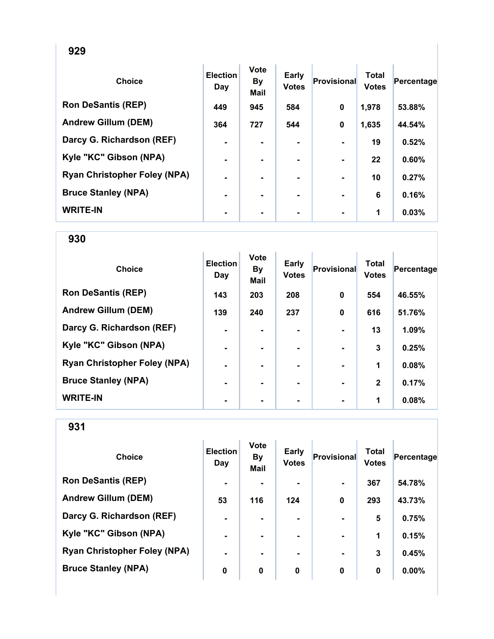| <b>Choice</b>                       | <b>Election</b><br>Day | <b>Vote</b><br><b>By</b><br>Mail | <b>Early</b><br><b>Votes</b> | <b>Provisional</b> | <b>Total</b><br><b>Votes</b> | Percentage |
|-------------------------------------|------------------------|----------------------------------|------------------------------|--------------------|------------------------------|------------|
| <b>Ron DeSantis (REP)</b>           | 449                    | 945                              | 584                          | $\mathbf 0$        | 1,978                        | 53.88%     |
| <b>Andrew Gillum (DEM)</b>          | 364                    | 727                              | 544                          | $\mathbf 0$        | 1,635                        | 44.54%     |
| Darcy G. Richardson (REF)           | $\blacksquare$         |                                  |                              |                    | 19                           | 0.52%      |
| Kyle "KC" Gibson (NPA)              | $\blacksquare$         |                                  |                              |                    | 22                           | 0.60%      |
| <b>Ryan Christopher Foley (NPA)</b> | $\blacksquare$         |                                  |                              |                    | 10                           | 0.27%      |
| <b>Bruce Stanley (NPA)</b>          | $\blacksquare$         | $\blacksquare$                   |                              |                    | 6                            | 0.16%      |
| <b>WRITE-IN</b>                     | $\blacksquare$         |                                  | ۰                            |                    | 1                            | 0.03%      |

| <b>Choice</b>                       | <b>Election</b><br>Day | <b>Vote</b><br>By<br><b>Mail</b> | Early<br><b>Votes</b> | <b>Provisional</b>       | <b>Total</b><br><b>Votes</b> | Percentage |
|-------------------------------------|------------------------|----------------------------------|-----------------------|--------------------------|------------------------------|------------|
| <b>Ron DeSantis (REP)</b>           | 143                    | 203                              | 208                   | 0                        | 554                          | 46.55%     |
| <b>Andrew Gillum (DEM)</b>          | 139                    | 240                              | 237                   | 0                        | 616                          | 51.76%     |
| Darcy G. Richardson (REF)           | $\blacksquare$         |                                  |                       |                          | 13                           | 1.09%      |
| Kyle "KC" Gibson (NPA)              | $\blacksquare$         |                                  | ۰                     |                          | 3                            | 0.25%      |
| <b>Ryan Christopher Foley (NPA)</b> | $\blacksquare$         | ۰.                               | ۰                     |                          | 1                            | 0.08%      |
| <b>Bruce Stanley (NPA)</b>          | $\blacksquare$         |                                  |                       | $\overline{\phantom{0}}$ | $\mathbf{2}$                 | 0.17%      |
| <b>WRITE-IN</b>                     |                        |                                  |                       |                          | 1                            | 0.08%      |

| <b>Choice</b>                       | <b>Election</b><br>Day | <b>Vote</b><br><b>By</b><br><b>Mail</b> | <b>Early</b><br><b>Votes</b> | Provisional    | <b>Total</b><br><b>Votes</b> | Percentage |
|-------------------------------------|------------------------|-----------------------------------------|------------------------------|----------------|------------------------------|------------|
| <b>Ron DeSantis (REP)</b>           | $\blacksquare$         |                                         | ۰                            | $\blacksquare$ | 367                          | 54.78%     |
| <b>Andrew Gillum (DEM)</b>          | 53                     | 116                                     | 124                          | $\mathbf 0$    | 293                          | 43.73%     |
| Darcy G. Richardson (REF)           | $\blacksquare$         |                                         |                              |                | 5                            | 0.75%      |
| Kyle "KC" Gibson (NPA)              | $\blacksquare$         | ۰.                                      |                              | $\blacksquare$ | 1                            | 0.15%      |
| <b>Ryan Christopher Foley (NPA)</b> | $\blacksquare$         |                                         |                              |                | 3                            | 0.45%      |
| <b>Bruce Stanley (NPA)</b>          | 0                      | 0                                       | 0                            | 0              | 0                            | 0.00%      |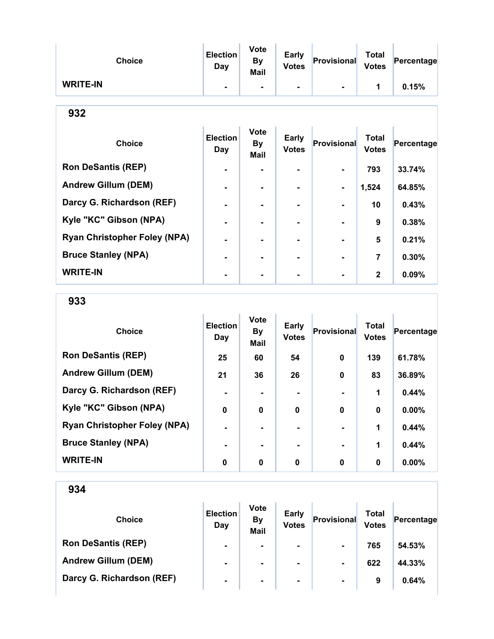| <b>Choice</b>   | <b>Election</b><br>Day | <b>Vote</b><br>By<br>Mail | <b>Early</b><br><b>Votes</b> | Provisional | <b>Total</b><br><b>Votes</b> | Percentage |
|-----------------|------------------------|---------------------------|------------------------------|-------------|------------------------------|------------|
| <b>WRITE-IN</b> |                        | $\blacksquare$            | ۰.                           |             |                              | 0.15%      |

| ٠<br>۰,<br>×<br>۰. |
|--------------------|
|--------------------|

| <b>Choice</b>                       | <b>Election</b><br>Day | <b>Vote</b><br><b>By</b><br><b>Mail</b> | <b>Early</b><br><b>Votes</b> | <b>Provisional</b> | <b>Total</b><br><b>Votes</b> | Percentage |
|-------------------------------------|------------------------|-----------------------------------------|------------------------------|--------------------|------------------------------|------------|
| <b>Ron DeSantis (REP)</b>           | $\blacksquare$         |                                         | ۰.                           |                    | 793                          | 33.74%     |
| <b>Andrew Gillum (DEM)</b>          | $\blacksquare$         |                                         | $\blacksquare$               | $\blacksquare$     | 1,524                        | 64.85%     |
| Darcy G. Richardson (REF)           |                        |                                         |                              |                    | 10                           | 0.43%      |
| Kyle "KC" Gibson (NPA)              |                        |                                         |                              |                    | 9                            | 0.38%      |
| <b>Ryan Christopher Foley (NPA)</b> |                        |                                         |                              |                    | 5                            | 0.21%      |
| <b>Bruce Stanley (NPA)</b>          |                        |                                         |                              |                    | 7                            | 0.30%      |
| <b>WRITE-IN</b>                     |                        |                                         |                              |                    | $\mathbf{2}$                 | $0.09\%$   |

933

| <b>Choice</b>                       | <b>Election</b><br>Day | <b>Vote</b><br><b>By</b><br><b>Mail</b> | <b>Early</b><br><b>Votes</b> | <b>Provisional</b> | <b>Total</b><br><b>Votes</b> | Percentage |
|-------------------------------------|------------------------|-----------------------------------------|------------------------------|--------------------|------------------------------|------------|
| <b>Ron DeSantis (REP)</b>           | 25                     | 60                                      | 54                           | 0                  | 139                          | 61.78%     |
| <b>Andrew Gillum (DEM)</b>          | 21                     | 36                                      | 26                           | 0                  | 83                           | 36.89%     |
| Darcy G. Richardson (REF)           |                        |                                         | ۰.                           |                    | 1                            | 0.44%      |
| Kyle "KC" Gibson (NPA)              | $\mathbf 0$            | 0                                       | 0                            | $\bf{0}$           | $\boldsymbol{0}$             | 0.00%      |
| <b>Ryan Christopher Foley (NPA)</b> | $\blacksquare$         |                                         | ۰.                           |                    | 1                            | 0.44%      |
| <b>Bruce Stanley (NPA)</b>          |                        |                                         |                              |                    | 1                            | 0.44%      |
| <b>WRITE-IN</b>                     | 0                      | $\mathbf 0$                             | 0                            | $\bf{0}$           | $\bf{0}$                     | $0.00\%$   |

| <b>Choice</b>              | <b>Election</b><br>Day | <b>Vote</b><br><b>By</b><br><b>Mail</b> | <b>Early</b><br><b>Votes</b> | Provisional    | Total<br><b>Votes</b> | Percentage |
|----------------------------|------------------------|-----------------------------------------|------------------------------|----------------|-----------------------|------------|
| <b>Ron DeSantis (REP)</b>  | $\blacksquare$         | $\blacksquare$                          | $\blacksquare$               | $\blacksquare$ | 765                   | 54.53%     |
| <b>Andrew Gillum (DEM)</b> | $\blacksquare$         | ۰                                       | $\blacksquare$               | $\blacksquare$ | 622                   | 44.33%     |
| Darcy G. Richardson (REF)  | $\blacksquare$         | ۰                                       | $\sim$                       | $\blacksquare$ | 9                     | 0.64%      |
|                            |                        |                                         |                              |                |                       |            |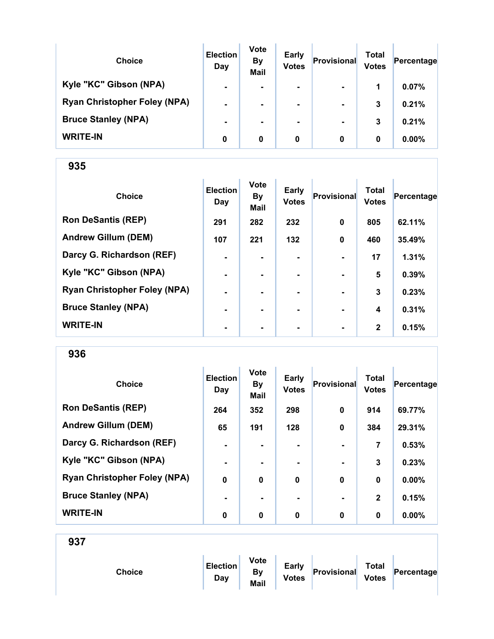| <b>Choice</b>                       | <b>Election</b><br>Day | <b>Vote</b><br><b>By</b><br><b>Mail</b> | <b>Early</b><br><b>Votes</b> | Provisional    | Total<br><b>Votes</b> | Percentage |
|-------------------------------------|------------------------|-----------------------------------------|------------------------------|----------------|-----------------------|------------|
| Kyle "KC" Gibson (NPA)              | $\blacksquare$         | ۰.                                      | $\blacksquare$               | $\blacksquare$ | 1                     | 0.07%      |
| <b>Ryan Christopher Foley (NPA)</b> | $\blacksquare$         | $\blacksquare$                          | $\blacksquare$               | $\blacksquare$ | 3                     | 0.21%      |
| <b>Bruce Stanley (NPA)</b>          | $\blacksquare$         | ۰.                                      | ۰.                           | $\blacksquare$ | 3                     | 0.21%      |
| <b>WRITE-IN</b>                     | 0                      | 0                                       | 0                            | 0              | 0                     | $0.00\%$   |

| <b>Choice</b>                       | <b>Election</b><br>Day | <b>Vote</b><br><b>By</b><br><b>Mail</b> | <b>Early</b><br><b>Votes</b> | Provisional    | <b>Total</b><br><b>Votes</b> | Percentage |
|-------------------------------------|------------------------|-----------------------------------------|------------------------------|----------------|------------------------------|------------|
| <b>Ron DeSantis (REP)</b>           | 291                    | 282                                     | 232                          | $\mathbf 0$    | 805                          | 62.11%     |
| <b>Andrew Gillum (DEM)</b>          | 107                    | 221                                     | 132                          | $\mathbf 0$    | 460                          | 35.49%     |
| Darcy G. Richardson (REF)           | $\blacksquare$         |                                         |                              | $\blacksquare$ | 17                           | 1.31%      |
| Kyle "KC" Gibson (NPA)              | $\blacksquare$         |                                         |                              | $\blacksquare$ | 5                            | 0.39%      |
| <b>Ryan Christopher Foley (NPA)</b> | $\blacksquare$         |                                         |                              |                | 3                            | 0.23%      |
| <b>Bruce Stanley (NPA)</b>          | ٠                      |                                         |                              |                | 4                            | 0.31%      |
| <b>WRITE-IN</b>                     | ٠                      |                                         | ۰                            | $\blacksquare$ | $\mathbf{2}$                 | 0.15%      |

936

| <b>Choice</b>                       | <b>Election</b><br>Day | <b>Vote</b><br><b>By</b><br>Mail | <b>Early</b><br><b>Votes</b> | <b>Provisional</b> | <b>Total</b><br><b>Votes</b> | Percentage |
|-------------------------------------|------------------------|----------------------------------|------------------------------|--------------------|------------------------------|------------|
| <b>Ron DeSantis (REP)</b>           | 264                    | 352                              | 298                          | 0                  | 914                          | 69.77%     |
| <b>Andrew Gillum (DEM)</b>          | 65                     | 191                              | 128                          | 0                  | 384                          | 29.31%     |
| Darcy G. Richardson (REF)           | $\blacksquare$         |                                  | ۰.                           |                    | 7                            | 0.53%      |
| Kyle "KC" Gibson (NPA)              | ٠                      |                                  |                              |                    | 3                            | 0.23%      |
| <b>Ryan Christopher Foley (NPA)</b> | $\mathbf 0$            | $\mathbf 0$                      | $\mathbf 0$                  | $\bf{0}$           | $\bf{0}$                     | 0.00%      |
| <b>Bruce Stanley (NPA)</b>          |                        |                                  |                              | $\blacksquare$     | $\mathbf{2}$                 | 0.15%      |
| <b>WRITE-IN</b>                     | 0                      | 0                                | 0                            | $\bf{0}$           | 0                            | $0.00\%$   |

|--|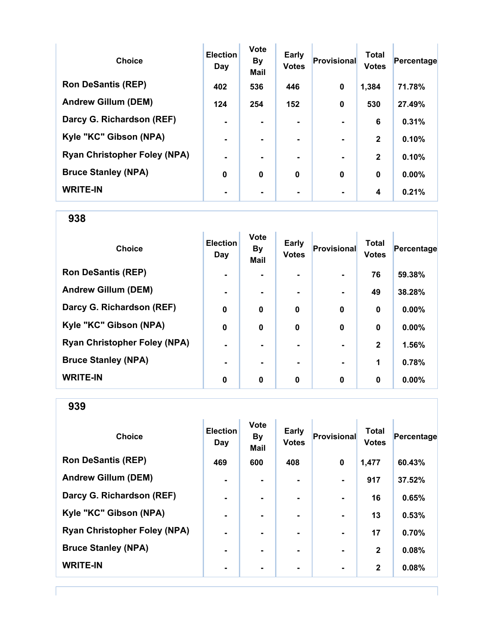| <b>Choice</b>                       | <b>Election</b><br>Day | <b>Vote</b><br><b>By</b><br><b>Mail</b> | <b>Early</b><br><b>Votes</b> | Provisional    | <b>Total</b><br><b>Votes</b> | Percentage |
|-------------------------------------|------------------------|-----------------------------------------|------------------------------|----------------|------------------------------|------------|
| <b>Ron DeSantis (REP)</b>           | 402                    | 536                                     | 446                          | 0              | 1,384                        | 71.78%     |
| <b>Andrew Gillum (DEM)</b>          | 124                    | 254                                     | 152                          | $\bf{0}$       | 530                          | 27.49%     |
| Darcy G. Richardson (REF)           |                        |                                         |                              |                | 6                            | 0.31%      |
| Kyle "KC" Gibson (NPA)              |                        |                                         |                              |                | $\mathbf{2}$                 | 0.10%      |
| <b>Ryan Christopher Foley (NPA)</b> | $\blacksquare$         |                                         | ۰.                           | $\blacksquare$ | $\mathbf{2}$                 | 0.10%      |
| <b>Bruce Stanley (NPA)</b>          | 0                      | 0                                       | 0                            | $\bf{0}$       | $\bf{0}$                     | 0.00%      |
| <b>WRITE-IN</b>                     |                        |                                         | ۰                            |                | 4                            | 0.21%      |

| <b>Choice</b>                       | <b>Election</b><br>Day | <b>Vote</b><br><b>By</b><br><b>Mail</b> | <b>Early</b><br><b>Votes</b> | Provisional | <b>Total</b><br><b>Votes</b> | Percentage |
|-------------------------------------|------------------------|-----------------------------------------|------------------------------|-------------|------------------------------|------------|
| <b>Ron DeSantis (REP)</b>           | $\blacksquare$         |                                         | ۰.                           |             | 76                           | 59.38%     |
| <b>Andrew Gillum (DEM)</b>          | $\blacksquare$         |                                         |                              |             | 49                           | 38.28%     |
| Darcy G. Richardson (REF)           | $\mathbf 0$            | $\bf{0}$                                | 0                            | $\mathbf 0$ | $\mathbf 0$                  | 0.00%      |
| Kyle "KC" Gibson (NPA)              | $\mathbf 0$            | 0                                       | $\bf{0}$                     | $\bf{0}$    | $\bf{0}$                     | 0.00%      |
| <b>Ryan Christopher Foley (NPA)</b> | $\blacksquare$         |                                         | ۰.                           |             | $\mathbf{2}$                 | 1.56%      |
| <b>Bruce Stanley (NPA)</b>          | ۰                      |                                         | ۰.                           |             | 1                            | 0.78%      |
| <b>WRITE-IN</b>                     | 0                      | 0                                       | 0                            | 0           | 0                            | $0.00\%$   |

939

| <b>Choice</b>                       | <b>Election</b><br>Day | <b>Vote</b><br><b>By</b><br><b>Mail</b> | <b>Early</b><br><b>Votes</b> | <b>Provisional</b> | <b>Total</b><br><b>Votes</b> | Percentage |
|-------------------------------------|------------------------|-----------------------------------------|------------------------------|--------------------|------------------------------|------------|
| <b>Ron DeSantis (REP)</b>           | 469                    | 600                                     | 408                          | $\mathbf 0$        | 1,477                        | 60.43%     |
| <b>Andrew Gillum (DEM)</b>          | $\blacksquare$         | ۰                                       | $\blacksquare$               |                    | 917                          | 37.52%     |
| Darcy G. Richardson (REF)           | $\blacksquare$         |                                         | ۰.                           | $\blacksquare$     | 16                           | 0.65%      |
| Kyle "KC" Gibson (NPA)              | -                      |                                         |                              |                    | 13                           | 0.53%      |
| <b>Ryan Christopher Foley (NPA)</b> |                        |                                         | ۰.                           |                    | 17                           | 0.70%      |
| <b>Bruce Stanley (NPA)</b>          | $\blacksquare$         | ۰                                       | ۰                            |                    | $\mathbf{2}$                 | 0.08%      |
| <b>WRITE-IN</b>                     | $\blacksquare$         |                                         |                              |                    | $\mathbf{2}$                 | 0.08%      |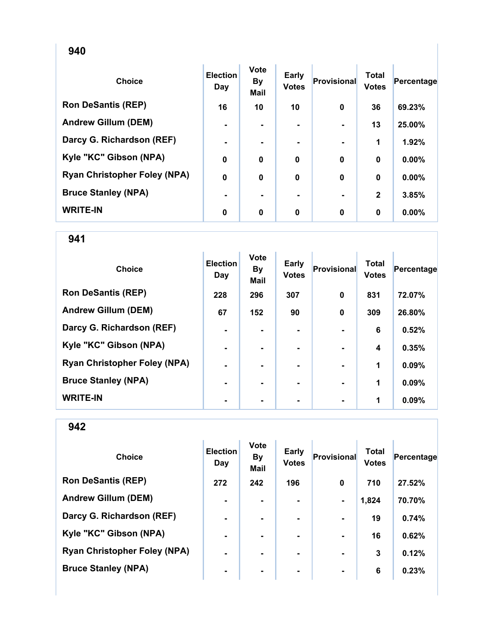| <b>Choice</b>                       | <b>Election</b><br>Day | <b>Vote</b><br><b>By</b><br><b>Mail</b> | Early<br><b>Votes</b> | <b>Provisional</b> | <b>Total</b><br><b>Votes</b> | Percentage |
|-------------------------------------|------------------------|-----------------------------------------|-----------------------|--------------------|------------------------------|------------|
| <b>Ron DeSantis (REP)</b>           | 16                     | 10                                      | 10                    | 0                  | 36                           | 69.23%     |
| <b>Andrew Gillum (DEM)</b>          | $\blacksquare$         | ۰.                                      | $\blacksquare$        | $\blacksquare$     | 13                           | 25.00%     |
| Darcy G. Richardson (REF)           | $\blacksquare$         | ۰.                                      | ۰.                    |                    | 1                            | 1.92%      |
| Kyle "KC" Gibson (NPA)              | $\mathbf 0$            | 0                                       | 0                     | $\bf{0}$           | 0                            | 0.00%      |
| <b>Ryan Christopher Foley (NPA)</b> | $\mathbf 0$            | $\mathbf 0$                             | $\mathbf 0$           | 0                  | $\bf{0}$                     | 0.00%      |
| <b>Bruce Stanley (NPA)</b>          | ۰                      | $\blacksquare$                          | ۰.                    |                    | $\mathbf{2}$                 | 3.85%      |
| <b>WRITE-IN</b>                     | 0                      | 0                                       | 0                     | $\bf{0}$           | $\bf{0}$                     | 0.00%      |

| <b>Choice</b>                       | <b>Election</b><br>Day | <b>Vote</b><br><b>By</b><br><b>Mail</b> | Early<br><b>Votes</b> | Provisional    | <b>Total</b><br><b>Votes</b> | Percentage |
|-------------------------------------|------------------------|-----------------------------------------|-----------------------|----------------|------------------------------|------------|
| <b>Ron DeSantis (REP)</b>           | 228                    | 296                                     | 307                   | $\mathbf 0$    | 831                          | 72.07%     |
| <b>Andrew Gillum (DEM)</b>          | 67                     | 152                                     | 90                    | 0              | 309                          | 26.80%     |
| Darcy G. Richardson (REF)           | ۰                      |                                         |                       |                | 6                            | 0.52%      |
| Kyle "KC" Gibson (NPA)              | $\blacksquare$         |                                         | $\blacksquare$        |                | 4                            | 0.35%      |
| <b>Ryan Christopher Foley (NPA)</b> | $\blacksquare$         |                                         | ۰.                    | $\blacksquare$ | 1                            | 0.09%      |
| <b>Bruce Stanley (NPA)</b>          | $\blacksquare$         | ۰.                                      | -                     | $\blacksquare$ | 1                            | 0.09%      |
| <b>WRITE-IN</b>                     | ٠                      |                                         |                       |                | 1                            | 0.09%      |

| <b>Choice</b>                       | <b>Election</b><br>Day | <b>Vote</b><br><b>By</b><br><b>Mail</b> | <b>Early</b><br><b>Votes</b> | Provisional    | <b>Total</b><br><b>Votes</b> | Percentage |
|-------------------------------------|------------------------|-----------------------------------------|------------------------------|----------------|------------------------------|------------|
| <b>Ron DeSantis (REP)</b>           | 272                    | 242                                     | 196                          | $\bf{0}$       | 710                          | 27.52%     |
| <b>Andrew Gillum (DEM)</b>          | $\blacksquare$         | ۰.                                      |                              | $\blacksquare$ | 1,824                        | 70.70%     |
| Darcy G. Richardson (REF)           | $\blacksquare$         |                                         |                              |                | 19                           | 0.74%      |
| Kyle "KC" Gibson (NPA)              | $\blacksquare$         | $\blacksquare$                          |                              | $\blacksquare$ | 16                           | 0.62%      |
| <b>Ryan Christopher Foley (NPA)</b> | $\blacksquare$         |                                         | ۰.                           | $\blacksquare$ | 3                            | 0.12%      |
| <b>Bruce Stanley (NPA)</b>          | $\blacksquare$         |                                         | ۰.                           | $\blacksquare$ | 6                            | 0.23%      |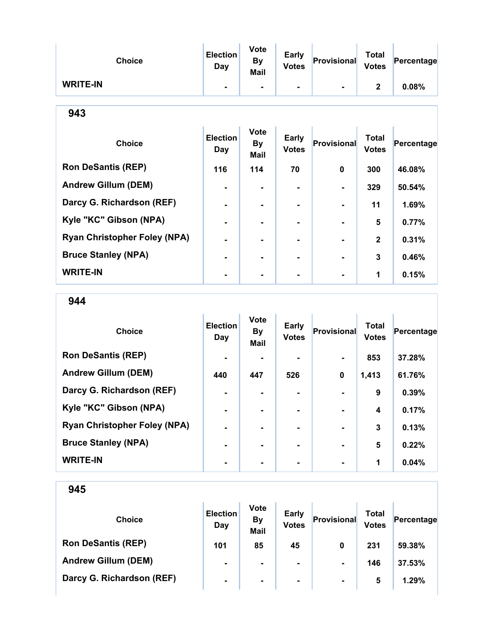| <b>Choice</b>   | <b>Election</b><br>Day | <b>Vote</b><br><b>By</b><br><b>Mail</b> | <b>Early</b><br><b>Votes</b> | Provisional    | <b>Total</b><br><b>Votes</b> | Percentage |
|-----------------|------------------------|-----------------------------------------|------------------------------|----------------|------------------------------|------------|
| <b>WRITE-IN</b> | ٠                      | ۰.                                      | ۰.                           | $\blacksquare$ | າ                            | 0.08%      |

| ٦<br>ï<br>۰.<br>v<br>w<br>× |
|-----------------------------|
|-----------------------------|

| <b>Choice</b>                       | <b>Election</b><br>Day | <b>Vote</b><br><b>By</b><br><b>Mail</b> | Early<br><b>Votes</b> | <b>Provisional</b> | <b>Total</b><br><b>Votes</b> | Percentage |
|-------------------------------------|------------------------|-----------------------------------------|-----------------------|--------------------|------------------------------|------------|
| <b>Ron DeSantis (REP)</b>           | 116                    | 114                                     | 70                    | 0                  | 300                          | 46.08%     |
| <b>Andrew Gillum (DEM)</b>          |                        |                                         |                       |                    | 329                          | 50.54%     |
| Darcy G. Richardson (REF)           |                        |                                         |                       |                    | 11                           | 1.69%      |
| Kyle "KC" Gibson (NPA)              |                        |                                         |                       |                    | 5                            | 0.77%      |
| <b>Ryan Christopher Foley (NPA)</b> |                        |                                         |                       |                    | $\mathbf{2}$                 | 0.31%      |
| <b>Bruce Stanley (NPA)</b>          |                        |                                         | -                     |                    | 3                            | 0.46%      |
| <b>WRITE-IN</b>                     |                        |                                         |                       |                    | 1                            | 0.15%      |

944

| <b>Choice</b>                       | <b>Election</b><br>Day | <b>Vote</b><br><b>By</b><br><b>Mail</b> | Early<br><b>Votes</b> | <b>Provisional</b> | <b>Total</b><br><b>Votes</b> | Percentage |
|-------------------------------------|------------------------|-----------------------------------------|-----------------------|--------------------|------------------------------|------------|
| <b>Ron DeSantis (REP)</b>           | $\blacksquare$         |                                         |                       |                    | 853                          | 37.28%     |
| <b>Andrew Gillum (DEM)</b>          | 440                    | 447                                     | 526                   | 0                  | 1,413                        | 61.76%     |
| Darcy G. Richardson (REF)           |                        |                                         |                       |                    | 9                            | 0.39%      |
| Kyle "KC" Gibson (NPA)              | $\blacksquare$         | -                                       | ۰.                    | $\blacksquare$     | $\boldsymbol{4}$             | 0.17%      |
| <b>Ryan Christopher Foley (NPA)</b> | $\blacksquare$         |                                         | -                     | $\blacksquare$     | 3                            | 0.13%      |
| <b>Bruce Stanley (NPA)</b>          | $\blacksquare$         |                                         |                       |                    | $5\phantom{1}$               | 0.22%      |
| <b>WRITE-IN</b>                     |                        |                                         |                       |                    | 1                            | 0.04%      |

| <b>Choice</b>              | <b>Election</b><br>Day | <b>Vote</b><br><b>By</b><br><b>Mail</b> | <b>Early</b><br><b>Votes</b> | Provisional    | Total<br><b>Votes</b> | Percentage |
|----------------------------|------------------------|-----------------------------------------|------------------------------|----------------|-----------------------|------------|
| <b>Ron DeSantis (REP)</b>  | 101                    | 85                                      | 45                           | 0              | 231                   | 59.38%     |
| <b>Andrew Gillum (DEM)</b> | $\blacksquare$         | ۰.                                      | $\blacksquare$               | $\blacksquare$ | 146                   | 37.53%     |
| Darcy G. Richardson (REF)  | $\blacksquare$         | $\blacksquare$                          | $\blacksquare$               | $\blacksquare$ | 5                     | 1.29%      |
|                            |                        |                                         |                              |                |                       |            |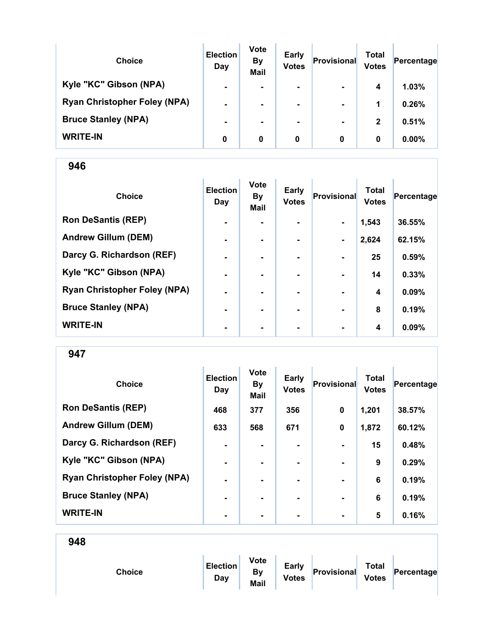| <b>Choice</b>                       | <b>Election</b><br>Day | <b>Vote</b><br><b>By</b><br><b>Mail</b> | <b>Early</b><br><b>Votes</b> | Provisional    | Total<br><b>Votes</b> | Percentage |
|-------------------------------------|------------------------|-----------------------------------------|------------------------------|----------------|-----------------------|------------|
| Kyle "KC" Gibson (NPA)              | $\blacksquare$         | ۰                                       | $\blacksquare$               | $\blacksquare$ | 4                     | 1.03%      |
| <b>Ryan Christopher Foley (NPA)</b> | $\blacksquare$         | ۰                                       | $\blacksquare$               | $\blacksquare$ | 1                     | 0.26%      |
| <b>Bruce Stanley (NPA)</b>          | $\blacksquare$         |                                         | ۰                            | $\blacksquare$ | $\mathbf{2}$          | 0.51%      |
| <b>WRITE-IN</b>                     | 0                      | 0                                       | 0                            | 0              | 0                     | 0.00%      |

| <b>Choice</b>                       | <b>Election</b><br>Day | <b>Vote</b><br><b>By</b><br>Mail | <b>Early</b><br><b>Votes</b> | Provisional    | <b>Total</b><br><b>Votes</b> | Percentage |
|-------------------------------------|------------------------|----------------------------------|------------------------------|----------------|------------------------------|------------|
| <b>Ron DeSantis (REP)</b>           | $\blacksquare$         |                                  |                              | $\blacksquare$ | 1,543                        | 36.55%     |
| <b>Andrew Gillum (DEM)</b>          | $\blacksquare$         | $\overline{\phantom{0}}$         |                              | $\blacksquare$ | 2,624                        | 62.15%     |
| Darcy G. Richardson (REF)           | $\blacksquare$         | $\blacksquare$                   | ۰.                           | $\blacksquare$ | 25                           | 0.59%      |
| Kyle "KC" Gibson (NPA)              | $\blacksquare$         | $\blacksquare$                   |                              | $\blacksquare$ | 14                           | 0.33%      |
| <b>Ryan Christopher Foley (NPA)</b> | ۰                      |                                  |                              |                | 4                            | 0.09%      |
| <b>Bruce Stanley (NPA)</b>          | ۰                      |                                  |                              |                | 8                            | 0.19%      |
| <b>WRITE-IN</b>                     | ۰                      | $\blacksquare$                   | $\blacksquare$               | $\blacksquare$ | 4                            | 0.09%      |

947

| <b>Choice</b>                       | <b>Election</b><br>Day | <b>Vote</b><br><b>By</b><br><b>Mail</b> | Early<br><b>Votes</b> | Provisional    | <b>Total</b><br><b>Votes</b> | Percentage |
|-------------------------------------|------------------------|-----------------------------------------|-----------------------|----------------|------------------------------|------------|
| <b>Ron DeSantis (REP)</b>           | 468                    | 377                                     | 356                   | $\mathbf 0$    | 1,201                        | 38.57%     |
| <b>Andrew Gillum (DEM)</b>          | 633                    | 568                                     | 671                   | $\mathbf 0$    | 1,872                        | 60.12%     |
| Darcy G. Richardson (REF)           | $\blacksquare$         | ۰.                                      | $\blacksquare$        | $\blacksquare$ | 15                           | 0.48%      |
| Kyle "KC" Gibson (NPA)              | $\blacksquare$         |                                         |                       |                | 9                            | 0.29%      |
| <b>Ryan Christopher Foley (NPA)</b> | $\blacksquare$         |                                         | ۰.                    | $\blacksquare$ | 6                            | 0.19%      |
| <b>Bruce Stanley (NPA)</b>          | $\blacksquare$         | ۰.                                      | ۰.                    | $\blacksquare$ | 6                            | 0.19%      |
| <b>WRITE-IN</b>                     | ٠                      |                                         | ۰                     | $\blacksquare$ | 5                            | 0.16%      |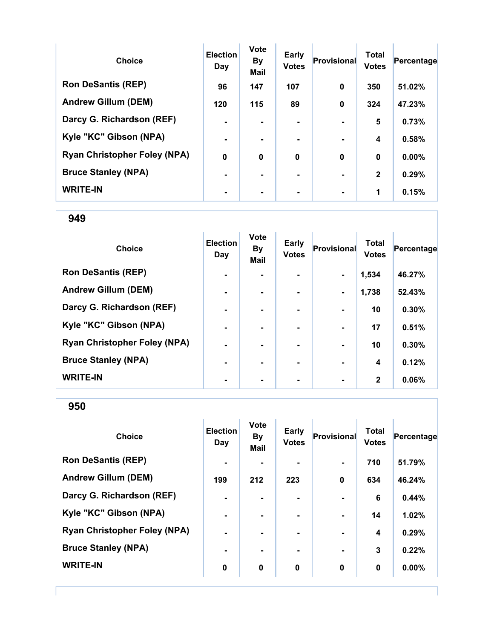| <b>Choice</b>                       | <b>Election</b><br>Day | <b>Vote</b><br><b>By</b><br><b>Mail</b> | <b>Early</b><br><b>Votes</b> | <b>Provisional</b> | <b>Total</b><br><b>Votes</b> | Percentage |
|-------------------------------------|------------------------|-----------------------------------------|------------------------------|--------------------|------------------------------|------------|
| <b>Ron DeSantis (REP)</b>           | 96                     | 147                                     | 107                          | 0                  | 350                          | 51.02%     |
| <b>Andrew Gillum (DEM)</b>          | 120                    | 115                                     | 89                           | $\bf{0}$           | 324                          | 47.23%     |
| Darcy G. Richardson (REF)           | $\blacksquare$         |                                         | $\blacksquare$               |                    | 5                            | 0.73%      |
| Kyle "KC" Gibson (NPA)              | $\blacksquare$         |                                         |                              |                    | 4                            | 0.58%      |
| <b>Ryan Christopher Foley (NPA)</b> | $\mathbf 0$            | $\bf{0}$                                | $\bf{0}$                     | $\bf{0}$           | $\boldsymbol{0}$             | 0.00%      |
| <b>Bruce Stanley (NPA)</b>          |                        |                                         | -                            |                    | $\mathbf{2}$                 | 0.29%      |
| <b>WRITE-IN</b>                     |                        |                                         |                              |                    | 1                            | 0.15%      |

| <b>Choice</b>                       | <b>Election</b><br>Day | <b>Vote</b><br><b>By</b><br><b>Mail</b> | Early<br><b>Votes</b> | Provisional    | <b>Total</b><br><b>Votes</b> | Percentage |
|-------------------------------------|------------------------|-----------------------------------------|-----------------------|----------------|------------------------------|------------|
| <b>Ron DeSantis (REP)</b>           | $\blacksquare$         |                                         |                       |                | 1,534                        | 46.27%     |
| <b>Andrew Gillum (DEM)</b>          | ٠                      |                                         |                       | $\blacksquare$ | 1,738                        | 52.43%     |
| Darcy G. Richardson (REF)           | ٠                      |                                         |                       |                | 10                           | 0.30%      |
| Kyle "KC" Gibson (NPA)              | $\blacksquare$         |                                         | ۰                     |                | 17                           | 0.51%      |
| <b>Ryan Christopher Foley (NPA)</b> | $\blacksquare$         |                                         | ۰                     |                | 10                           | 0.30%      |
| <b>Bruce Stanley (NPA)</b>          | ۰.                     |                                         | ۰.                    |                | 4                            | 0.12%      |
| <b>WRITE-IN</b>                     | $\blacksquare$         |                                         |                       |                | $\mathbf{2}$                 | 0.06%      |

950

| <b>Choice</b>                       | <b>Election</b><br>Day | <b>Vote</b><br><b>By</b><br><b>Mail</b> | Early<br><b>Votes</b> | <b>Provisional</b> | <b>Total</b><br><b>Votes</b> | Percentage |
|-------------------------------------|------------------------|-----------------------------------------|-----------------------|--------------------|------------------------------|------------|
| <b>Ron DeSantis (REP)</b>           | $\blacksquare$         |                                         |                       | $\blacksquare$     | 710                          | 51.79%     |
| <b>Andrew Gillum (DEM)</b>          | 199                    | 212                                     | 223                   | $\mathbf 0$        | 634                          | 46.24%     |
| Darcy G. Richardson (REF)           | $\blacksquare$         | ۰.                                      |                       |                    | 6                            | 0.44%      |
| Kyle "KC" Gibson (NPA)              | $\blacksquare$         |                                         |                       | $\blacksquare$     | 14                           | 1.02%      |
| <b>Ryan Christopher Foley (NPA)</b> | $\blacksquare$         | $\blacksquare$                          | ۰.                    | $\blacksquare$     | 4                            | 0.29%      |
| <b>Bruce Stanley (NPA)</b>          | $\blacksquare$         |                                         | ۰                     | $\blacksquare$     | 3                            | 0.22%      |
| <b>WRITE-IN</b>                     | 0                      | $\bf{0}$                                | $\mathbf 0$           | $\mathbf 0$        | 0                            | 0.00%      |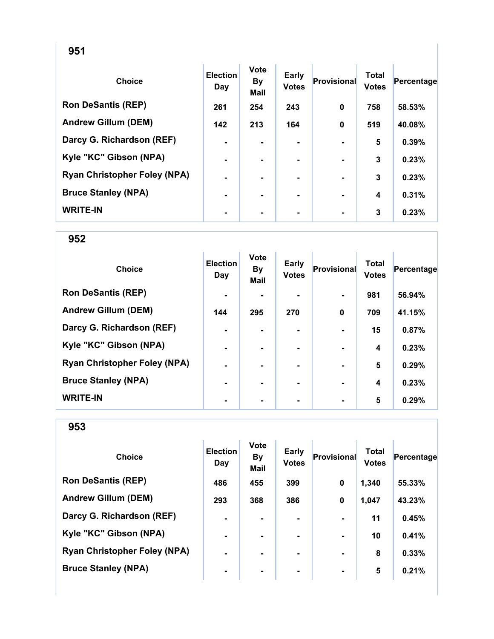| <b>Choice</b>                       | <b>Election</b><br>Day | <b>Vote</b><br><b>By</b><br><b>Mail</b> | Early<br><b>Votes</b> | <b>Provisional</b> | <b>Total</b><br><b>Votes</b> | Percentage |
|-------------------------------------|------------------------|-----------------------------------------|-----------------------|--------------------|------------------------------|------------|
| <b>Ron DeSantis (REP)</b>           | 261                    | 254                                     | 243                   | 0                  | 758                          | 58.53%     |
| <b>Andrew Gillum (DEM)</b>          | 142                    | 213                                     | 164                   | $\bf{0}$           | 519                          | 40.08%     |
| Darcy G. Richardson (REF)           | $\blacksquare$         |                                         |                       |                    | 5                            | 0.39%      |
| Kyle "KC" Gibson (NPA)              | $\blacksquare$         |                                         |                       |                    | 3                            | 0.23%      |
| <b>Ryan Christopher Foley (NPA)</b> | ۰                      |                                         | ۰                     |                    | 3                            | 0.23%      |
| <b>Bruce Stanley (NPA)</b>          | $\blacksquare$         | ۰.                                      | ۰                     |                    | 4                            | 0.31%      |
| <b>WRITE-IN</b>                     | ۰                      |                                         | ۰.                    |                    | 3                            | 0.23%      |

| <b>Choice</b>                       | <b>Election</b><br>Day | <b>Vote</b><br><b>By</b><br><b>Mail</b> | Early<br><b>Votes</b> | Provisional | <b>Total</b><br><b>Votes</b> | Percentage |
|-------------------------------------|------------------------|-----------------------------------------|-----------------------|-------------|------------------------------|------------|
| <b>Ron DeSantis (REP)</b>           | $\blacksquare$         |                                         |                       |             | 981                          | 56.94%     |
| <b>Andrew Gillum (DEM)</b>          | 144                    | 295                                     | 270                   | $\mathbf 0$ | 709                          | 41.15%     |
| Darcy G. Richardson (REF)           | $\blacksquare$         |                                         |                       |             | 15                           | 0.87%      |
| Kyle "KC" Gibson (NPA)              | $\blacksquare$         |                                         | ۰.                    |             | $\boldsymbol{4}$             | 0.23%      |
| <b>Ryan Christopher Foley (NPA)</b> | $\blacksquare$         |                                         | ۰.                    |             | $5\phantom{1}$               | 0.29%      |
| <b>Bruce Stanley (NPA)</b>          | $\blacksquare$         | ۰.                                      |                       |             | $\boldsymbol{4}$             | 0.23%      |
| <b>WRITE-IN</b>                     | ٠                      |                                         |                       |             | 5                            | 0.29%      |

| <b>Choice</b>                       | <b>Election</b><br>Day | <b>Vote</b><br><b>By</b><br><b>Mail</b> | <b>Early</b><br><b>Votes</b> | Provisional    | <b>Total</b><br><b>Votes</b> | Percentage |
|-------------------------------------|------------------------|-----------------------------------------|------------------------------|----------------|------------------------------|------------|
| <b>Ron DeSantis (REP)</b>           | 486                    | 455                                     | 399                          | $\bf{0}$       | 1,340                        | 55.33%     |
| <b>Andrew Gillum (DEM)</b>          | 293                    | 368                                     | 386                          | 0              | 1,047                        | 43.23%     |
| Darcy G. Richardson (REF)           | $\blacksquare$         |                                         |                              |                | 11                           | 0.45%      |
| Kyle "KC" Gibson (NPA)              | $\blacksquare$         | ۰                                       |                              | $\blacksquare$ | 10                           | 0.41%      |
| <b>Ryan Christopher Foley (NPA)</b> | $\blacksquare$         |                                         | ۰.                           | $\blacksquare$ | 8                            | 0.33%      |
| <b>Bruce Stanley (NPA)</b>          | $\blacksquare$         |                                         | ۰                            | $\blacksquare$ | 5                            | 0.21%      |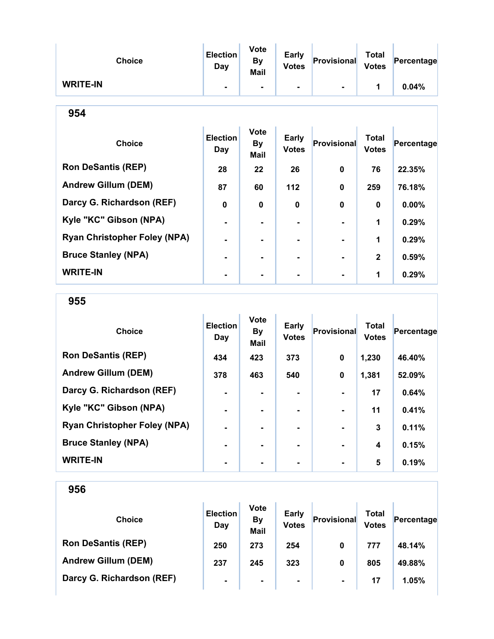| <b>Choice</b>                       | <b>Election</b><br>Day | <b>Vote</b><br><b>By</b><br>Mail | <b>Early</b><br><b>Votes</b> | Provisional | <b>Total</b><br><b>Votes</b> | Percentage |
|-------------------------------------|------------------------|----------------------------------|------------------------------|-------------|------------------------------|------------|
| <b>WRITE-IN</b>                     |                        | ۰                                | ۰.                           |             | 1                            | 0.04%      |
| 954                                 |                        |                                  |                              |             |                              |            |
| <b>Choice</b>                       | <b>Election</b><br>Day | <b>Vote</b><br><b>By</b><br>Mail | <b>Early</b><br><b>Votes</b> | Provisional | <b>Total</b><br><b>Votes</b> | Percentage |
| <b>Ron DeSantis (REP)</b>           | 28                     | 22                               | 26                           | 0           | 76                           | 22.35%     |
| <b>Andrew Gillum (DEM)</b>          | 87                     | 60                               | 112                          | $\mathbf 0$ | 259                          | 76.18%     |
| Darcy G. Richardson (REF)           | $\bf{0}$               | 0                                | $\bf{0}$                     | $\mathbf 0$ | 0                            | 0.00%      |
| Kyle "KC" Gibson (NPA)              |                        | $\blacksquare$                   |                              |             | 1                            | 0.29%      |
| <b>Ryan Christopher Foley (NPA)</b> |                        |                                  |                              |             | 1                            | 0.29%      |
| <b>Bruce Stanley (NPA)</b>          |                        |                                  |                              |             | $\overline{2}$               | 0.59%      |

WRITE-IN  $\begin{vmatrix} 1 & 1 & 1 \\ 1 & 1 & 1 \end{vmatrix}$  ,  $\begin{vmatrix} 1 & 1 & 1 \\ 0.29\% & 1 \end{vmatrix}$ 

### 955

| <b>Choice</b>                       | <b>Election</b><br>Day | <b>Vote</b><br><b>By</b><br><b>Mail</b> | Early<br><b>Votes</b> | <b>Provisional</b> | <b>Total</b><br><b>Votes</b> | Percentage |
|-------------------------------------|------------------------|-----------------------------------------|-----------------------|--------------------|------------------------------|------------|
| <b>Ron DeSantis (REP)</b>           | 434                    | 423                                     | 373                   | 0                  | 1,230                        | 46.40%     |
| <b>Andrew Gillum (DEM)</b>          | 378                    | 463                                     | 540                   | 0                  | 1,381                        | 52.09%     |
| Darcy G. Richardson (REF)           | $\blacksquare$         | ۰                                       | $\blacksquare$        |                    | 17                           | 0.64%      |
| Kyle "KC" Gibson (NPA)              | $\blacksquare$         | ۰                                       | $\blacksquare$        |                    | 11                           | 0.41%      |
| <b>Ryan Christopher Foley (NPA)</b> |                        | ۰                                       | $\blacksquare$        |                    | 3                            | 0.11%      |
| <b>Bruce Stanley (NPA)</b>          | ۰.                     | ۰                                       | $\blacksquare$        |                    | 4                            | 0.15%      |
| <b>WRITE-IN</b>                     |                        |                                         |                       |                    | 5                            | 0.19%      |

| <b>Choice</b>              | <b>Election</b><br>Day | <b>Vote</b><br><b>By</b><br><b>Mail</b> | <b>Early</b><br><b>Votes</b> | Provisional    | Total<br><b>Votes</b> | Percentage |
|----------------------------|------------------------|-----------------------------------------|------------------------------|----------------|-----------------------|------------|
| <b>Ron DeSantis (REP)</b>  | 250                    | 273                                     | 254                          | 0              | 777                   | 48.14%     |
| <b>Andrew Gillum (DEM)</b> | 237                    | 245                                     | 323                          | 0              | 805                   | 49.88%     |
| Darcy G. Richardson (REF)  | $\blacksquare$         | $\blacksquare$                          | $\blacksquare$               | $\blacksquare$ | 17                    | 1.05%      |
|                            |                        |                                         |                              |                |                       |            |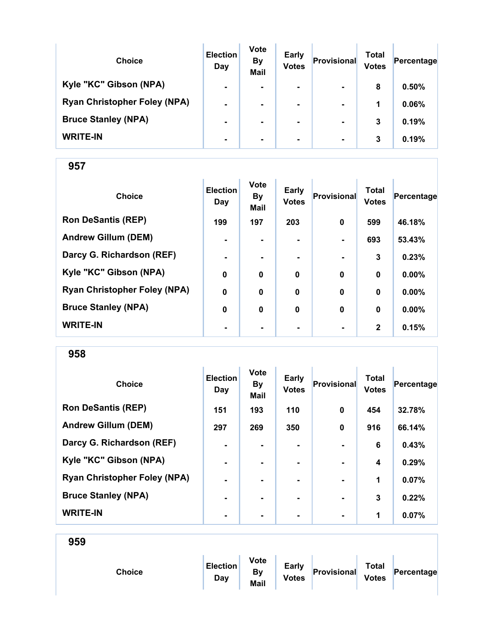| <b>Choice</b>                       | <b>Election</b><br>Day | <b>Vote</b><br><b>By</b><br><b>Mail</b> | <b>Early</b><br><b>Votes</b> | Provisional    | Total<br><b>Votes</b> | Percentage |
|-------------------------------------|------------------------|-----------------------------------------|------------------------------|----------------|-----------------------|------------|
| Kyle "KC" Gibson (NPA)              | $\blacksquare$         | $\blacksquare$                          | $\blacksquare$               | $\blacksquare$ | 8                     | 0.50%      |
| <b>Ryan Christopher Foley (NPA)</b> | $\blacksquare$         |                                         | $\blacksquare$               | $\blacksquare$ | 1                     | 0.06%      |
| <b>Bruce Stanley (NPA)</b>          | $\blacksquare$         |                                         | ۰.                           | $\blacksquare$ | 3                     | 0.19%      |
| <b>WRITE-IN</b>                     | $\blacksquare$         |                                         |                              | $\blacksquare$ | 3                     | 0.19%      |

| <b>Choice</b>                       | <b>Election</b><br>Day | <b>Vote</b><br><b>By</b><br>Mail | <b>Early</b><br><b>Votes</b> | Provisional | <b>Total</b><br><b>Votes</b> | Percentage |
|-------------------------------------|------------------------|----------------------------------|------------------------------|-------------|------------------------------|------------|
| <b>Ron DeSantis (REP)</b>           | 199                    | 197                              | 203                          | $\mathbf 0$ | 599                          | 46.18%     |
| <b>Andrew Gillum (DEM)</b>          | $\blacksquare$         |                                  |                              |             | 693                          | 53.43%     |
| Darcy G. Richardson (REF)           | $\blacksquare$         | ۰.                               | $\blacksquare$               |             | 3                            | 0.23%      |
| Kyle "KC" Gibson (NPA)              | $\mathbf 0$            | $\mathbf 0$                      | 0                            | $\mathbf 0$ | $\bf{0}$                     | 0.00%      |
| <b>Ryan Christopher Foley (NPA)</b> | $\mathbf 0$            | 0                                | $\mathbf 0$                  | $\mathbf 0$ | $\bf{0}$                     | $0.00\%$   |
| <b>Bruce Stanley (NPA)</b>          | 0                      | 0                                | $\bf{0}$                     | $\bf{0}$    | $\bf{0}$                     | 0.00%      |
| <b>WRITE-IN</b>                     | $\blacksquare$         |                                  | ۰                            |             | $\mathbf{2}$                 | 0.15%      |

958

| <b>Choice</b>                       | <b>Election</b><br>Day | <b>Vote</b><br><b>By</b><br><b>Mail</b> | Early<br><b>Votes</b> | Provisional    | <b>Total</b><br><b>Votes</b> | Percentage |
|-------------------------------------|------------------------|-----------------------------------------|-----------------------|----------------|------------------------------|------------|
| <b>Ron DeSantis (REP)</b>           | 151                    | 193                                     | 110                   | $\mathbf 0$    | 454                          | 32.78%     |
| <b>Andrew Gillum (DEM)</b>          | 297                    | 269                                     | 350                   | $\bf{0}$       | 916                          | 66.14%     |
| Darcy G. Richardson (REF)           | $\blacksquare$         | ۰.                                      | $\blacksquare$        | $\blacksquare$ | 6                            | 0.43%      |
| Kyle "KC" Gibson (NPA)              | -                      |                                         |                       |                | 4                            | 0.29%      |
| <b>Ryan Christopher Foley (NPA)</b> | $\blacksquare$         |                                         | ۰.                    | $\blacksquare$ | 1                            | 0.07%      |
| <b>Bruce Stanley (NPA)</b>          | $\blacksquare$         |                                         | ۰.                    | $\blacksquare$ | 3                            | 0.22%      |
| <b>WRITE-IN</b>                     | $\blacksquare$         |                                         |                       | $\blacksquare$ | 1                            | 0.07%      |

959 Choice **Election** Day Vote By Mail Early<br>Votes **Provisional** Total<br>Votes  $Percentage$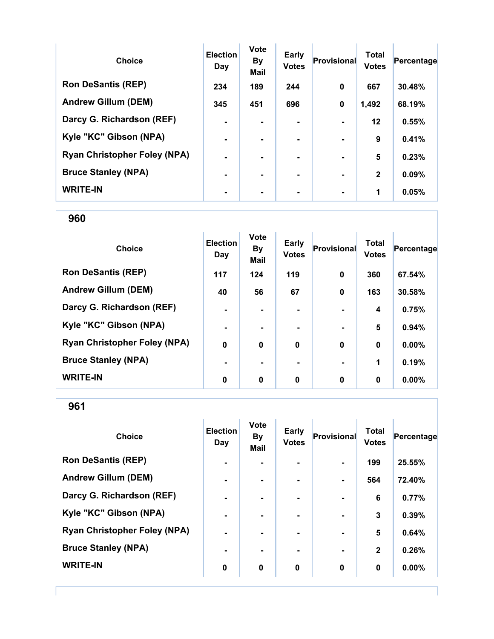| <b>Choice</b>                       | <b>Election</b><br>Day | <b>Vote</b><br><b>By</b><br><b>Mail</b> | <b>Early</b><br><b>Votes</b> | Provisional    | <b>Total</b><br><b>Votes</b> | Percentage |
|-------------------------------------|------------------------|-----------------------------------------|------------------------------|----------------|------------------------------|------------|
| <b>Ron DeSantis (REP)</b>           | 234                    | 189                                     | 244                          | $\bf{0}$       | 667                          | 30.48%     |
| <b>Andrew Gillum (DEM)</b>          | 345                    | 451                                     | 696                          | 0              | 1,492                        | 68.19%     |
| Darcy G. Richardson (REF)           | $\blacksquare$         |                                         | $\blacksquare$               |                | 12                           | 0.55%      |
| Kyle "KC" Gibson (NPA)              | $\blacksquare$         |                                         | ۰.                           | $\blacksquare$ | 9                            | 0.41%      |
| <b>Ryan Christopher Foley (NPA)</b> | $\blacksquare$         |                                         | ۰.                           |                | 5                            | 0.23%      |
| <b>Bruce Stanley (NPA)</b>          |                        |                                         | ۰.                           | $\blacksquare$ | $\mathbf{2}$                 | 0.09%      |
| <b>WRITE-IN</b>                     |                        |                                         |                              |                | 1                            | 0.05%      |

| <b>Choice</b>                       | <b>Election</b><br>Day | <b>Vote</b><br><b>By</b><br><b>Mail</b> | Early<br><b>Votes</b> | <b>Provisional</b> | <b>Total</b><br><b>Votes</b> | Percentage |
|-------------------------------------|------------------------|-----------------------------------------|-----------------------|--------------------|------------------------------|------------|
| <b>Ron DeSantis (REP)</b>           | 117                    | 124                                     | 119                   | $\mathbf 0$        | 360                          | 67.54%     |
| <b>Andrew Gillum (DEM)</b>          | 40                     | 56                                      | 67                    | $\mathbf 0$        | 163                          | 30.58%     |
| Darcy G. Richardson (REF)           | $\blacksquare$         |                                         |                       |                    | 4                            | 0.75%      |
| Kyle "KC" Gibson (NPA)              | $\blacksquare$         |                                         |                       | $\blacksquare$     | 5                            | 0.94%      |
| <b>Ryan Christopher Foley (NPA)</b> | $\mathbf 0$            | 0                                       | $\mathbf 0$           | $\mathbf 0$        | $\bf{0}$                     | 0.00%      |
| <b>Bruce Stanley (NPA)</b>          |                        | ۰.                                      |                       |                    | 1                            | 0.19%      |
| <b>WRITE-IN</b>                     | 0                      | 0                                       | 0                     | $\mathbf 0$        | 0                            | $0.00\%$   |

961

| <b>Choice</b>                       | <b>Election</b><br>Day | <b>Vote</b><br><b>By</b><br><b>Mail</b> | Early<br><b>Votes</b> | <b>Provisional</b> | <b>Total</b><br><b>Votes</b> | Percentage |
|-------------------------------------|------------------------|-----------------------------------------|-----------------------|--------------------|------------------------------|------------|
| <b>Ron DeSantis (REP)</b>           | $\blacksquare$         |                                         |                       | $\blacksquare$     | 199                          | 25.55%     |
| <b>Andrew Gillum (DEM)</b>          | $\blacksquare$         | $\blacksquare$                          | ۰                     | $\blacksquare$     | 564                          | 72.40%     |
| Darcy G. Richardson (REF)           | $\blacksquare$         | $\blacksquare$                          | $\blacksquare$        | $\blacksquare$     | 6                            | 0.77%      |
| Kyle "KC" Gibson (NPA)              | $\blacksquare$         |                                         |                       | $\blacksquare$     | 3                            | 0.39%      |
| <b>Ryan Christopher Foley (NPA)</b> | $\blacksquare$         | $\blacksquare$                          |                       | $\blacksquare$     | 5                            | 0.64%      |
| <b>Bruce Stanley (NPA)</b>          | $\blacksquare$         |                                         | ۰.                    | $\blacksquare$     | $\mathbf{2}$                 | 0.26%      |
| <b>WRITE-IN</b>                     | 0                      | $\bf{0}$                                | $\mathbf 0$           | $\mathbf 0$        | 0                            | 0.00%      |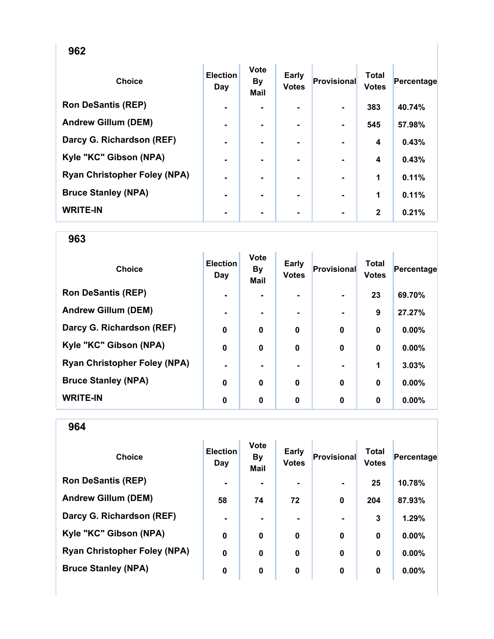| <b>Choice</b>                       | <b>Election</b><br>Day | Vote<br><b>By</b><br><b>Mail</b> | <b>Early</b><br><b>Votes</b> | <b>Provisional</b> | <b>Total</b><br><b>Votes</b> | Percentage |
|-------------------------------------|------------------------|----------------------------------|------------------------------|--------------------|------------------------------|------------|
| <b>Ron DeSantis (REP)</b>           | $\blacksquare$         |                                  |                              |                    | 383                          | 40.74%     |
| <b>Andrew Gillum (DEM)</b>          | $\blacksquare$         | ۰                                | ۰                            |                    | 545                          | 57.98%     |
| Darcy G. Richardson (REF)           | $\blacksquare$         | ۰.                               | ۰.                           |                    | 4                            | 0.43%      |
| Kyle "KC" Gibson (NPA)              | $\blacksquare$         |                                  |                              |                    | 4                            | 0.43%      |
| <b>Ryan Christopher Foley (NPA)</b> | ٠                      |                                  |                              |                    | 1                            | 0.11%      |
| <b>Bruce Stanley (NPA)</b>          | $\blacksquare$         |                                  | ۰.                           |                    | 1                            | 0.11%      |
| <b>WRITE-IN</b>                     | $\blacksquare$         |                                  | ۰                            | $\blacksquare$     | $\mathbf{2}$                 | 0.21%      |

963

| <b>Choice</b>                       | <b>Election</b><br>Day | <b>Vote</b><br><b>By</b><br>Mail | <b>Early</b><br><b>Votes</b> | <b>Provisional</b> | <b>Total</b><br><b>Votes</b> | Percentage |
|-------------------------------------|------------------------|----------------------------------|------------------------------|--------------------|------------------------------|------------|
| <b>Ron DeSantis (REP)</b>           | $\blacksquare$         |                                  |                              | $\blacksquare$     | 23                           | 69.70%     |
| <b>Andrew Gillum (DEM)</b>          | $\blacksquare$         | ۰.                               |                              |                    | 9                            | 27.27%     |
| Darcy G. Richardson (REF)           | $\mathbf 0$            | 0                                | $\mathbf 0$                  | $\mathbf 0$        | 0                            | $0.00\%$   |
| Kyle "KC" Gibson (NPA)              | $\mathbf 0$            | 0                                | 0                            | $\mathbf 0$        | 0                            | 0.00%      |
| <b>Ryan Christopher Foley (NPA)</b> | $\blacksquare$         | $\blacksquare$                   |                              | $\blacksquare$     | 1                            | 3.03%      |
| <b>Bruce Stanley (NPA)</b>          | $\bf{0}$               | $\mathbf 0$                      | $\mathbf{0}$                 | $\mathbf 0$        | $\bf{0}$                     | 0.00%      |
| <b>WRITE-IN</b>                     | 0                      | 0                                | 0                            | $\mathbf 0$        | 0                            | $0.00\%$   |

| <b>Choice</b>                       | <b>Election</b><br>Day | <b>Vote</b><br><b>By</b><br><b>Mail</b> | Early<br><b>Votes</b> | Provisional    | Total<br><b>Votes</b> | Percentage |
|-------------------------------------|------------------------|-----------------------------------------|-----------------------|----------------|-----------------------|------------|
| <b>Ron DeSantis (REP)</b>           | $\blacksquare$         |                                         | ۰.                    | $\blacksquare$ | 25                    | 10.78%     |
| <b>Andrew Gillum (DEM)</b>          | 58                     | 74                                      | 72                    | $\bf{0}$       | 204                   | 87.93%     |
| Darcy G. Richardson (REF)           | $\blacksquare$         |                                         |                       |                | 3                     | 1.29%      |
| Kyle "KC" Gibson (NPA)              | 0                      | $\mathbf 0$                             | $\mathbf 0$           | $\bf{0}$       | $\bf{0}$              | $0.00\%$   |
| <b>Ryan Christopher Foley (NPA)</b> | $\mathbf 0$            | 0                                       | 0                     | $\bf{0}$       | 0                     | $0.00\%$   |
| <b>Bruce Stanley (NPA)</b>          | $\bf{0}$               | 0                                       | $\mathbf 0$           | 0              | 0                     | 0.00%      |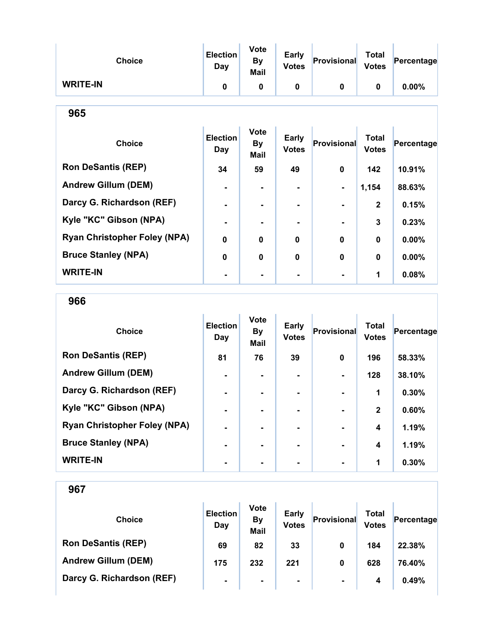| <b>Choice</b>                       | <b>Election</b><br>Day | Vote<br><b>By</b><br><b>Mail</b>        | <b>Early</b><br><b>Votes</b> | Provisional  | <b>Total</b><br><b>Votes</b> | Percentage |  |  |
|-------------------------------------|------------------------|-----------------------------------------|------------------------------|--------------|------------------------------|------------|--|--|
| <b>WRITE-IN</b>                     | $\mathbf 0$            | $\mathbf{0}$                            | 0                            | $\mathbf 0$  | 0                            | 0.00%      |  |  |
| 965                                 |                        |                                         |                              |              |                              |            |  |  |
| <b>Choice</b>                       | <b>Election</b><br>Day | <b>Vote</b><br><b>By</b><br><b>Mail</b> | <b>Early</b><br><b>Votes</b> | Provisional  | <b>Total</b><br><b>Votes</b> | Percentage |  |  |
| <b>Ron DeSantis (REP)</b>           | 34                     | 59                                      | 49                           | 0            | 142                          | 10.91%     |  |  |
| <b>Andrew Gillum (DEM)</b>          |                        |                                         |                              |              | 1,154                        | 88.63%     |  |  |
| Darcy G. Richardson (REF)           | $\blacksquare$         | ۰                                       | $\blacksquare$               |              | $\mathbf{2}$                 | 0.15%      |  |  |
| Kyle "KC" Gibson (NPA)              |                        |                                         |                              |              | 3                            | 0.23%      |  |  |
| <b>Ryan Christopher Foley (NPA)</b> | 0                      | 0                                       | $\bf{0}$                     | 0            | $\bf{0}$                     | 0.00%      |  |  |
| <b>Bruce Stanley (NPA)</b>          | 0                      | 0                                       | 0                            | $\mathbf{0}$ | $\mathbf{0}$                 | $0.00\%$   |  |  |
| <b>WRITE-IN</b>                     |                        |                                         |                              |              | 1                            | 0.08%      |  |  |

966

| <b>Choice</b>                       | <b>Election</b><br>Day | <b>Vote</b><br><b>By</b><br><b>Mail</b> | <b>Early</b><br><b>Votes</b> | Provisional | <b>Total</b><br><b>Votes</b> | Percentage |
|-------------------------------------|------------------------|-----------------------------------------|------------------------------|-------------|------------------------------|------------|
| <b>Ron DeSantis (REP)</b>           | 81                     | 76                                      | 39                           | $\bf{0}$    | 196                          | 58.33%     |
| <b>Andrew Gillum (DEM)</b>          |                        |                                         |                              |             | 128                          | 38.10%     |
| Darcy G. Richardson (REF)           | $\blacksquare$         | ۰                                       | $\blacksquare$               |             | 1                            | 0.30%      |
| Kyle "KC" Gibson (NPA)              |                        |                                         | -                            |             | $\mathbf{2}$                 | 0.60%      |
| <b>Ryan Christopher Foley (NPA)</b> | -                      |                                         |                              |             | 4                            | 1.19%      |
| <b>Bruce Stanley (NPA)</b>          |                        |                                         |                              |             | 4                            | 1.19%      |
| <b>WRITE-IN</b>                     |                        |                                         |                              |             | 1                            | 0.30%      |

| <b>Choice</b>              | <b>Election</b><br>Day | <b>Vote</b><br><b>By</b><br><b>Mail</b> | <b>Early</b><br><b>Votes</b> | Provisional | Total<br><b>Votes</b> | Percentage |
|----------------------------|------------------------|-----------------------------------------|------------------------------|-------------|-----------------------|------------|
| <b>Ron DeSantis (REP)</b>  | 69                     | 82                                      | 33                           | 0           | 184                   | 22.38%     |
| <b>Andrew Gillum (DEM)</b> | 175                    | 232                                     | 221                          | 0           | 628                   | 76.40%     |
| Darcy G. Richardson (REF)  | ۰                      | $\blacksquare$                          | $\blacksquare$               |             | 4                     | 0.49%      |
|                            |                        |                                         |                              |             |                       |            |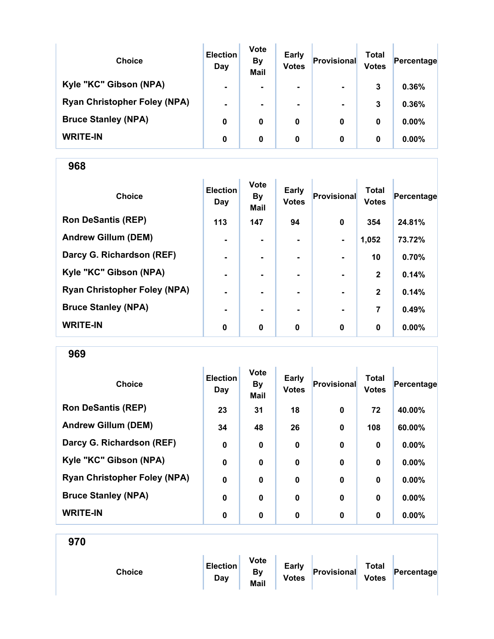| <b>Choice</b>                       | <b>Election</b><br>Day | <b>Vote</b><br><b>By</b><br><b>Mail</b> | <b>Early</b><br><b>Votes</b> | Provisional    | Total<br><b>Votes</b> | Percentage |
|-------------------------------------|------------------------|-----------------------------------------|------------------------------|----------------|-----------------------|------------|
| Kyle "KC" Gibson (NPA)              | $\blacksquare$         |                                         | $\blacksquare$               | $\blacksquare$ | 3                     | 0.36%      |
| <b>Ryan Christopher Foley (NPA)</b> | $\blacksquare$         | ۰.                                      | $\blacksquare$               | $\blacksquare$ | 3                     | 0.36%      |
| <b>Bruce Stanley (NPA)</b>          | 0                      | 0                                       | 0                            | 0              | 0                     | $0.00\%$   |
| <b>WRITE-IN</b>                     | 0                      | 0                                       | 0                            | 0              | 0                     | $0.00\%$   |

| <b>Choice</b>                       | <b>Election</b><br>Day | <b>Vote</b><br><b>By</b><br>Mail | <b>Early</b><br><b>Votes</b> | Provisional    | <b>Total</b><br><b>Votes</b> | Percentage |
|-------------------------------------|------------------------|----------------------------------|------------------------------|----------------|------------------------------|------------|
| <b>Ron DeSantis (REP)</b>           | 113                    | 147                              | 94                           | $\mathbf 0$    | 354                          | 24.81%     |
| <b>Andrew Gillum (DEM)</b>          | $\blacksquare$         |                                  |                              | $\blacksquare$ | 1,052                        | 73.72%     |
| Darcy G. Richardson (REF)           | $\blacksquare$         | $\blacksquare$                   | ۰.                           | $\blacksquare$ | 10                           | 0.70%      |
| Kyle "KC" Gibson (NPA)              | $\blacksquare$         | $\blacksquare$                   |                              | $\blacksquare$ | $\mathbf{2}$                 | 0.14%      |
| <b>Ryan Christopher Foley (NPA)</b> | ۰                      |                                  |                              |                | $\mathbf{2}$                 | 0.14%      |
| <b>Bruce Stanley (NPA)</b>          | $\blacksquare$         |                                  |                              | $\blacksquare$ | 7                            | 0.49%      |
| <b>WRITE-IN</b>                     | 0                      | $\mathbf 0$                      | $\mathbf 0$                  | $\bf{0}$       | $\bf{0}$                     | $0.00\%$   |

969

| <b>Choice</b>                       | <b>Election</b><br>Day | <b>Vote</b><br><b>By</b><br><b>Mail</b> | <b>Early</b><br><b>Votes</b> | Provisional | <b>Total</b><br><b>Votes</b> | Percentage |
|-------------------------------------|------------------------|-----------------------------------------|------------------------------|-------------|------------------------------|------------|
| <b>Ron DeSantis (REP)</b>           | 23                     | 31                                      | 18                           | $\bf{0}$    | 72                           | 40.00%     |
| <b>Andrew Gillum (DEM)</b>          | 34                     | 48                                      | 26                           | $\bf{0}$    | 108                          | 60.00%     |
| Darcy G. Richardson (REF)           | $\mathbf 0$            | $\bf{0}$                                | $\mathbf 0$                  | $\bf{0}$    | 0                            | 0.00%      |
| Kyle "KC" Gibson (NPA)              | $\boldsymbol{0}$       | $\bf{0}$                                | $\bf{0}$                     | $\bf{0}$    | $\bf{0}$                     | 0.00%      |
| <b>Ryan Christopher Foley (NPA)</b> | $\mathbf 0$            | $\bf{0}$                                | $\mathbf 0$                  | $\bf{0}$    | $\bf{0}$                     | 0.00%      |
| <b>Bruce Stanley (NPA)</b>          | $\bf{0}$               | $\bf{0}$                                | $\mathbf 0$                  | $\bf{0}$    | $\bf{0}$                     | 0.00%      |
| <b>WRITE-IN</b>                     | 0                      | 0                                       | 0                            | $\bf{0}$    | 0                            | $0.00\%$   |

| <b>Choice</b> | <b>Election</b><br>Day | <b>Vote</b><br><b>By</b><br>Mail | Early<br><b>Votes</b> | Provisional | <b>Total</b><br><b>Votes</b> | Percentage |
|---------------|------------------------|----------------------------------|-----------------------|-------------|------------------------------|------------|
|               |                        |                                  |                       |             |                              |            |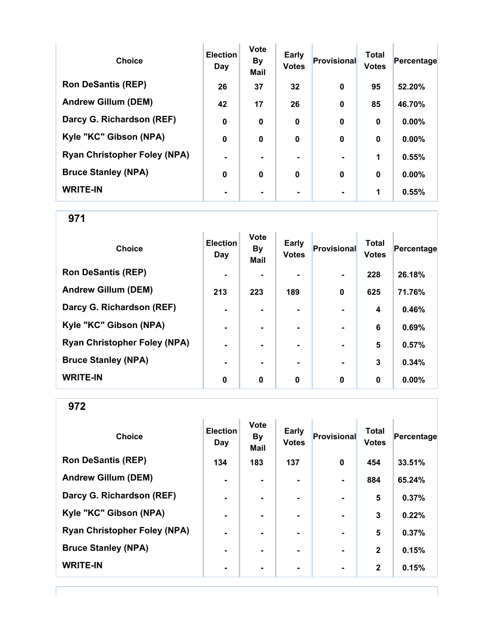| <b>Choice</b>                       | <b>Election</b><br>Day | <b>Vote</b><br><b>By</b><br><b>Mail</b> | <b>Early</b><br><b>Votes</b> | Provisional | <b>Total</b><br><b>Votes</b> | Percentage |
|-------------------------------------|------------------------|-----------------------------------------|------------------------------|-------------|------------------------------|------------|
| <b>Ron DeSantis (REP)</b>           | 26                     | 37                                      | 32                           | $\bf{0}$    | 95                           | 52.20%     |
| <b>Andrew Gillum (DEM)</b>          | 42                     | 17                                      | 26                           | $\mathbf 0$ | 85                           | 46.70%     |
| Darcy G. Richardson (REF)           | $\mathbf 0$            | 0                                       | $\mathbf 0$                  | $\bf{0}$    | $\mathbf 0$                  | $0.00\%$   |
| Kyle "KC" Gibson (NPA)              | $\mathbf 0$            | $\bf{0}$                                | $\mathbf 0$                  | $\bf{0}$    | $\bf{0}$                     | 0.00%      |
| <b>Ryan Christopher Foley (NPA)</b> | $\blacksquare$         |                                         |                              |             | 1                            | 0.55%      |
| <b>Bruce Stanley (NPA)</b>          | $\mathbf 0$            | 0                                       | $\mathbf 0$                  | $\bf{0}$    | $\mathbf 0$                  | 0.00%      |
| <b>WRITE-IN</b>                     |                        |                                         |                              |             | 1                            | 0.55%      |

| <b>Choice</b>                       | <b>Election</b><br>Day | <b>Vote</b><br><b>By</b><br>Mail | <b>Early</b><br><b>Votes</b> | <b>Provisional</b> | <b>Total</b><br><b>Votes</b> | Percentage |
|-------------------------------------|------------------------|----------------------------------|------------------------------|--------------------|------------------------------|------------|
| <b>Ron DeSantis (REP)</b>           | $\blacksquare$         |                                  |                              | $\blacksquare$     | 228                          | 26.18%     |
| <b>Andrew Gillum (DEM)</b>          | 213                    | 223                              | 189                          | 0                  | 625                          | 71.76%     |
| Darcy G. Richardson (REF)           | ۰                      |                                  |                              |                    | 4                            | 0.46%      |
| Kyle "KC" Gibson (NPA)              | $\blacksquare$         |                                  |                              | $\blacksquare$     | 6                            | 0.69%      |
| <b>Ryan Christopher Foley (NPA)</b> | $\blacksquare$         | $\blacksquare$                   |                              | $\blacksquare$     | 5                            | 0.57%      |
| <b>Bruce Stanley (NPA)</b>          | $\blacksquare$         |                                  |                              | $\blacksquare$     | 3                            | 0.34%      |
| <b>WRITE-IN</b>                     | 0                      | 0                                | 0                            | $\mathbf 0$        | 0                            | $0.00\%$   |

972

| <b>Choice</b>                       | <b>Election</b><br>Day | <b>Vote</b><br>By<br><b>Mail</b> | Early<br><b>Votes</b> | <b>Provisional</b> | <b>Total</b><br><b>Votes</b> | Percentage |
|-------------------------------------|------------------------|----------------------------------|-----------------------|--------------------|------------------------------|------------|
| <b>Ron DeSantis (REP)</b>           | 134                    | 183                              | 137                   | $\bf{0}$           | 454                          | 33.51%     |
| <b>Andrew Gillum (DEM)</b>          | $\blacksquare$         |                                  | $\blacksquare$        | $\blacksquare$     | 884                          | 65.24%     |
| Darcy G. Richardson (REF)           | $\blacksquare$         | ۰.                               | ۰.                    | $\blacksquare$     | 5                            | 0.37%      |
| Kyle "KC" Gibson (NPA)              | $\blacksquare$         | ۰.                               | ۰.                    | $\blacksquare$     | 3                            | 0.22%      |
| <b>Ryan Christopher Foley (NPA)</b> | $\blacksquare$         | $\blacksquare$                   |                       | $\blacksquare$     | 5                            | 0.37%      |
| <b>Bruce Stanley (NPA)</b>          | $\blacksquare$         | $\blacksquare$                   | $\blacksquare$        | $\blacksquare$     | $\mathbf{2}$                 | 0.15%      |
| <b>WRITE-IN</b>                     | ۰                      |                                  | $\blacksquare$        | $\blacksquare$     | $\mathbf{2}$                 | 0.15%      |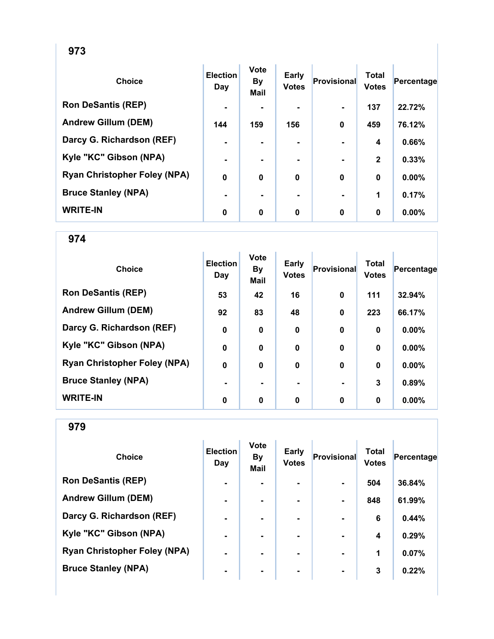| ×<br>۰.<br>٦<br>۰.<br>×<br>w |
|------------------------------|
|------------------------------|

| <b>Choice</b>                       | <b>Election</b><br>Day | <b>Vote</b><br><b>By</b><br><b>Mail</b> | <b>Early</b><br><b>Votes</b> | <b>Provisional</b> | <b>Total</b><br><b>Votes</b> | Percentage |
|-------------------------------------|------------------------|-----------------------------------------|------------------------------|--------------------|------------------------------|------------|
| <b>Ron DeSantis (REP)</b>           | $\blacksquare$         |                                         |                              |                    | 137                          | 22.72%     |
| <b>Andrew Gillum (DEM)</b>          | 144                    | 159                                     | 156                          | $\mathbf 0$        | 459                          | 76.12%     |
| Darcy G. Richardson (REF)           | $\blacksquare$         |                                         |                              |                    | 4                            | 0.66%      |
| Kyle "KC" Gibson (NPA)              | $\blacksquare$         |                                         |                              |                    | $\mathbf{2}$                 | 0.33%      |
| <b>Ryan Christopher Foley (NPA)</b> | $\mathbf 0$            | $\bf{0}$                                | $\mathbf 0$                  | $\bf{0}$           | $\bf{0}$                     | 0.00%      |
| <b>Bruce Stanley (NPA)</b>          | $\blacksquare$         |                                         |                              |                    | 1                            | 0.17%      |
| <b>WRITE-IN</b>                     | 0                      | $\mathbf 0$                             | 0                            | $\mathbf 0$        | $\bf{0}$                     | 0.00%      |

| <b>Choice</b>                       | <b>Election</b><br>Day | <b>Vote</b><br><b>By</b><br><b>Mail</b> | Early<br><b>Votes</b> | Provisional    | <b>Total</b><br><b>Votes</b> | Percentage |
|-------------------------------------|------------------------|-----------------------------------------|-----------------------|----------------|------------------------------|------------|
| <b>Ron DeSantis (REP)</b>           | 53                     | 42                                      | 16                    | $\bf{0}$       | 111                          | 32.94%     |
| <b>Andrew Gillum (DEM)</b>          | 92                     | 83                                      | 48                    | $\bf{0}$       | 223                          | 66.17%     |
| Darcy G. Richardson (REF)           | $\boldsymbol{0}$       | $\mathbf 0$                             | $\mathbf 0$           | $\mathbf 0$    | $\bf{0}$                     | $0.00\%$   |
| Kyle "KC" Gibson (NPA)              | $\boldsymbol{0}$       | $\bf{0}$                                | $\mathbf 0$           | $\mathbf 0$    | $\bf{0}$                     | 0.00%      |
| <b>Ryan Christopher Foley (NPA)</b> | $\boldsymbol{0}$       | $\bf{0}$                                | $\mathbf 0$           | $\bf{0}$       | $\bf{0}$                     | 0.00%      |
| <b>Bruce Stanley (NPA)</b>          |                        | -                                       | -                     | $\blacksquare$ | 3                            | 0.89%      |
| <b>WRITE-IN</b>                     | 0                      | 0                                       | 0                     | 0              | $\bf{0}$                     | $0.00\%$   |

| <b>Choice</b>                       | <b>Election</b><br>Day | <b>Vote</b><br><b>By</b><br><b>Mail</b> | <b>Early</b><br><b>Votes</b> | Provisional    | <b>Total</b><br><b>Votes</b> | Percentage |
|-------------------------------------|------------------------|-----------------------------------------|------------------------------|----------------|------------------------------|------------|
| <b>Ron DeSantis (REP)</b>           | $\blacksquare$         |                                         |                              |                | 504                          | 36.84%     |
| <b>Andrew Gillum (DEM)</b>          | $\blacksquare$         |                                         | $\blacksquare$               |                | 848                          | 61.99%     |
| Darcy G. Richardson (REF)           | $\blacksquare$         | -                                       | ۰                            |                | 6                            | 0.44%      |
| Kyle "KC" Gibson (NPA)              | $\blacksquare$         |                                         | ۰.                           |                | 4                            | 0.29%      |
| <b>Ryan Christopher Foley (NPA)</b> | $\blacksquare$         |                                         | ۰.                           |                | 1                            | 0.07%      |
| <b>Bruce Stanley (NPA)</b>          | ۰                      | ۰                                       | ۰                            | $\blacksquare$ | 3                            | 0.22%      |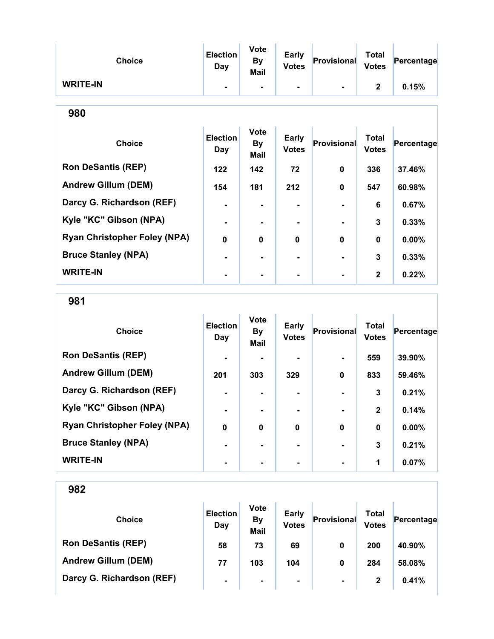| <b>Choice</b>                       | <b>Election</b><br><b>Day</b> | <b>Vote</b><br><b>By</b><br>Mail | <b>Early</b><br><b>Votes</b> | <b>Provisional</b> | <b>Total</b><br><b>Votes</b> | Percentage |
|-------------------------------------|-------------------------------|----------------------------------|------------------------------|--------------------|------------------------------|------------|
| <b>WRITE-IN</b>                     |                               |                                  |                              |                    | $\mathbf{2}$                 | 0.15%      |
| 980                                 |                               |                                  |                              |                    |                              |            |
| <b>Choice</b>                       | <b>Election</b><br><b>Day</b> | <b>Vote</b><br><b>By</b><br>Mail | <b>Early</b><br><b>Votes</b> | Provisional        | <b>Total</b><br><b>Votes</b> | Percentage |
| <b>Ron DeSantis (REP)</b>           | 122                           | 142                              | 72                           | 0                  | 336                          | 37.46%     |
| <b>Andrew Gillum (DEM)</b>          | 154                           | 181                              | 212                          | 0                  | 547                          | 60.98%     |
| Darcy G. Richardson (REF)           |                               | $\blacksquare$                   |                              |                    | 6                            | 0.67%      |
| Kyle "KC" Gibson (NPA)              |                               |                                  |                              |                    | 3                            | 0.33%      |
| <b>Ryan Christopher Foley (NPA)</b> | $\mathbf{0}$                  | $\bf{0}$                         | $\bf{0}$                     | $\bf{0}$           | $\bf{0}$                     | $0.00\%$   |
| <b>Bruce Stanley (NPA)</b>          |                               |                                  |                              |                    | 3                            | 0.33%      |
| <b>WRITE-IN</b>                     |                               |                                  |                              |                    | $\mathbf{2}$                 | 0.22%      |

981

| <b>Choice</b>                       | <b>Election</b><br>Day | <b>Vote</b><br><b>By</b><br><b>Mail</b> | <b>Early</b><br><b>Votes</b> | Provisional    | <b>Total</b><br><b>Votes</b> | Percentage |
|-------------------------------------|------------------------|-----------------------------------------|------------------------------|----------------|------------------------------|------------|
| <b>Ron DeSantis (REP)</b>           | $\blacksquare$         |                                         |                              | $\blacksquare$ | 559                          | 39.90%     |
| <b>Andrew Gillum (DEM)</b>          | 201                    | 303                                     | 329                          | $\bf{0}$       | 833                          | 59.46%     |
| Darcy G. Richardson (REF)           |                        |                                         | $\blacksquare$               |                | 3                            | 0.21%      |
| Kyle "KC" Gibson (NPA)              | $\blacksquare$         |                                         |                              | $\blacksquare$ | $\mathbf{2}$                 | 0.14%      |
| <b>Ryan Christopher Foley (NPA)</b> | $\bf{0}$               | $\mathbf 0$                             | $\mathbf{0}$                 | $\bf{0}$       | $\bf{0}$                     | 0.00%      |
| <b>Bruce Stanley (NPA)</b>          |                        |                                         |                              |                | 3                            | 0.21%      |
| <b>WRITE-IN</b>                     |                        |                                         |                              |                | 1                            | 0.07%      |

| <b>Choice</b>              | <b>Election</b><br>Day | <b>Vote</b><br><b>By</b><br><b>Mail</b> | <b>Early</b><br><b>Votes</b> | Provisional    | <b>Total</b><br><b>Votes</b> | Percentage |
|----------------------------|------------------------|-----------------------------------------|------------------------------|----------------|------------------------------|------------|
| <b>Ron DeSantis (REP)</b>  | 58                     | 73                                      | 69                           | 0              | 200                          | 40.90%     |
| <b>Andrew Gillum (DEM)</b> | 77                     | 103                                     | 104                          | 0              | 284                          | 58.08%     |
| Darcy G. Richardson (REF)  | $\blacksquare$         | $\blacksquare$                          | $\blacksquare$               | $\blacksquare$ | $\mathbf{2}$                 | 0.41%      |
|                            |                        |                                         |                              |                |                              |            |